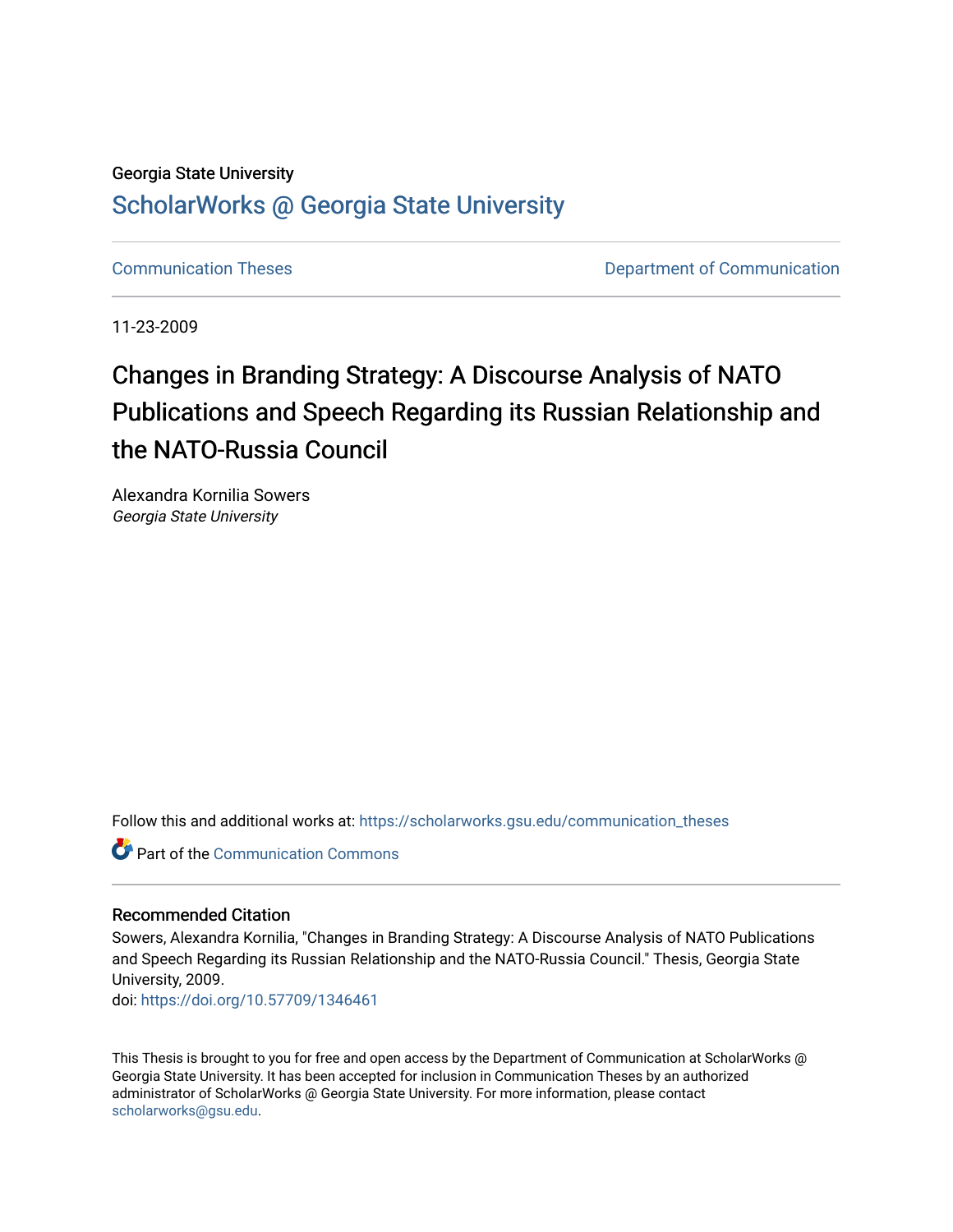### Georgia State University

## [ScholarWorks @ Georgia State University](https://scholarworks.gsu.edu/)

[Communication Theses](https://scholarworks.gsu.edu/communication_theses) [Department of Communication](https://scholarworks.gsu.edu/communication) 

11-23-2009

# Changes in Branding Strategy: A Discourse Analysis of NATO Publications and Speech Regarding its Russian Relationship and the NATO-Russia Council

Alexandra Kornilia Sowers Georgia State University

Follow this and additional works at: [https://scholarworks.gsu.edu/communication\\_theses](https://scholarworks.gsu.edu/communication_theses?utm_source=scholarworks.gsu.edu%2Fcommunication_theses%2F60&utm_medium=PDF&utm_campaign=PDFCoverPages) 

Part of the [Communication Commons](http://network.bepress.com/hgg/discipline/325?utm_source=scholarworks.gsu.edu%2Fcommunication_theses%2F60&utm_medium=PDF&utm_campaign=PDFCoverPages) 

#### Recommended Citation

Sowers, Alexandra Kornilia, "Changes in Branding Strategy: A Discourse Analysis of NATO Publications and Speech Regarding its Russian Relationship and the NATO-Russia Council." Thesis, Georgia State University, 2009.

doi: <https://doi.org/10.57709/1346461>

This Thesis is brought to you for free and open access by the Department of Communication at ScholarWorks @ Georgia State University. It has been accepted for inclusion in Communication Theses by an authorized administrator of ScholarWorks @ Georgia State University. For more information, please contact [scholarworks@gsu.edu.](mailto:scholarworks@gsu.edu)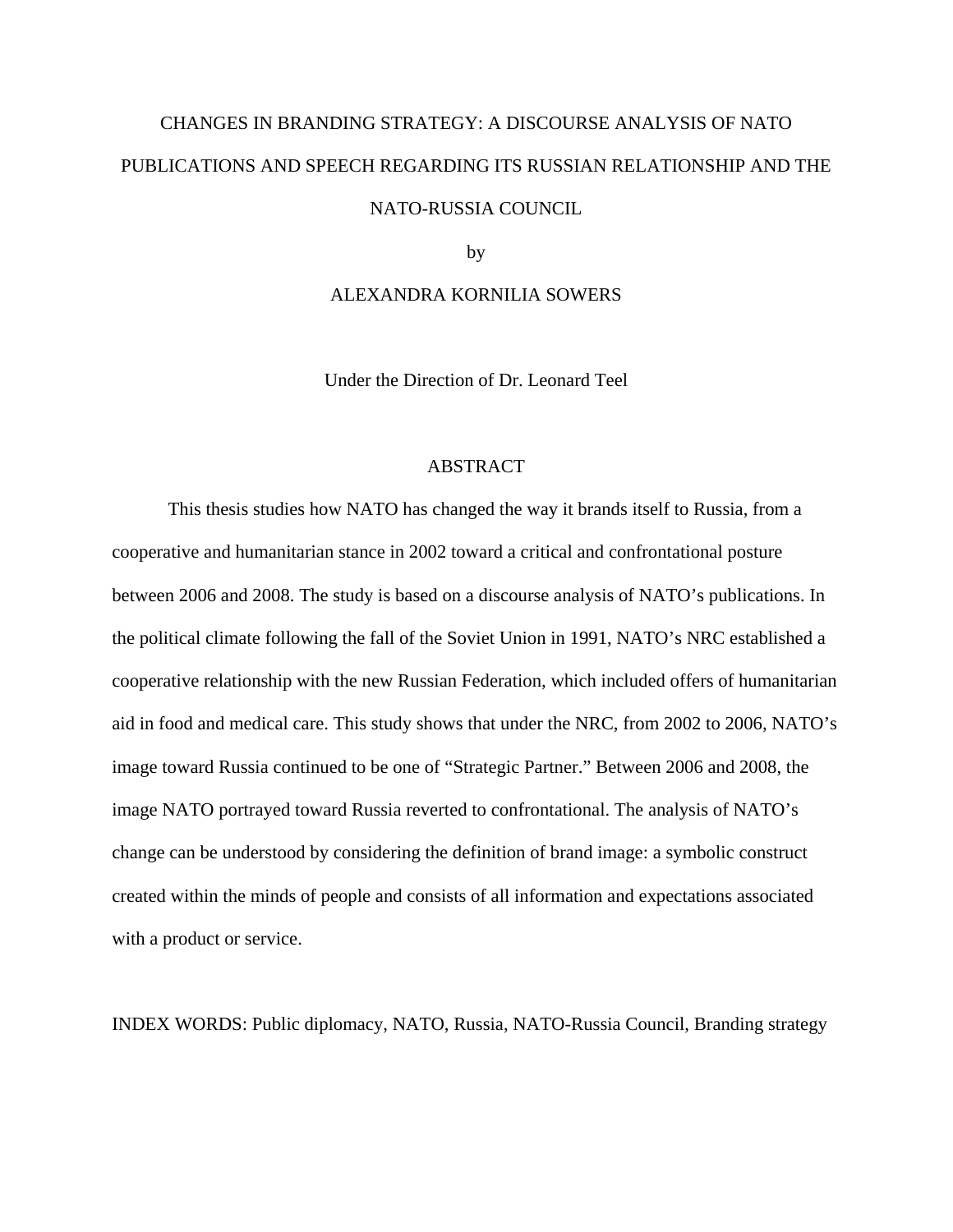# CHANGES IN BRANDING STRATEGY: A DISCOURSE ANALYSIS OF NATO PUBLICATIONS AND SPEECH REGARDING ITS RUSSIAN RELATIONSHIP AND THE NATO-RUSSIA COUNCIL

by

#### ALEXANDRA KORNILIA SOWERS

Under the Direction of Dr. Leonard Teel

#### ABSTRACT

This thesis studies how NATO has changed the way it brands itself to Russia, from a cooperative and humanitarian stance in 2002 toward a critical and confrontational posture between 2006 and 2008. The study is based on a discourse analysis of NATO's publications. In the political climate following the fall of the Soviet Union in 1991, NATO's NRC established a cooperative relationship with the new Russian Federation, which included offers of humanitarian aid in food and medical care. This study shows that under the NRC, from 2002 to 2006, NATO's image toward Russia continued to be one of "Strategic Partner." Between 2006 and 2008, the image NATO portrayed toward Russia reverted to confrontational. The analysis of NATO's change can be understood by considering the definition of brand image: a symbolic construct created within the minds of people and consists of all information and expectations associated with a product or service.

INDEX WORDS: Public diplomacy, NATO, Russia, NATO-Russia Council, Branding strategy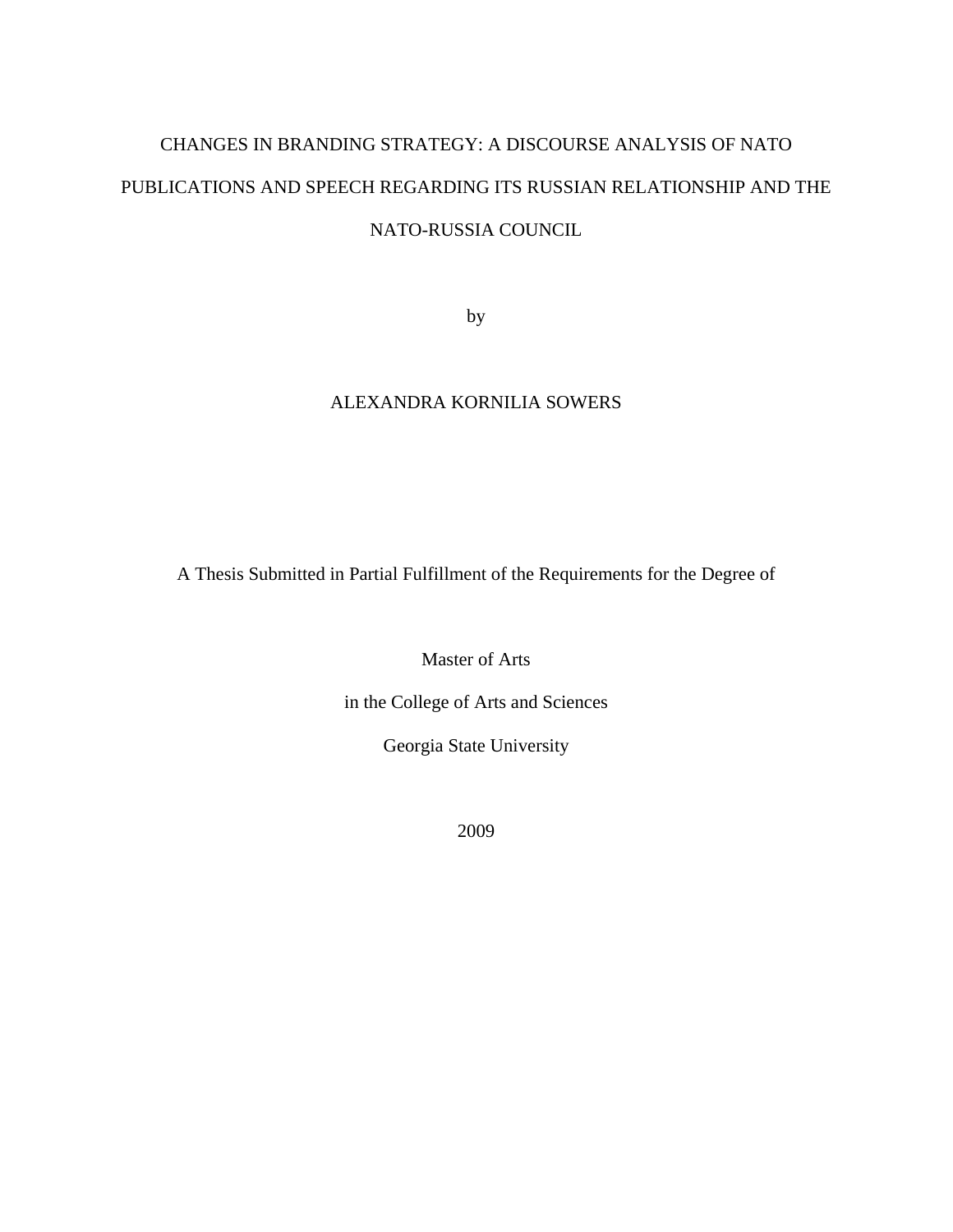# CHANGES IN BRANDING STRATEGY: A DISCOURSE ANALYSIS OF NATO PUBLICATIONS AND SPEECH REGARDING ITS RUSSIAN RELATIONSHIP AND THE NATO-RUSSIA COUNCIL

by

### ALEXANDRA KORNILIA SOWERS

A Thesis Submitted in Partial Fulfillment of the Requirements for the Degree of

Master of Arts

in the College of Arts and Sciences

Georgia State University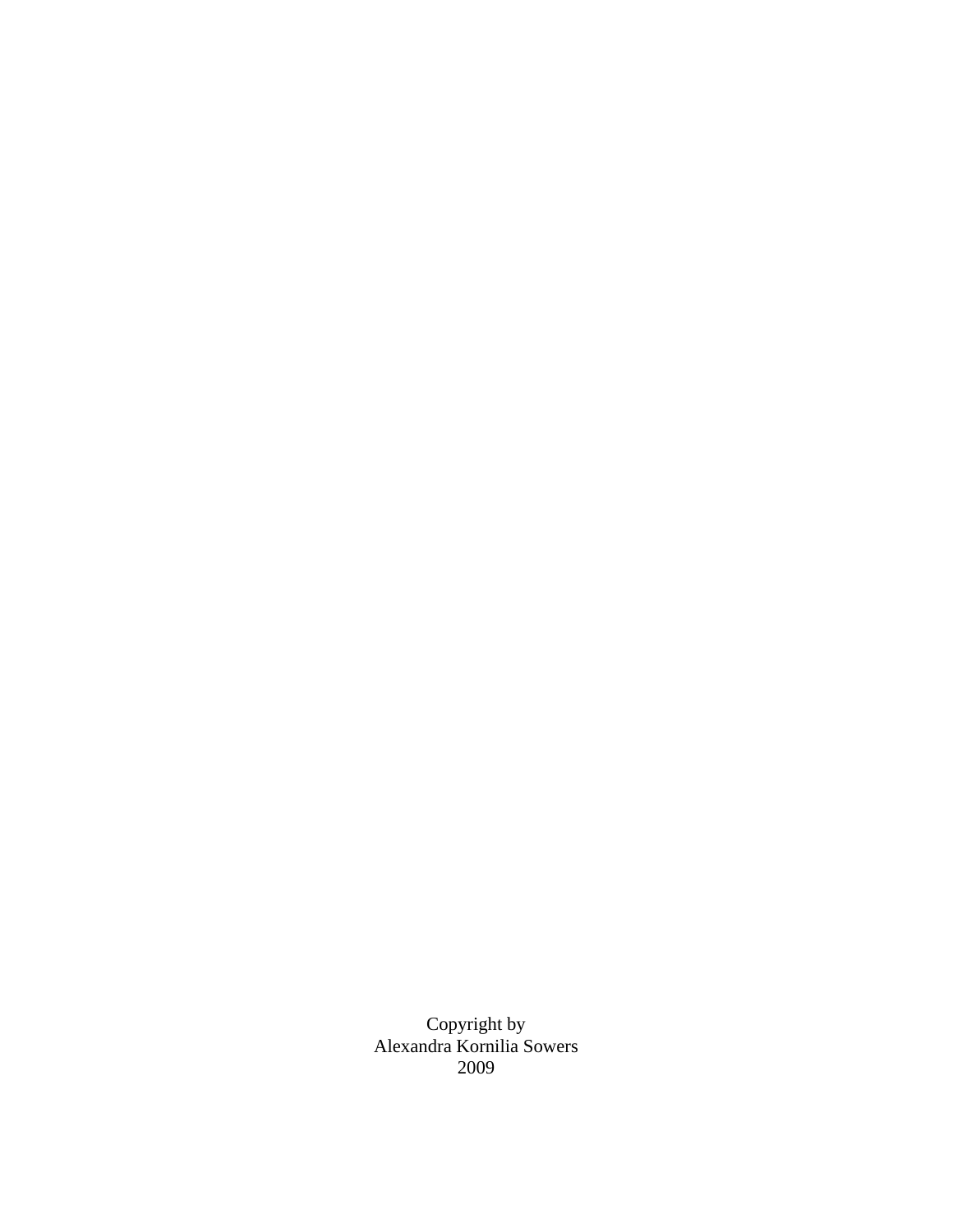Copyright by Alexandra Kornilia Sowers 2009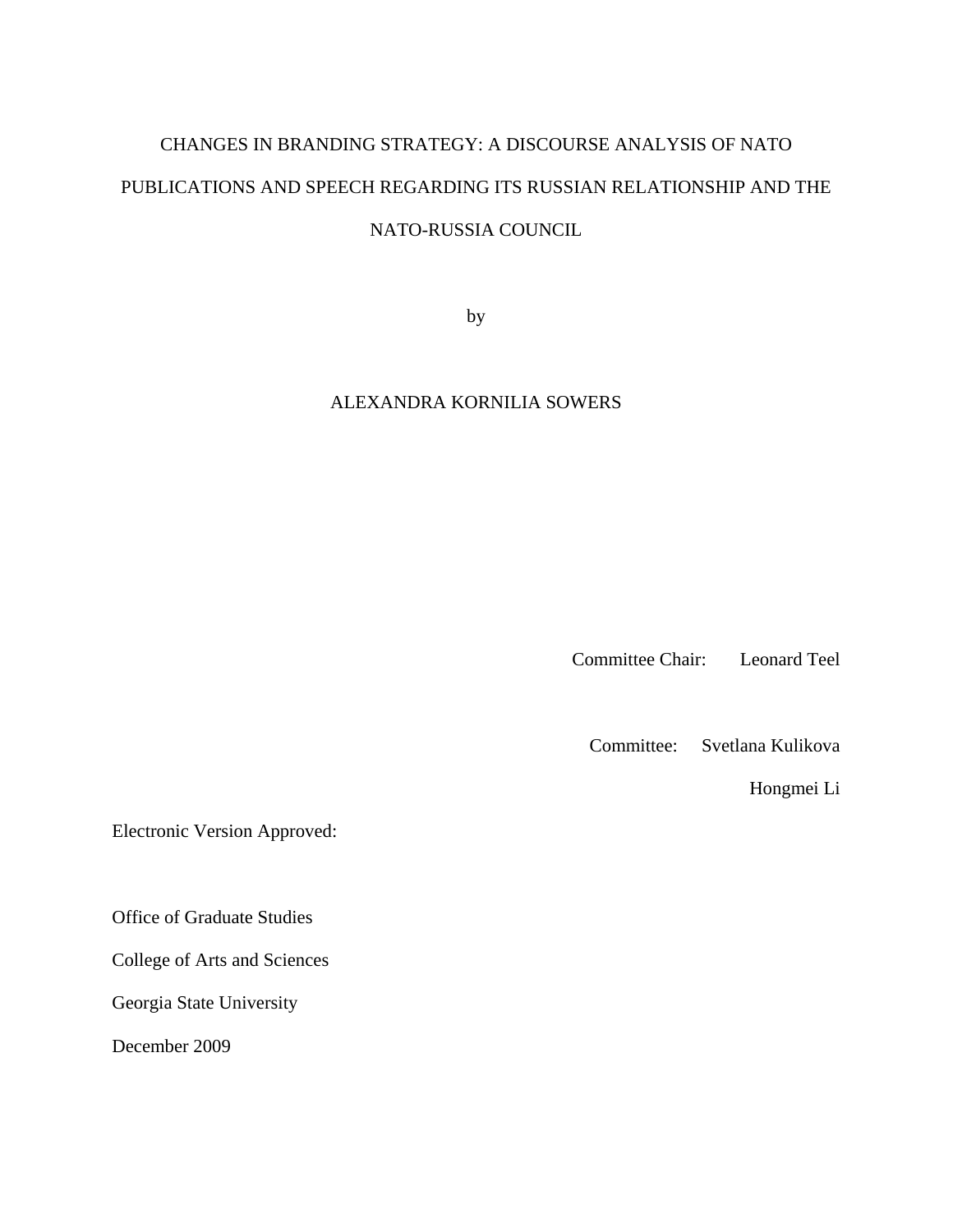# CHANGES IN BRANDING STRATEGY: A DISCOURSE ANALYSIS OF NATO PUBLICATIONS AND SPEECH REGARDING ITS RUSSIAN RELATIONSHIP AND THE NATO-RUSSIA COUNCIL

by

### ALEXANDRA KORNILIA SOWERS

Committee Chair: Leonard Teel

Committee: Svetlana Kulikova

Hongmei Li

Electronic Version Approved:

Office of Graduate Studies

College of Arts and Sciences

Georgia State University

December 2009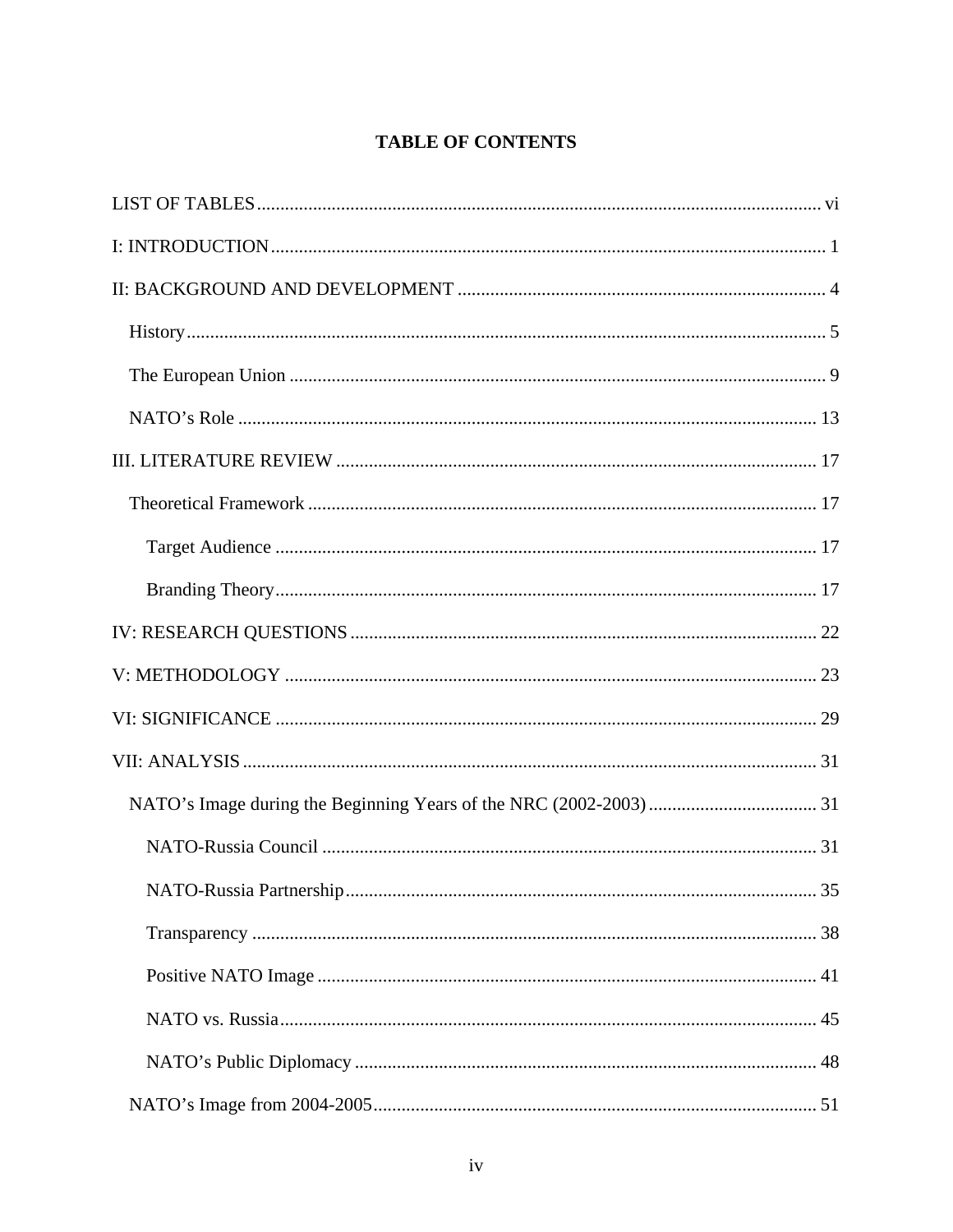## **TABLE OF CONTENTS**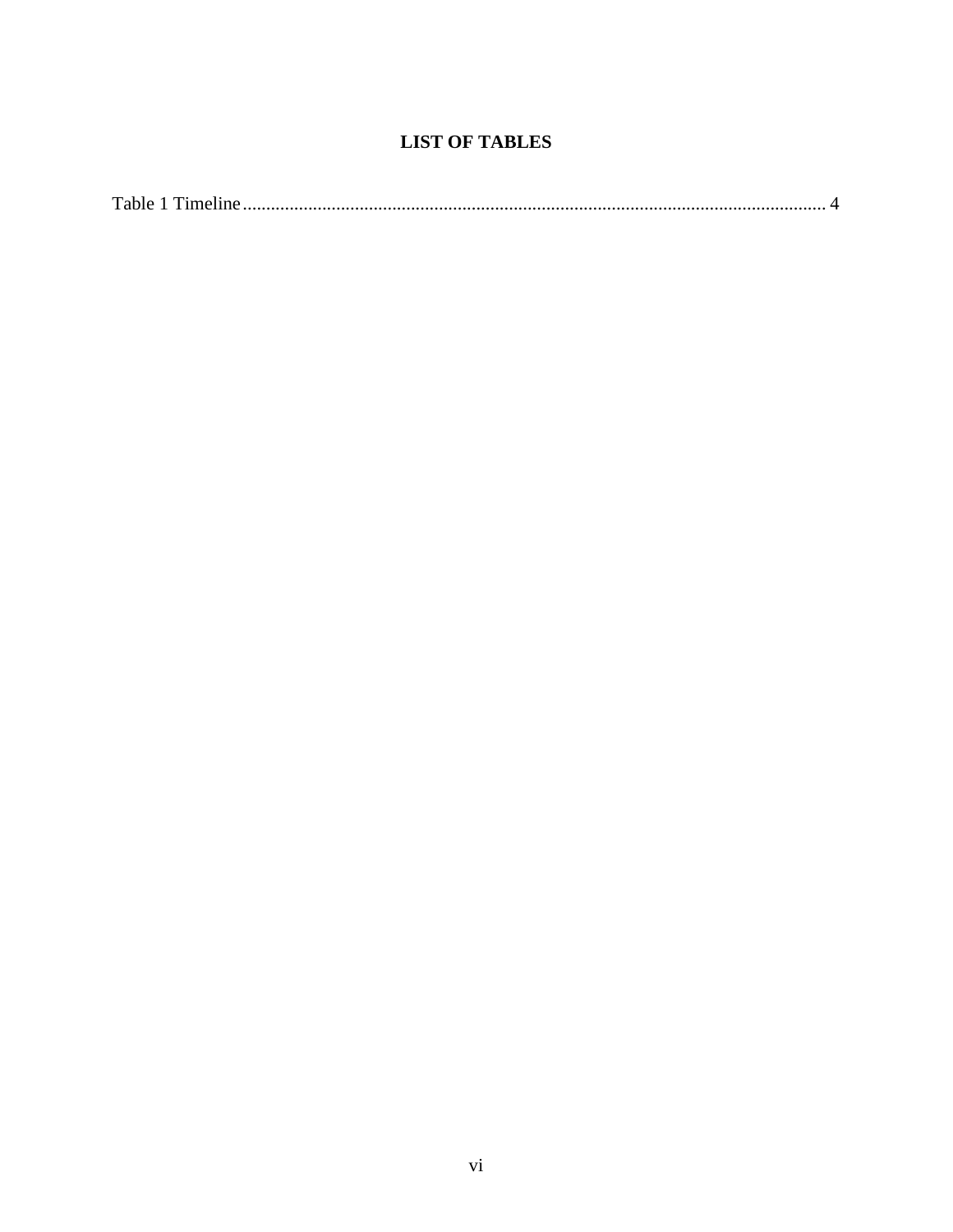## **LIST OF TABLES**

<span id="page-7-0"></span>

|--|--|--|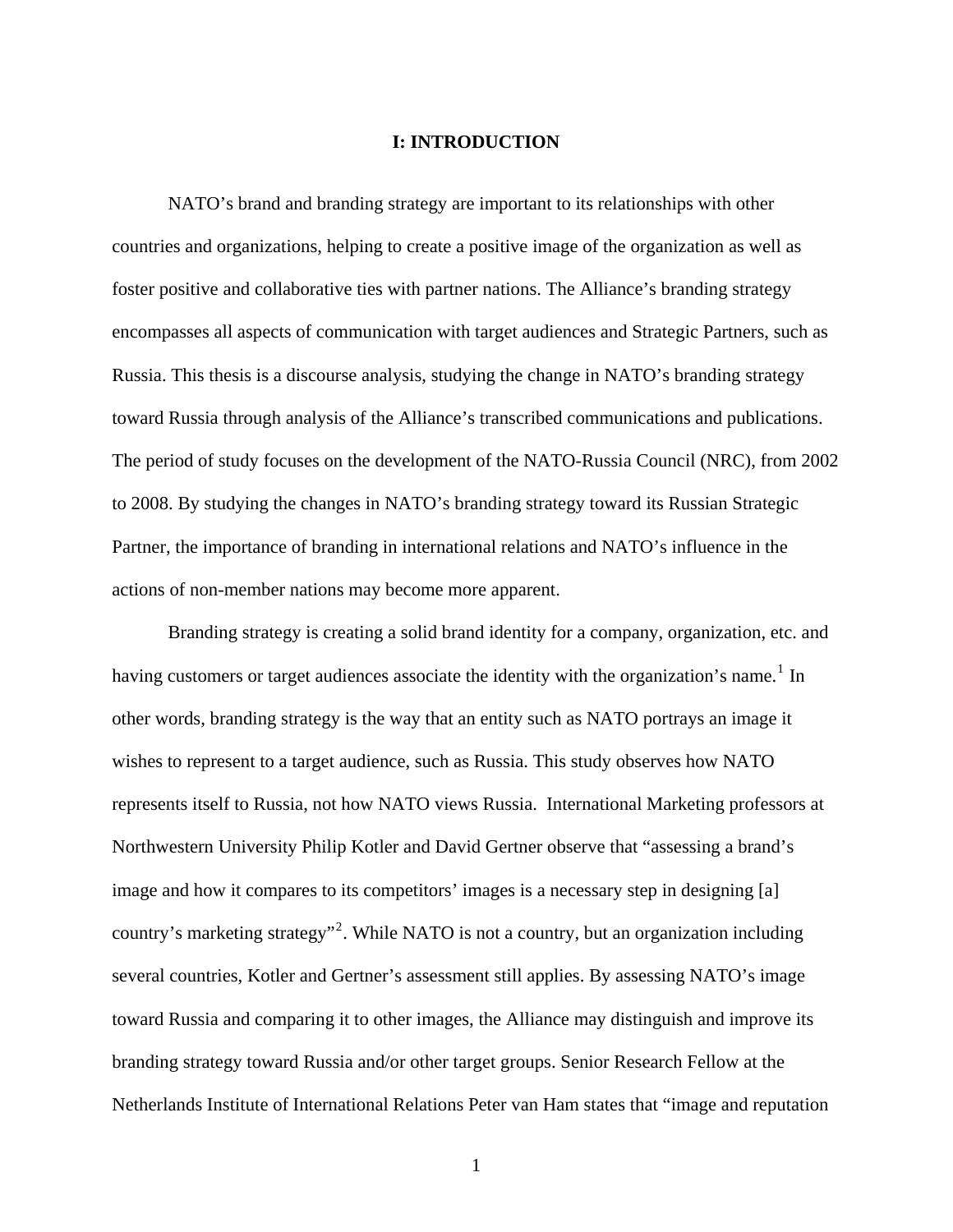#### **I: INTRODUCTION**

<span id="page-8-0"></span> NATO's brand and branding strategy are important to its relationships with other countries and organizations, helping to create a positive image of the organization as well as foster positive and collaborative ties with partner nations. The Alliance's branding strategy encompasses all aspects of communication with target audiences and Strategic Partners, such as Russia. This thesis is a discourse analysis, studying the change in NATO's branding strategy toward Russia through analysis of the Alliance's transcribed communications and publications. The period of study focuses on the development of the NATO-Russia Council (NRC), from 2002 to 2008. By studying the changes in NATO's branding strategy toward its Russian Strategic Partner, the importance of branding in international relations and NATO's influence in the actions of non-member nations may become more apparent.

 Branding strategy is creating a solid brand identity for a company, organization, etc. and having customers or target audiences associate the identity with the organization's name.<sup>[1](#page-114-1)</sup> In other words, branding strategy is the way that an entity such as NATO portrays an image it wishes to represent to a target audience, such as Russia. This study observes how NATO represents itself to Russia, not how NATO views Russia. International Marketing professors at Northwestern University Philip Kotler and David Gertner observe that "assessing a brand's image and how it compares to its competitors' images is a necessary step in designing [a] country's marketing strategy"<sup>[2](#page-114-2)</sup>. While NATO is not a country, but an organization including several countries, Kotler and Gertner's assessment still applies. By assessing NATO's image toward Russia and comparing it to other images, the Alliance may distinguish and improve its branding strategy toward Russia and/or other target groups. Senior Research Fellow at the Netherlands Institute of International Relations Peter van Ham states that "image and reputation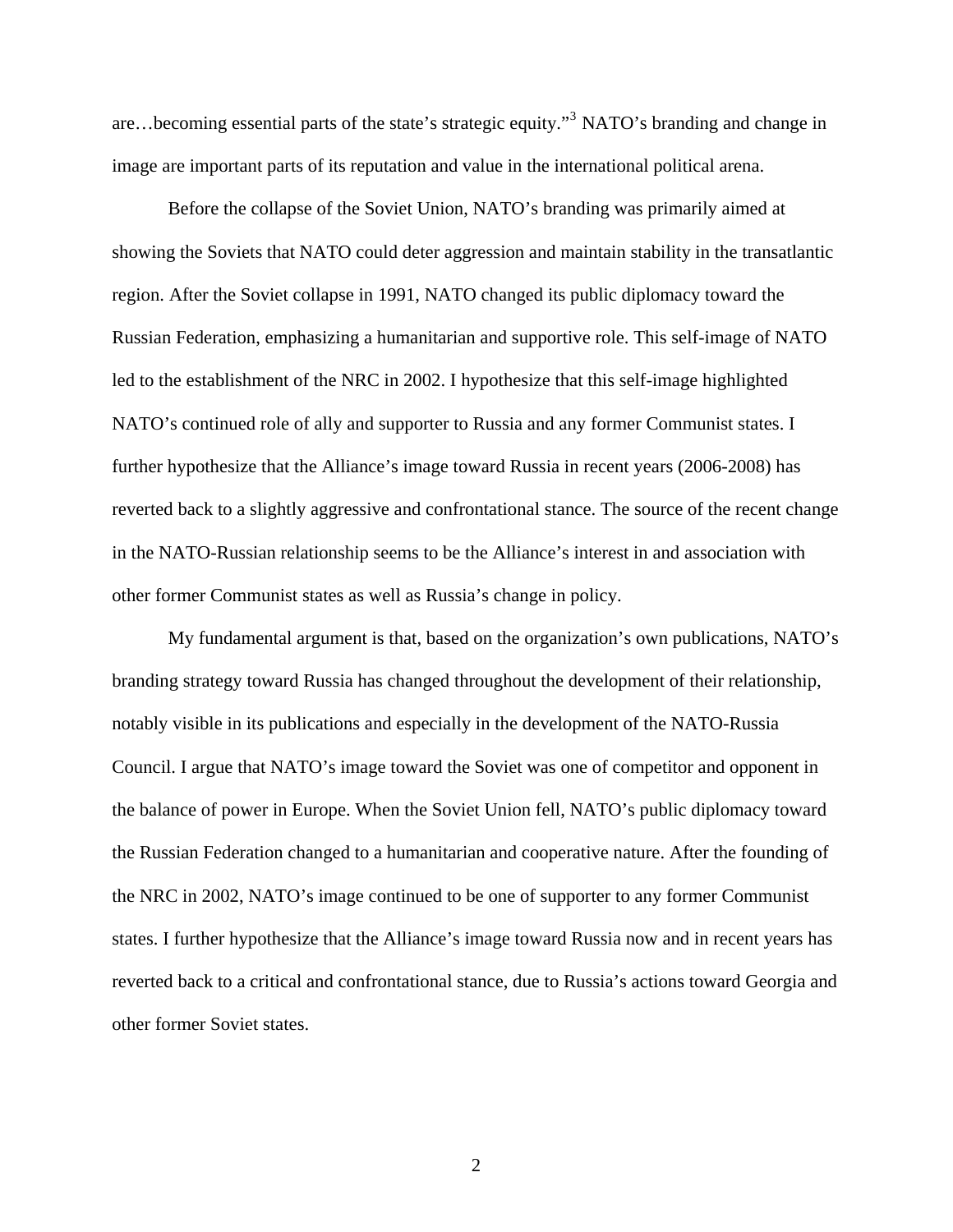are...becoming essential parts of the state's strategic equity."<sup>[3](#page-114-3)</sup> NATO's branding and change in image are important parts of its reputation and value in the international political arena.

 Before the collapse of the Soviet Union, NATO's branding was primarily aimed at showing the Soviets that NATO could deter aggression and maintain stability in the transatlantic region. After the Soviet collapse in 1991, NATO changed its public diplomacy toward the Russian Federation, emphasizing a humanitarian and supportive role. This self-image of NATO led to the establishment of the NRC in 2002. I hypothesize that this self-image highlighted NATO's continued role of ally and supporter to Russia and any former Communist states. I further hypothesize that the Alliance's image toward Russia in recent years (2006-2008) has reverted back to a slightly aggressive and confrontational stance. The source of the recent change in the NATO-Russian relationship seems to be the Alliance's interest in and association with other former Communist states as well as Russia's change in policy.

 My fundamental argument is that, based on the organization's own publications, NATO's branding strategy toward Russia has changed throughout the development of their relationship, notably visible in its publications and especially in the development of the NATO-Russia Council. I argue that NATO's image toward the Soviet was one of competitor and opponent in the balance of power in Europe. When the Soviet Union fell, NATO's public diplomacy toward the Russian Federation changed to a humanitarian and cooperative nature. After the founding of the NRC in 2002, NATO's image continued to be one of supporter to any former Communist states. I further hypothesize that the Alliance's image toward Russia now and in recent years has reverted back to a critical and confrontational stance, due to Russia's actions toward Georgia and other former Soviet states.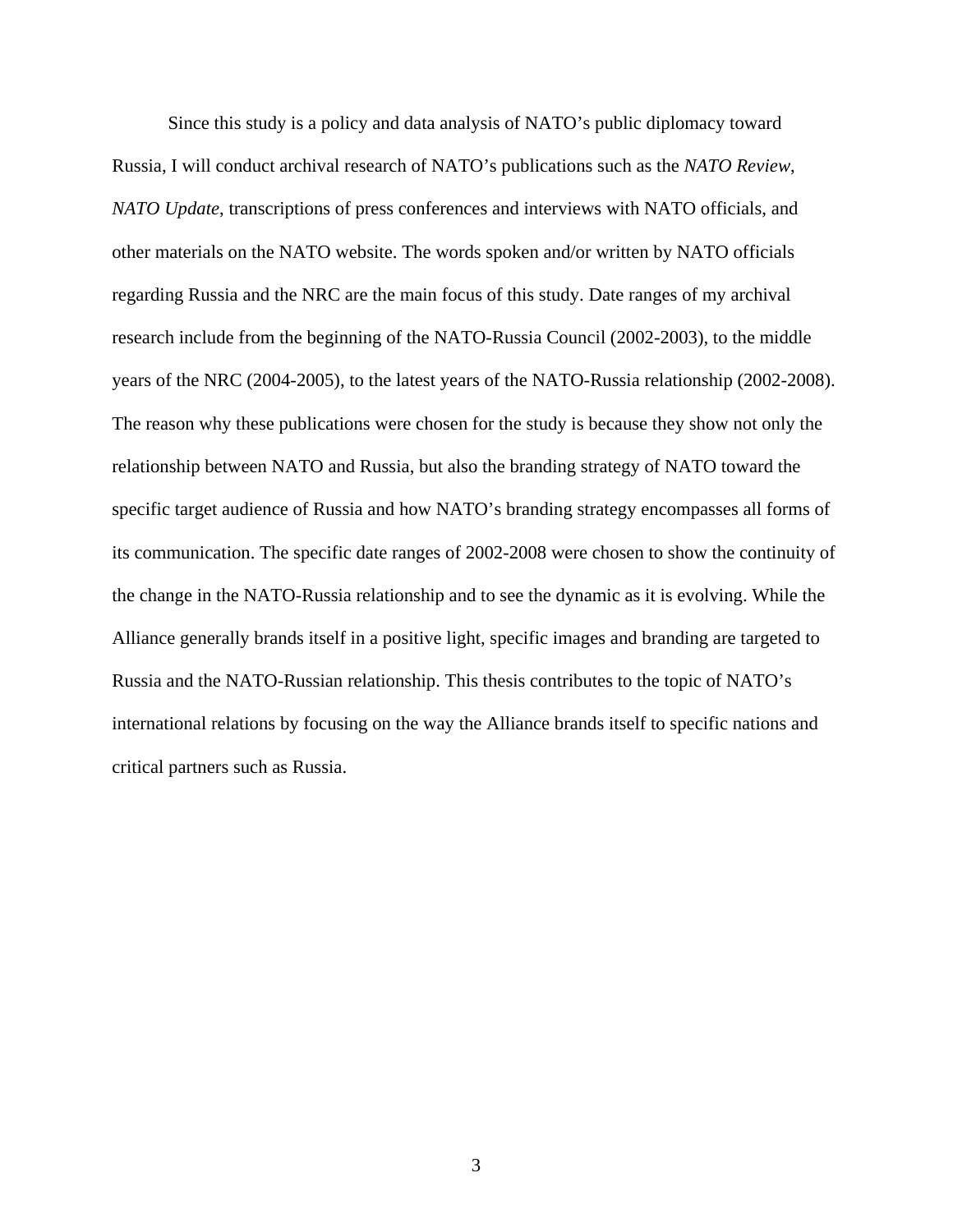Since this study is a policy and data analysis of NATO's public diplomacy toward Russia, I will conduct archival research of NATO's publications such as the *NATO Review*, *NATO Update*, transcriptions of press conferences and interviews with NATO officials, and other materials on the NATO website. The words spoken and/or written by NATO officials regarding Russia and the NRC are the main focus of this study. Date ranges of my archival research include from the beginning of the NATO-Russia Council (2002-2003), to the middle years of the NRC (2004-2005), to the latest years of the NATO-Russia relationship (2002-2008). The reason why these publications were chosen for the study is because they show not only the relationship between NATO and Russia, but also the branding strategy of NATO toward the specific target audience of Russia and how NATO's branding strategy encompasses all forms of its communication. The specific date ranges of 2002-2008 were chosen to show the continuity of the change in the NATO-Russia relationship and to see the dynamic as it is evolving. While the Alliance generally brands itself in a positive light, specific images and branding are targeted to Russia and the NATO-Russian relationship. This thesis contributes to the topic of NATO's international relations by focusing on the way the Alliance brands itself to specific nations and critical partners such as Russia.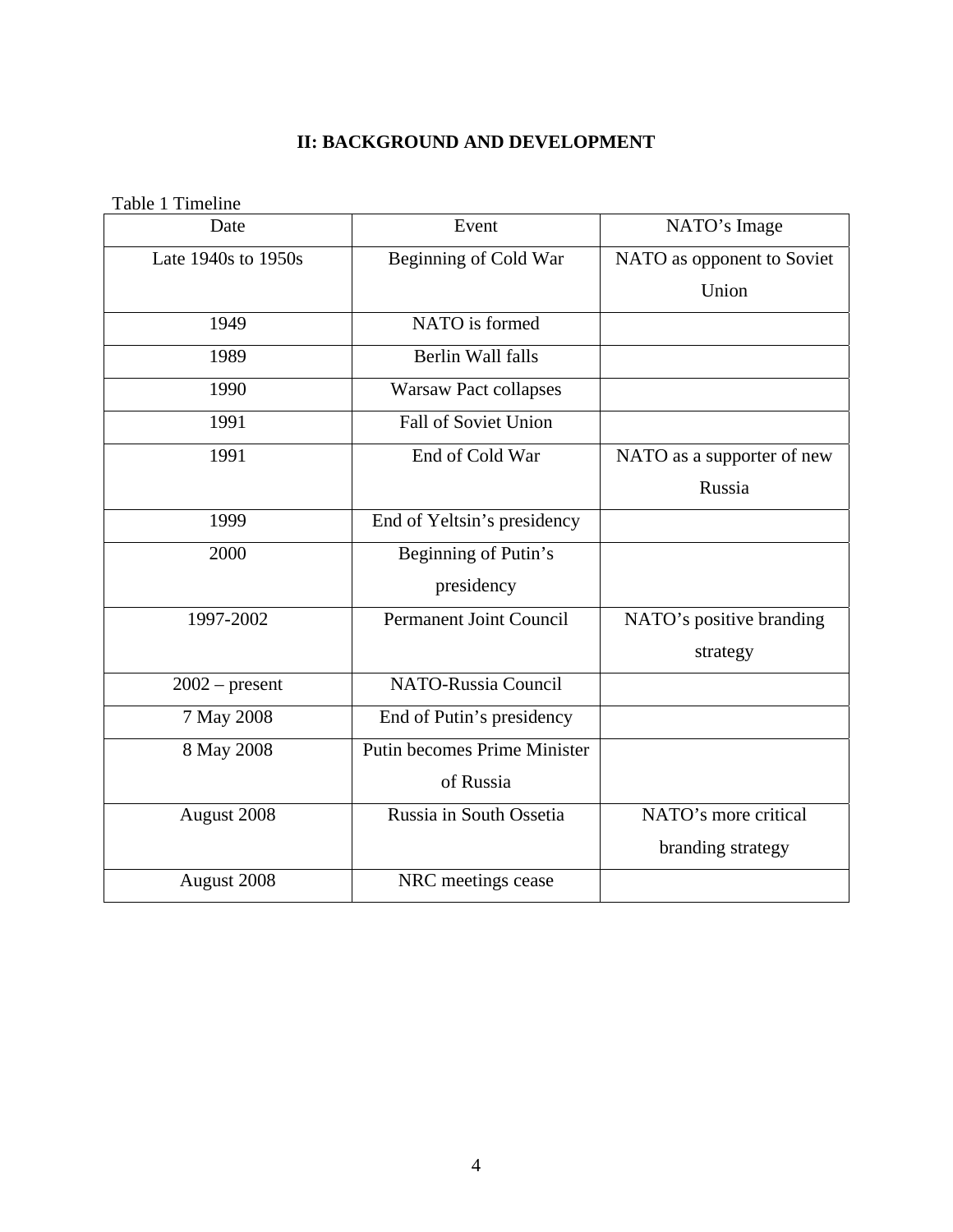## **II: BACKGROUND AND DEVELOPMENT**

<span id="page-11-1"></span><span id="page-11-0"></span>

| Table 1 Timeline    |                                     |                            |
|---------------------|-------------------------------------|----------------------------|
| Date                | Event                               | NATO's Image               |
| Late 1940s to 1950s | <b>Beginning of Cold War</b>        | NATO as opponent to Soviet |
|                     |                                     | Union                      |
| 1949                | NATO is formed                      |                            |
| 1989                | <b>Berlin Wall falls</b>            |                            |
| 1990                | <b>Warsaw Pact collapses</b>        |                            |
| 1991                | <b>Fall of Soviet Union</b>         |                            |
| 1991                | End of Cold War                     | NATO as a supporter of new |
|                     |                                     | Russia                     |
| 1999                | End of Yeltsin's presidency         |                            |
| 2000                | Beginning of Putin's                |                            |
|                     | presidency                          |                            |
| 1997-2002           | <b>Permanent Joint Council</b>      | NATO's positive branding   |
|                     |                                     | strategy                   |
| $2002$ – present    | <b>NATO-Russia Council</b>          |                            |
| 7 May 2008          | End of Putin's presidency           |                            |
| 8 May 2008          | <b>Putin becomes Prime Minister</b> |                            |
|                     | of Russia                           |                            |
| August 2008         | Russia in South Ossetia             | NATO's more critical       |
|                     |                                     | branding strategy          |
| August 2008         | NRC meetings cease                  |                            |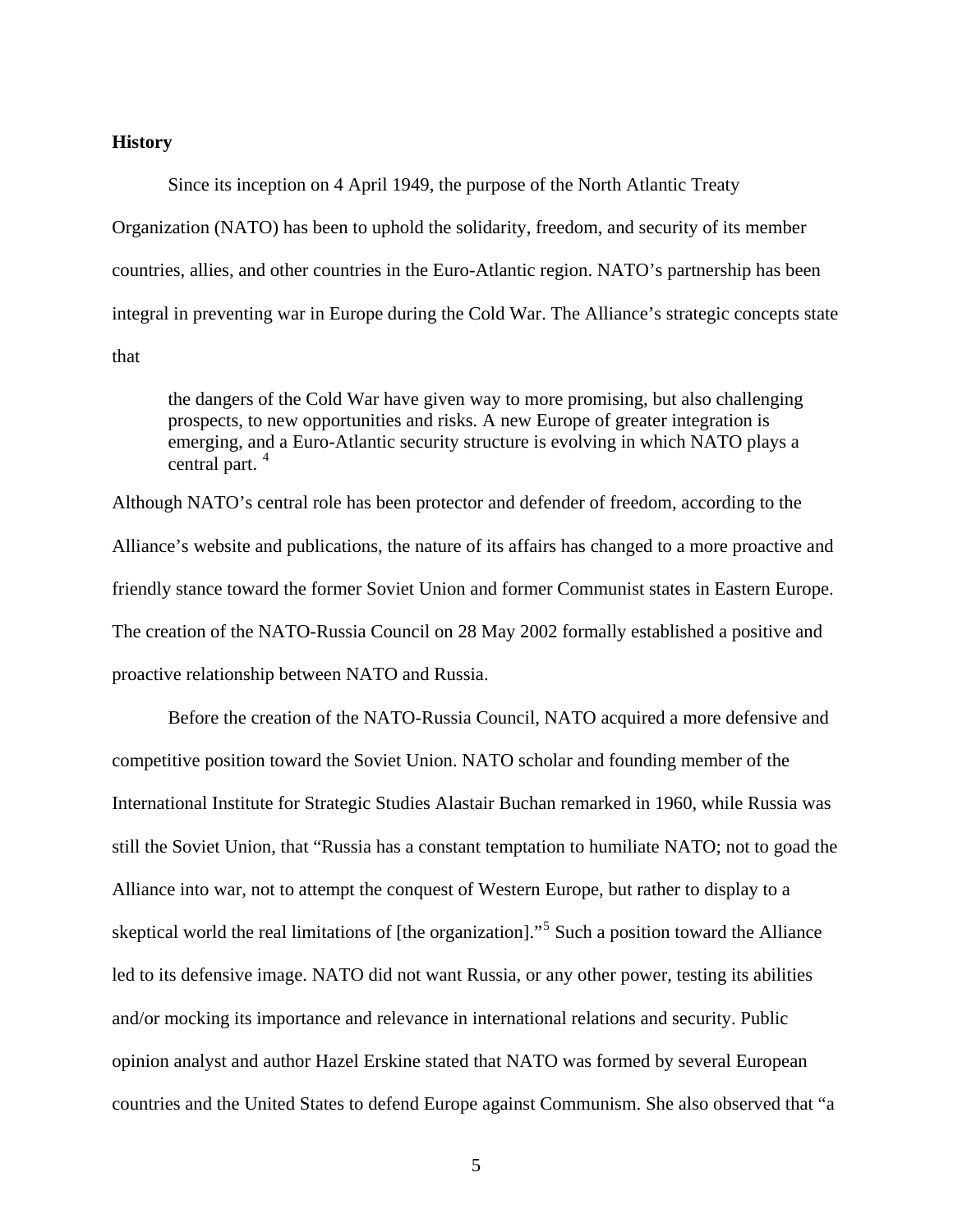#### <span id="page-12-0"></span>**History**

 Since its inception on 4 April 1949, the purpose of the North Atlantic Treaty Organization (NATO) has been to uphold the solidarity, freedom, and security of its member countries, allies, and other countries in the Euro-Atlantic region. NATO's partnership has been integral in preventing war in Europe during the Cold War. The Alliance's strategic concepts state that

the dangers of the Cold War have given way to more promising, but also challenging prospects, to new opportunities and risks. A new Europe of greater integration is emerging, and a Euro-Atlantic security structure is evolving in which NATO plays a central part.<sup>[4](#page-114-4)</sup>

Although NATO's central role has been protector and defender of freedom, according to the Alliance's website and publications, the nature of its affairs has changed to a more proactive and friendly stance toward the former Soviet Union and former Communist states in Eastern Europe. The creation of the NATO-Russia Council on 28 May 2002 formally established a positive and proactive relationship between NATO and Russia.

 Before the creation of the NATO-Russia Council, NATO acquired a more defensive and competitive position toward the Soviet Union. NATO scholar and founding member of the International Institute for Strategic Studies Alastair Buchan remarked in 1960, while Russia was still the Soviet Union, that "Russia has a constant temptation to humiliate NATO; not to goad the Alliance into war, not to attempt the conquest of Western Europe, but rather to display to a skeptical world the real limitations of [the organization]."<sup>[5](#page-114-5)</sup> Such a position toward the Alliance led to its defensive image. NATO did not want Russia, or any other power, testing its abilities and/or mocking its importance and relevance in international relations and security. Public opinion analyst and author Hazel Erskine stated that NATO was formed by several European countries and the United States to defend Europe against Communism. She also observed that "a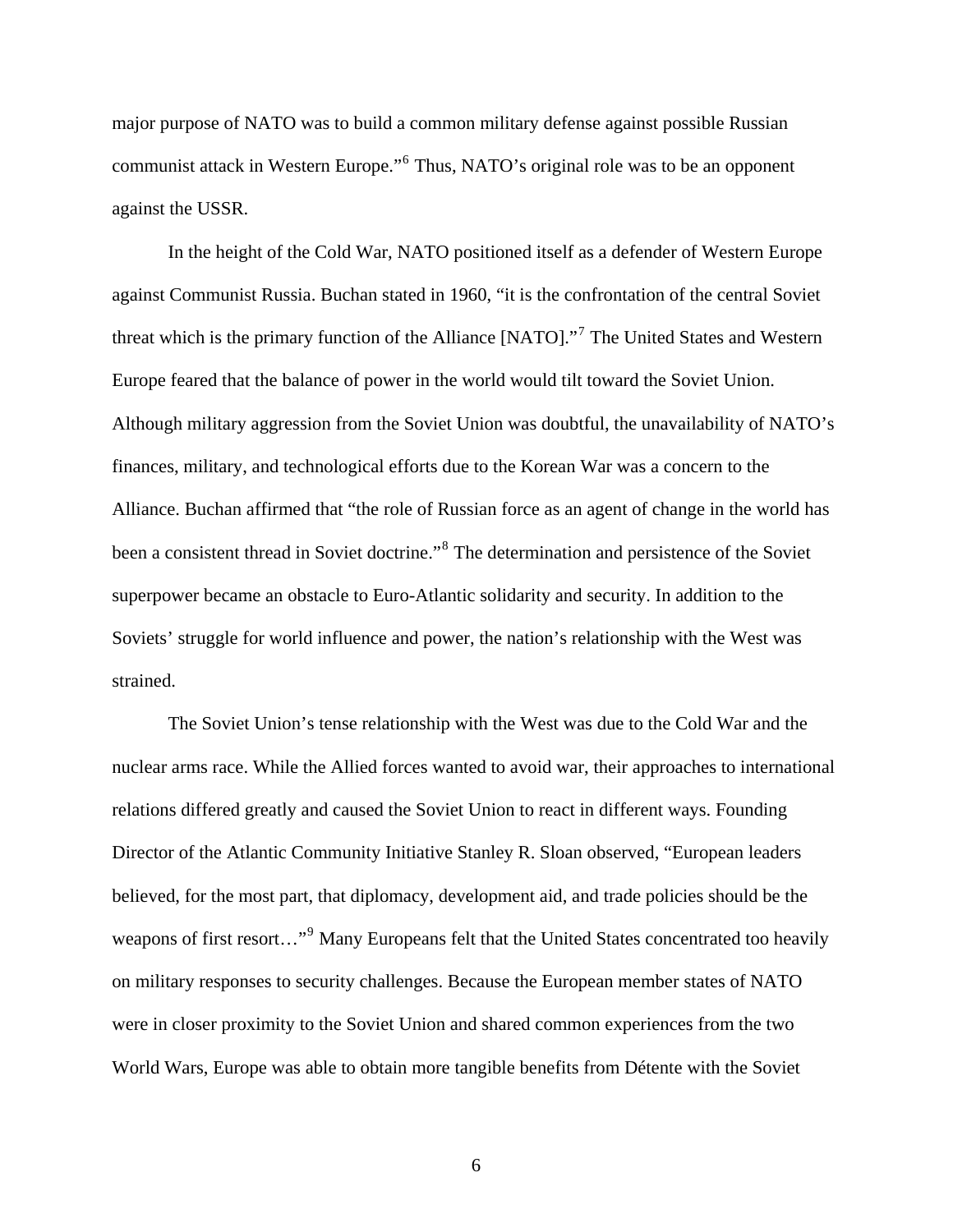major purpose of NATO was to build a common military defense against possible Russian communist attack in Western Europe."<sup>[6](#page-114-6)</sup> Thus, NATO's original role was to be an opponent against the USSR.

 In the height of the Cold War, NATO positioned itself as a defender of Western Europe against Communist Russia. Buchan stated in 1960, "it is the confrontation of the central Soviet threat which is the primary function of the Alliance [NATO]."<sup>[7](#page-114-7)</sup> The United States and Western Europe feared that the balance of power in the world would tilt toward the Soviet Union. Although military aggression from the Soviet Union was doubtful, the unavailability of NATO's finances, military, and technological efforts due to the Korean War was a concern to the Alliance. Buchan affirmed that "the role of Russian force as an agent of change in the world has been a consistent thread in Soviet doctrine."<sup>[8](#page-114-8)</sup> The determination and persistence of the Soviet superpower became an obstacle to Euro-Atlantic solidarity and security. In addition to the Soviets' struggle for world influence and power, the nation's relationship with the West was strained.

 The Soviet Union's tense relationship with the West was due to the Cold War and the nuclear arms race. While the Allied forces wanted to avoid war, their approaches to international relations differed greatly and caused the Soviet Union to react in different ways. Founding Director of the Atlantic Community Initiative Stanley R. Sloan observed, "European leaders believed, for the most part, that diplomacy, development aid, and trade policies should be the weapons of first resort..."<sup>[9](#page-114-9)</sup> Many Europeans felt that the United States concentrated too heavily on military responses to security challenges. Because the European member states of NATO were in closer proximity to the Soviet Union and shared common experiences from the two World Wars, Europe was able to obtain more tangible benefits from Détente with the Soviet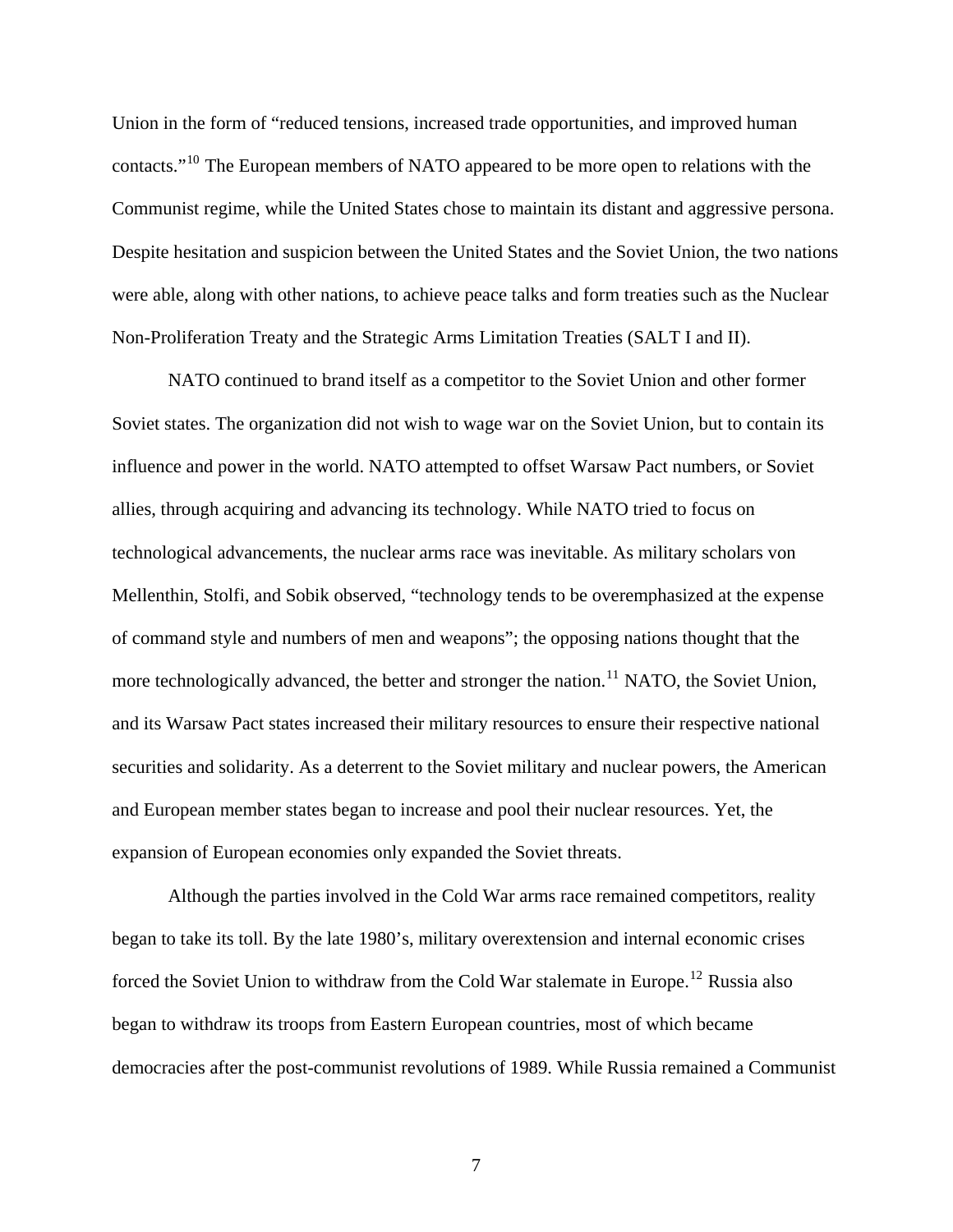Union in the form of "reduced tensions, increased trade opportunities, and improved human contacts."<sup>[10](#page-114-10)</sup> The European members of NATO appeared to be more open to relations with the Communist regime, while the United States chose to maintain its distant and aggressive persona. Despite hesitation and suspicion between the United States and the Soviet Union, the two nations were able, along with other nations, to achieve peace talks and form treaties such as the Nuclear Non-Proliferation Treaty and the Strategic Arms Limitation Treaties (SALT I and II).

 NATO continued to brand itself as a competitor to the Soviet Union and other former Soviet states. The organization did not wish to wage war on the Soviet Union, but to contain its influence and power in the world. NATO attempted to offset Warsaw Pact numbers, or Soviet allies, through acquiring and advancing its technology. While NATO tried to focus on technological advancements, the nuclear arms race was inevitable. As military scholars von Mellenthin, Stolfi, and Sobik observed, "technology tends to be overemphasized at the expense of command style and numbers of men and weapons"; the opposing nations thought that the more technologically advanced, the better and stronger the nation.<sup>[11](#page-114-11)</sup> NATO, the Soviet Union, and its Warsaw Pact states increased their military resources to ensure their respective national securities and solidarity. As a deterrent to the Soviet military and nuclear powers, the American and European member states began to increase and pool their nuclear resources. Yet, the expansion of European economies only expanded the Soviet threats.

 Although the parties involved in the Cold War arms race remained competitors, reality began to take its toll. By the late 1980's, military overextension and internal economic crises forced the Soviet Union to withdraw from the Cold War stalemate in Europe.<sup>[12](#page-114-12)</sup> Russia also began to withdraw its troops from Eastern European countries, most of which became democracies after the post-communist revolutions of 1989. While Russia remained a Communist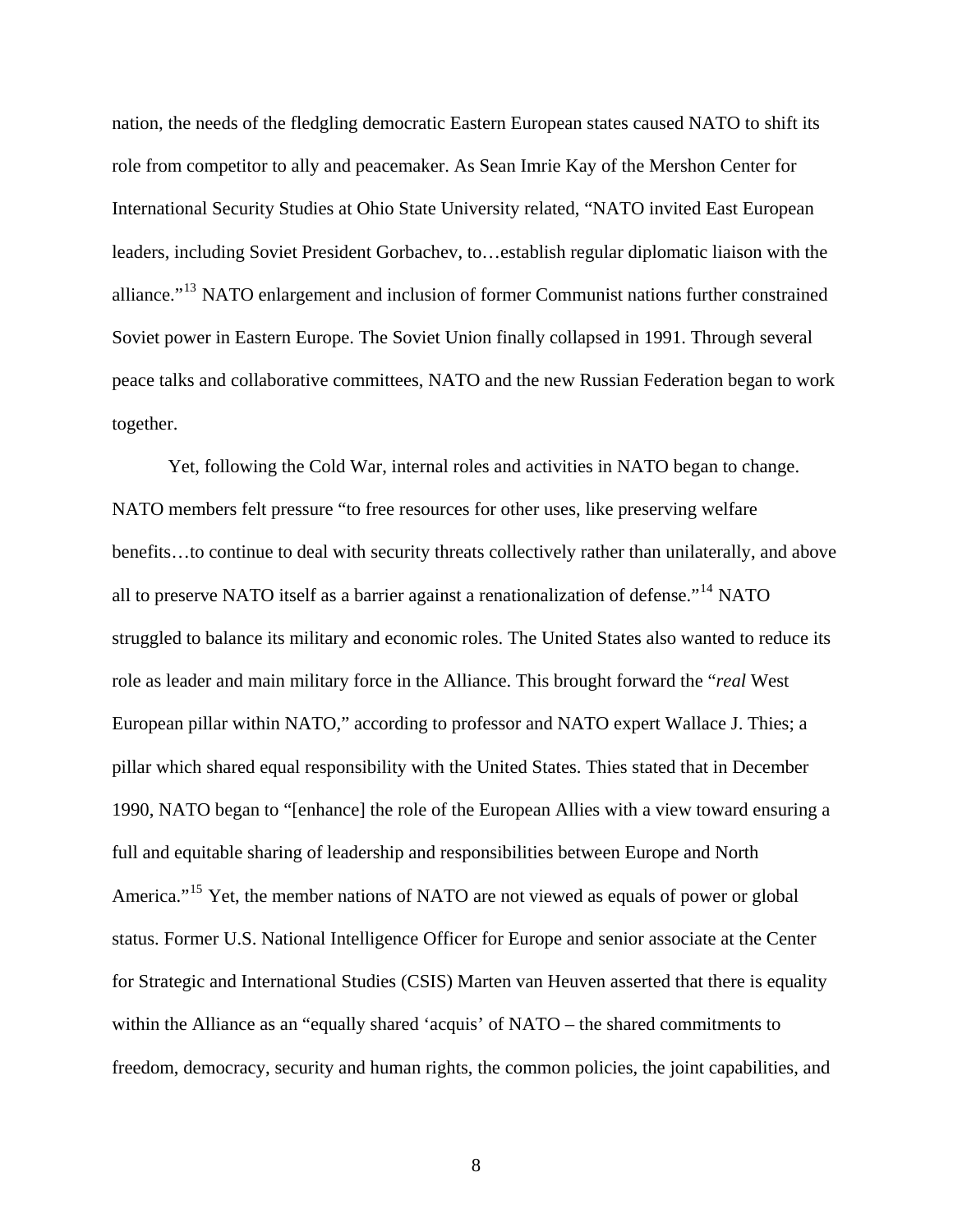nation, the needs of the fledgling democratic Eastern European states caused NATO to shift its role from competitor to ally and peacemaker. As Sean Imrie Kay of the Mershon Center for International Security Studies at Ohio State University related, "NATO invited East Europ ean leaders, including Soviet President Gorbachev, to...establish regular diplomatic liaison with the alliance."<sup>[13](#page-114-13)</sup> NATO enlargement and inclusion of former Communist nations further constrained Soviet power in Eastern Europe. The Soviet Union finally collapsed in 1991. Through several peace talks and collaborative committees, NATO and the new Russian Federation began to work together.

 Yet, following the Cold War, internal roles and activities in NATO began to change. NATO members felt pressure "to free resources for other uses, like preserving welfare benefits…to continue to deal with security threats collectively rather than unilaterally, and above all to preserve NATO itself as a barrier against a renationalization of defense."<sup>[14](#page-114-14)</sup> NATO struggled to balance its military and economic roles. The United States also wanted to reduce its role as leader and main military force in the Alliance. This brought forward the "*real* West European pillar within NATO," according to professor and NATO expert Wallace J. Thies; a pillar which shared equal responsibility with the United States. Thies stated that in December 1990, NATO began to "[enhance] the role of the European Allies with a view toward ensuring a full and equitable sharing of leadership and responsibilities between Europe and North America."<sup>[15](#page-114-15)</sup> Yet, the member nations of NATO are not viewed as equals of power or global status. Former U.S. National Intelligence Officer for Europe and senior associate at the Center for Strategic and International Studies (CSIS) Marten van Heuven asserted that there is equality within the Alliance as an "equally shared 'acquis' of NATO – the shared commitments to freedom, democracy, security and human rights, the common policies, the joint capabilities, and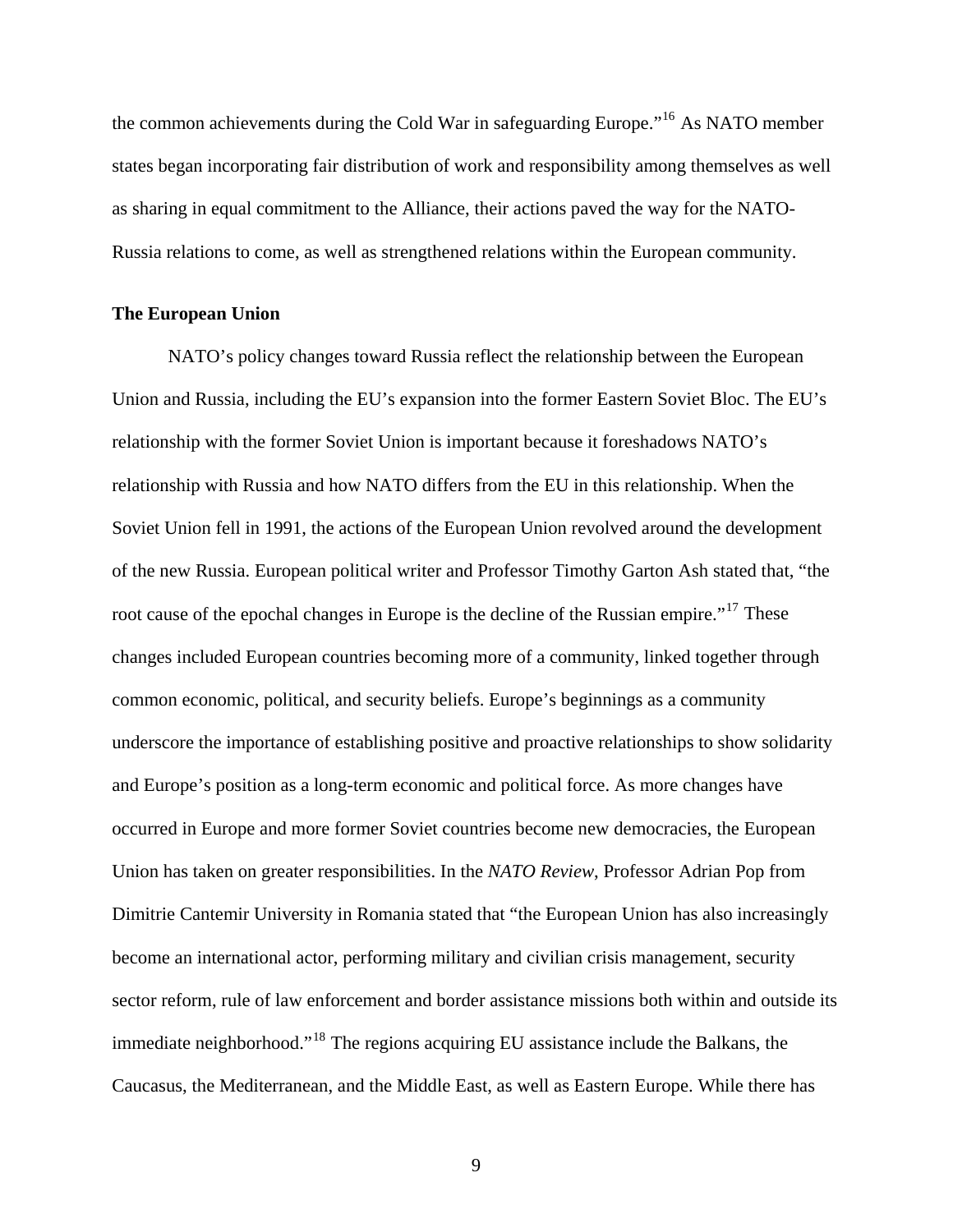the common achievements during the Cold War in safeguarding Europe."[16](#page-114-16) As NATO member states began incorporating fair distribution of work and responsibility among themselves as well as sharing in equal commitment to the Alliance, their actions paved the way for the NATO-Russia relations to come, as well as strengthened relations within the European community.

#### <span id="page-16-0"></span>**The European Union**

NATO's policy changes toward Russia reflect the relationship between the European Union and Russia, including the EU's expansion into the former Eastern Soviet Bloc. The EU's relationship with the former Soviet Union is important because it foreshadows NATO's relationship with Russia and how NATO differs from the EU in this relationship. When the Soviet Union fell in 1991, the actions of the European Union revolved around the development of the new Russia. European political writer and Professor Timothy Garton Ash stated that, "the root cause of the epochal changes in Europe is the decline of the Russian empire."<sup>[17](#page-114-17)</sup> These changes included European countries becoming more of a community, linked together through common economic, political, and security beliefs. Europe's beginnings as a community underscore the importance of establishing positive and proactive relationships to show solidarity and Europe's position as a long-term economic and political force. As more changes have occurred in Europe and more former Soviet countries become new democracies, the European Union has taken on greater responsibilities. In the *NATO Review*, Professor Adrian Pop from Dimitrie Cantemir University in Romania stated that "the European Union has also increasingly become an international actor, performing military and civilian crisis management, security sector reform, rule of law enforcement and border assistance missions both within and outside its immediate neighborhood."[18](#page-114-18) The regions acquiring EU assistance include the Balkans, the Caucasus, the Mediterranean, and the Middle East, as well as Eastern Europe. While there has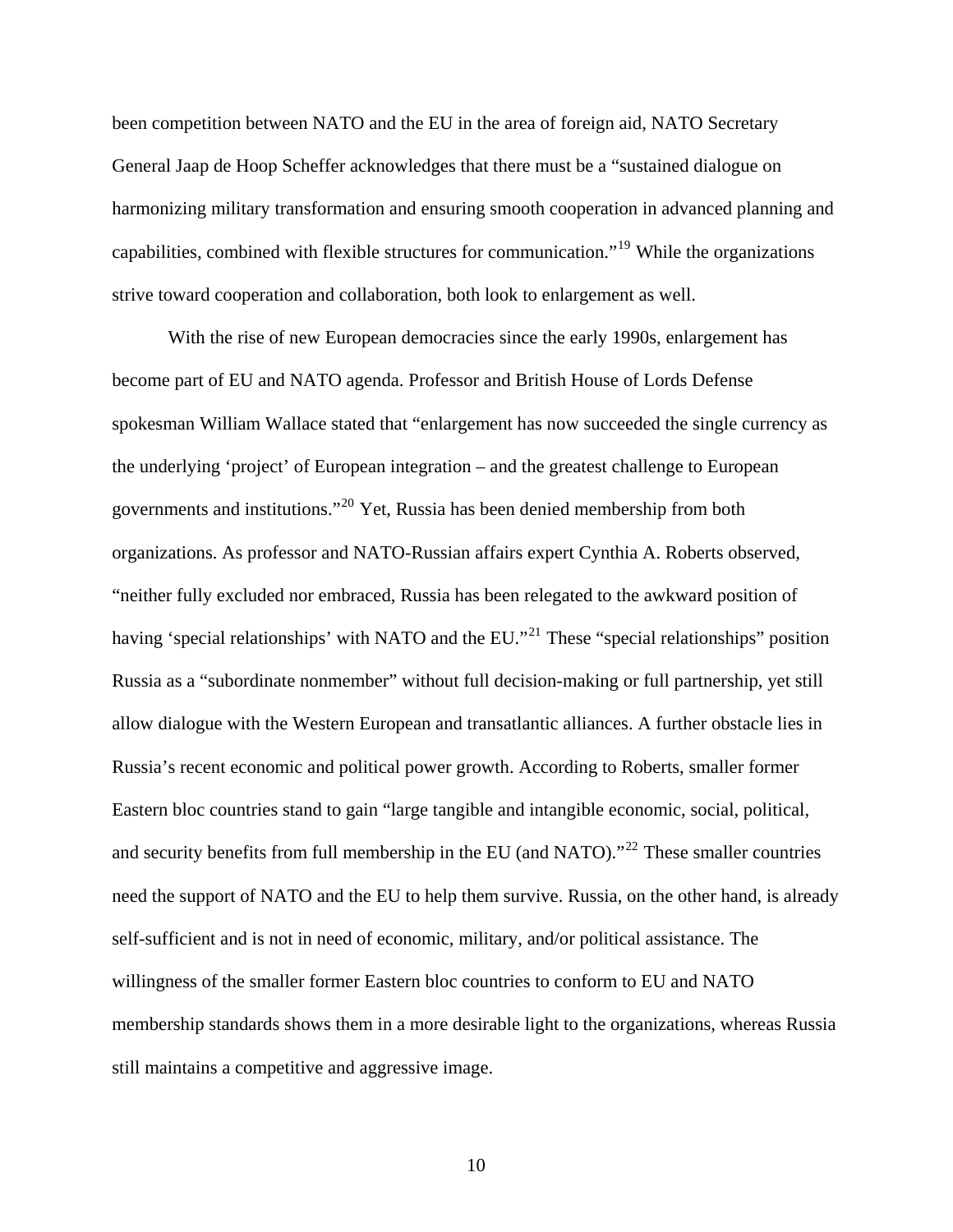been competition between NATO and the EU in the area of foreign aid, NATO Secretary General Jaap de Hoop Scheffer acknowledges that there must be a "sustained dialogue on harmonizing military transformation and ensuring smooth cooperation in advanced planning and capabilities, combined with flexible structures for communication."[19](#page-114-19) While the organizations strive toward cooperation and collaboration, both look to enlargement as well.

 With the rise of new European democracies since the early 1990s, enlargement has become part of EU and NATO agenda. Professor and British House of Lords Defense spokesman William Wallace stated that "enlargement has now succeeded the single currency as the underlying 'project' of European integration – and the greatest challenge to European governments and institutions."[20](#page-114-20) Yet, Russia has been denied membership from both organizations. As professor and NATO-Russian affairs expert Cynthia A. Roberts observed, "neither fully excluded nor embraced, Russia has been relegated to the awkward position of having 'special relationships' with NATO and the EU."<sup>[21](#page-114-21)</sup> These "special relationships" position Russia as a "subordinate nonmember" without full decision-making or full partnership, yet still allow dialogue with the Western European and transatlantic alliances. A further obstacle lies in Russia's recent economic and political power growth. According to Roberts, smaller former Eastern bloc countries stand to gain "large tangible and intangible economic, social, political, and security benefits from full membership in the EU (and NATO)."<sup>[22](#page-114-22)</sup> These smaller countries need the support of NATO and the EU to help them survive. Russia, on the other hand, is already self-sufficient and is not in need of economic, military, and/or political assistance. The willingness of the smaller former Eastern bloc countries to conform to EU and NATO membership standards shows them in a more desirable light to the organizations, whereas Russia still maintains a competitive and aggressive image.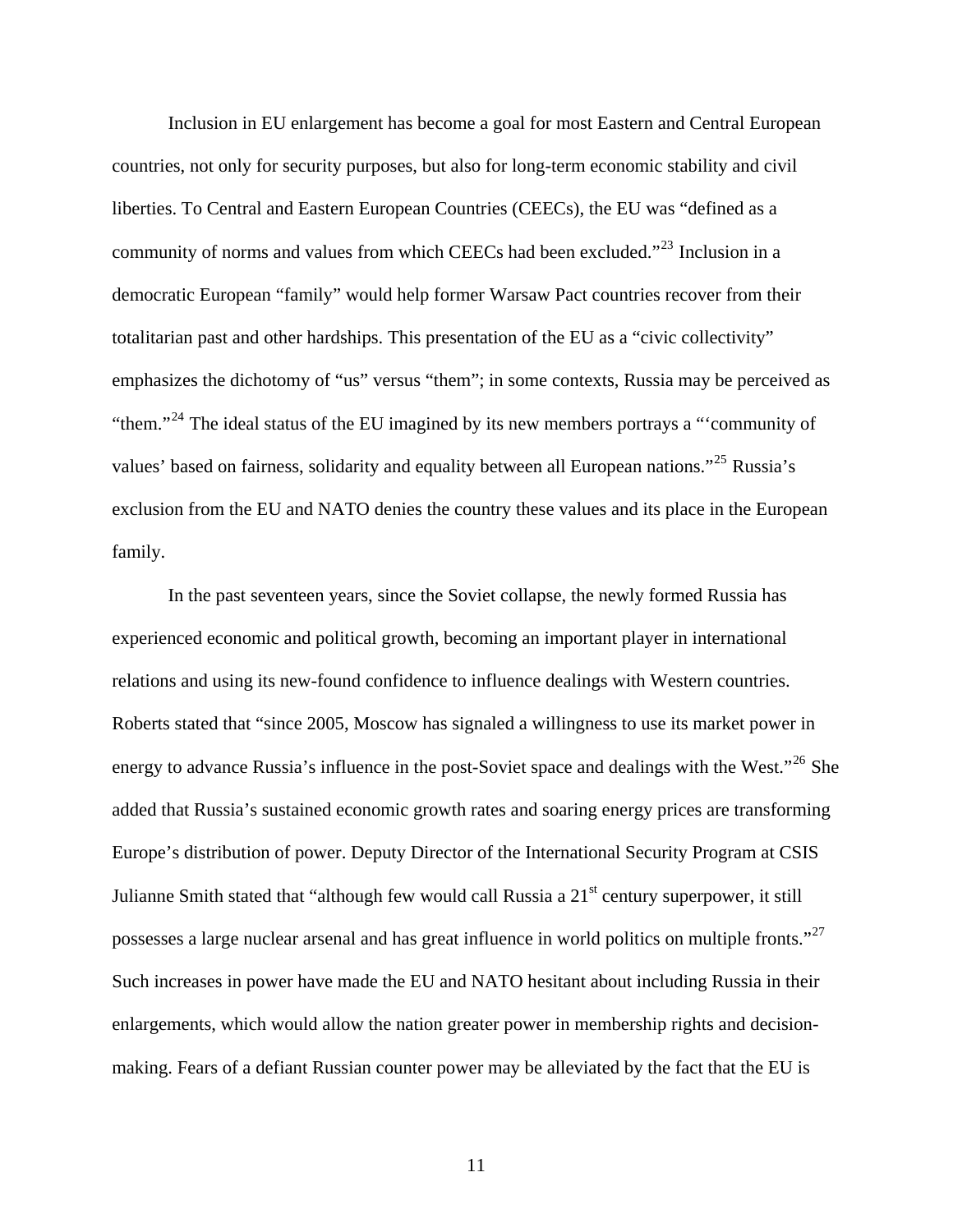Inclusion in EU enlargement has become a goal for most Eastern and Central European countries, not only for security purposes, but also for long-term economic stability and civil liberties. To Central and Eastern European Countries (CEECs), the EU was "defined as a community of norms and values from which CEECs had been excluded."[23](#page-114-23) Inclusion in a democratic European "family" would help former Warsaw Pact countries recover from their totalitarian past and other hardships. This presentation of the EU as a "civic collectivity" emphasizes the dichotomy of "us" versus "them"; in some contexts, Russia may be perceived as "them."<sup>[24](#page-114-24)</sup> The ideal status of the EU imagined by its new members portrays a "'community of values' based on fairness, solidarity and equality between all European nations."<sup>[25](#page-114-25)</sup> Russia's exclusion from the EU and NATO denies the country these values and its place in the European family.

 In the past seventeen years, since the Soviet collapse, the newly formed Russia has experienced economic and political growth, becoming an important player in international relations and using its new-found confidence to influence dealings with Western countries. Roberts stated that "since 2005, Moscow has signaled a willingness to use its market power in energy to advance Russia's influence in the post-Soviet space and dealings with the West."<sup>[26](#page-114-26)</sup> She added that Russia's sustained economic growth rates and soaring energy prices are transforming Europe's distribution of power. Deputy Director of the International Security Program at CSIS Julianne Smith stated that "although few would call Russia a  $21<sup>st</sup>$  century superpower, it still possesses a large nuclear arsenal and has great influence in world politics on multiple fronts."<sup>[27](#page-114-27)</sup> Such increases in power have made the EU and NATO hesitant about including Russia in their enlargements, which would allow the nation greater power in membership rights and decisionmaking. Fears of a defiant Russian counter power may be alleviated by the fact that the EU is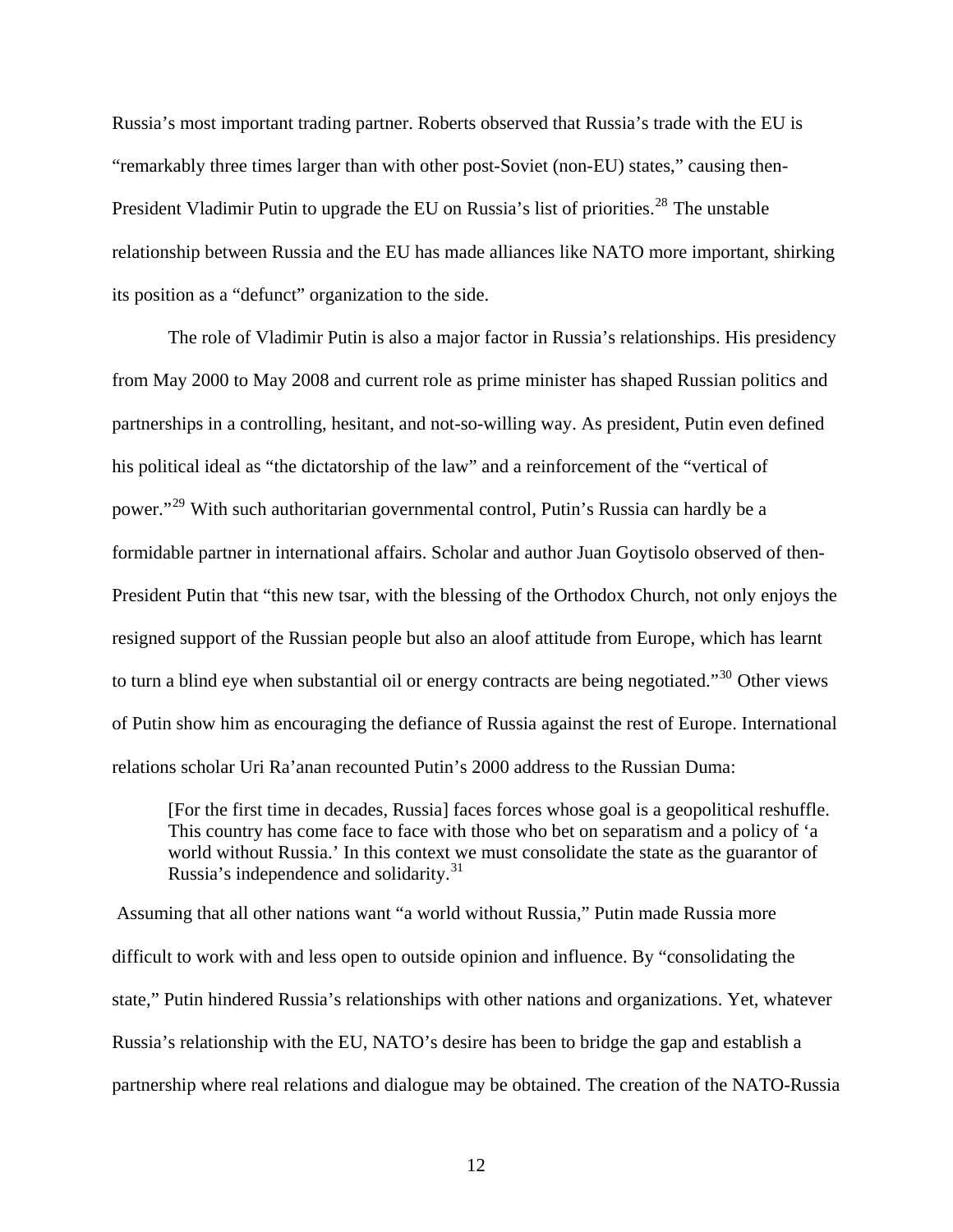Russia's most important trading partner. Roberts observed that Russia's trade with the EU is "remarkably three times larger than with other post-Soviet (non-EU) states," causing then-President Vladimir Putin to upgrade the EU on Russia's list of priorities.<sup>[28](#page-114-28)</sup> The unstable relationship between Russia and the EU has made alliances like NATO more important, shirking its position as a "defunct" organization to the side.

 The role of Vladimir Putin is also a major factor in Russia's relationships. His presidency from May 2000 to May 2008 and current role as prime minister has shaped Russian politics and partnerships in a controlling, hesitant, and not-so-willing way. As president, Putin even defined his political ideal as "the dictatorship of the law" and a reinforcement of the "vertical of power."<sup>[29](#page-114-29)</sup> With such authoritarian governmental control, Putin's Russia can hardly be a formidable partner in international affairs. Scholar and author Juan Goytisolo observed of then-President Putin that "this new tsar, with the blessing of the Orthodox Church, not only enjoys the resigned support of the Russian people but also an aloof attitude from Europe, which has learnt to turn a blind eye when substantial oil or energy contracts are being negotiated.<sup>[30](#page-114-30)</sup> Other views of Putin show him as encouraging the defiance of Russia against the rest of Europe. International relations scholar Uri Ra'anan recounted Putin's 2000 address to the Russian Duma:

[For the first time in decades, Russia] faces forces whose goal is a geopolitical reshuffle. This country has come face to face with those who bet on separatism and a policy of 'a world without Russia.' In this context we must consolidate the state as the guarantor of Russia's independence and solidarity.<sup>[31](#page-114-31)</sup>

 Assuming that all other nations want "a world without Russia," Putin made Russia more difficult to work with and less open to outside opinion and influence. By "consolidating the state," Putin hindered Russia's relationships with other nations and organizations. Yet, whatever Russia's relationship with the EU, NATO's desire has been to bridge the gap and establish a partnership where real relations and dialogue may be obtained. The creation of the NATO-Russia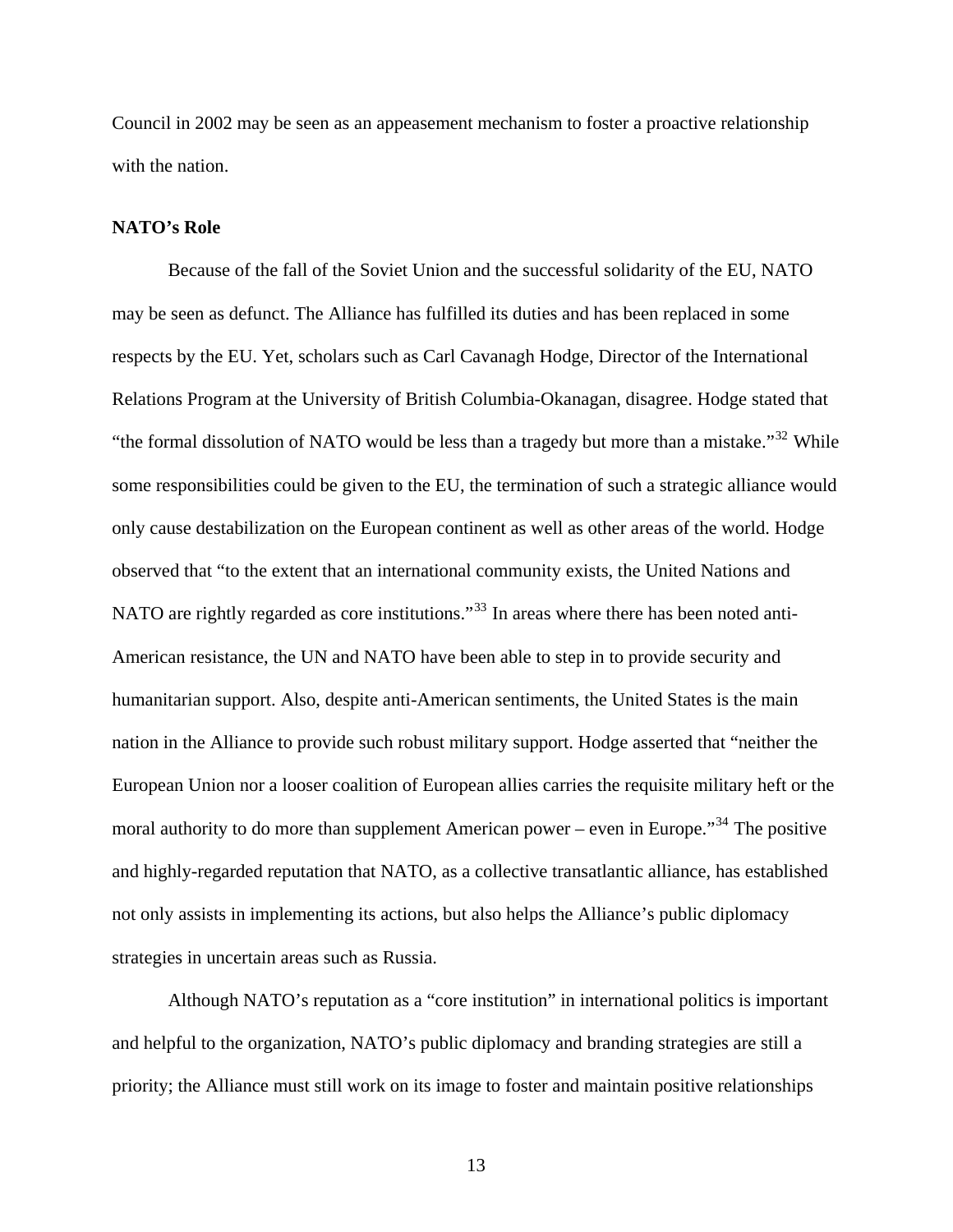Council in 2002 may be seen as an appeasement mechanism to foster a proactive relationship with the nation.

#### <span id="page-20-0"></span>**NATO's Role**

Because of the fall of the Soviet Union and the successful solidarity of the EU, NATO may be seen as defunct. The Alliance has fulfilled its duties and has been replaced in some respects by the EU. Yet, scholars such as Carl Cavanagh Hodge, Director of the International Relations Program at the University of British Columbia-Okanagan, disagree. Hodge stated that "the formal dissolution of NATO would be less than a tragedy but more than a mistake."<sup>[32](#page-114-32)</sup> While some responsibilities could be given to the EU, the termination of such a strategic alliance would only cause destabilization on the European continent as well as other areas of the world. Hodge observed that "to the extent that an international community exists, the United Nations and NATO are rightly regarded as core institutions."<sup>[33](#page-114-33)</sup> In areas where there has been noted anti-American resistance, the UN and NATO have been able to step in to provide security and humanitarian support. Also, despite anti-American sentiments, the United States is the main nation in the Alliance to provide such robust military support. Hodge asserted that "neither the European Union nor a looser coalition of European allies carries the requisite military heft or the moral authority to do more than supplement American power – even in Europe.<sup>[34](#page-114-34)</sup> The positive and highly-regarded reputation that NATO, as a collective transatlantic alliance, has established not only assists in implementing its actions, but also helps the Alliance's public diplomacy strategies in uncertain areas such as Russia.

 Although NATO's reputation as a "core institution" in international politics is important and helpful to the organization, NATO's public diplomacy and branding strategies are still a priority; the Alliance must still work on its image to foster and maintain positive relationships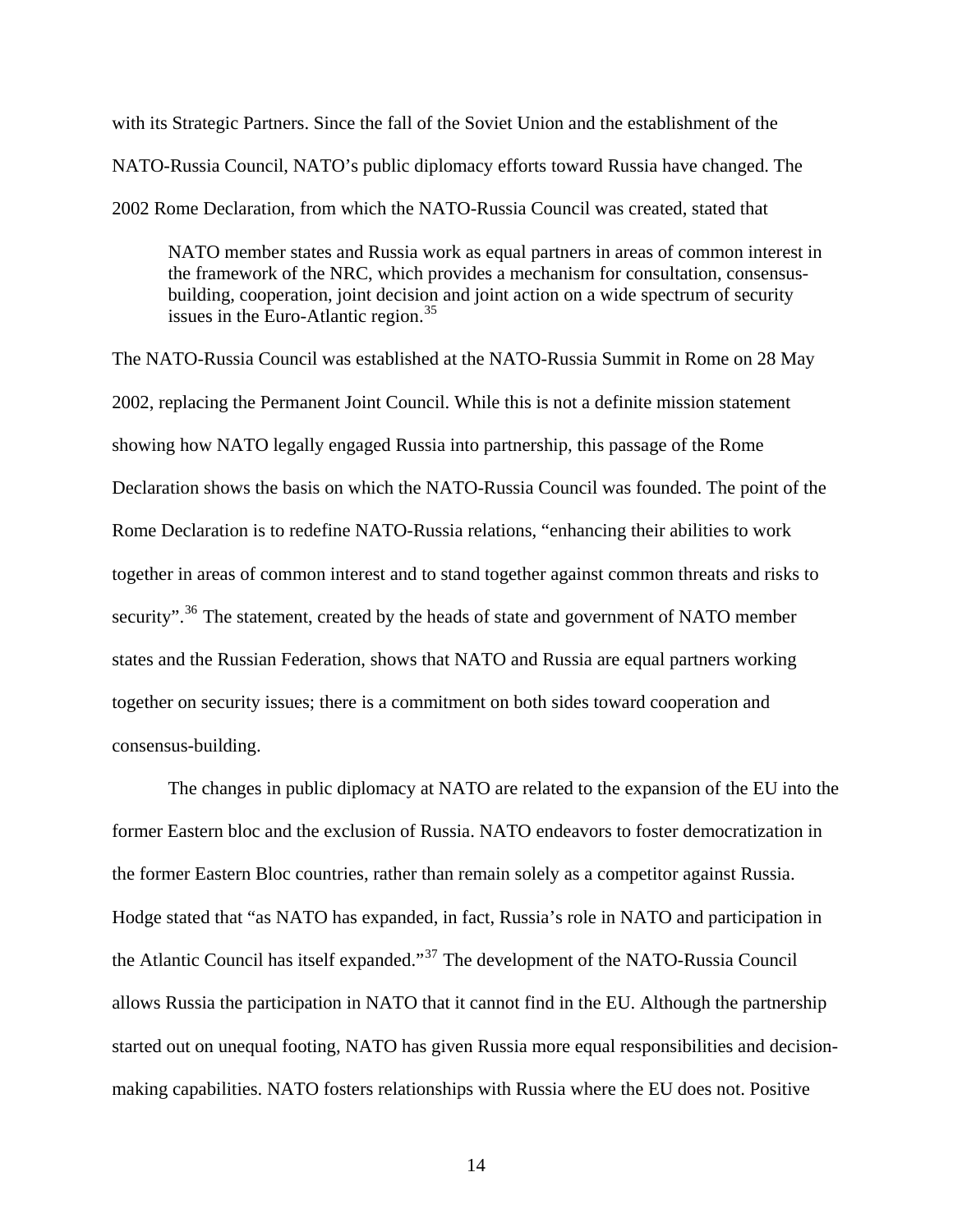with its Strategic Partners. Since the fall of the Soviet Union and the establishment of the NATO-Russia Council, NATO's public diplomacy efforts toward Russia have changed. The 2002 Rome Declaration, from which the NATO-Russia Council was created, stated that

NATO member states and Russia work as equal partners in areas of common interest in the framework of the NRC, which provides a mechanism for consultation, consensusbuilding, cooperation, joint decision and joint action on a wide spectrum of security issues in the Euro-Atlantic region.[35](#page-114-35)

The NATO-Russia Council was established at the NATO-Russia Summit in Rome on 28 May 2002, replacing the Permanent Joint Council. While this is not a definite mission statement showing how NATO legally engaged Russia into partnership, this passage of the Rome Declaration shows the basis on which the NATO-Russia Council was founded. The point of the Rome Declaration is to redefine NATO-Russia relations, "enhancing their abilities to work together in areas of common interest and to stand together against common threats and risks to security".<sup>[36](#page-115-0)</sup> The statement, created by the heads of state and government of NATO member states and the Russian Federation, shows that NATO and Russia are equal partners working together on security issues; there is a commitment on both sides toward cooperation and consensus-building.

 The changes in public diplomacy at NATO are related to the expansion of the EU into the former Eastern bloc and the exclusion of Russia. NATO endeavors to foster democratization in the former Eastern Bloc countries, rather than remain solely as a competitor against Russia. Hodge stated that "as NATO has expanded, in fact, Russia's role in NATO and participation in the Atlantic Council has itself expanded."[37](#page-115-1) The development of the NATO-Russia Council allows Russia the participation in NATO that it cannot find in the EU. Although the partnership started out on unequal footing, NATO has given Russia more equal responsibilities and decisionmaking capabilities. NATO fosters relationships with Russia where the EU does not. Positive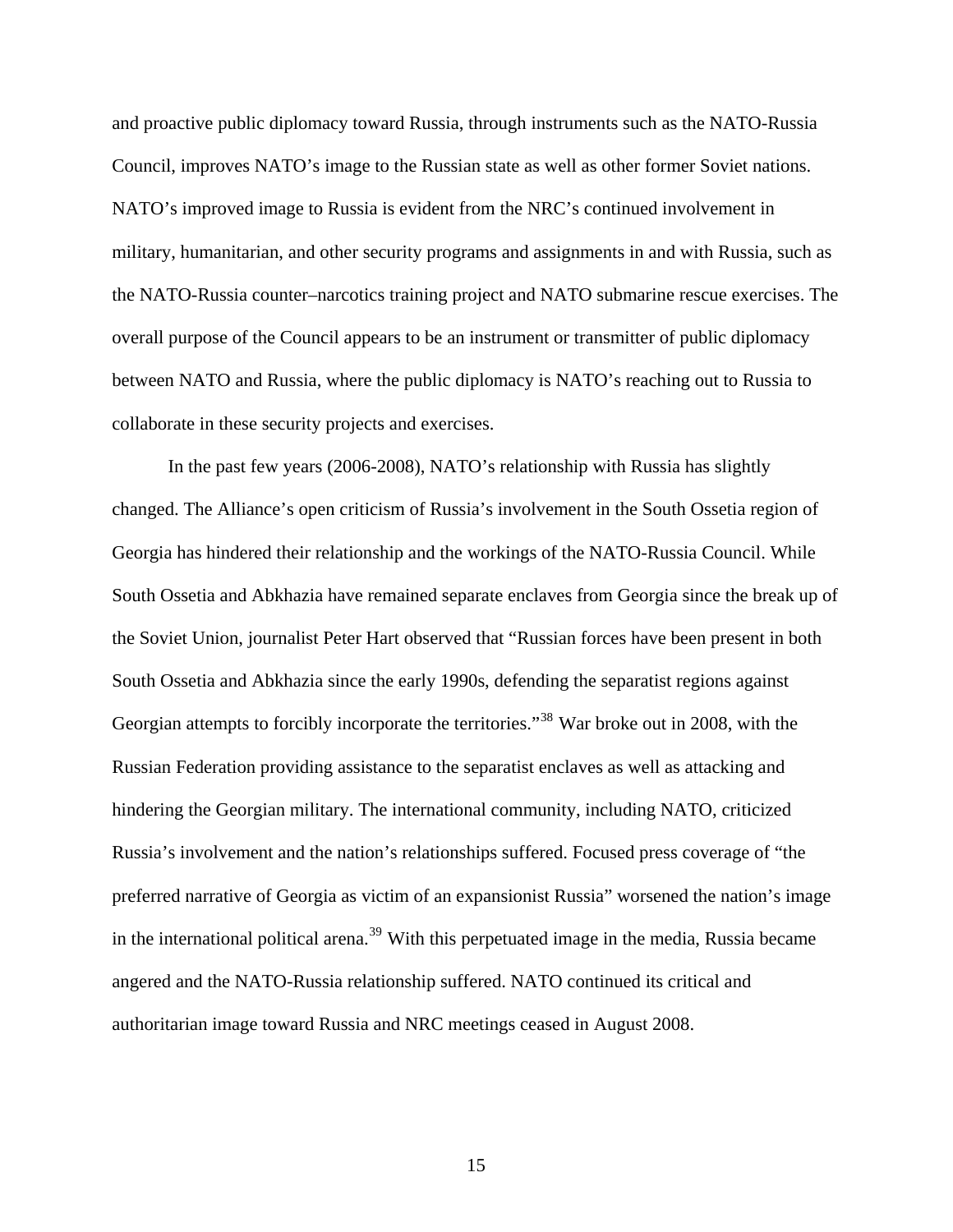and proactive public diplomacy toward Russia, through instruments such as the NATO-Russia Council, improves NATO's image to the Russian state as well as other former Soviet nations. NATO's improved image to Russia is evident from the NRC's continued involvement in military, humanitarian, and other security programs and assignments in and with Russia, such as the NATO-Russia counter–narcotics training project and NATO submarine rescue exercises. The overall purpose of the Council appears to be an instrument or transmitter of public diplomacy between NATO and Russia, where the public diplomacy is NATO's reaching out to Russia to collaborate in these security projects and exercises.

 In the past few years (2006-2008), NATO's relationship with Russia has slightly changed. The Alliance's open criticism of Russia's involvement in the South Ossetia region of Georgia has hindered their relationship and the workings of the NATO-Russia Council. While South Ossetia and Abkhazia have remained separate enclaves from Georgia since the break up of the Soviet Union, journalist Peter Hart observed that "Russian forces have been present in both South Ossetia and Abkhazia since the early 1990s, defending the separatist regions against Georgian attempts to forcibly incorporate the territories.<sup>[38](#page-115-2)</sup> War broke out in 2008, with the Russian Federation providing assistance to the separatist enclaves as well as attacking and hindering the Georgian military. The international community, including NATO, criticized Russia's involvement and the nation's relationships suffered. Focused press coverage of "the preferred narrative of Georgia as victim of an expansionist Russia" worsened the nation's image in the international political arena.<sup>[39](#page-115-3)</sup> With this perpetuated image in the media, Russia became angered and the NATO-Russia relationship suffered. NATO continued its critical and authoritarian image toward Russia and NRC meetings ceased in August 2008.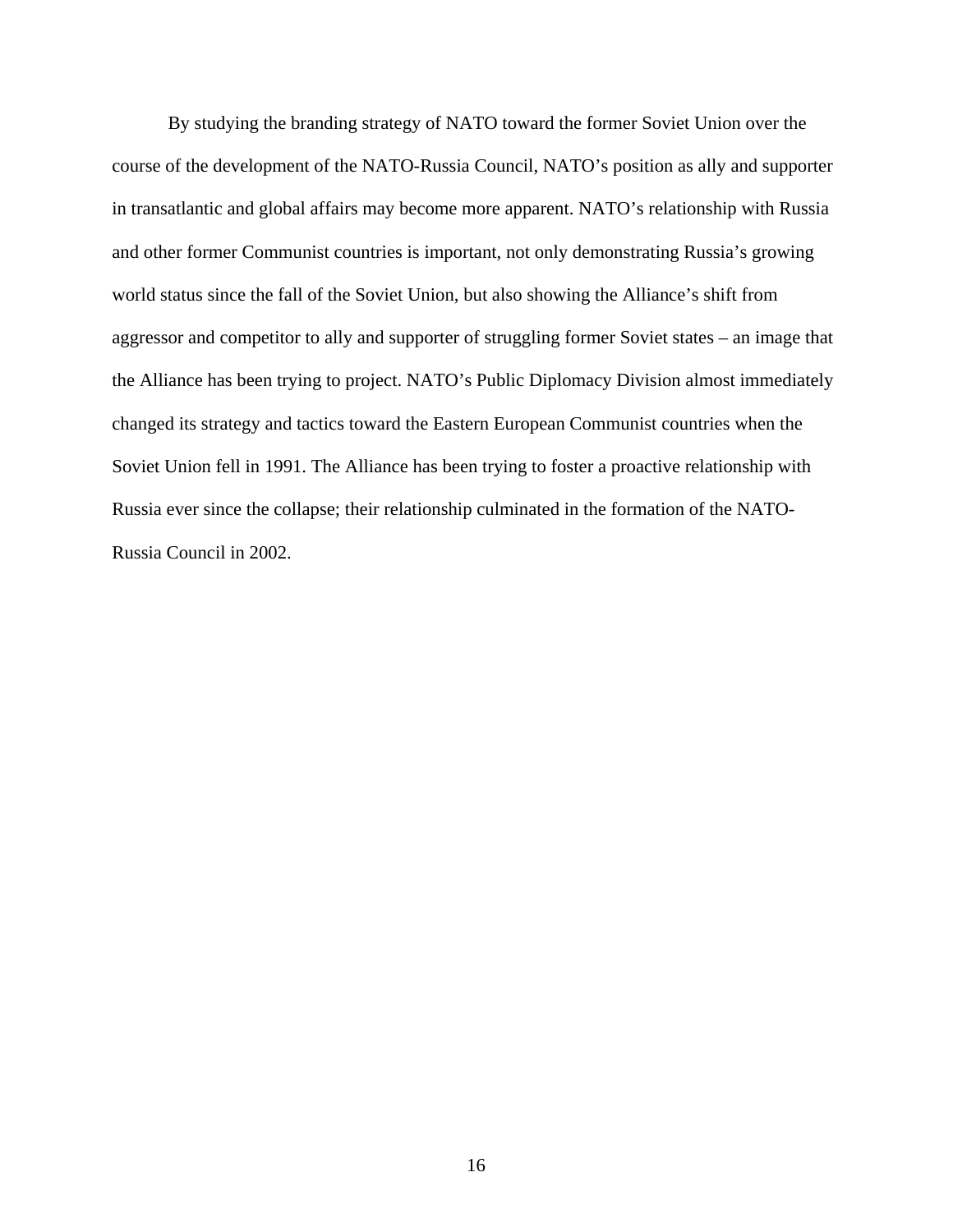By studying the branding strategy of NATO toward the former Soviet Union over the course of the development of the NATO-Russia Council, NATO's position as ally and supporter in transatlantic and global affairs may become more apparent. NATO's relationship with Russia and other former Communist countries is important, not only demonstrating Russia's growing world status since the fall of the Soviet Union, but also showing the Alliance's shift from aggressor and competitor to ally and supporter of struggling former Soviet states – an image that the Alliance has been trying to project. NATO's Public Diplomacy Division almost immediately changed its strategy and tactics toward the Eastern European Communist countries when the Soviet Union fell in 1991. The Alliance has been trying to foster a proactive relationship with Russia ever since the collapse; their relationship culminated in the formation of the NATO-Russia Council in 2002.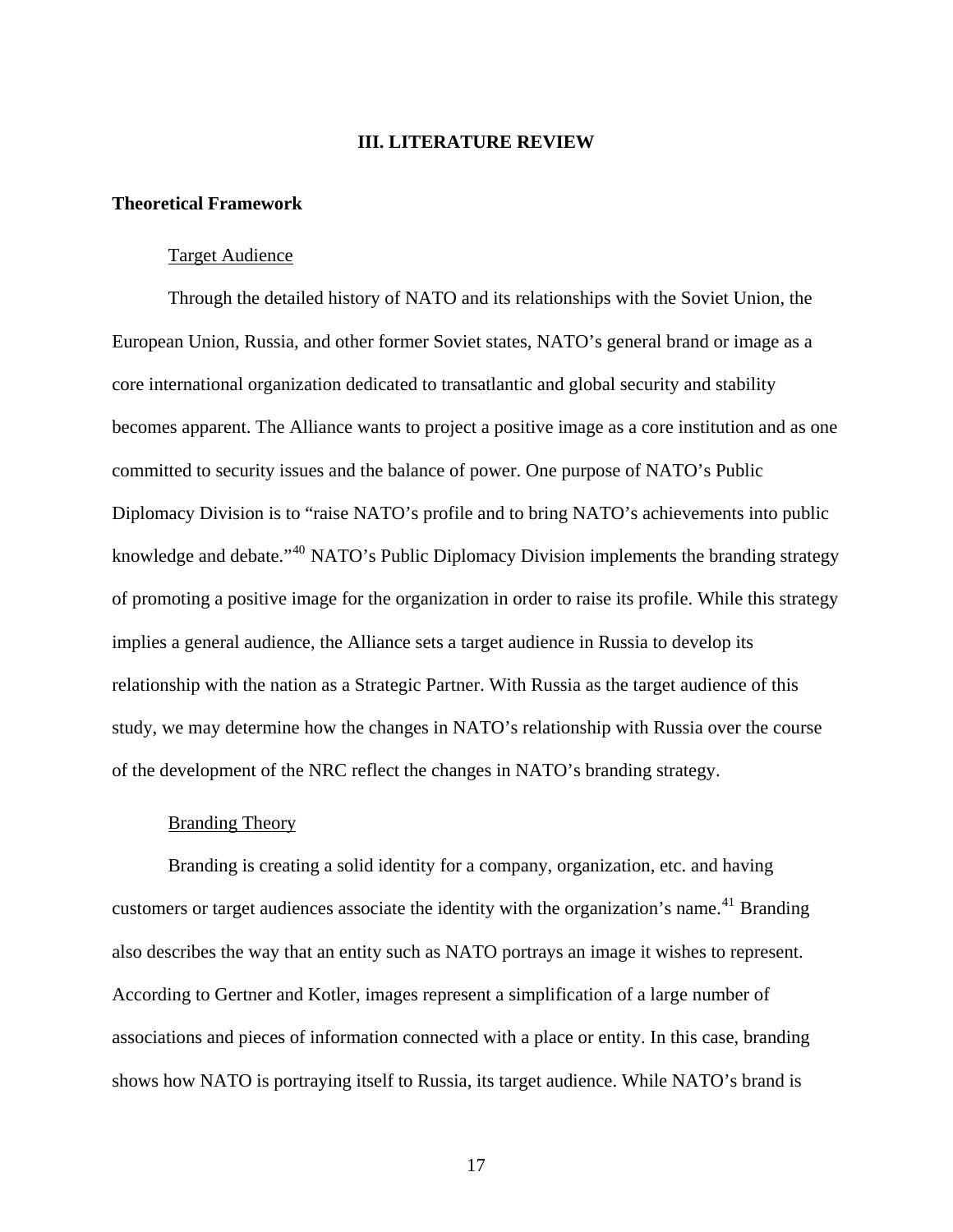#### **III. LITERATURE REVIEW**

#### <span id="page-24-1"></span><span id="page-24-0"></span>**Theoretical Framework**

#### Target Audience

<span id="page-24-2"></span> Through the detailed history of NATO and its relationships with the Soviet Union, the European Union, Russia, and other former Soviet states, NATO's general brand or image as a core international organization dedicated to transatlantic and global security and stability becomes apparent. The Alliance wants to project a positive image as a core institution and as one committed to security issues and the balance of power. One purpose of NATO's Public Diplomacy Division is to "raise NATO's profile and to bring NATO's achievements into public knowledge and debate."<sup>[40](#page-115-4)</sup> NATO's Public Diplomacy Division implements the branding strategy of promoting a positive image for the organization in order to raise its profile. While this strategy implies a general audience, the Alliance sets a target audience in Russia to develop its relationship with the nation as a Strategic Partner. With Russia as the target audience of this study, we may determine how the changes in NATO's relationship with Russia over the course of the development of the NRC reflect the changes in NATO's branding strategy.

#### Branding Theory

<span id="page-24-3"></span> Branding is creating a solid identity for a company, organization, etc. and having customers or target audiences associate the identity with the organization's name.<sup>[41](#page-115-5)</sup> Branding also describes the way that an entity such as NATO portrays an image it wishes to represent. According to Gertner and Kotler, images represent a simplification of a large number of associations and pieces of information connected with a place or entity. In this case, branding shows how NATO is portraying itself to Russia, its target audience. While NATO's brand is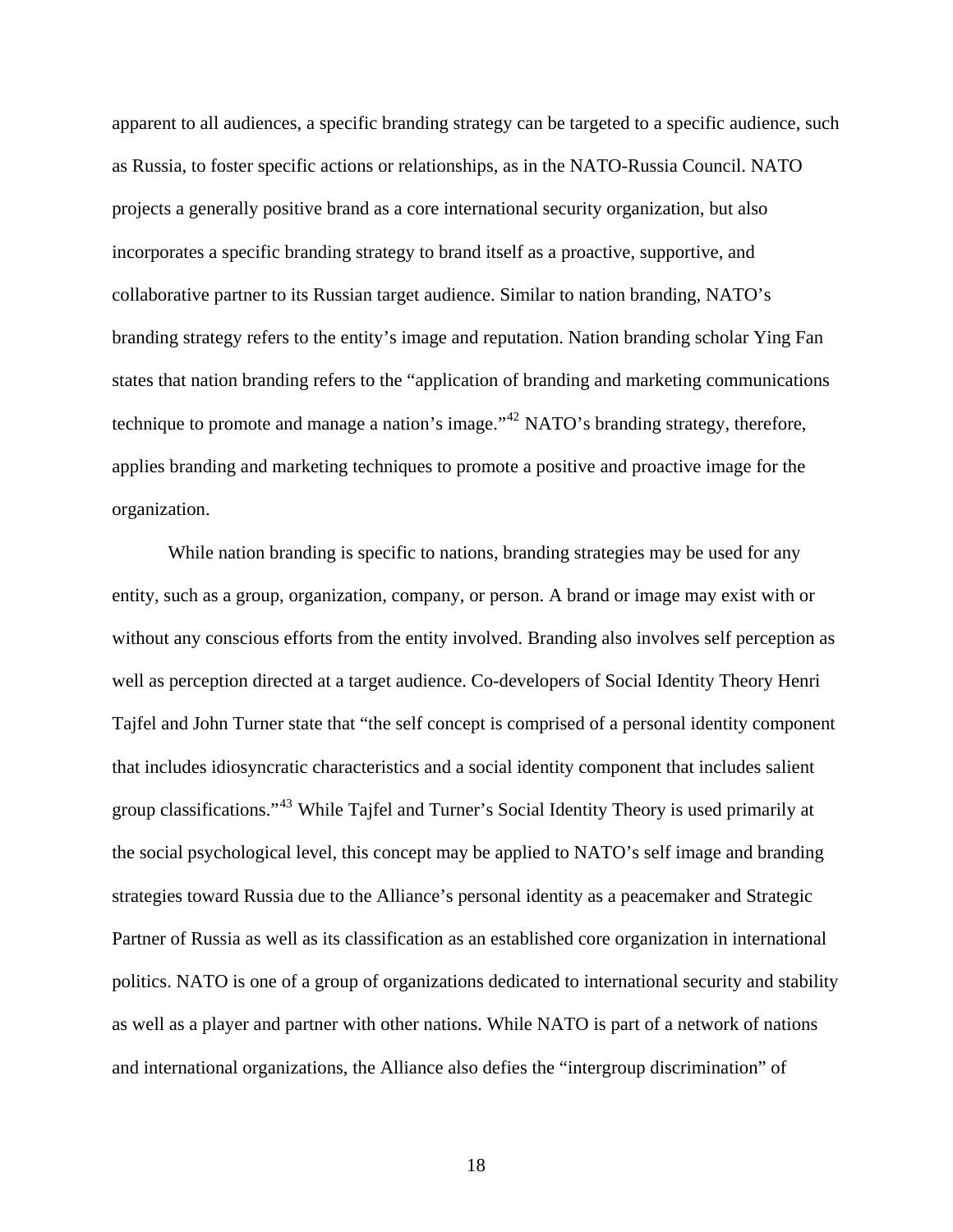apparent to all audiences, a specific branding strategy can be targeted to a specific audience, such as Russia, to foster specific actions or relationships, as in the NATO-Russia Council. NATO projects a generally positive brand as a core international security organization, but also incorporates a specific branding strategy to brand itself as a proactive, supportive, and collaborative partner to its Russian target audience. Similar to nation branding, NATO's branding strategy refers to the entity's image and reputation. Nation branding scholar Ying Fan states that nation branding refers to the "application of branding and marketing communications technique to promote and manage a nation's image."<sup>[42](#page-115-6)</sup> NATO's branding strategy, therefore, applies branding and marketing techniques to promote a positive and proactive image for the organization.

 While nation branding is specific to nations, branding strategies may be used for any entity, such as a group, organization, company, or person. A brand or image may exist with or without any conscious efforts from the entity involved. Branding also involves self perception as well as perception directed at a target audience. Co-developers of Social Identity Theory Henri Tajfel and John Turner state that "the self concept is comprised of a personal identity component that includes idiosyncratic characteristics and a social identity component that includes salient group classifications."[43](#page-115-7) While Tajfel and Turner's Social Identity Theory is used primarily at the social psychological level, this concept may be applied to NATO's self image and brandi ng strategies toward Russia due to the Alliance's personal identity as a peacemaker and Strategic Partner of Russia as well as its classification as an established core organization in international politics. NATO is one of a group of organizations dedicated to international security and stability as well as a player and partner with other nations. While NATO is part of a network of nations and international organizations, the Alliance also defies the "intergroup discrimination" of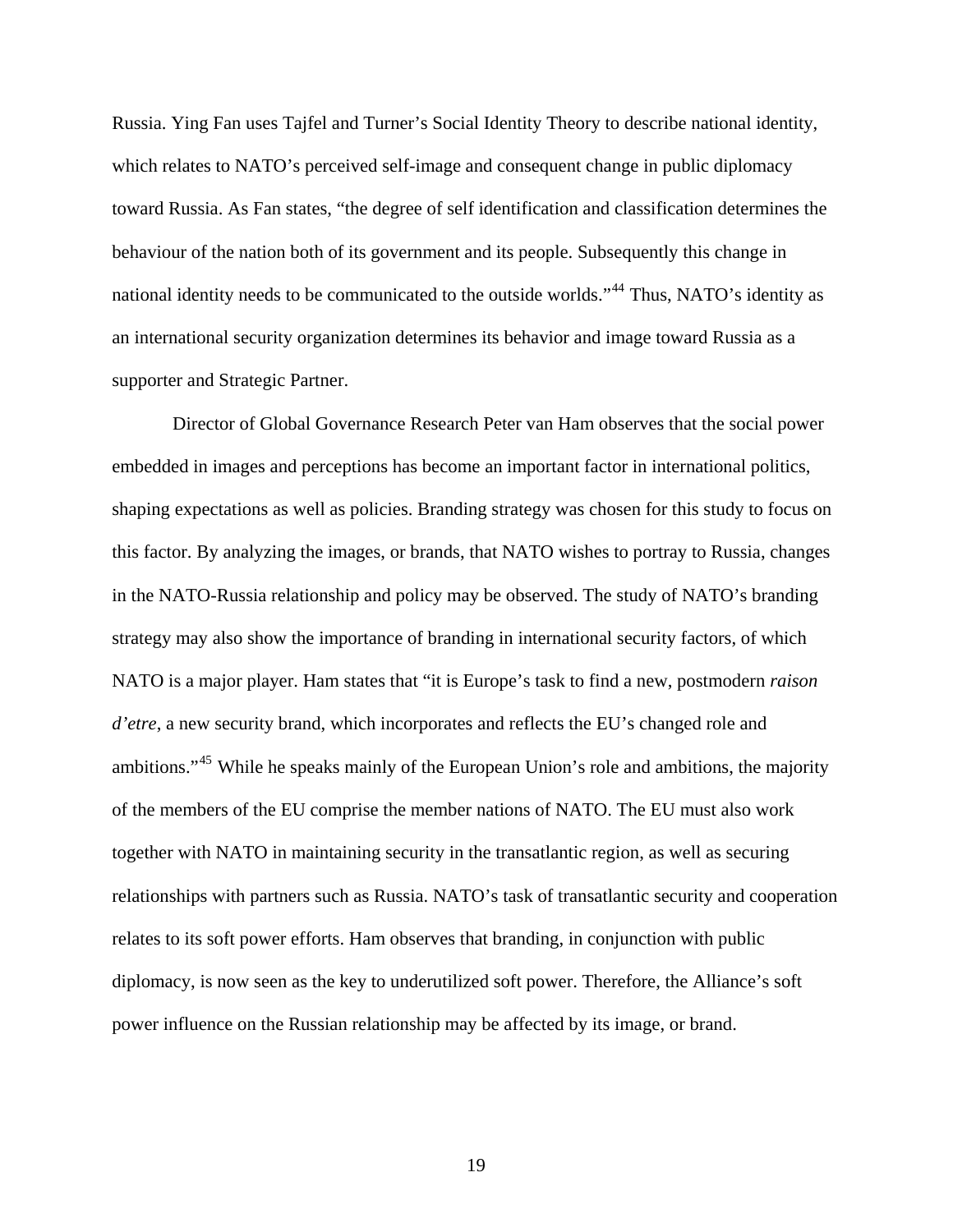Russia. Ying Fan uses Tajfel and Turner's Social Identity Theory to describe national identity, which relates to NATO's perceived self-image and consequent change in public diplomacy toward Russia. As Fan states, "the degree of self identification and classification determines the behaviour of the nation both of its government and its people. Subsequently this change in national identity needs to be communicated to the outside worlds."<sup>[44](#page-115-8)</sup> Thus, NATO's identity as an international security organization determines its behavior and image toward Russia as a supporter and Strategic Partner.

 Director of Global Governance Research Peter van Ham observes that the social power embedded in images and perceptions has become an important factor in international politics, shaping expectations as well as policies. Branding strategy was chosen for this study to focus on this factor. By analyzing the images, or brands, that NATO wishes to portray to Russia, changes in the NATO-Russia relationship and policy may be observed. The study of NATO's branding strategy may also show the importance of branding in international security factors, of which NATO is a major player. Ham states that "it is Europe's task to find a new, postmodern *raison d'etre*, a new security brand, which incorporates and reflects the EU's changed role and ambitions."[45](#page-115-9) While he speaks mainly of the European Union's role and ambitions, the majority of the members of the EU comprise the member nations of NATO. The EU must also work together with NATO in maintaining security in the transatlantic region, as well as securing relationships with partners such as Russia. NATO's task of transatlantic security and cooperation relates to its soft power efforts. Ham observes that branding, in conjunction with public diplomacy, is now seen as the key to underutilized soft power. Therefore, the Alliance's soft power influence on the Russian relationship may be affected by its image, or brand.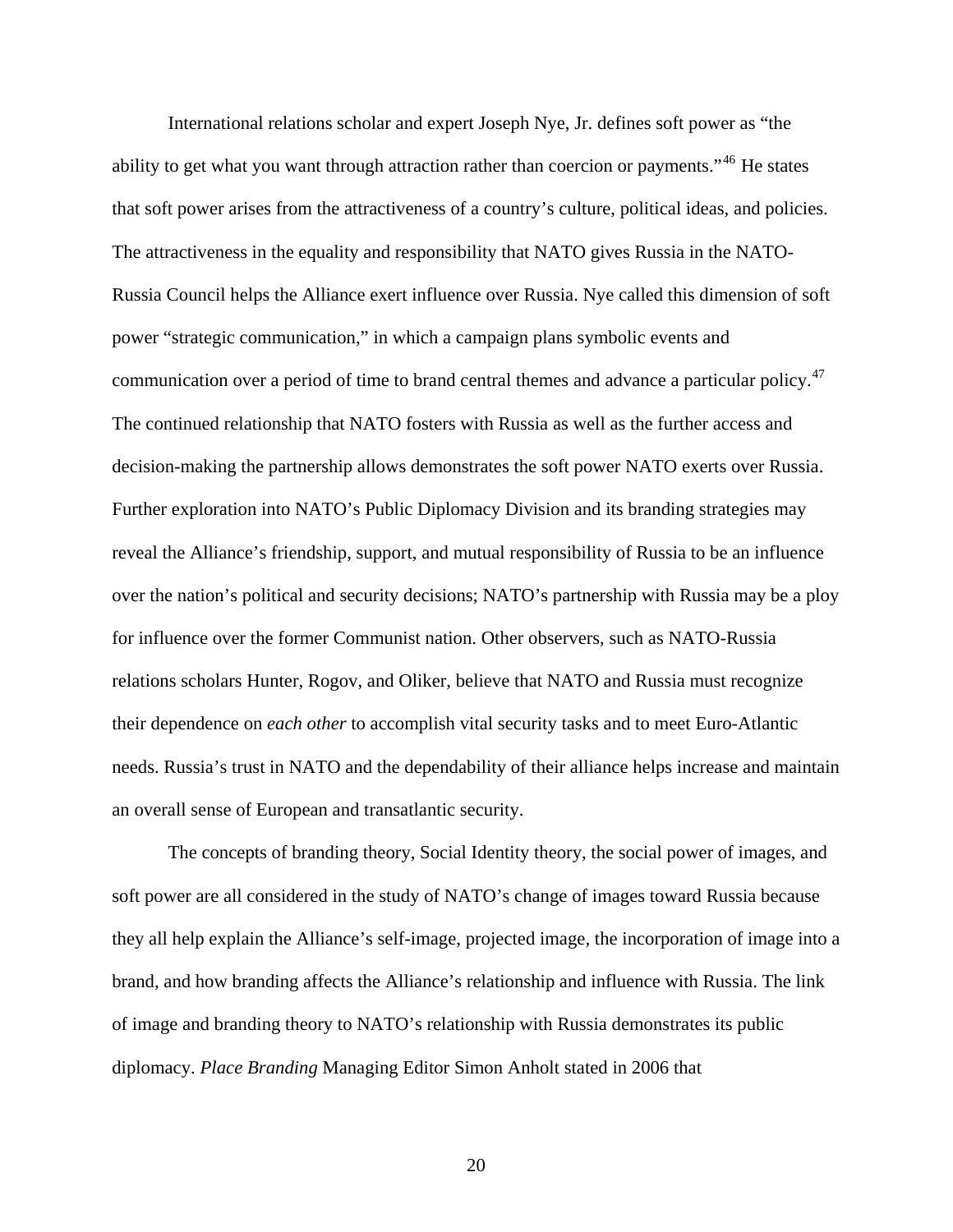International relations scholar and expert Joseph Nye, Jr. defines soft power as "the ability to get what you want through attraction rather than coercion or payments."<sup>[46](#page-115-10)</sup> He states that soft power arises from the attractiveness of a country's culture, political ideas, and policies. The attractiveness in the equality and responsibility that NATO gives Russia in the NATO-Russia Council helps the Alliance exert influence over Russia. Nye called this dimension of soft power "strategic communication," in which a campaign plans symbolic events and communication over a period of time to brand central themes and advance a particular policy.<sup>47</sup> The continued relationship that NATO fosters with Russia as well as the further access and decision-making the partnership allows demonstrates the soft power NATO exerts over Russia. Further exploration into NATO's Public Diplomacy Division and its branding strategies may reveal the Alliance's friendship, support, and mutual responsibility of Russia to be an influen ce over the nation's political and security decisions; NATO's partnership with Russia may be a ploy for influence over the former Communist nation. Other observers, such as NATO-Russia relations scholars Hunter, Rogov, and Oliker, believe that NATO and Russia must recognize their dependence on *each other* to accomplish vital security tasks and to meet Euro-Atlantic needs. Russia's trust in NATO and the dependability of their alliance helps increase and maint ain an overall sense of European and tran satlantic security.

 The concepts of branding theory, Social Identity theory, the social power of images, and soft power are all considered in the study of NATO's change of images toward Russia because they all help explain the Alliance's self-image, projected image, the incorporation of image into a brand, and how branding affects the Alliance's relationship and influence with Russia. The link of image and branding theory to NATO's relationship with Russia demonstrates its public diplomacy. *Place Branding* Managing Editor Simon Anholt stated in 2006 that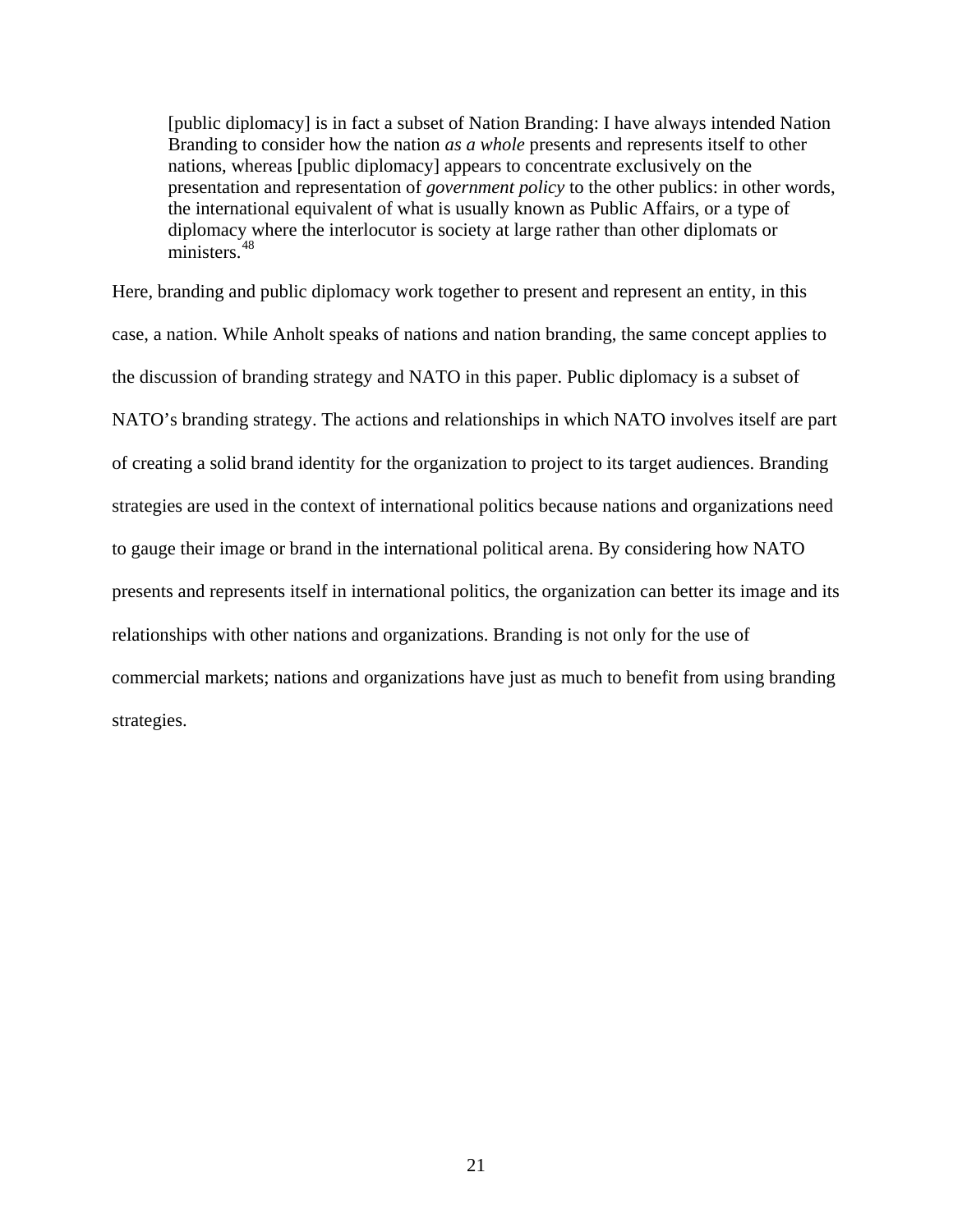[public diplomacy] is in fact a subset of Nation Branding: I have always intended Nation Branding to consider how the nation *as a whole* presents and represents itself to other nations, whereas [public diplomacy] appears to concentrate exclusively on the presentation and representation of *government policy* to the other publics: in other words, the international equivalent of what is usually known as Public Affairs, or a type of diplomacy where the interlocutor is society at large rather than other diplomats or ministers.<sup>[48](#page-115-11)</sup>

Here, branding and public diplomacy work together to present and represent an entity, in this case, a nation. While Anholt speaks of nations and nation branding, the same concept applies to the discussion of branding strategy and NATO in this paper. Public diplomacy is a subset of NATO's branding strategy. The actions and relationships in which NATO involves itself are part of creating a solid brand identity for the organization to project to its target audiences. Branding strategies are used in the context of international politics because nations and organizations need to gauge their image or brand in the international political arena. By considering how NATO presents and represents itself in international politics, the organization can better its image and its relationships with other nations and organizations. Branding is not only for the use of commercial markets; nations and organizations have just as much to benefit from using branding strategies.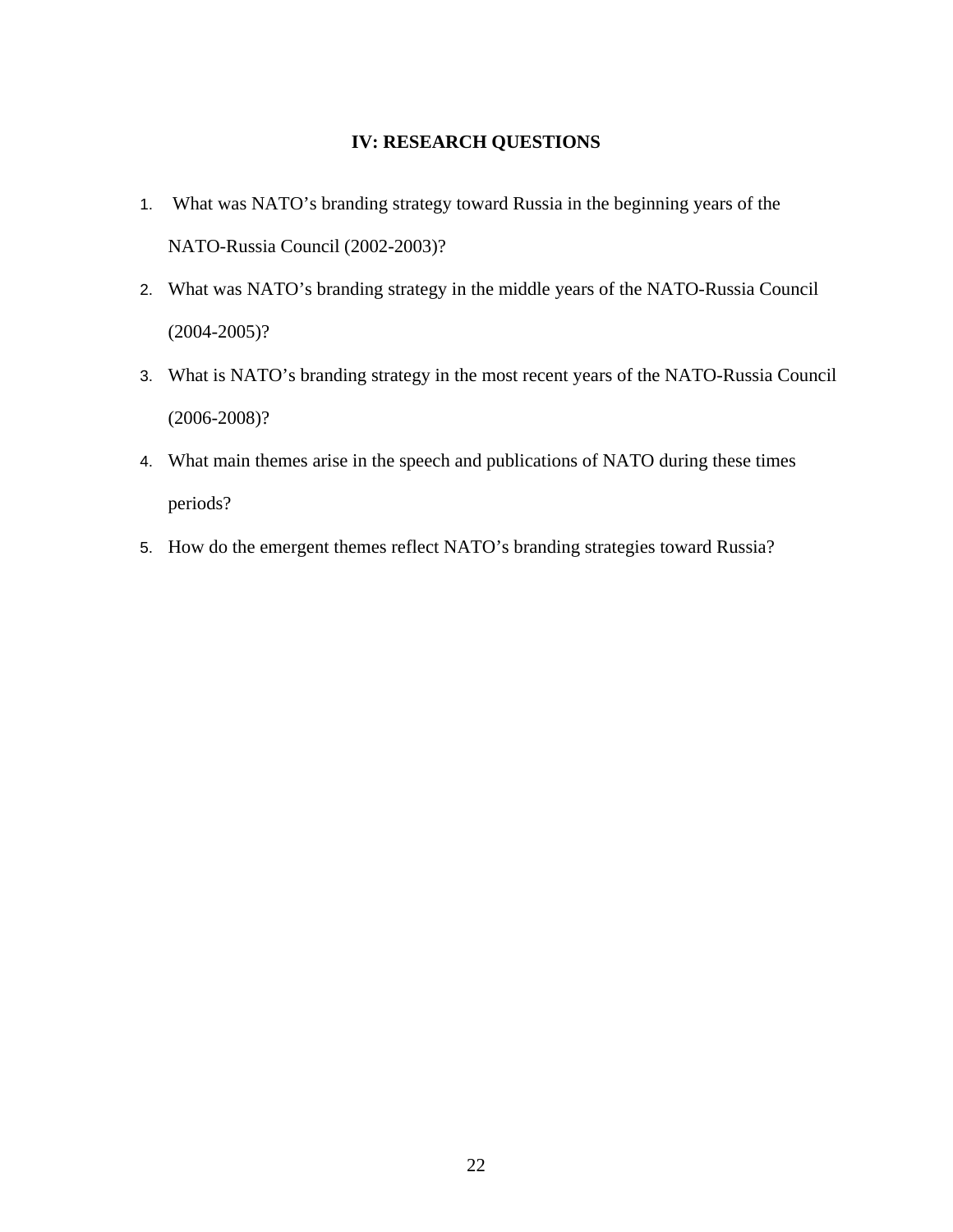### **IV: RESEARCH QUESTIONS**

- <span id="page-29-0"></span>1. What was NATO's branding strategy toward Russia in the beginning years of the NATO-Russia Council (2002-2003)?
- 2. What was NATO's branding strategy in the middle years of the NATO-Russia Council (2004-2005)?
- 3. What is NATO's branding strategy in the most recent years of the NATO-Russia Council (2006-2008)?
- 4. What main themes arise in the speech and publications of NATO during these times periods?
- 5. How do the emergent themes reflect NATO's branding strategies toward Russia?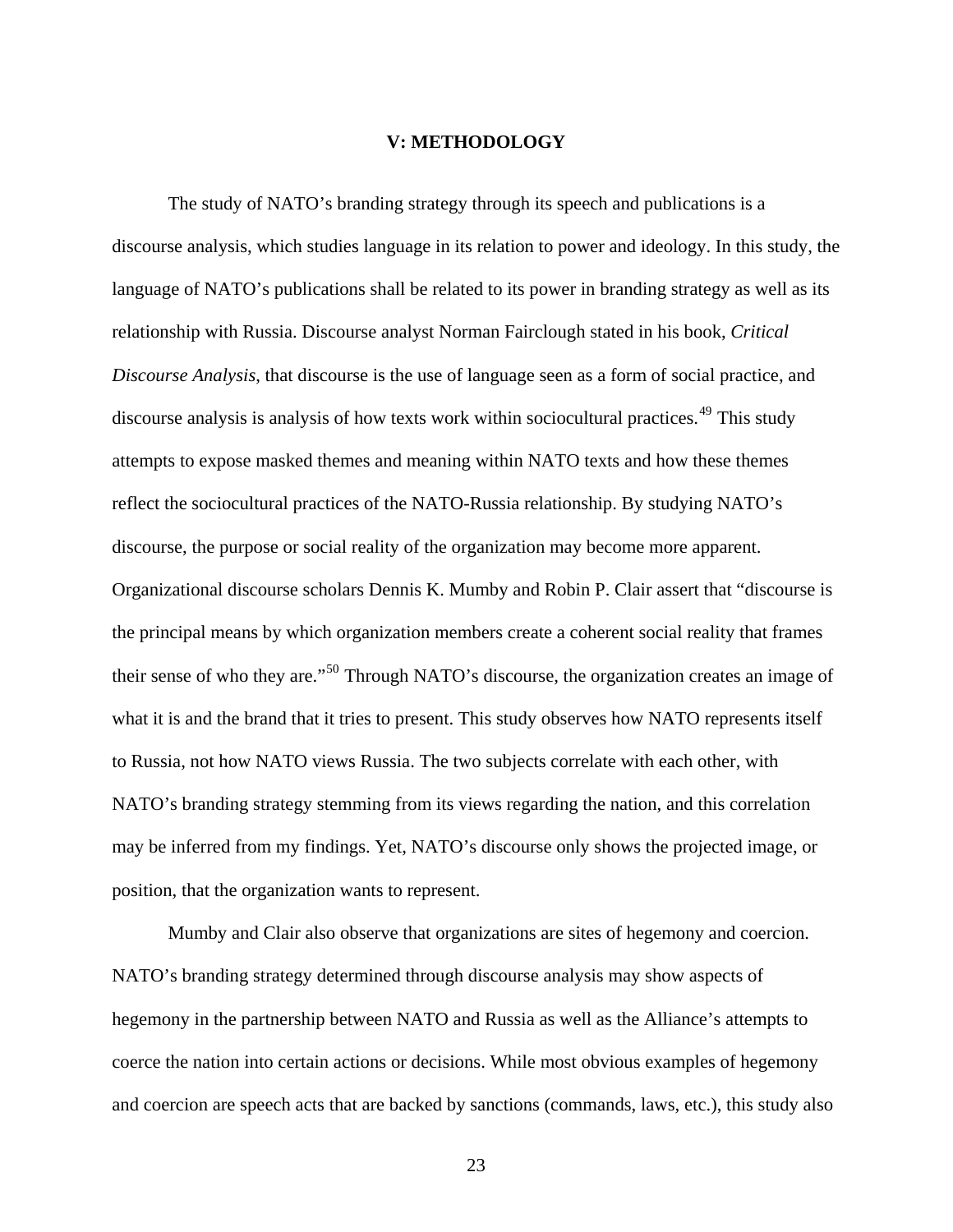#### **V: METHODOLOGY**

<span id="page-30-0"></span> The study of NATO's branding strategy through its speech and publications is a discourse analysis, which studies language in its relation to power and ideology. In this study, the language of NATO's publications shall be related to its power in branding strategy as well as its relationship with Russia. Discourse analyst Norman Fairclough stated in his book, *Critical Discourse Analysis*, that discourse is the use of language seen as a form of social practice, and discourse analysis is analysis of how texts work within sociocultural practices.<sup>[49](#page-115-12)</sup> This study attempts to expose masked themes and meaning within NATO texts and how these themes reflect the sociocultural practices of the NATO-Russia relationship. By studying NATO's discourse, the purpose or social reality of the organization may become more apparent. Organizational discourse scholars Dennis K. Mumby and Robin P. Clair assert that "discourse is the principal means by which organization members create a coherent social reality that frames their sense of who they are."[50](#page-115-13) Through NATO's discourse, the organization creates an image of what it is and the brand that it tries to present. This study observes how NATO represents itself to Russia, not how NATO views Russia. The two subjects correlate with each other, with NATO's branding strategy stemming from its views regarding the nation, and this correlation may be inferred from my findings. Yet, NATO's discourse only shows the projected image, or position, that the organization wants to represent.

 Mumby and Clair also observe that organizations are sites of hegemony and coercion. NATO's branding strategy determined through discourse analysis may show aspects of hegemony in the partnership between NATO and Russia as well as the Alliance's attempts to coerce the nation into certain actions or decisions. While most obvious examples of hegemony and coercion are speech acts that are backed by sanctions (commands, laws, etc.), this study also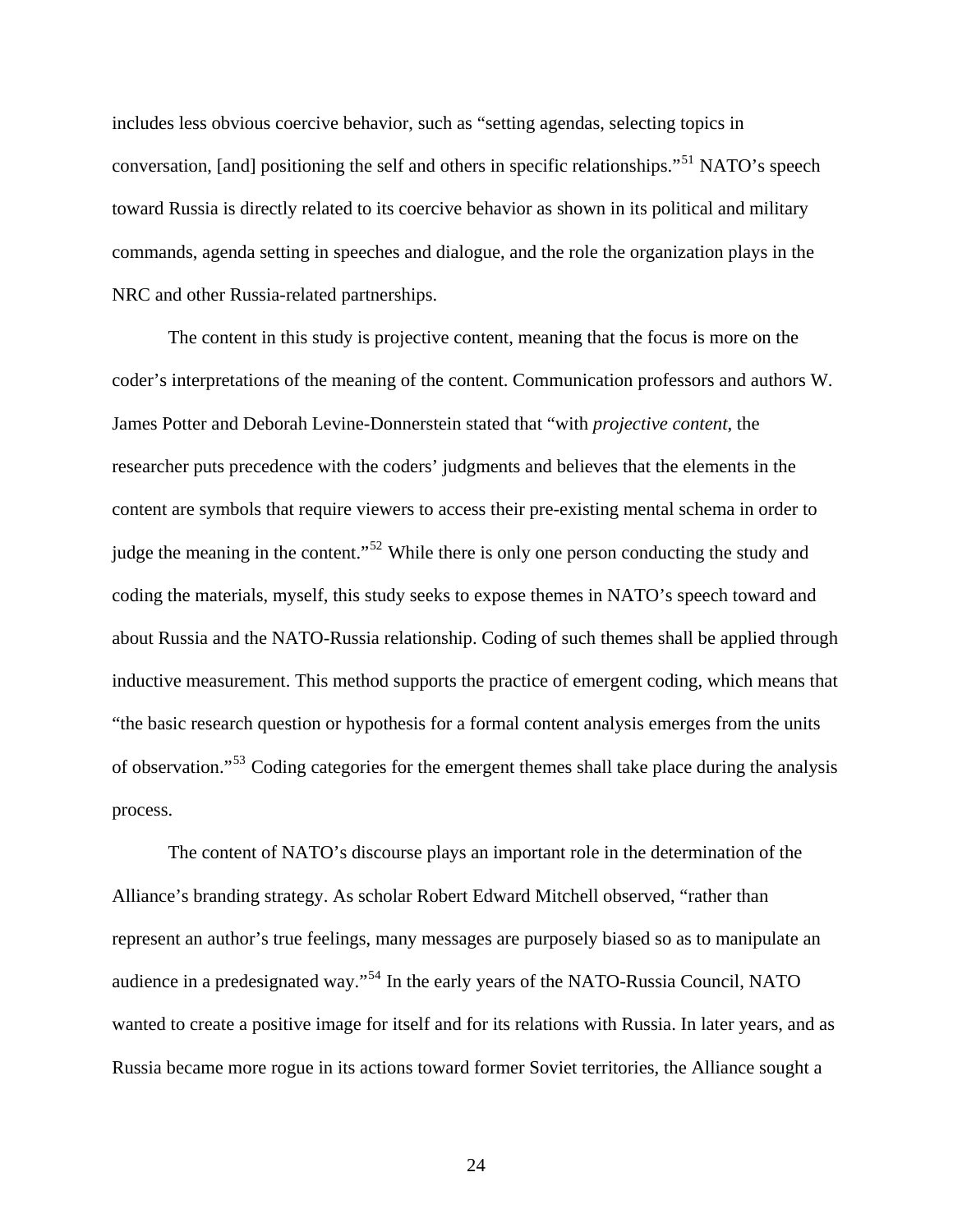includes less obvious coercive behavior, such as "setting agendas, selecting topics in conversation, [and] positioning the self and others in specific relationships."<sup>[51](#page-115-14)</sup> NATO's speech toward Russia is directly related to its coercive behavior as shown in its political and military commands, agenda setting in speeches and dialogue, and the role the organization plays in the NRC and other Russia-related partnerships.

 The content in this study is projective content, meaning that the focus is more on the coder's interpretations of the meaning of the content. Communication professors and authors W. James Potter and Deborah Levine-Donnerstein stated that "with *projective content*, the researcher puts precedence with the coders' judgments and believes that the elements in the content are symbols that require viewers to access their pre-existing mental schema in order to judge the meaning in the content."<sup>[52](#page-115-15)</sup> While there is only one person conducting the study and coding the materials, myself, this study seeks to expose themes in NATO's speech toward and about Russia and the NATO-Russia relationship. Coding of such themes shall be applied through inductive measurement. This method supports the practice of emergent coding, which means that "the basic research question or hypothesis for a formal content analysis emerges from the units of observation."[53](#page-115-16) Coding categories for the emergent themes shall take place during the analysis process.

 The content of NATO's discourse plays an important role in the determination of the Alliance's branding strategy. As scholar Robert Edward Mitchell observed, "rather than represent an author's true feelings, many messages are purposely biased so as to manipulate an audience in a predesignated way."[54](#page-115-17) In the early years of the NATO-Russia Council, NATO wanted to create a positive image for itself and for its relations with Russia. In later years, and as Russia became more rogue in its actions toward former Soviet territories, the Alliance sought a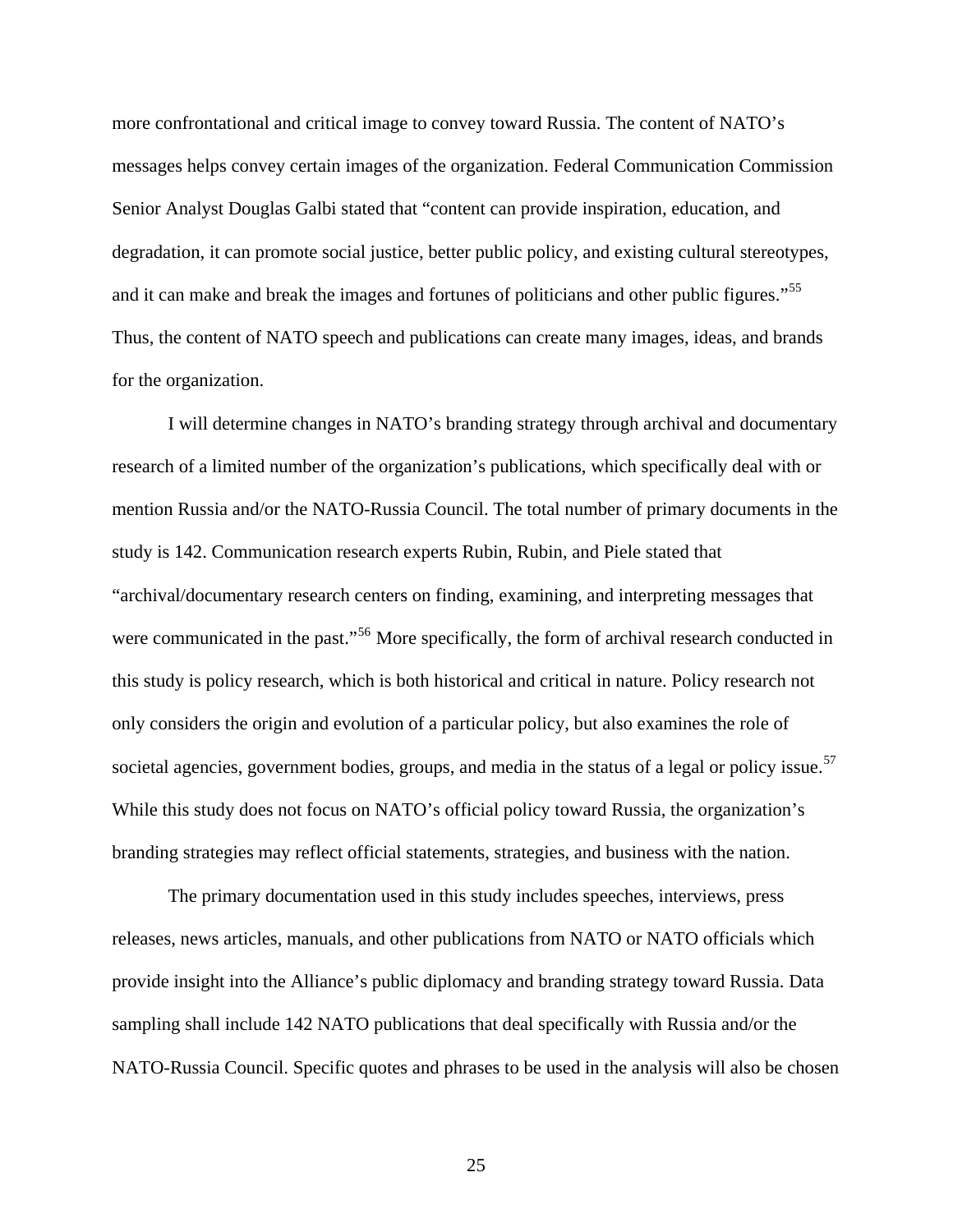more confrontational and critical image to convey toward Russia. The content of NATO's messages helps convey certain images of the organization. Federal Communication Commission Senior Analyst Douglas Galbi stated that "content can provide inspiration, education, and degradation, it can promote social justice, better public policy, and existing cultural stereotypes, and it can make and break the images and fortunes of politicians and other public figures."<sup>[55](#page-115-18)</sup> Thus, the content of NATO speech and publications can create many images, ideas, and brands for the organization.

 I will determine changes in NATO's branding strategy through archival and documentary research of a limited number of the organization's publications, which specifically deal with or mention Russia and/or the NATO-Russia Council. The total number of primary documents in the study is 142. Communication research experts Rubin, Rubin, and Piele stated that "archival/documentary research centers on finding, examining, and interpreting messages that were communicated in the past."<sup>[56](#page-115-19)</sup> More specifically, the form of archival research conducted in this study is policy research, which is both historical and critical in nature. Policy research not only considers the origin and evolution of a particular policy, but also examines the role of societal agencies, government bodies, groups, and media in the status of a legal or policy issue.<sup>[57](#page-115-20)</sup> While this study does not focus on NATO's official policy toward Russia, the organization's branding strategies may reflect official statements, strategies, and business with the nation.

 The primary documentation used in this study includes speeches, interviews, press releases, news articles, manuals, and other publications from NATO or NATO officials which provide insight into the Alliance's public diplomacy and branding strategy toward Russia. Data sampling shall include 142 NATO publications that deal specifically with Russia and/or the NATO-Russia Council. Specific quotes and phrases to be used in the analysis will also be chosen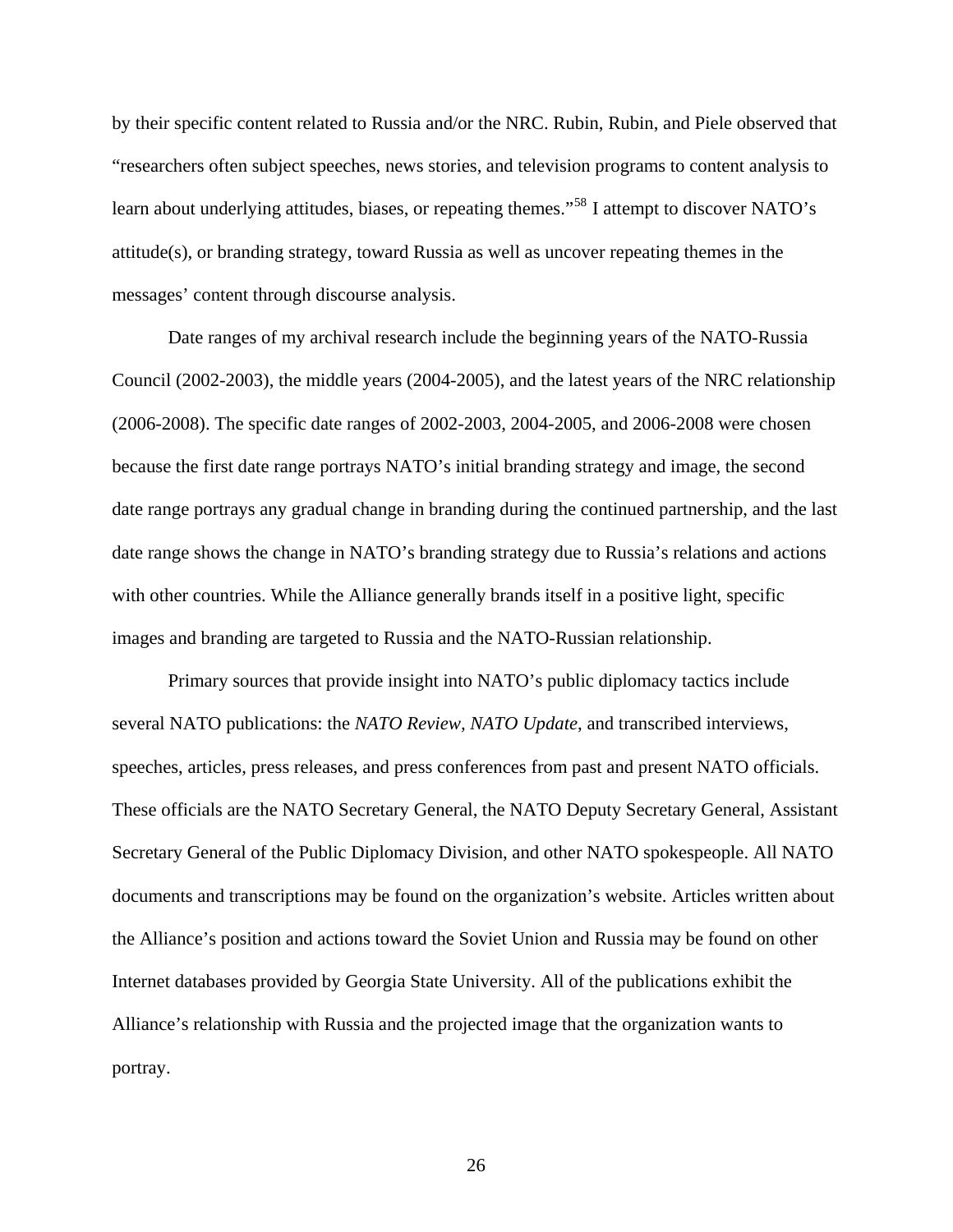by their specific content related to Russia and/or the NRC. Rubin, Rubin, and Piele observed that "researchers often subject speeches, news stories, and television programs to content analysis to learn about underlying attitudes, biases, or repeating themes."<sup>[58](#page-115-21)</sup> I attempt to discover NATO's attitude(s), or branding strategy, toward Russia as well as uncover repeating themes in the messages' content through discourse analysis.

 Date ranges of my archival research include the beginning years of the NATO-Russia Council (2002-2003), the middle years (2004-2005), and the latest years of the NRC relationship (2006-2008). The specific date ranges of 2002-2003, 2004-2005, and 2006-2008 were chosen because the first date range portrays NATO's initial branding strategy and image, the second date range portrays any gradual change in branding during the continued partnership, and the last date range shows the change in NATO's branding strategy due to Russia's relations and actions with other countries. While the Alliance generally brands itself in a positive light, specific images and branding are targeted to Russia and the NATO-Russian relationship.

 Primary sources that provide insight into NATO's public diplomacy tactics include several NATO publications: the *NATO Review, NATO Update*, and transcribed interviews, speeches, articles, press releases, and press conferences from past and present NATO officials. These officials are the NATO Secretary General, the NATO Deputy Secretary General, Assistant Secretary General of the Public Diplomacy Division, and other NATO spokespeople. All NATO documents and transcriptions may be found on the organization's website. Articles written about the Alliance's position and actions toward the Soviet Union and Russia may be found on other Internet databases provided by Georgia State University. All of the publications exhibit the Alliance's relationship with Russia and the projected image that the organization wants to portray.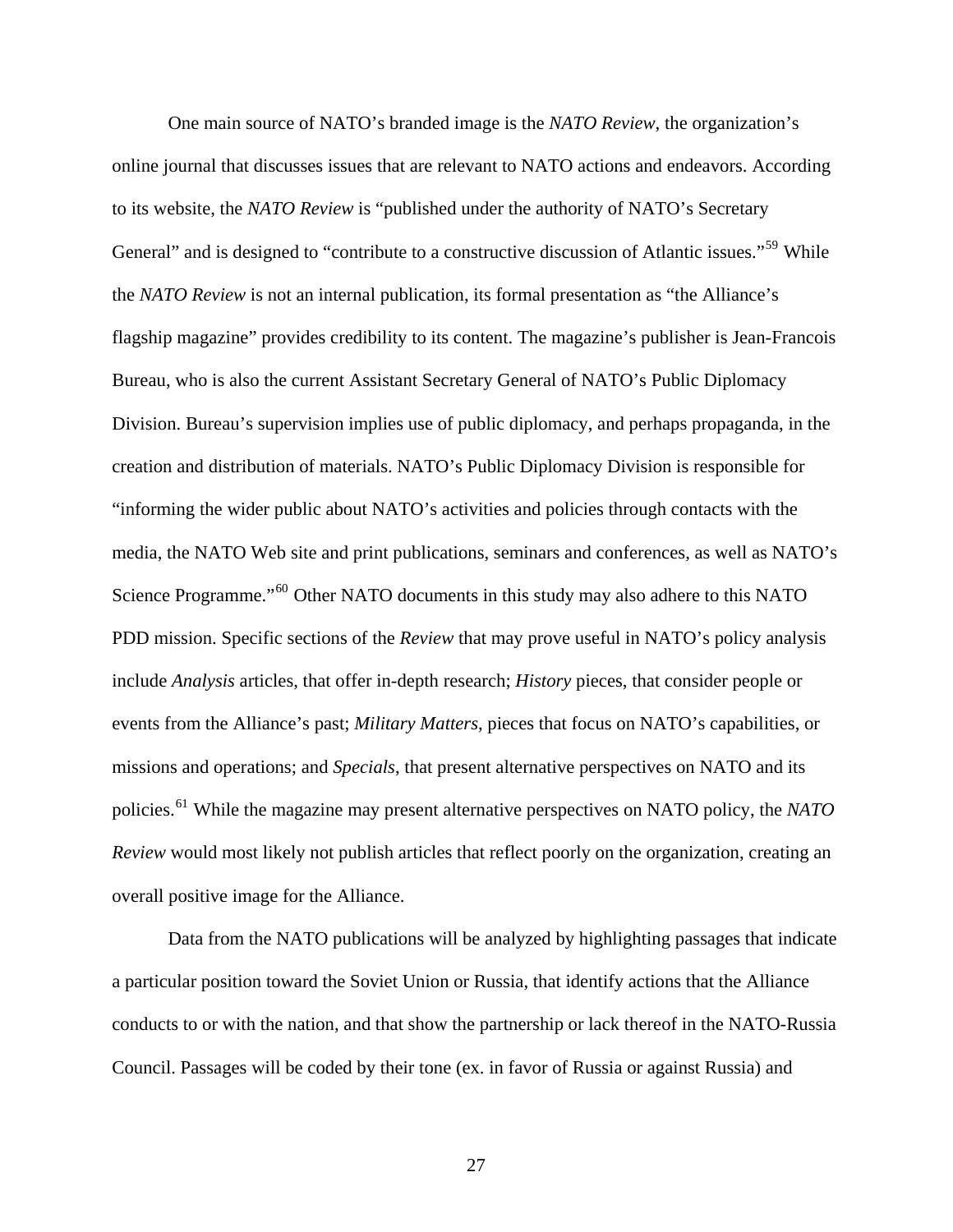One main source of NATO's branded image is the *NATO Review*, the organization's online journal that discusses issues that are relevant to NATO actions and endeavors. According to its website, the *NATO Review* is "published under the authority of NATO's Secretary General" and is designed to "contribute to a constructive discussion of Atlantic issues."<sup>[59](#page-115-22)</sup> While the *NATO Review* is not an internal publication, its formal presentation as "the Alliance's flagship magazine" provides credibility to its content. The magazine's publisher is Jean-Francois Bureau, who is also the current Assistant Secretary General of NATO's Public Diplomacy Division. Bureau's supervision implies use of public diplomacy, and perhaps propaganda, in the creation and distribution of materials. NATO's Public Diplomacy Division is responsible for "informing the wider public about NATO's activities and policies through contacts with the media, the NATO Web site and print publications, seminars and conferences, as well as NATO's Science Programme."<sup>[60](#page-115-23)</sup> Other NATO documents in this study may also adhere to this NATO PDD mission. Specific sections of the *Review* that may prove useful in NATO's policy analysis include *Analysis* articles, that offer in-depth research; *History* pieces, that consider people or events from the Alliance's past; *Military Matters*, pieces that focus on NATO's capabilities, or missions and operations; and *Specials*, that present alternative perspectives on NATO and its policies.[61](#page-115-24) While the magazine may present alternative perspectives on NATO policy, the *NATO Review* would most likely not publish articles that reflect poorly on the organization, creating an overall positive image for the Alliance.

 Data from the NATO publications will be analyzed by highlighting passages that indicate a particular position toward the Soviet Union or Russia, that identify actions that the Alliance conducts to or with the nation, and that show the partnership or lack thereof in the NATO-Russia Council. Passages will be coded by their tone (ex. in favor of Russia or against Russia) and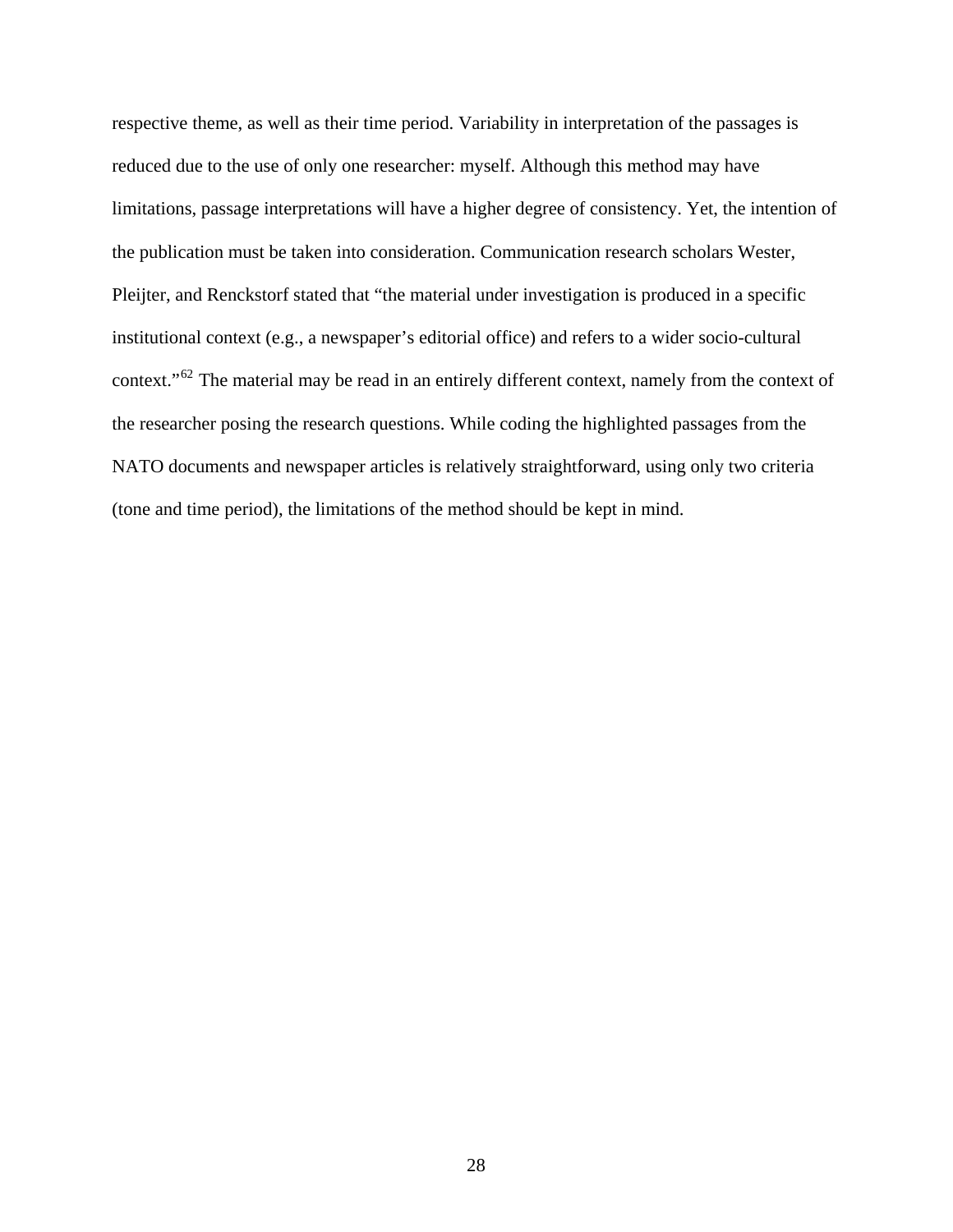respective theme, as well as their time period. Variability in interpretation of the passages is reduced due to the use of only one researcher: myself. Although this method may have limitations, passage interpretations will have a higher degree of consistency. Yet, the intention of the publication must be taken into consideration. Communication research scholars Wester, Pleijter, and Renckstorf stated that "the material under investigation is produced in a specific institutional context (e.g., a newspaper's editorial office) and refers to a wider socio-cultural context."[62](#page-115-25) The material may be read in an entirely different context, namely from the context of the researcher posing the research questions. While coding the highlighted passages from the NATO documents and newspaper articles is relatively straightforward, using only two criteria (tone and time period), the limitations of the method should be kept in mind.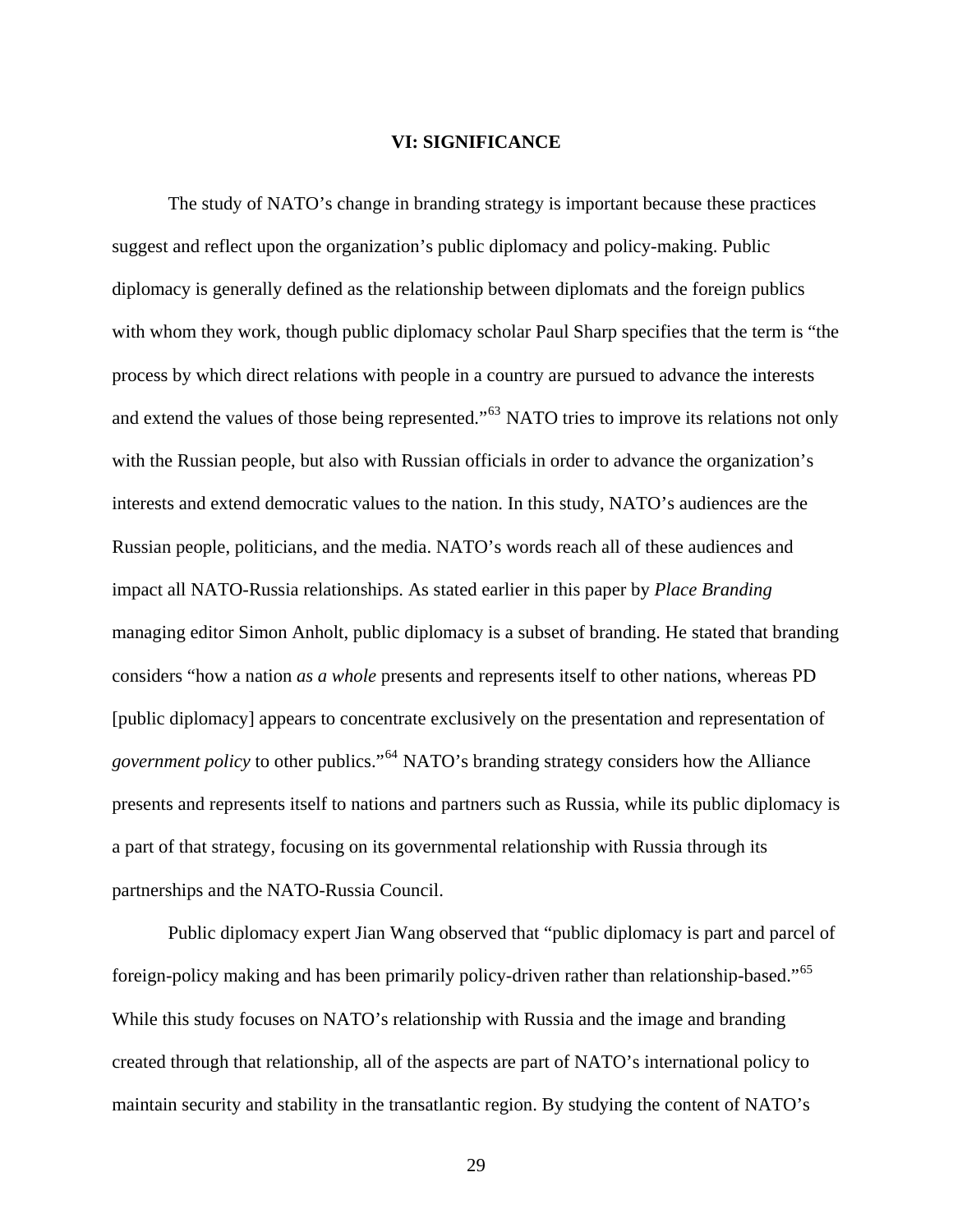### **VI: SIGNIFICANCE**

 The study of NATO's change in branding strategy is important because these practices suggest and reflect upon the organization's public diplomacy and policy-making. Public diplomacy is generally defined as the relationship between diplomats and the foreign publics with whom they work, though public diplomacy scholar Paul Sharp specifies that the term is "the process by which direct relations with people in a country are pursued to advance the interests and extend the values of those being represented."<sup>[63](#page-115-0)</sup> NATO tries to improve its relations not only with the Russian people, but also with Russian officials in order to advance the organization's interests and extend democratic values to the nation. In this study, NATO's audiences are the Russian people, politicians, and the media. NATO's words reach all of these audiences and impact all NATO-Russia relationships. As stated earlier in this paper by *Place Branding* managing editor Simon Anholt, public diplomacy is a subset of branding. He stated that branding considers "how a nation *as a whole* presents and represents itself to other nations, whereas PD [public diplomacy] appears to concentrate exclusively on the presentation and representation of *government policy* to other publics."[64](#page-115-1) NATO's branding strategy considers how the Alliance presents and represents itself to nations and partners such as Russia, while its public diplomacy is a part of that strategy, focusing on its governmental relationship with Russia through its partnerships and the NATO-Russia Council.

 Public diplomacy expert Jian Wang observed that "public diplomacy is part and parcel of foreign-policy making and has been primarily policy-driven rather than relationship-based."[65](#page-115-2) While this study focuses on NATO's relationship with Russia and the image and branding created through that relationship, all of the aspects are part of NATO's international policy to maintain security and stability in the transatlantic region. By studying the content of NATO's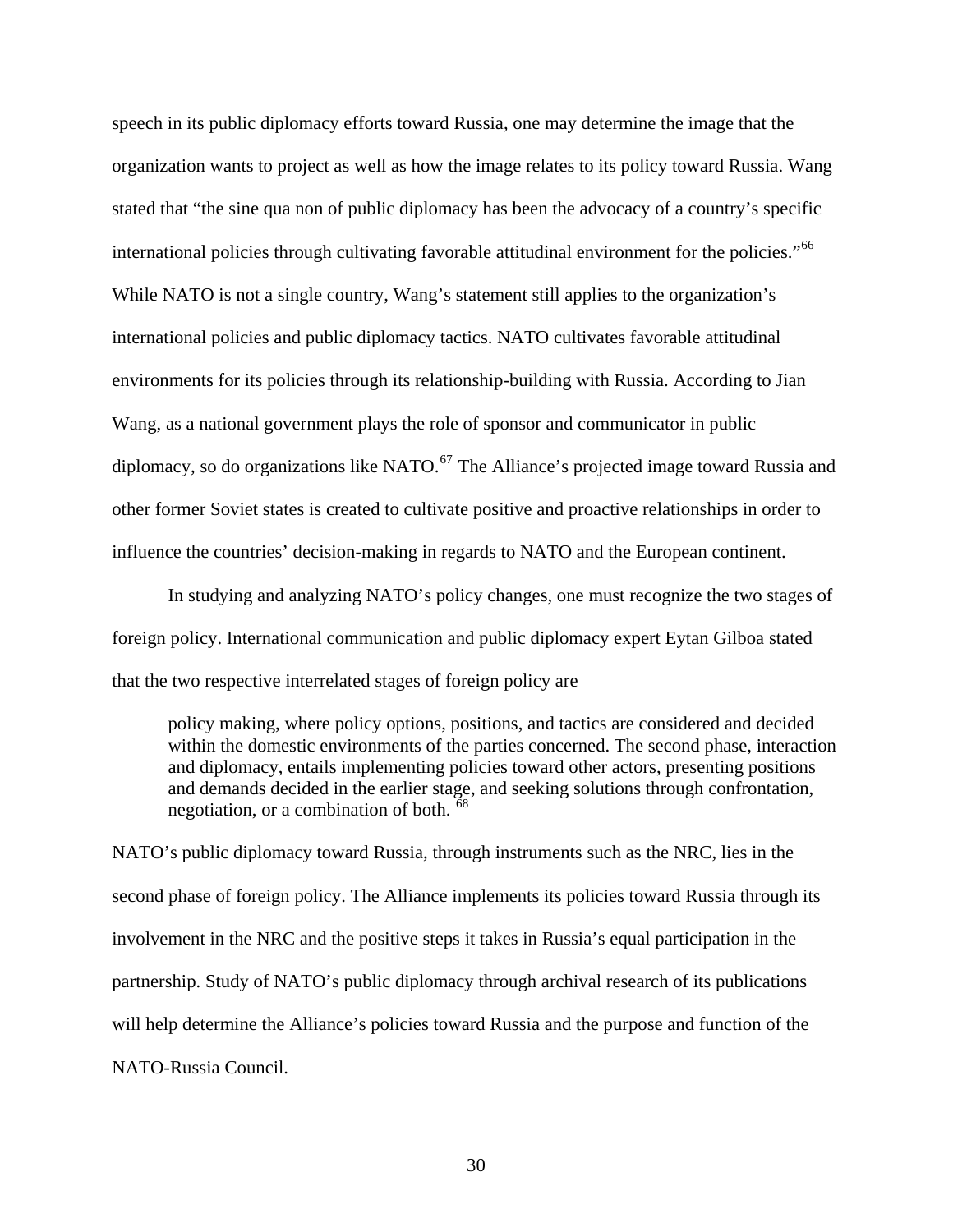speech in its public diplomacy efforts toward Russia, one may determine the image that the organization wants to project as well as how the image relates to its policy toward Russia. Wang stated that "the sine qua non of public diplomacy has been the advocacy of a country's specific international policies through cultivating favorable attitudinal environment for the policies."<sup>[66](#page-115-3)</sup> While NATO is not a single country, Wang's statement still applies to the organization's international policies and public diplomacy tactics. NATO cultivates favorable attitudinal environments for its policies through its relationship-building with Russia. According to Jian Wang, as a national government plays the role of sponsor and communicator in public diplomacy, so do organizations like NATO.<sup>[67](#page-115-4)</sup> The Alliance's projected image toward Russia and other former Soviet states is created to cultivate positive and proactive relationships in order to influence the countries' decision-making in regards to NATO and the European continent.

 In studying and analyzing NATO's policy changes, one must recognize the two stages of foreign policy. International communication and public diplomacy expert Eytan Gilboa stated that the two respective interrelated stages of foreign policy are

policy making, where policy options, positions, and tactics are considered and decided within the domestic environments of the parties concerned. The second phase, interaction and diplomacy, entails implementing policies toward other actors, presenting positions and demands decided in the earlier stage, and seeking solutions through confrontation, negotiation, or a combination of both. <sup>[68](#page-115-5)</sup>

NATO's public diplomacy toward Russia, through instruments such as the NRC, lies in the second phase of foreign policy. The Alliance implements its policies toward Russia through its involvement in the NRC and the positive steps it takes in Russia's equal participation in the partnership. Study of NATO's public diplomacy through archival research of its publications will help determine the Alliance's policies toward Russia and the purpose and function of the NATO-Russia Council.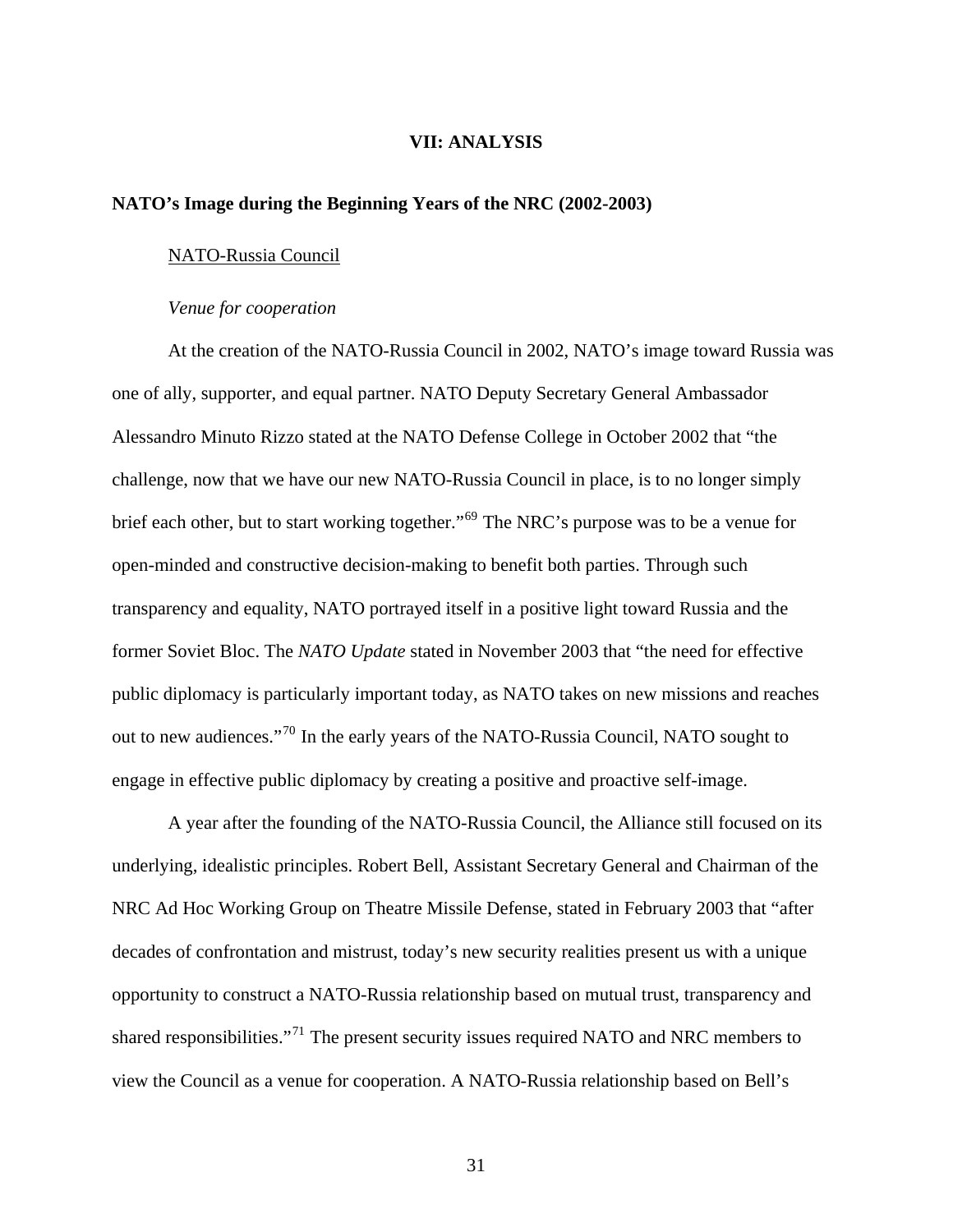### **VII: ANALYSIS**

# **NATO's Image during the Beginning Years of the NRC (2002-2003)**

### NATO-Russia Council

#### *Venue for cooperation*

At the creation of the NATO-Russia Council in 2002, NATO's image toward Russia was one of ally, supporter, and equal partner. NATO Deputy Secretary General Ambassador Alessandro Minuto Rizzo stated at the NATO Defense College in October 2002 that "the challenge, now that we have our new NATO-Russia Council in place, is to no longer simply brief each other, but to start working together."[69](#page-115-6) The NRC's purpose was to be a venue for open-minded and constructive decision-making to benefit both parties. Through such transparency and equality, NATO portrayed itself in a positive light toward Russia and the former Soviet Bloc. The *NATO Update* stated in November 2003 that "the need for effective public diplomacy is particularly important today, as NATO takes on new missions and reaches out to new audiences."<sup>[70](#page-116-0)</sup> In the early years of the NATO-Russia Council, NATO sought to engage in effective public diplomacy by creating a positive and proactive self-image.

A year after the founding of the NATO-Russia Council, the Alliance still focused on its underlying, idealistic principles. Robert Bell, Assistant Secretary General and Chairman of the NRC Ad Hoc Working Group on Theatre Missile Defense, stated in February 2003 that "after decades of confrontation and mistrust, today's new security realities present us with a unique opportunity to construct a NATO-Russia relationship based on mutual trust, transparency and shared responsibilities."<sup>[71](#page-116-1)</sup> The present security issues required NATO and NRC members to view the Council as a venue for cooperation. A NATO-Russia relationship based on Bell's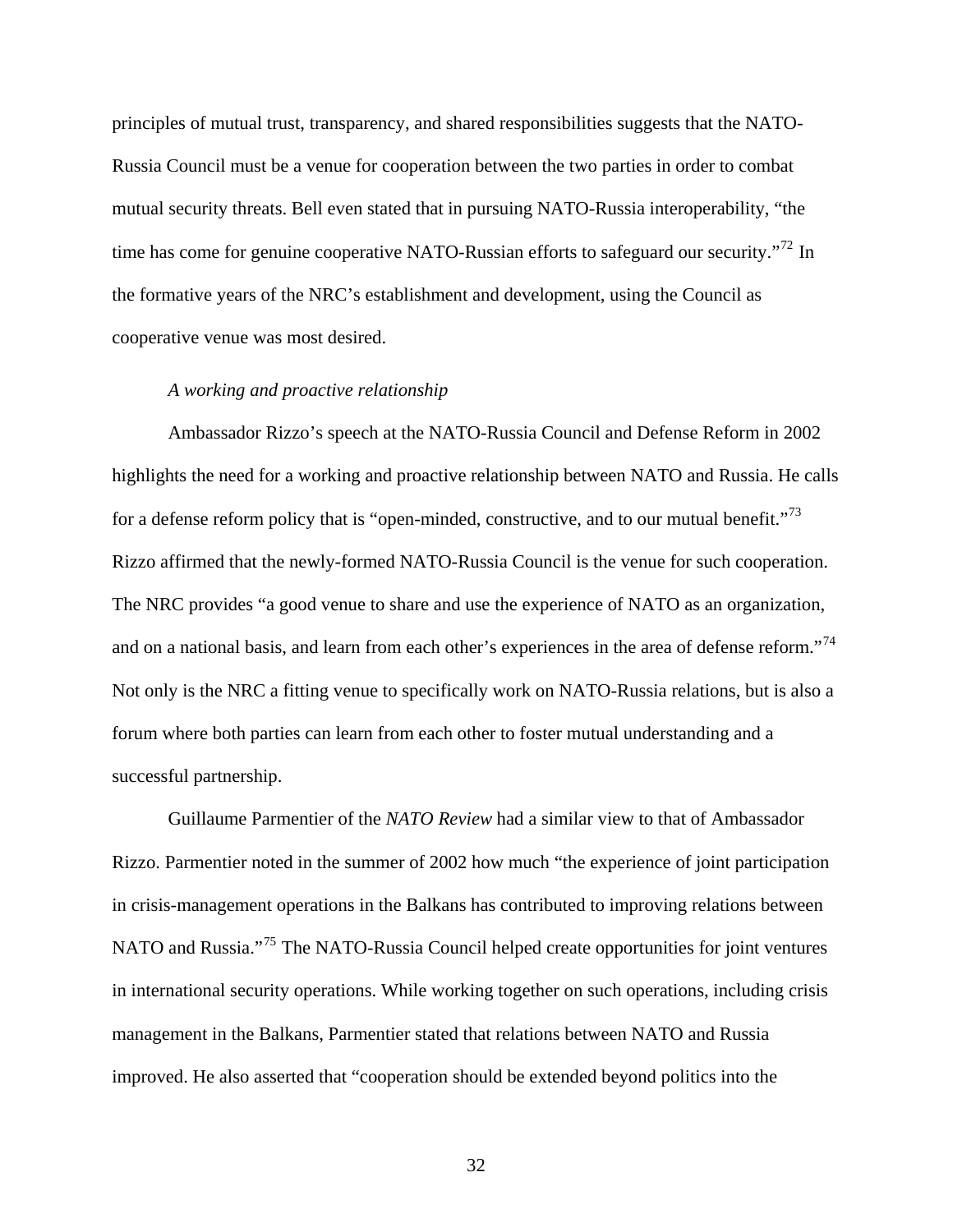principles of mutual trust, transparency, and shared responsibilities suggests that the NATO-Russia Council must be a venue for cooperation between the two parties in order to combat mutual security threats. Bell even stated that in pursuing NATO-Russia interoperability, "the time has come for genuine cooperative NATO-Russian efforts to safeguard our security."<sup>[72](#page-116-2)</sup> In the formative years of the NRC's establishment and development, using the Council as cooperative venue was most desired.

# *A working and proactive relationship*

Ambassador Rizzo's speech at the NATO-Russia Council and Defense Reform in 2002 highlights the need for a working and proactive relationship between NATO and Russia. He calls for a defense reform policy that is "open-minded, constructive, and to our mutual benefit."<sup>[73](#page-116-3)</sup> Rizzo affirmed that the newly-formed NATO-Russia Council is the venue for such cooperation. The NRC provides "a good venue to share and use the experience of NATO as an organization, and on a national basis, and learn from each other's experiences in the area of defense reform."<sup>[74](#page-116-4)</sup> Not only is the NRC a fitting venue to specifically work on NATO-Russia relations, but is also a forum where both parties can learn from each other to foster mutual understanding and a successful partnership.

 Guillaume Parmentier of the *NATO Review* had a similar view to that of Ambassador Rizzo. Parmentier noted in the summer of 2002 how much "the experience of joint participation in crisis-management operations in the Balkans has contributed to improving relations between NATO and Russia."<sup>[75](#page-116-5)</sup> The NATO-Russia Council helped create opportunities for joint ventures in international security operations. While working together on such operations, including crisis management in the Balkans, Parmentier stated that relations between NATO and Russia improved. He also asserted that "cooperation should be extended beyond politics into the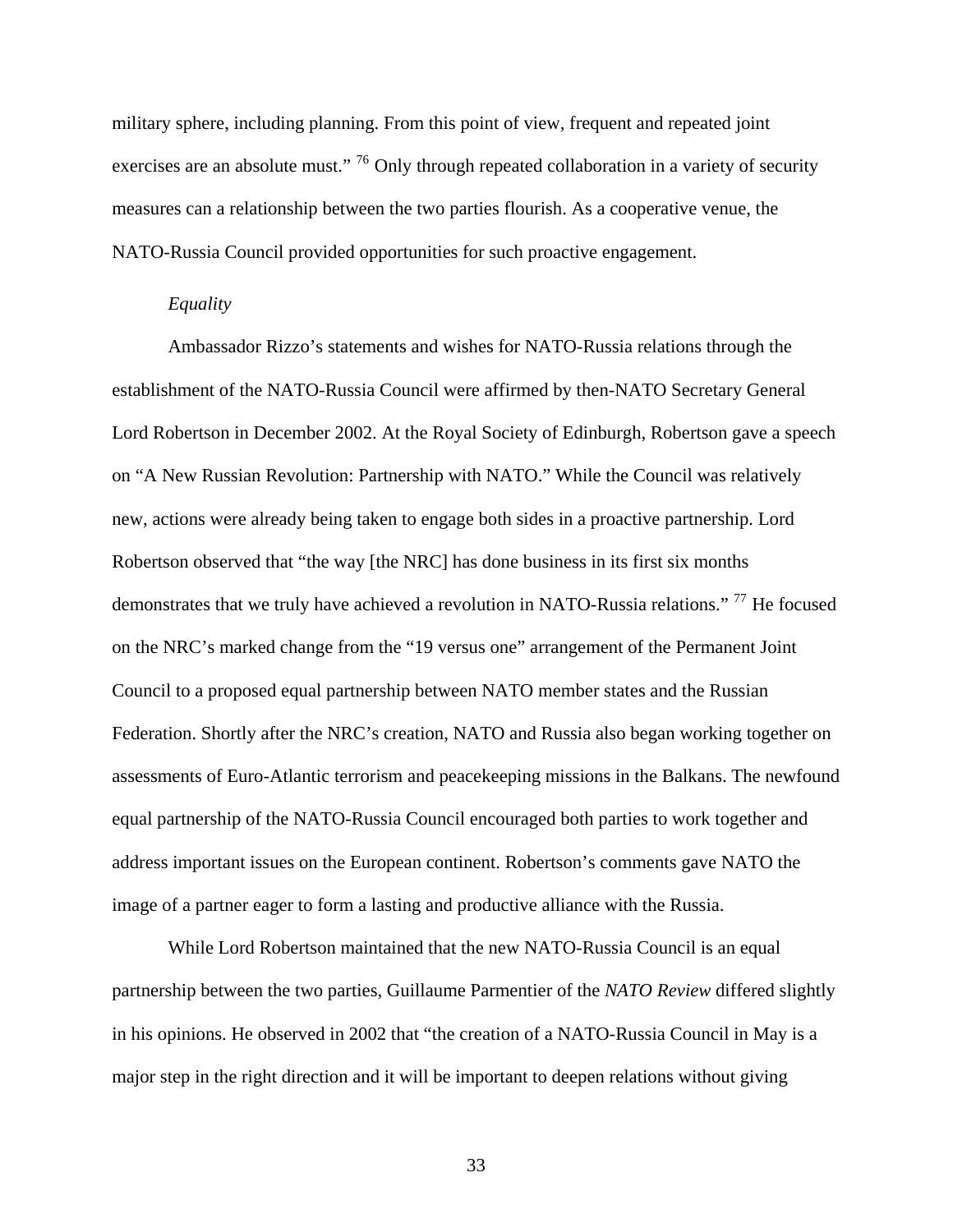military sphere, including planning. From this point of view, frequent and repeated joint exercises are an absolute must." <sup>[76](#page-116-6)</sup> Only through repeated collaboration in a variety of security measures can a relationship between the two parties flourish. As a cooperative venue, the NATO-Russia Council provided opportunities for such proactive engagement.

#### *Equality*

Ambassador Rizzo's statements and wishes for NATO-Russia relations through the establishment of the NATO-Russia Council were affirmed by then-NATO Secretary General Lord Robertson in December 2002. At the Royal Society of Edinburgh, Robertson gave a speech on "A New Russian Revolution: Partnership with NATO." While the Council was relatively new, actions were already being taken to engage both sides in a proactive partnership. Lord Robertson observed that "the way [the NRC] has done business in its first six months demonstrates that we truly have achieved a revolution in NATO-Russia relations." [77](#page-116-7) He focused on the NRC's marked change from the "19 versus one" arrangement of the Permanent Joint Council to a proposed equal partnership between NATO member states and the Russian Federation. Shortly after the NRC's creation, NATO and Russia also began working together on assessments of Euro-Atlantic terrorism and peacekeeping missions in the Balkans. The newfound equal partnership of the NATO-Russia Council encouraged both parties to work together and address important issues on the European continent. Robertson's comments gave NATO the image of a partner eager to form a lasting and productive alliance with the Russia.

 While Lord Robertson maintained that the new NATO-Russia Council is an equal partnership between the two parties, Guillaume Parmentier of the *NATO Review* differed slightly in his opinions. He observed in 2002 that "the creation of a NATO-Russia Council in May is a major step in the right direction and it will be important to deepen relations without giving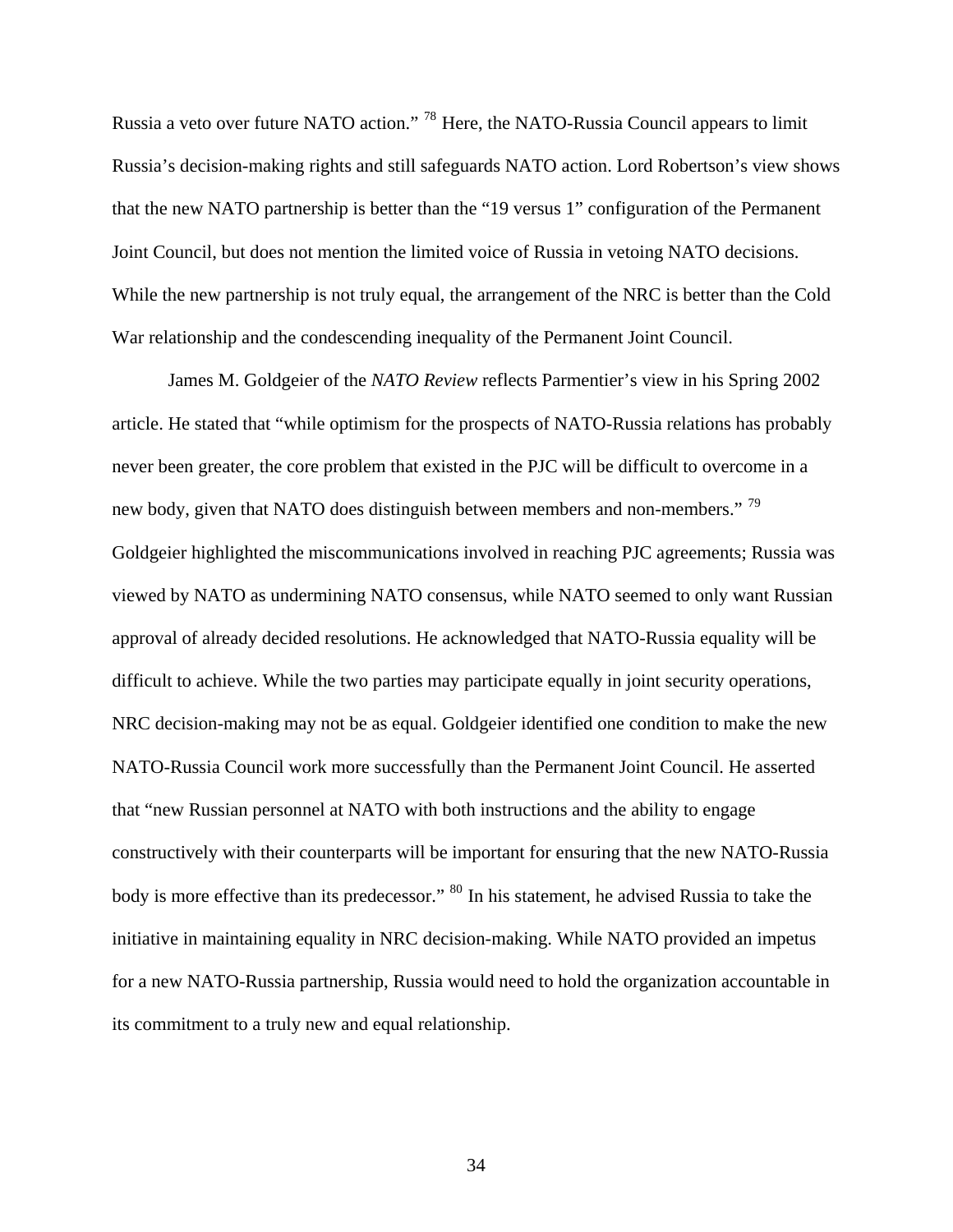Russia a veto over future NATO action." [78](#page-116-8) Here, the NATO-Russia Council appears to limit Russia's decision-making rights and still safeguards NATO action. Lord Robertson's view shows that the new NATO partnership is better than the "19 versus 1" configuration of the Permanent Joint Council, but does not mention the limited voice of Russia in vetoing NATO decisions. While the new partnership is not truly equal, the arrangement of the NRC is better than the Cold War relationship and the condescending inequality of the Permanent Joint Council.

 James M. Goldgeier of the *NATO Review* reflects Parmentier's view in his Spring 2002 article. He stated that "while optimism for the prospects of NATO-Russia relations has probably never been greater, the core problem that existed in the PJC will be difficult to overcome in a new body, given that NATO does distinguish between members and non-members."<sup>[79](#page-116-9)</sup> Goldgeier highlighted the miscommunications involved in reaching PJC agreements; Russia was viewed by NATO as undermining NATO consensus, while NATO seemed to only want Russian approval of already decided resolutions. He acknowledged that NATO-Russia equality will be difficult to achieve. While the two parties may participate equally in joint security operations, NRC decision-making may not be as equal. Goldgeier identified one condition to make the new NATO-Russia Council work more successfully than the Permanent Joint Council. He asserted that "new Russian personnel at NATO with both instructions and the ability to engage constructively with their counterparts will be important for ensuring that the new NATO-Russia body is more effective than its predecessor." <sup>[80](#page-116-10)</sup> In his statement, he advised Russia to take the initiative in maintaining equality in NRC decision-making. While NATO provided an impetus for a new NATO-Russia partnership, Russia would need to hold the organization accountable in its commitment to a truly new and equal relationship.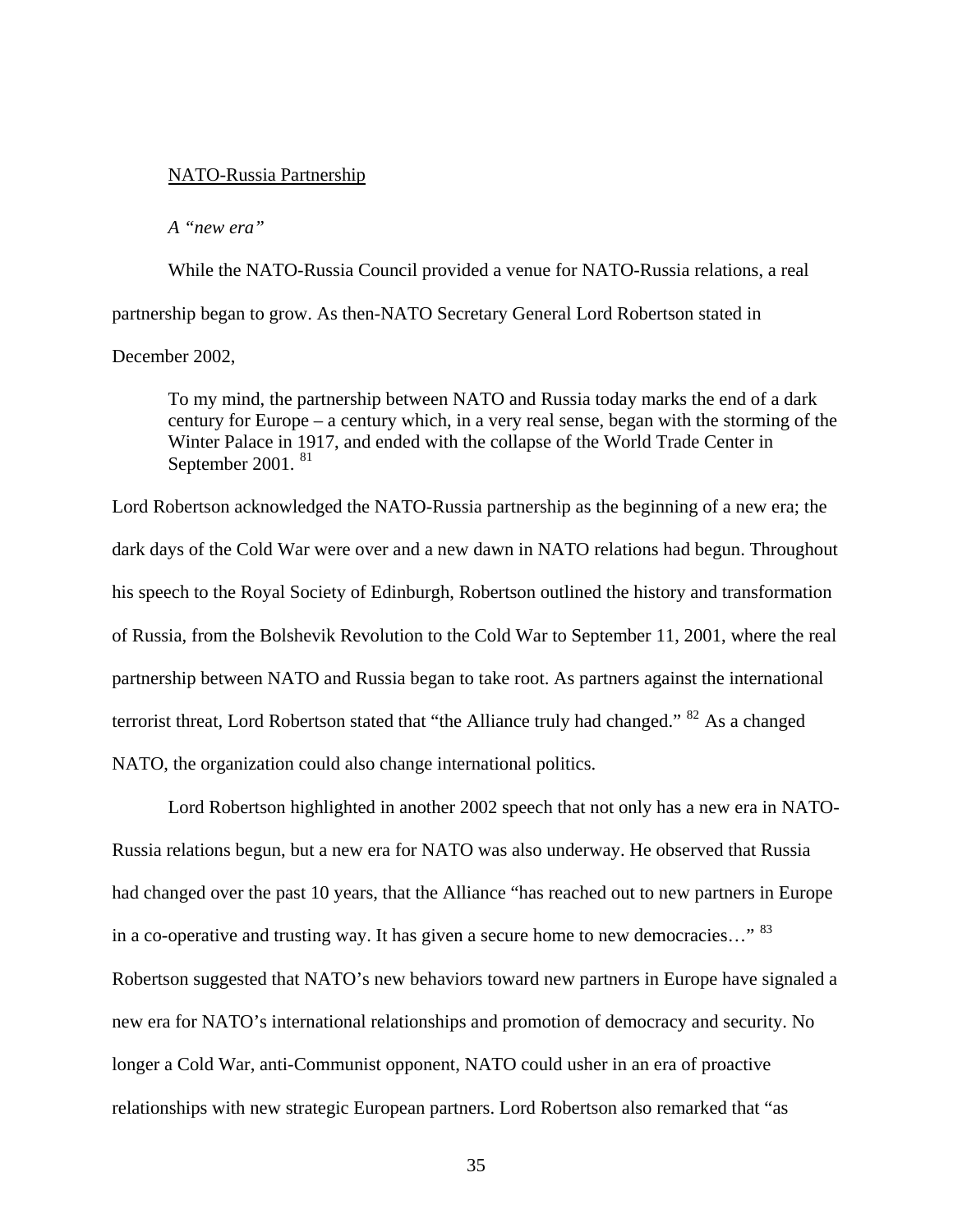#### NATO-Russia Partnership

*A "new era"* 

While the NATO-Russia Council provided a venue for NATO-Russia relations, a real partnership began to grow. As then-NATO Secretary General Lord Robertson stated in December 2002,

To my mind, the partnership between NATO and Russia today marks the end of a dark century for Europe – a century which, in a very real sense, began with the storming of the Winter Palace in 1917, and ended with the collapse of the World Trade Center in September 2001. [81](#page-116-11)

Lord Robertson acknowledged the NATO-Russia partnership as the beginning of a new era; the dark days of the Cold War were over and a new dawn in NATO relations had begun. Throughout his speech to the Royal Society of Edinburgh, Robertson outlined the history and transformation of Russia, from the Bolshevik Revolution to the Cold War to September 11, 2001, where the real partnership between NATO and Russia began to take root. As partners against the international terrorist threat, Lord Robertson stated that "the Alliance truly had changed." <sup>[82](#page-116-12)</sup> As a changed NATO, the organization could also change international politics.

 Lord Robertson highlighted in another 2002 speech that not only has a new era in NATO-Russia relations begun, but a new era for NATO was also underway. He observed that Russia had changed over the past 10 years, that the Alliance "has reached out to new partners in Europe in a co-operative and trusting way. It has given a secure home to new democracies..." <sup>[83](#page-116-13)</sup> Robertson suggested that NATO's new behaviors toward new partners in Europe have signaled a new era for NATO's international relationships and promotion of democracy and security. No longer a Cold War, anti-Communist opponent, NATO could usher in an era of proactive relationships with new strategic European partners. Lord Robertson also remarked that "as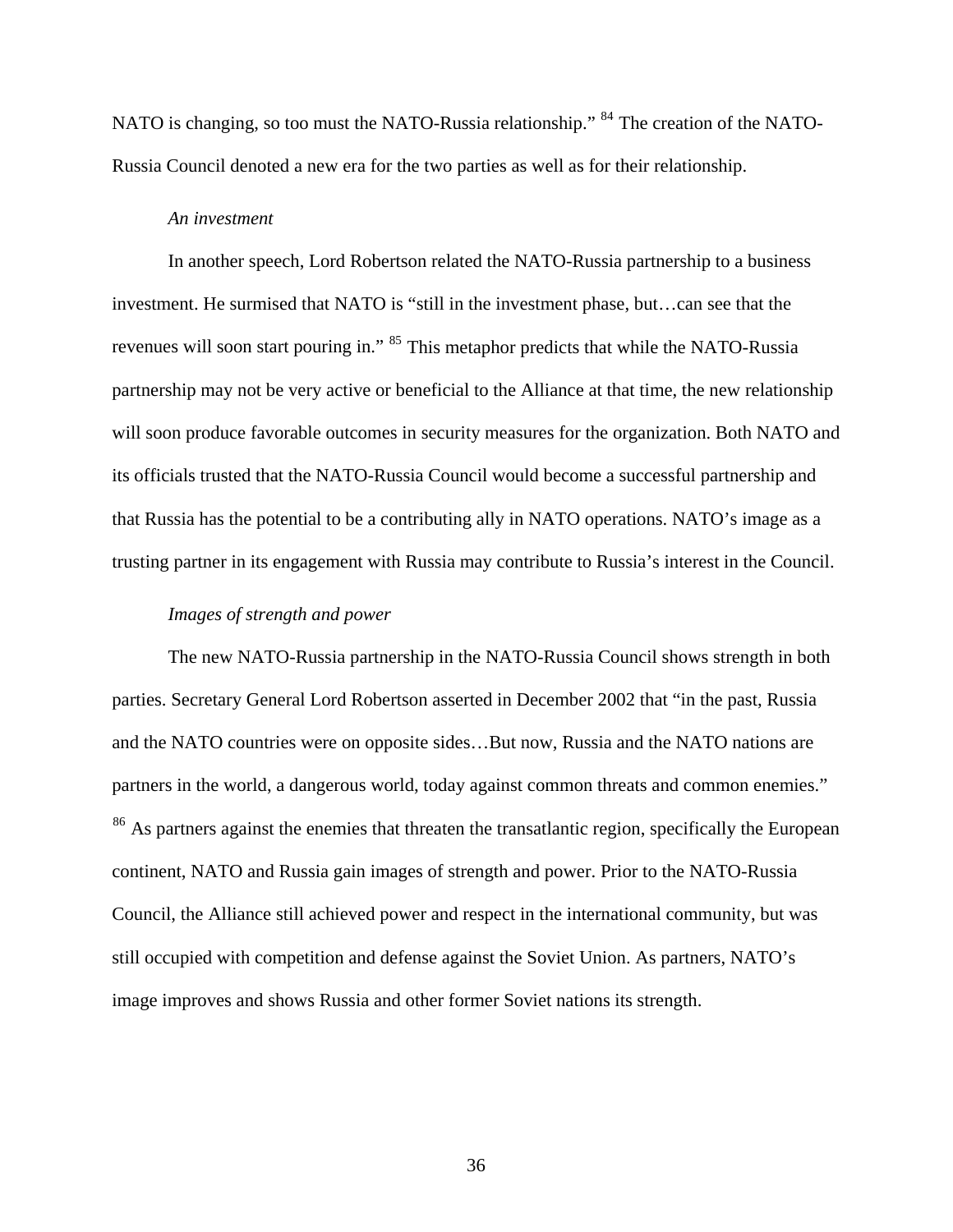NATO is changing, so too must the NATO-Russia relationship." <sup>[84](#page-116-14)</sup> The creation of the NATO-Russia Council denoted a new era for the two parties as well as for their relationship.

### *An investment*

In another speech, Lord Robertson related the NATO-Russia partnership to a business investment. He surmised that NATO is "still in the investment phase, but…can see that the revenues will soon start pouring in." <sup>[85](#page-116-15)</sup> This metaphor predicts that while the NATO-Russia partnership may not be very active or beneficial to the Alliance at that time, the new relationship will soon produce favorable outcomes in security measures for the organization. Both NATO and its officials trusted that the NATO-Russia Council would become a successful partnership and that Russia has the potential to be a contributing ally in NATO operations. NATO's image as a trusting partner in its engagement with Russia may contribute to Russia's interest in the Council.

# *Images of strength and power*

The new NATO-Russia partnership in the NATO-Russia Council shows strength in both parties. Secretary General Lord Robertson asserted in December 2002 that "in the past, Russia and the NATO countries were on opposite sides…But now, Russia and the NATO nations are partners in the world, a dangerous world, today against common threats and common enemies." <sup>[86](#page-116-16)</sup> As partners against the enemies that threaten the transatlantic region, specifically the European continent, NATO and Russia gain images of strength and power. Prior to the NATO-Russia Council, the Alliance still achieved power and respect in the international community, but was still occupied with competition and defense against the Soviet Union. As partners, NATO's image improves and shows Russia and other former Soviet nations its strength.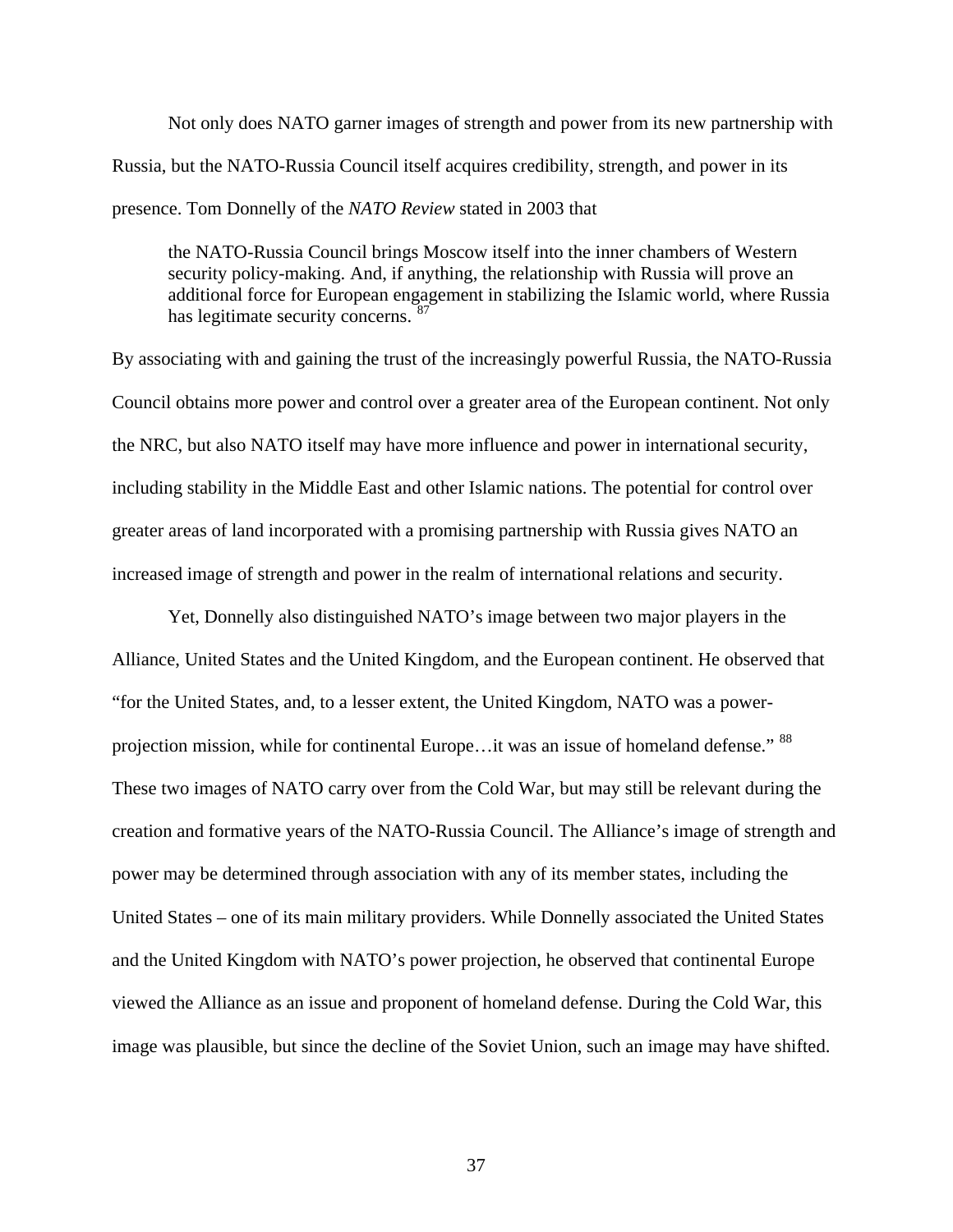Not only does NATO garner images of strength and power from its new partnership with Russia, but the NATO-Russia Council itself acquires credibility, strength, and power in its presence. Tom Donnelly of the *NATO Review* stated in 2003 that

the NATO-Russia Council brings Moscow itself into the inner chambers of Western security policy-making. And, if anything, the relationship with Russia will prove an additional force for European engagement in stabilizing the Islamic world, where Russia has legitimate security concerns. [87](#page-116-17)

By associating with and gaining the trust of the increasingly powerful Russia, the NATO-Russia Council obtains more power and control over a greater area of the European continent. Not only the NRC, but also NATO itself may have more influence and power in international security, including stability in the Middle East and other Islamic nations. The potential for control over greater areas of land incorporated with a promising partnership with Russia gives NATO an increased image of strength and power in the realm of international relations and security.

 Yet, Donnelly also distinguished NATO's image between two major players in the Alliance, United States and the United Kingdom, and the European continent. He observed that "for the United States, and, to a lesser extent, the United Kingdom, NATO was a power-projection mission, while for continental Europe...it was an issue of homeland defense." <sup>[88](#page-116-18)</sup> These two images of NATO carry over from the Cold War, but may still be relevant during the creation and formative years of the NATO-Russia Council. The Alliance's image of strength and power may be determined through association with any of its member states, including the United States – one of its main military providers. While Donnelly associated the United States and the United Kingdom with NATO's power projection, he observed that continental Europe viewed the Alliance as an issue and proponent of homeland defense. During the Cold War, this image was plausible, but since the decline of the Soviet Union, such an image may have shifted.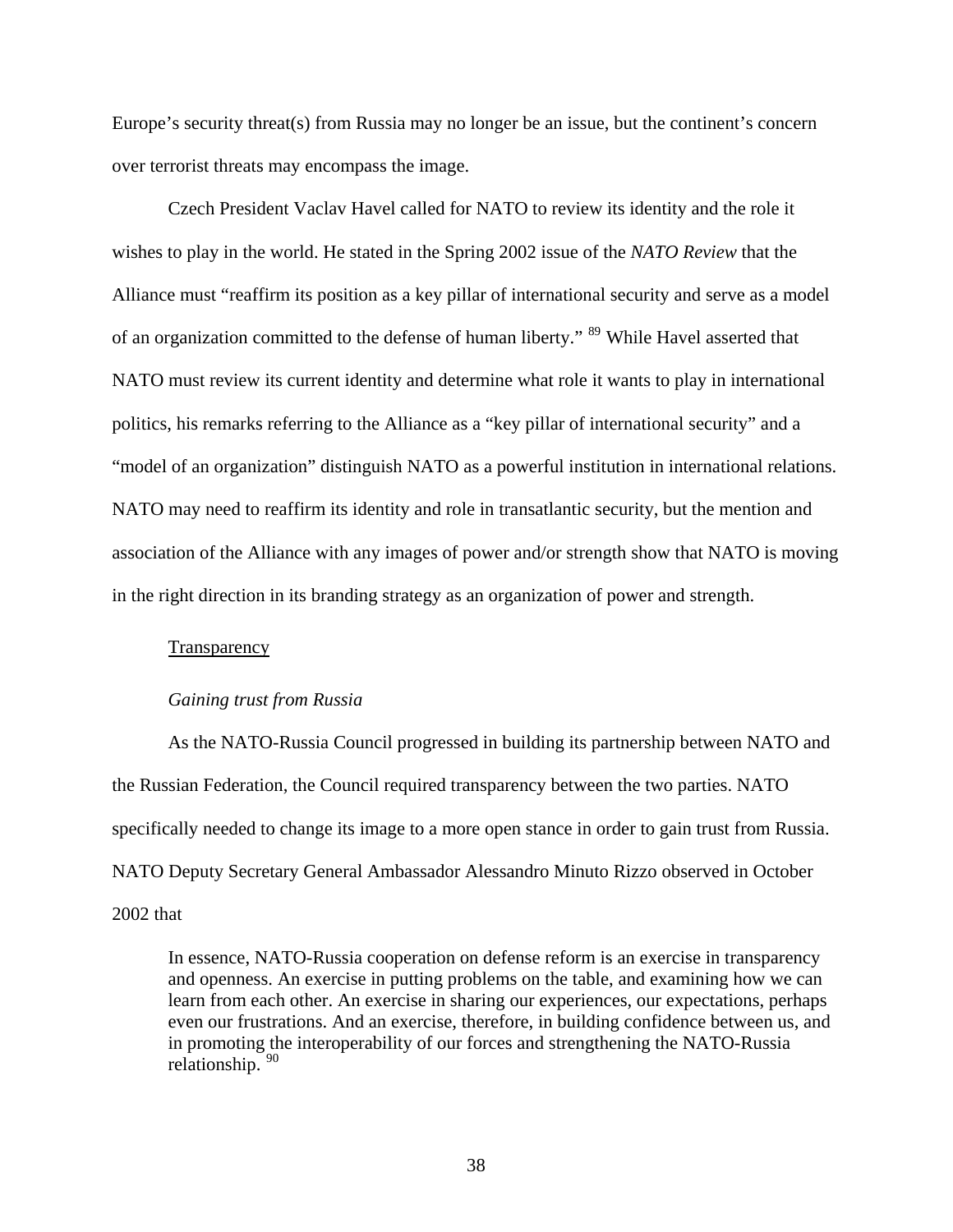Europe's security threat(s) from Russia may no longer be an issue, but the continent's concern over terrorist threats may encompass the image.

 Czech President Vaclav Havel called for NATO to review its identity and the role it wishes to play in the world. He stated in the Spring 2002 issue of the *NATO Review* that the Alliance must "reaffirm its position as a key pillar of international security and serve as a model of an organization committed to the defense of human liberty." <sup>[89](#page-116-19)</sup> While Havel asserted that NATO must review its current identity and determine what role it wants to play in international politics, his remarks referring to the Alliance as a "key pillar of international security" and a "model of an organization" distinguish NATO as a powerful institution in international relations. NATO may need to reaffirm its identity and role in transatlantic security, but the mention and association of the Alliance with any images of power and/or strength show that NATO is moving in the right direction in its branding strategy as an organization of power and strength.

#### Transparency

#### *Gaining trust from Russia*

As the NATO-Russia Council progressed in building its partnership between NATO and the Russian Federation, the Council required transparency between the two parties. NATO specifically needed to change its image to a more open stance in order to gain trust from Russia. NATO Deputy Secretary General Ambassador Alessandro Minuto Rizzo observed in October 2002 that

In essence, NATO-Russia cooperation on defense reform is an exercise in transparency and openness. An exercise in putting problems on the table, and examining how we can learn from each other. An exercise in sharing our experiences, our expectations, perhaps even our frustrations. And an exercise, therefore, in building confidence between us, and in promoting the interoperability of our forces and strengthening the NATO-Russia relationship. [90](#page-116-20)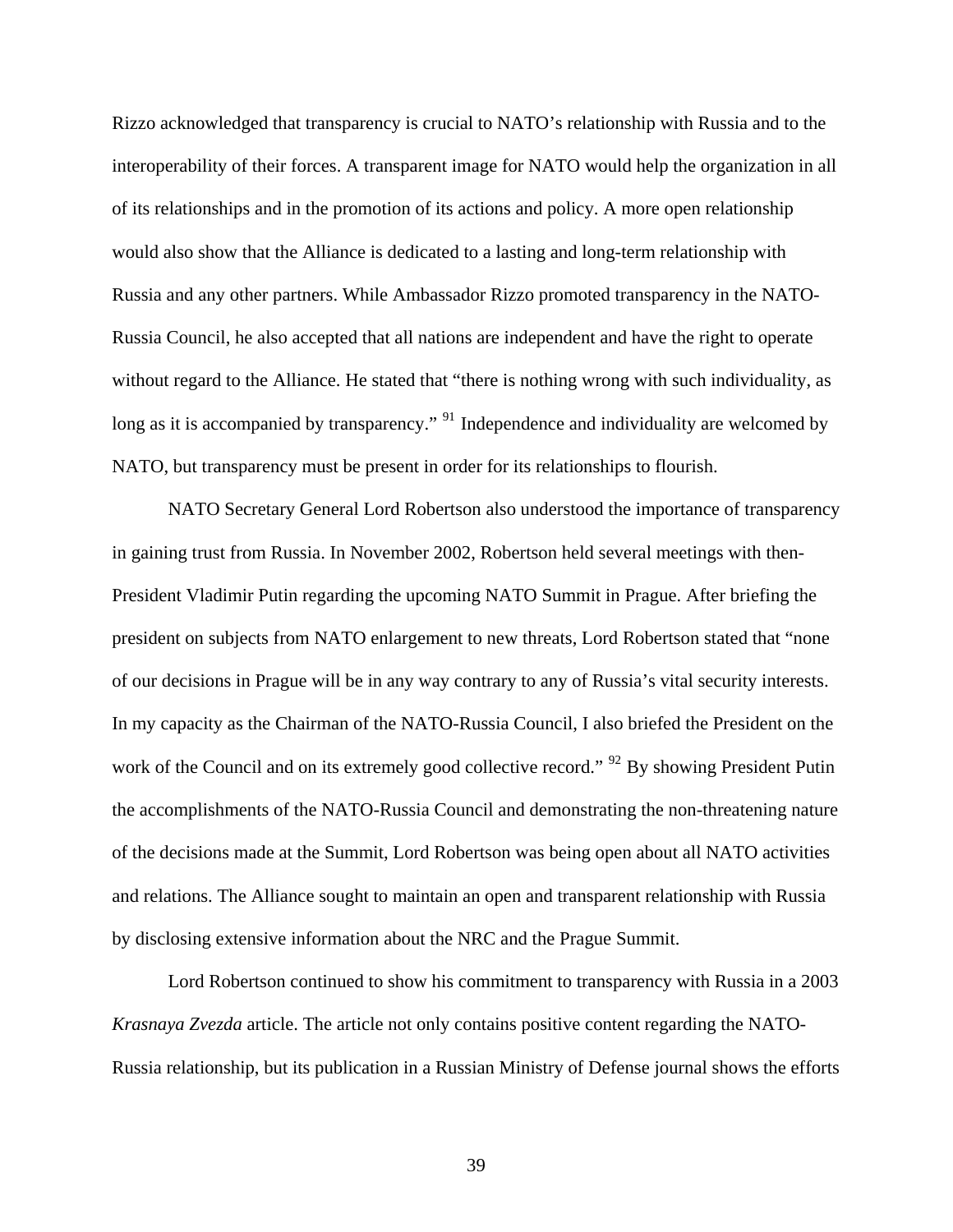Rizzo acknowledged that transparency is crucial to NATO's relationship with Russia and to the interoperability of their forces. A transparent image for NATO would help the organization in all of its relationships and in the promotion of its actions and policy. A more open relationship would also show that the Alliance is dedicated to a lasting and long-term relationship with Russia and any other partners. While Ambassador Rizzo promoted transparency in the NATO-Russia Council, he also accepted that all nations are independent and have the right to operate without regard to the Alliance. He stated that "there is nothing wrong with such individuality, as long as it is accompanied by transparency." <sup>[91](#page-116-21)</sup> Independence and individuality are welcomed by NATO, but transparency must be present in order for its relationships to flourish.

 NATO Secretary General Lord Robertson also understood the importance of transparency in gaining trust from Russia. In November 2002, Robertson held several meetings with then-President Vladimir Putin regarding the upcoming NATO Summit in Prague. After briefing the president on subjects from NATO enlargement to new threats, Lord Robertson stated that "none of our decisions in Prague will be in any way contrary to any of Russia's vital security interests. In my capacity as the Chairman of the NATO-Russia Council, I also briefed the President on the work of the Council and on its extremely good collective record." <sup>[92](#page-116-22)</sup> By showing President Putin the accomplishments of the NATO-Russia Council and demonstrating the non-threatening nature of the decisions made at the Summit, Lord Robertson was being open about all NATO activities and relations. The Alliance sought to maintain an open and transparent relationship with Russia by disclosing extensive information about the NRC and the Prague Summit.

 Lord Robertson continued to show his commitment to transparency with Russia in a 2003 *Krasnaya Zvezda* article. The article not only contains positive content regarding the NATO-Russia relationship, but its publication in a Russian Ministry of Defense journal shows the efforts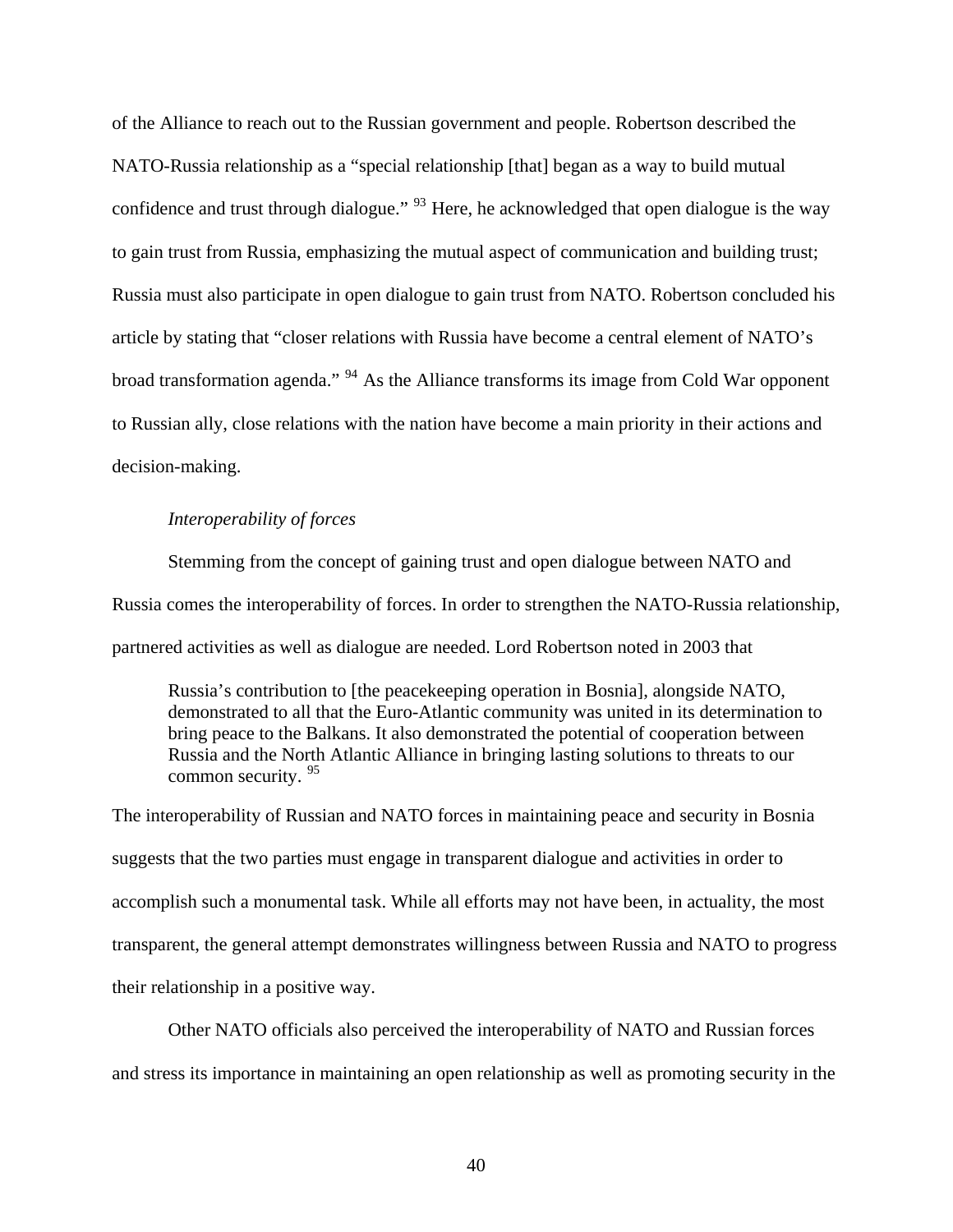of the Alliance to reach out to the Russian government and people. Robertson described the NATO-Russia relationship as a "special relationship [that] began as a way to build mutual confidence and trust through dialogue." <sup>[93](#page-116-23)</sup> Here, he acknowledged that open dialogue is the way to gain trust from Russia, emphasizing the mutual aspect of communication and building trust; Russia must also participate in open dialogue to gain trust from NATO. Robertson concluded his article by stating that "closer relations with Russia have become a central element of NATO's broad transformation agenda." [94](#page-116-24) As the Alliance transforms its image from Cold War opponent to Russian ally, close relations with the nation have become a main priority in their actions and decision-making.

## *Interoperability of forces*

Stemming from the concept of gaining trust and open dialogue between NATO and Russia comes the interoperability of forces. In order to strengthen the NATO-Russia relationship, partnered activities as well as dialogue are needed. Lord Robertson noted in 2003 that

Russia's contribution to [the peacekeeping operation in Bosnia], alongside NATO, demonstrated to all that the Euro-Atlantic community was united in its determination to bring peace to the Balkans. It also demonstrated the potential of cooperation between Russia and the North Atlantic Alliance in bringing lasting solutions to threats to our common security. <sup>[95](#page-116-25)</sup>

The interoperability of Russian and NATO forces in maintaining peace and security in Bosnia suggests that the two parties must engage in transparent dialogue and activities in order to accomplish such a monumental task. While all efforts may not have been, in actuality, the most transparent, the general attempt demonstrates willingness between Russia and NATO to progress their relationship in a positive way.

 Other NATO officials also perceived the interoperability of NATO and Russian forces and stress its importance in maintaining an open relationship as well as promoting security in the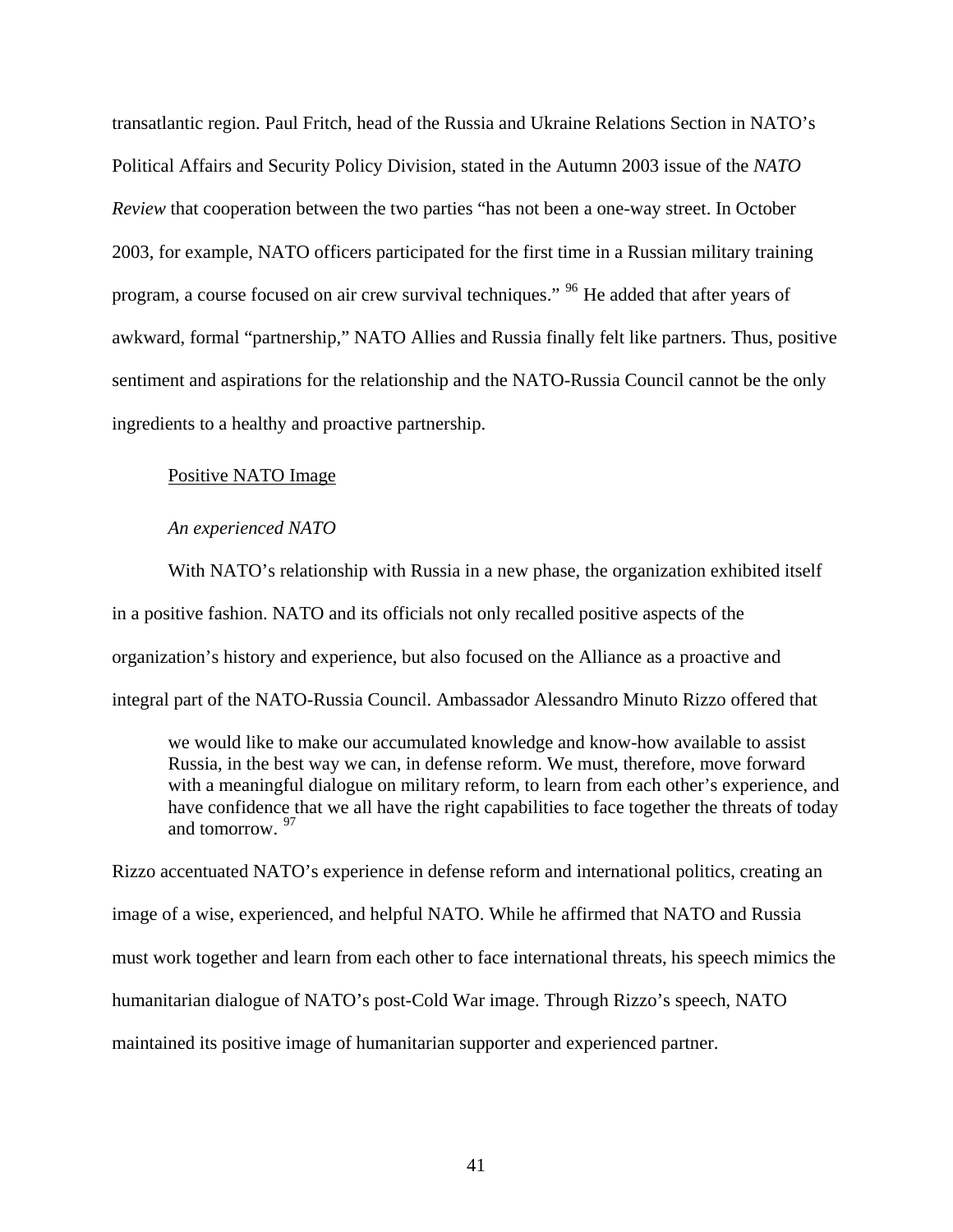transatlantic region. Paul Fritch, head of the Russia and Ukraine Relations Section in NATO's Political Affairs and Security Policy Division, stated in the Autumn 2003 issue of the *NATO Review* that cooperation between the two parties "has not been a one-way street. In October 2003, for example, NATO officers participated for the first time in a Russian military training program, a course focused on air crew survival techniques." <sup>[96](#page-116-26)</sup> He added that after years of awkward, formal "partnership," NATO Allies and Russia finally felt like partners. Thus, positive sentiment and aspirations for the relationship and the NATO-Russia Council cannot be the only ingredients to a healthy and proactive partnership.

# Positive NATO Image

#### *An experienced NATO*

With NATO's relationship with Russia in a new phase, the organization exhibited itself in a positive fashion. NATO and its officials not only recalled positive aspects of the organization's history and experience, but also focused on the Alliance as a proactive and integral part of the NATO-Russia Council. Ambassador Alessandro Minuto Rizzo offered that

we would like to make our accumulated knowledge and know-how available to assist Russia, in the best way we can, in defense reform. We must, therefore, move forward with a meaningful dialogue on military reform, to learn from each other's experience, and have confidence that we all have the right capabilities to face together the threats of today and tomorrow. [97](#page-116-27)

Rizzo accentuated NATO's experience in defense reform and international politics, creating an image of a wise, experienced, and helpful NATO. While he affirmed that NATO and Russia must work together and learn from each other to face international threats, his speech mimics the humanitarian dialogue of NATO's post-Cold War image. Through Rizzo's speech, NATO maintained its positive image of humanitarian supporter and experienced partner.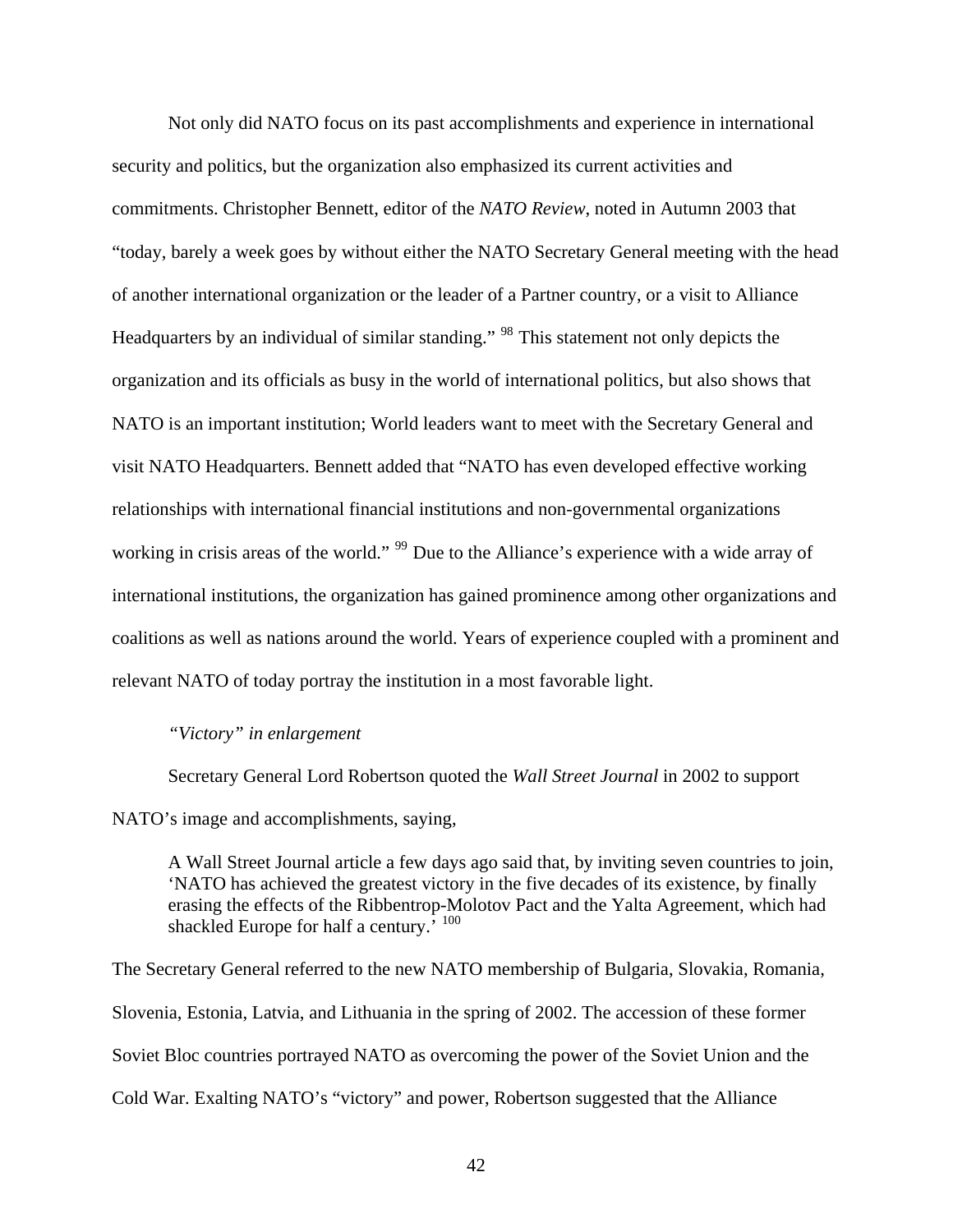Not only did NATO focus on its past accomplishments and experience in international security and politics, but the organization also emphasized its current activities and commitments. Christopher Bennett, editor of the *NATO Review*, noted in Autumn 2003 that "today, barely a week goes by without either the NATO Secretary General meeting with the head of another international organization or the leader of a Partner country, or a visit to Alliance Headquarters by an individual of similar standing." [98](#page-116-28) This statement not only depicts the organization and its officials as busy in the world of international politics, but also shows that NATO is an important institution; World leaders want to meet with the Secretary General and visit NATO Headquarters. Bennett added that "NATO has even developed effective working relationships with international financial institutions and non-governmental organizations working in crisis areas of the world." <sup>[99](#page-116-29)</sup> Due to the Alliance's experience with a wide array of international institutions, the organization has gained prominence among other organizations and coalitions as well as nations around the world. Years of experience coupled with a prominent and relevant NATO of today portray the institution in a most favorable light.

### *"Victory" in enlargement*

Secretary General Lord Robertson quoted the *Wall Street Journal* in 2002 to support NATO's image and accomplishments, saying,

A Wall Street Journal article a few days ago said that, by inviting seven countries to join, 'NATO has achieved the greatest victory in the five decades of its existence, by finally erasing the effects of the Ribbentrop-Molotov Pact and the Yalta Agreement, which had shackled Europe for half a century.<sup>† [100](#page-116-30)</sup>

The Secretary General referred to the new NATO membership of Bulgaria, Slovakia, Romania, Slovenia, Estonia, Latvia, and Lithuania in the spring of 2002. The accession of these former Soviet Bloc countries portrayed NATO as overcoming the power of the Soviet Union and the Cold War. Exalting NATO's "victory" and power, Robertson suggested that the Alliance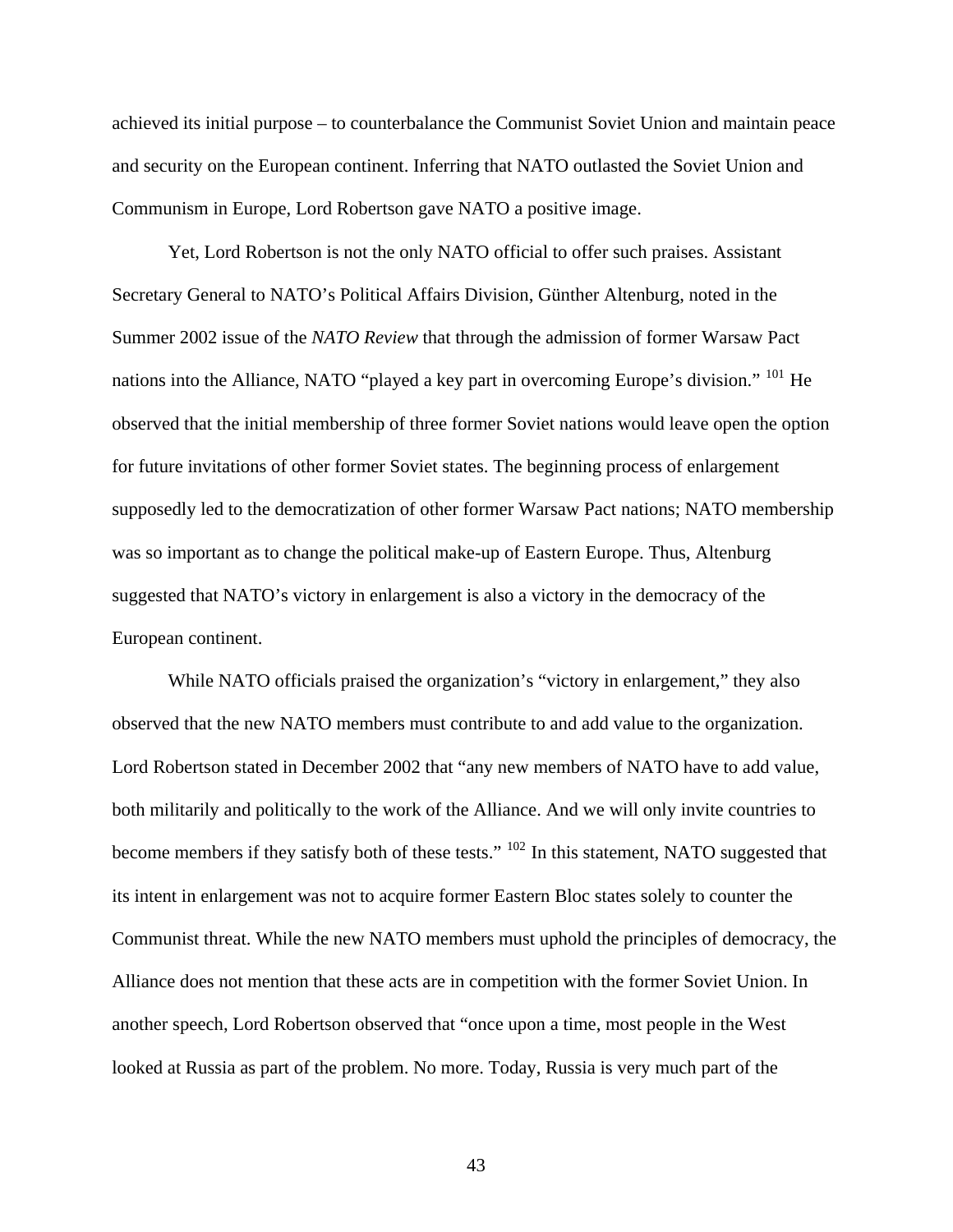achieved its initial purpose – to counterbalance the Communist Soviet Union and maintain peace and security on the European continent. Inferring that NATO outlasted the Soviet Union and Communism in Europe, Lord Robertson gave NATO a positive image.

 Yet, Lord Robertson is not the only NATO official to offer such praises. Assistant Secretary General to NATO's Political Affairs Division, Günther Altenburg, noted in the Summer 2002 issue of the *NATO Review* that through the admission of former Warsaw Pact nations into the Alliance, NATO "played a key part in overcoming Europe's division." [101](#page-116-31) He observed that the initial membership of three former Soviet nations would leave open the option for future invitations of other former Soviet states. The beginning process of enlargement supposedly led to the democratization of other former Warsaw Pact nations; NATO membership was so important as to change the political make-up of Eastern Europe. Thus, Altenburg suggested that NATO's victory in enlargement is also a victory in the democracy of the European continent.

While NATO officials praised the organization's "victory in enlargement," they also observed that the new NATO members must contribute to and add value to the organization. Lord Robertson stated in December 2002 that "any new members of NATO have to add value, both militarily and politically to the work of the Alliance. And we will only invite countries to become members if they satisfy both of these tests." <sup>[102](#page-116-32)</sup> In this statement, NATO suggested that its intent in enlargement was not to acquire former Eastern Bloc states solely to counter the Communist threat. While the new NATO members must uphold the principles of democracy, the Alliance does not mention that these acts are in competition with the former Soviet Union. In another speech, Lord Robertson observed that "once upon a time, most people in the West looked at Russia as part of the problem. No more. Today, Russia is very much part of the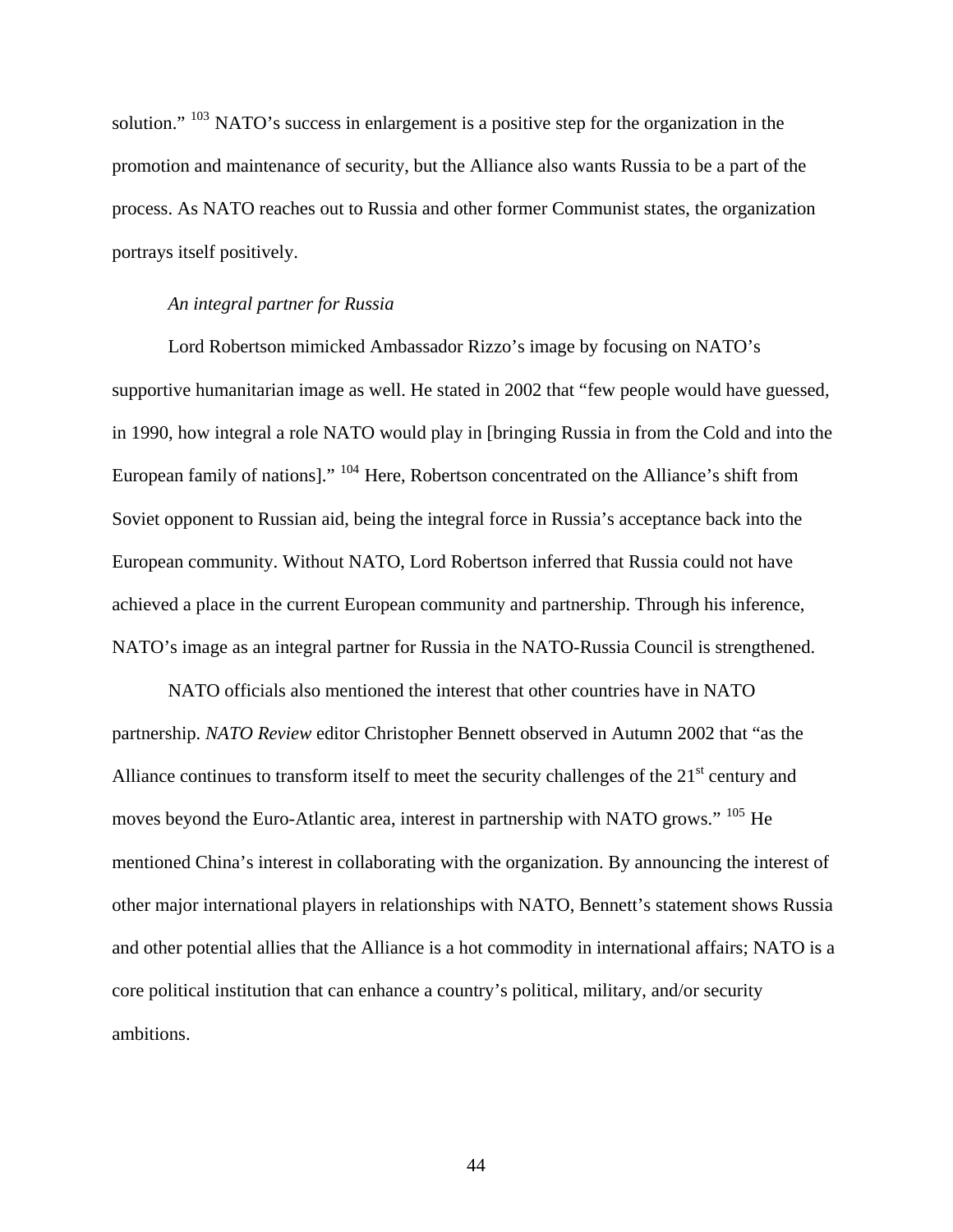solution." <sup>[103](#page-116-33)</sup> NATO's success in enlargement is a positive step for the organization in the promotion and maintenance of security, but the Alliance also wants Russia to be a part of the process. As NATO reaches out to Russia and other former Communist states, the organization portrays itself positively.

## *An integral partner for Russia*

Lord Robertson mimicked Ambassador Rizzo's image by focusing on NATO's supportive humanitarian image as well. He stated in 2002 that "few people would have guessed, in 1990, how integral a role NATO would play in [bringing Russia in from the Cold and into the European family of nations]." [104](#page-116-34) Here, Robertson concentrated on the Alliance's shift from Soviet opponent to Russian aid, being the integral force in Russia's acceptance back into the European community. Without NATO, Lord Robertson inferred that Russia could not have achieved a place in the current European community and partnership. Through his inference, NATO's image as an integral partner for Russia in the NATO-Russia Council is strengthened.

 NATO officials also mentioned the interest that other countries have in NATO partnership. *NATO Review* editor Christopher Bennett observed in Autumn 2002 that "as the Alliance continues to transform itself to meet the security challenges of the  $21<sup>st</sup>$  century and moves beyond the Euro-Atlantic area, interest in partnership with NATO grows." <sup>[105](#page-117-0)</sup> He mentioned China's interest in collaborating with the organization. By announcing the interest of other major international players in relationships with NATO, Bennett's statement shows Russia and other potential allies that the Alliance is a hot commodity in international affairs; NATO is a core political institution that can enhance a country's political, military, and/or security ambitions.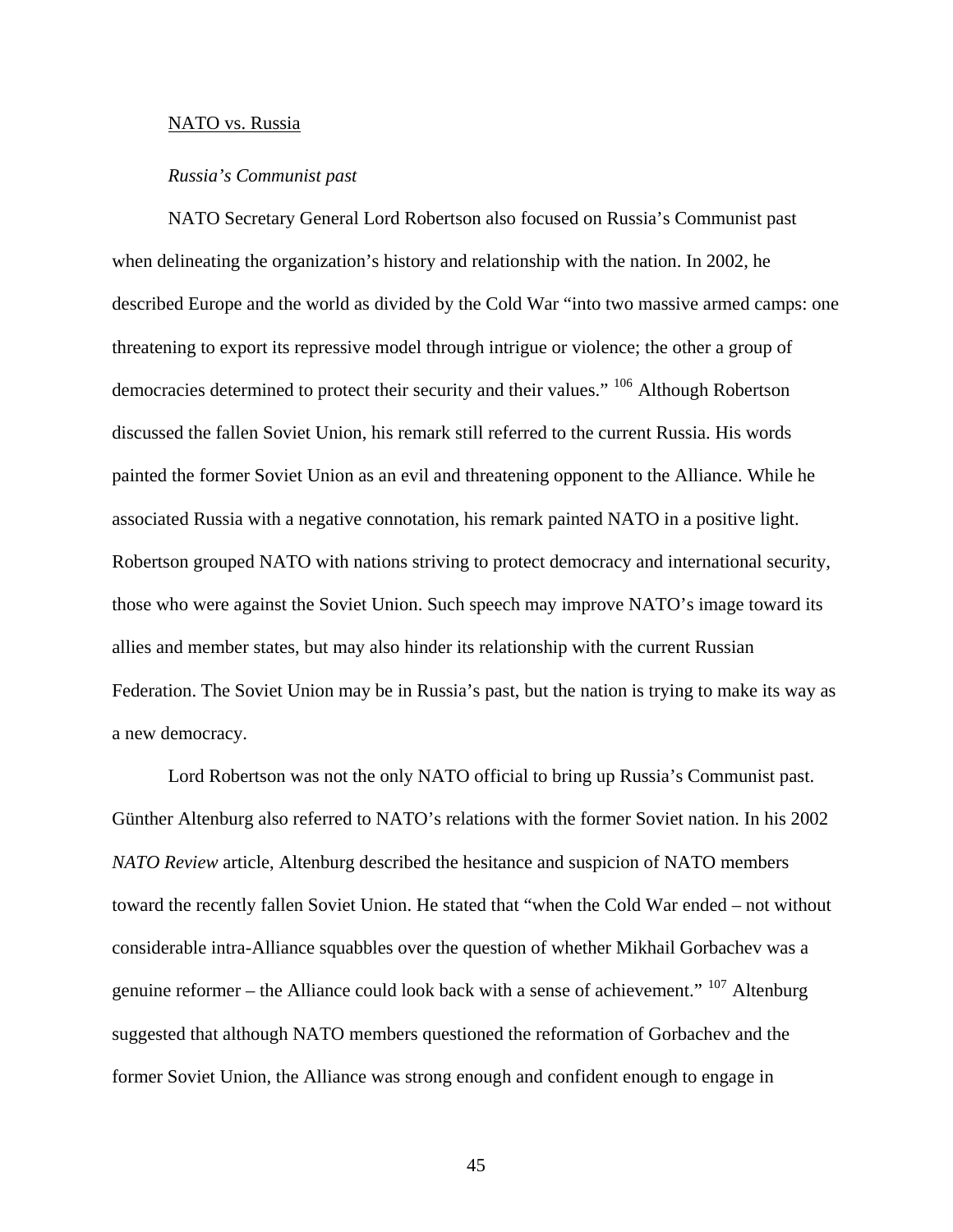## NATO vs. Russia

#### *Russia's Communist past*

NATO Secretary General Lord Robertson also focused on Russia's Communist past when delineating the organization's history and relationship with the nation. In 2002, he described Europe and the world as divided by the Cold War "into two massive armed camps: one threatening to export its repressive model through intrigue or violence; the other a group of democracies determined to protect their security and their values." [106](#page-117-1) Although Robertson discussed the fallen Soviet Union, his remark still referred to the current Russia. His words painted the former Soviet Union as an evil and threatening opponent to the Alliance. While he associated Russia with a negative connotation, his remark painted NATO in a positive light. Robertson grouped NATO with nations striving to protect democracy and international security, those who were against the Soviet Union. Such speech may improve NATO's image toward its allies and member states, but may also hinder its relationship with the current Russian Federation. The Soviet Union may be in Russia's past, but the nation is trying to make its way as a new democracy.

 Lord Robertson was not the only NATO official to bring up Russia's Communist past. Günther Altenburg also referred to NATO's relations with the former Soviet nation. In his 2002 *NATO Review* article, Altenburg described the hesitance and suspicion of NATO members toward the recently fallen Soviet Union. He stated that "when the Cold War ended – not without considerable intra-Alliance squabbles over the question of whether Mikhail Gorbachev was a genuine reformer – the Alliance could look back with a sense of achievement."  $107$  Altenburg suggested that although NATO members questioned the reformation of Gorbachev and the former Soviet Union, the Alliance was strong enough and confident enough to engage in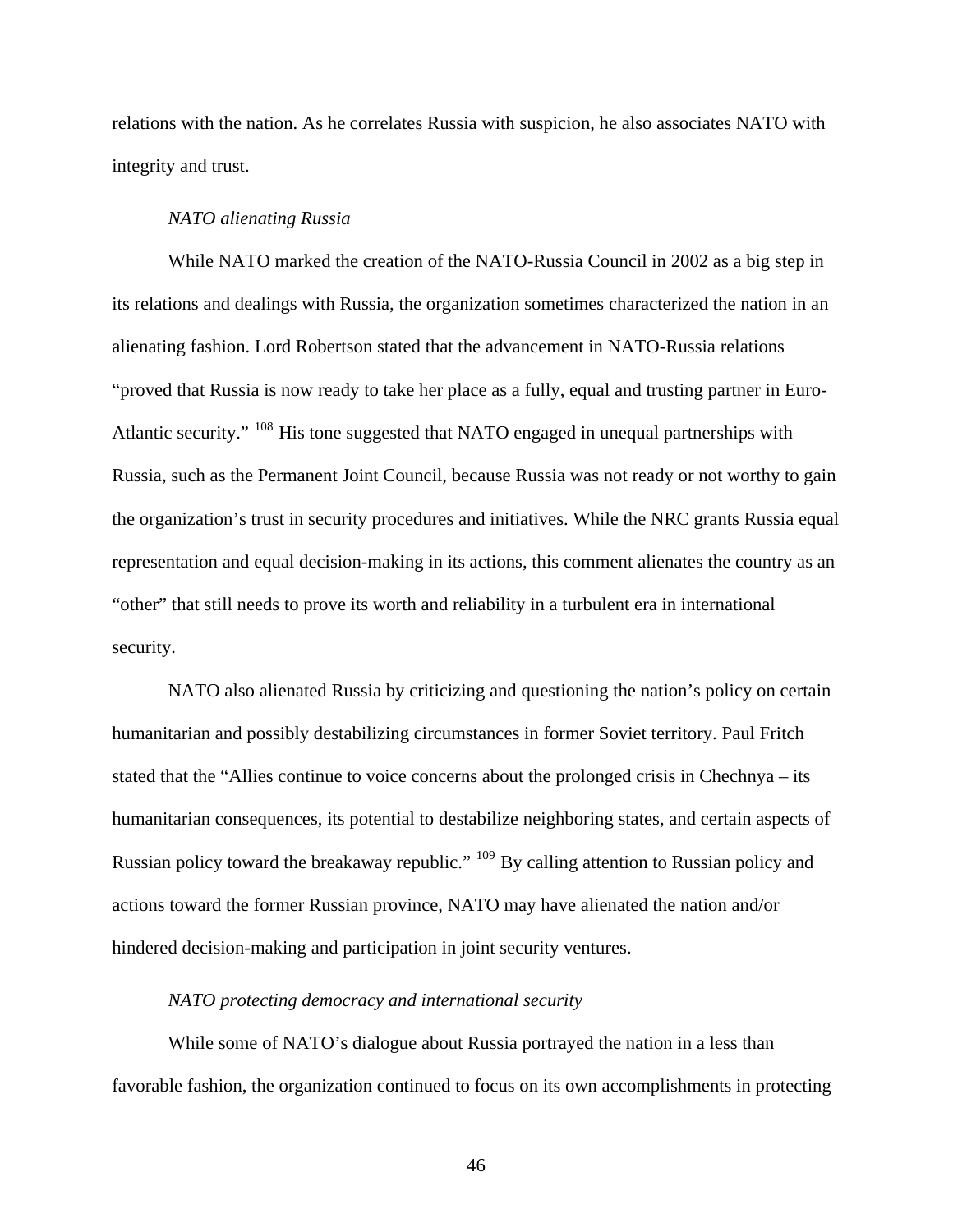relations with the nation. As he correlates Russia with suspicion, he also associates NATO with integrity and trust.

#### *NATO alienating Russia*

While NATO marked the creation of the NATO-Russia Council in 2002 as a big step in its relations and dealings with Russia, the organization sometimes characterized the nation in an alienating fashion. Lord Robertson stated that the advancement in NATO-Russia relations "proved that Russia is now ready to take her place as a fully, equal and trusting partner in Euro-Atlantic security." [108](#page-117-3) His tone suggested that NATO engaged in unequal partnerships with Russia, such as the Permanent Joint Council, because Russia was not ready or not worthy to gain the organization's trust in security procedures and initiatives. While the NRC grants Russia equal representation and equal decision-making in its actions, this comment alienates the country as an "other" that still needs to prove its worth and reliability in a turbulent era in international security.

 NATO also alienated Russia by criticizing and questioning the nation's policy on certain humanitarian and possibly destabilizing circumstances in former Soviet territory. Paul Fritch stated that the "Allies continue to voice concerns about the prolonged crisis in Chechnya – its humanitarian consequences, its potential to destabilize neighboring states, and certain aspects of Russian policy toward the breakaway republic." <sup>[109](#page-117-4)</sup> By calling attention to Russian policy and actions toward the former Russian province, NATO may have alienated the nation and/or hindered decision-making and participation in joint security ventures.

# *NATO protecting democracy and international security*

While some of NATO's dialogue about Russia portrayed the nation in a less than favorable fashion, the organization continued to focus on its own accomplishments in protecting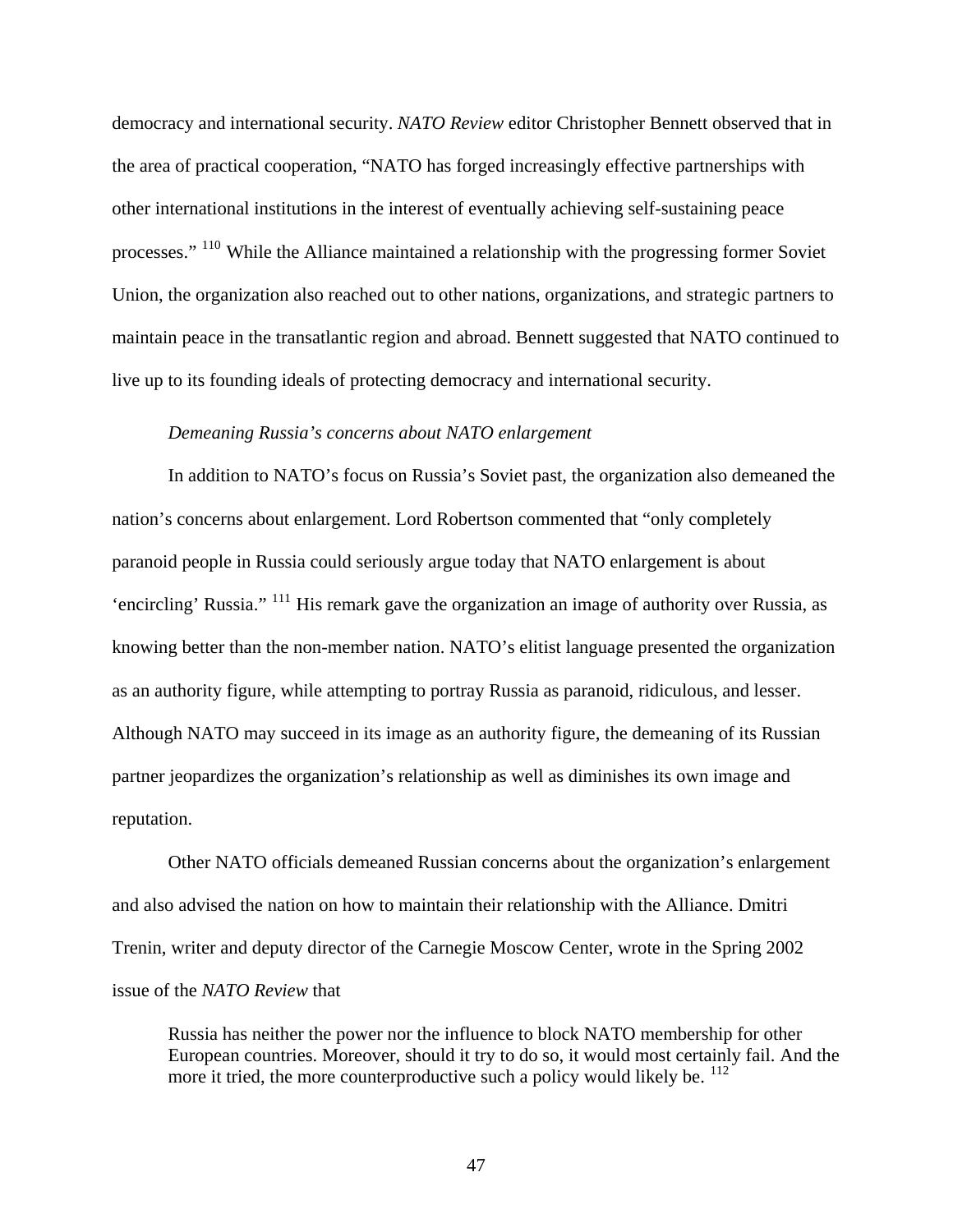democracy and international security. *NATO Review* editor Christopher Bennett observed that in the area of practical cooperation, "NATO has forged increasingly effective partnerships with other international institutions in the interest of eventually achieving self-sustaining peace processes." [110](#page-117-5) While the Alliance maintained a relationship with the progressing former Soviet Union, the organization also reached out to other nations, organizations, and strategic partners to maintain peace in the transatlantic region and abroad. Bennett suggested that NATO continued to live up to its founding ideals of protecting democracy and international security.

## *Demeaning Russia's concerns about NATO enlargement*

In addition to NATO's focus on Russia's Soviet past, the organization also demeaned the nation's concerns about enlargement. Lord Robertson commented that "only completely paranoid people in Russia could seriously argue today that NATO enlargement is about 'encircling' Russia." [111](#page-117-6) His remark gave the organization an image of authority over Russia, as knowing better than the non-member nation. NATO's elitist language presented the organization as an authority figure, while attempting to portray Russia as paranoid, ridiculous, and lesser. Although NATO may succeed in its image as an authority figure, the demeaning of its Russian partner jeopardizes the organization's relationship as well as diminishes its own image and reputation.

 Other NATO officials demeaned Russian concerns about the organization's enlargement and also advised the nation on how to maintain their relationship with the Alliance. Dmitri Trenin, writer and deputy director of the Carnegie Moscow Center, wrote in the Spring 2002 issue of the *NATO Review* that

Russia has neither the power nor the influence to block NATO membership for other European countries. Moreover, should it try to do so, it would most certainly fail. And the more it tried, the more counterproductive such a policy would likely be. <sup>[112](#page-117-7)</sup>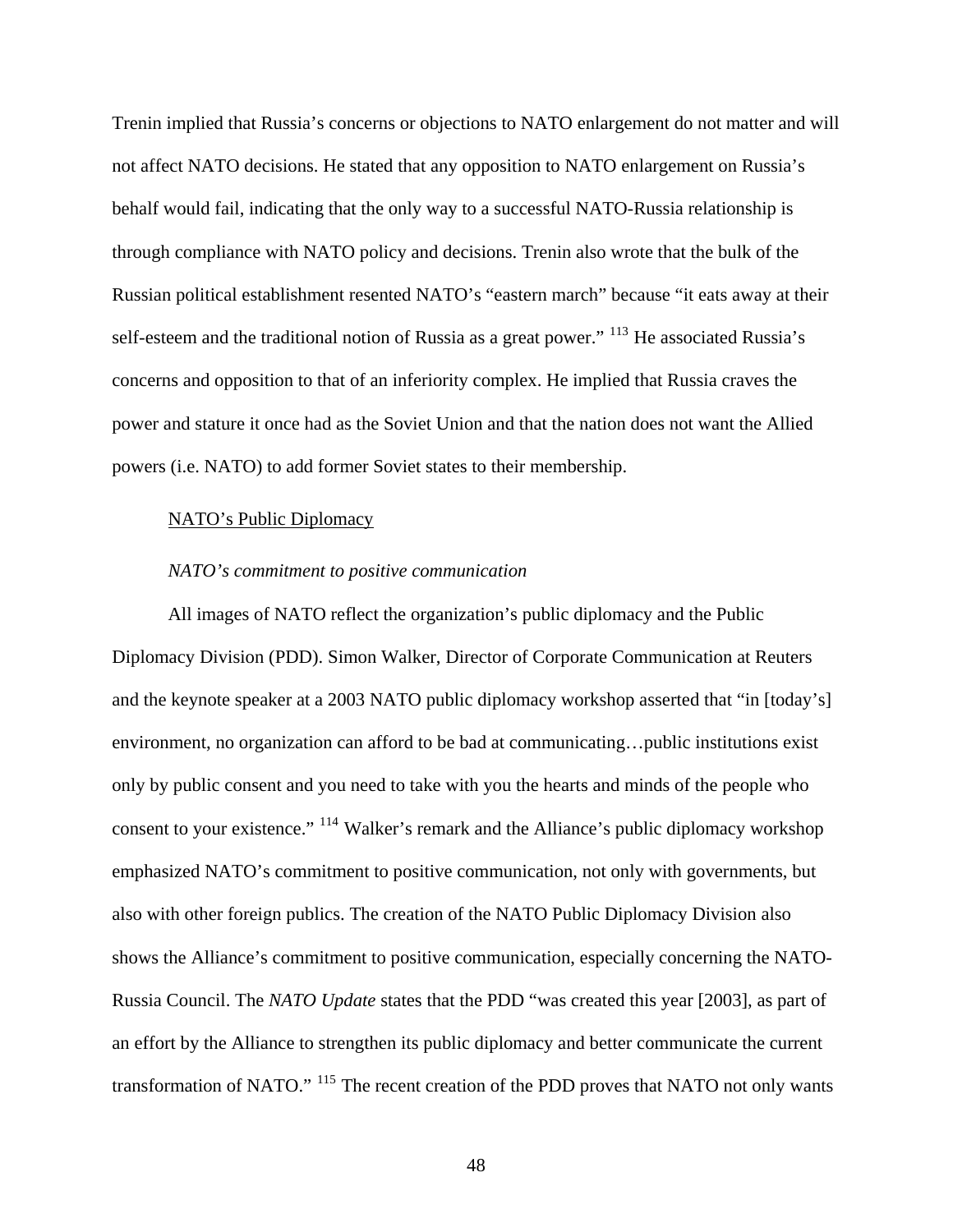Trenin implied that Russia's concerns or objections to NATO enlargement do not matter and will not affect NATO decisions. He stated that any opposition to NATO enlargement on Russia's behalf would fail, indicating that the only way to a successful NATO-Russia relationship is through compliance with NATO policy and decisions. Trenin also wrote that the bulk of the Russian political establishment resented NATO's "eastern march" because "it eats away at their self-esteem and the traditional notion of Russia as a great power." <sup>[113](#page-117-8)</sup> He associated Russia's concerns and opposition to that of an inferiority complex. He implied that Russia craves the power and stature it once had as the Soviet Union and that the nation does not want the Allied powers (i.e. NATO) to add former Soviet states to their membership.

## NATO's Public Diplomacy

## *NATO's commitment to positive communication*

All images of NATO reflect the organization's public diplomacy and the Public Diplomacy Division (PDD). Simon Walker, Director of Corporate Communication at Reuters and the keynote speaker at a 2003 NATO public diplomacy workshop asserted that "in [today's] environment, no organization can afford to be bad at communicating…public institutions exist only by public consent and you need to take with you the hearts and minds of the people who consent to your existence." [114](#page-117-9) Walker's remark and the Alliance's public diplomacy workshop emphasized NATO's commitment to positive communication, not only with governments, but also with other foreign publics. The creation of the NATO Public Diplomacy Division also shows the Alliance's commitment to positive communication, especially concerning the NATO-Russia Council. The *NATO Update* states that the PDD "was created this year [2003], as part of an effort by the Alliance to strengthen its public diplomacy and better communicate the current transformation of NATO." [115](#page-117-10) The recent creation of the PDD proves that NATO not only wants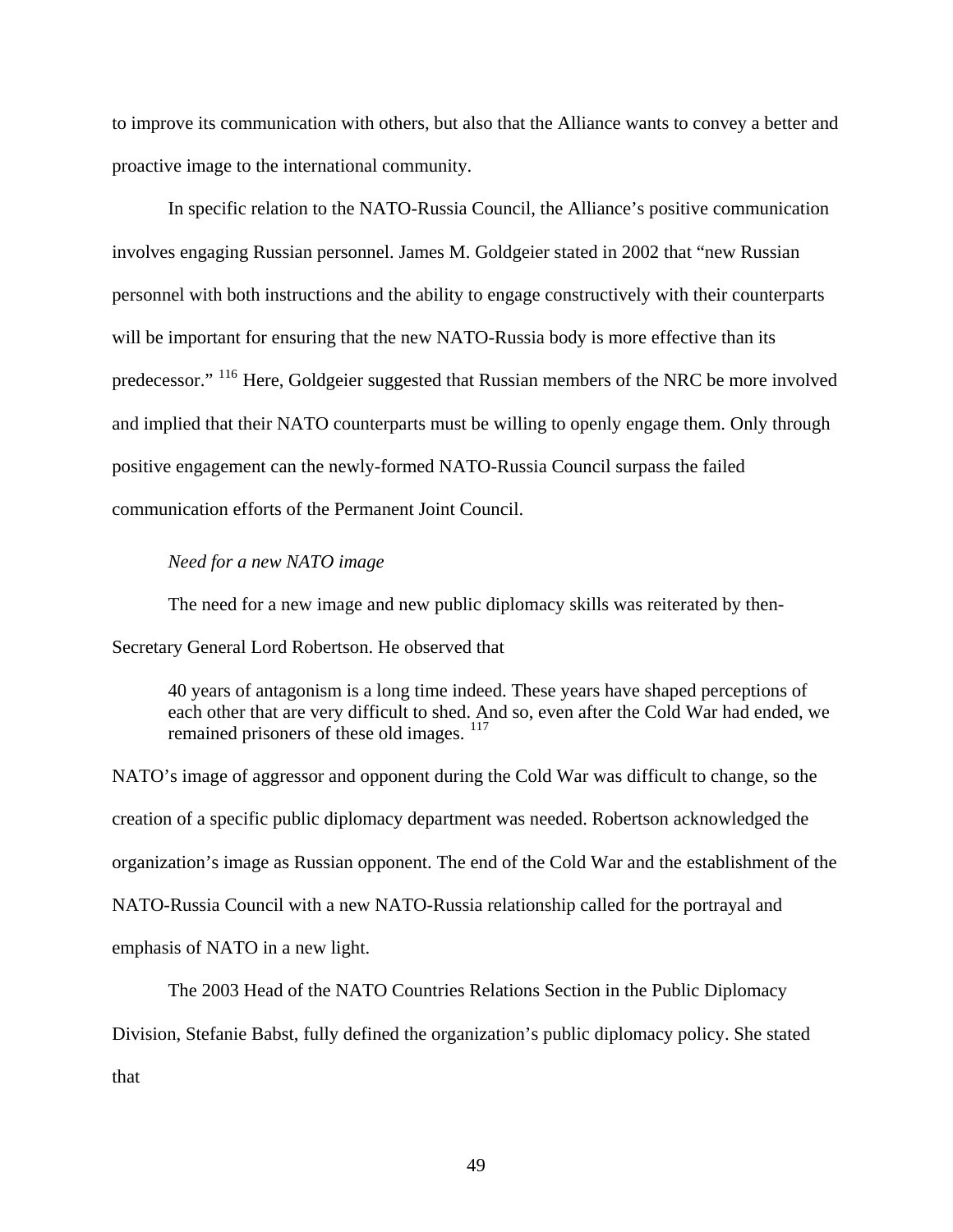to improve its communication with others, but also that the Alliance wants to convey a better and proactive image to the international community.

 In specific relation to the NATO-Russia Council, the Alliance's positive communication involves engaging Russian personnel. James M. Goldgeier stated in 2002 that "new Russian personnel with both instructions and the ability to engage constructively with their counterparts will be important for ensuring that the new NATO-Russia body is more effective than its predecessor." [116](#page-117-11) Here, Goldgeier suggested that Russian members of the NRC be more involved and implied that their NATO counterparts must be willing to openly engage them. Only through positive engagement can the newly-formed NATO-Russia Council surpass the failed communication efforts of the Permanent Joint Council.

#### *Need for a new NATO image*

The need for a new image and new public diplomacy skills was reiterated by then-

Secretary General Lord Robertson. He observed that

40 years of antagonism is a long time indeed. These years have shaped perceptions of each other that are very difficult to shed. And so, even after the Cold War had ended, we remained prisoners of these old images.  $^{117}$  $^{117}$  $^{117}$ 

NATO's image of aggressor and opponent during the Cold War was difficult to change, so the creation of a specific public diplomacy department was needed. Robertson acknowledged the organization's image as Russian opponent. The end of the Cold War and the establishment of the NATO-Russia Council with a new NATO-Russia relationship called for the portrayal and emphasis of NATO in a new light.

 The 2003 Head of the NATO Countries Relations Section in the Public Diplomacy Division, Stefanie Babst, fully defined the organization's public diplomacy policy. She stated that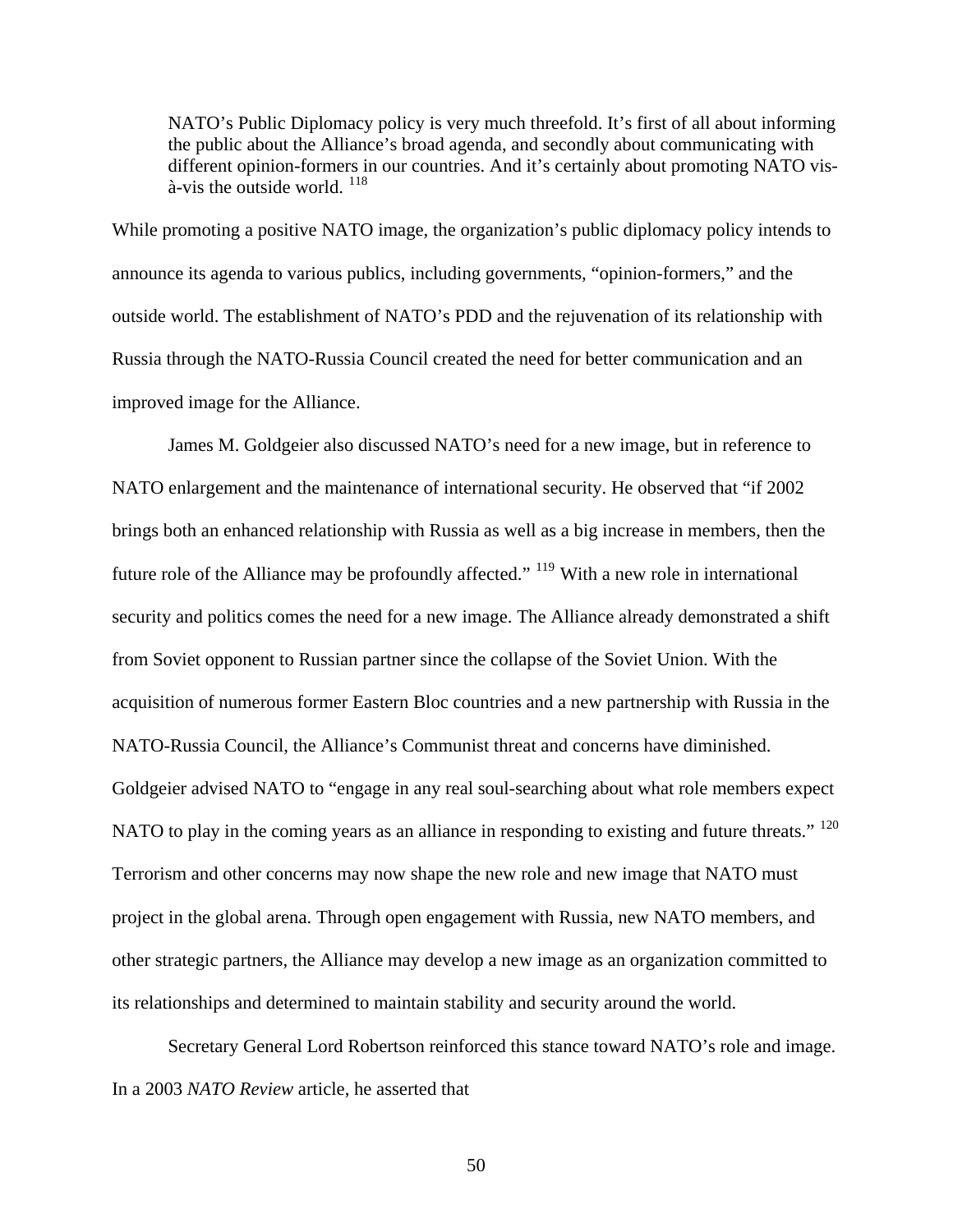NATO's Public Diplomacy policy is very much threefold. It's first of all about informing the public about the Alliance's broad agenda, and secondly about communicating with different opinion-formers in our countries. And it's certainly about promoting NATO vis- $\hat{a}$ -vis the outside world.  $^{118}$  $^{118}$  $^{118}$ 

While promoting a positive NATO image, the organization's public diplomacy policy intends to announce its agenda to various publics, including governments, "opinion-formers," and the outside world. The establishment of NATO's PDD and the rejuvenation of its relationship with Russia through the NATO-Russia Council created the need for better communication and an improved image for the Alliance.

 James M. Goldgeier also discussed NATO's need for a new image, but in reference to NATO enlargement and the maintenance of international security. He observed that "if 2002 brings both an enhanced relationship with Russia as well as a big increase in members, then the future role of the Alliance may be profoundly affected." [119](#page-117-14) With a new role in international security and politics comes the need for a new image. The Alliance already demonstrated a shift from Soviet opponent to Russian partner since the collapse of the Soviet Union. With the acquisition of numerous former Eastern Bloc countries and a new partnership with Russia in the NATO-Russia Council, the Alliance's Communist threat and concerns have diminished. Goldgeier advised NATO to "engage in any real soul-searching about what role members expect NATO to play in the coming years as an alliance in responding to existing and future threats."<sup>[120](#page-117-15)</sup> Terrorism and other concerns may now shape the new role and new image that NATO must project in the global arena. Through open engagement with Russia, new NATO members, and other strategic partners, the Alliance may develop a new image as an organization committed to its relationships and determined to maintain stability and security around the world.

 Secretary General Lord Robertson reinforced this stance toward NATO's role and image. In a 2003 *NATO Review* article, he asserted that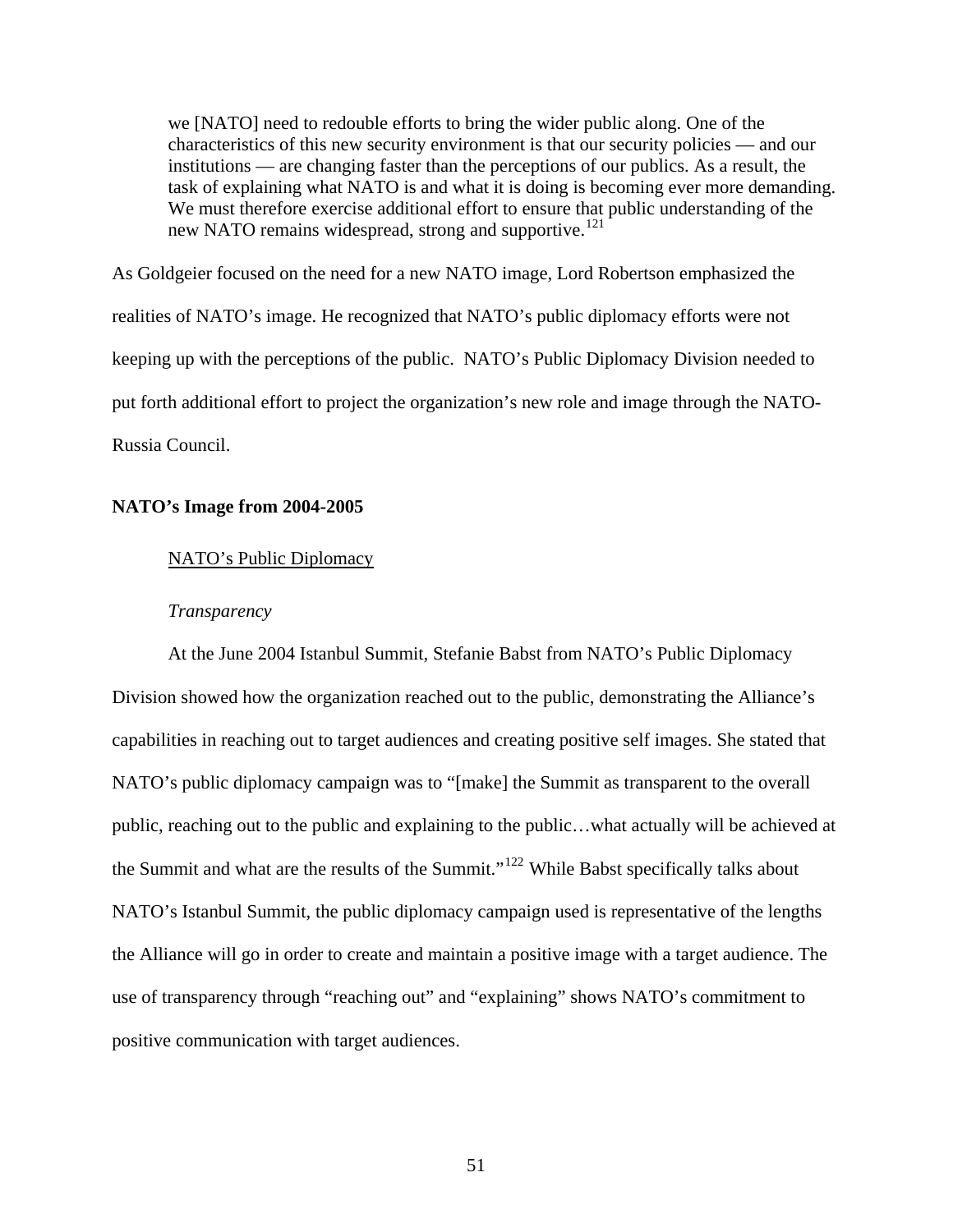we [NATO] need to redouble efforts to bring the wider public along. One of the characteristics of this new security environment is that our security policies — and our institutions — are changing faster than the perceptions of our publics. As a result, the task of explaining what NATO is and what it is doing is becoming ever more demanding. We must therefore exercise additional effort to ensure that public understanding of the new NATO remains widespread, strong and supportive.<sup>[121](#page-117-16)</sup>

As Goldgeier focused on the need for a new NATO image, Lord Robertson emphasized the realities of NATO's image. He recognized that NATO's public diplomacy efforts were not keeping up with the perceptions of the public. NATO's Public Diplomacy Division needed to put forth additional effort to project the organization's new role and image through the NATO-Russia Council.

## **NATO's Image from 2004-2005**

## NATO's Public Diplomacy

## *Transparency*

At the June 2004 Istanbul Summit, Stefanie Babst from NATO's Public Diplomacy Division showed how the organization reached out to the public, demonstrating the Alliance's capabilities in reaching out to target audiences and creating positive self images. She stated that NATO's public diplomacy campaign was to "[make] the Summit as transparent to the overall public, reaching out to the public and explaining to the public…what actually will be achieved at the Summit and what are the results of the Summit."[122](#page-117-17) While Babst specifically talks about NATO's Istanbul Summit, the public diplomacy campaign used is representative of the lengths the Alliance will go in order to create and maintain a positive image with a target audience. The use of transparency through "reaching out" and "explaining" shows NATO's commitment to positive communication with target audiences.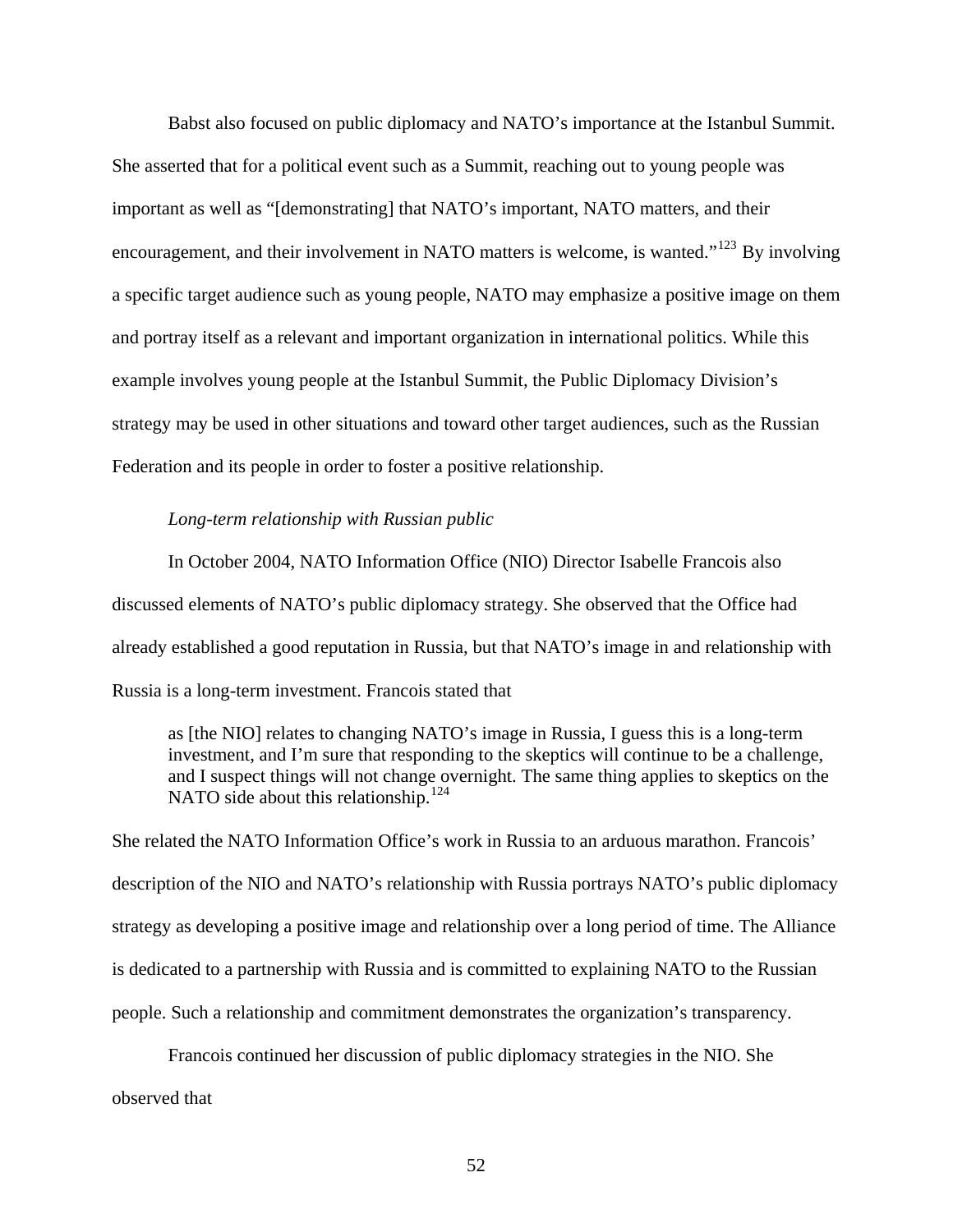Babst also focused on public diplomacy and NATO's importance at the Istanbul Summit. She asserted that for a political event such as a Summit, reaching out to young people was important as well as "[demonstrating] that NATO's important, NATO matters, and their encouragement, and their involvement in NATO matters is welcome, is wanted."<sup>[123](#page-117-18)</sup> By involving a specific target audience such as young people, NATO may emphasize a positive image on them and portray itself as a relevant and important organization in international politics. While this example involves young people at the Istanbul Summit, the Public Diplomacy Division's strategy may be used in other situations and toward other target audiences, such as the Russian Federation and its people in order to foster a positive relationship.

## *Long-term relationship with Russian public*

In October 2004, NATO Information Office (NIO) Director Isabelle Francois also discussed elements of NATO's public diplomacy strategy. She observed that the Office had already established a good reputation in Russia, but that NATO's image in and relationship with Russia is a long-term investment. Francois stated that

as [the NIO] relates to changing NATO's image in Russia, I guess this is a long-term investment, and I'm sure that responding to the skeptics will continue to be a challenge, and I suspect things will not change overnight. The same thing applies to skeptics on the NATO side about this relationship.<sup>[124](#page-117-19)</sup>

She related the NATO Information Office's work in Russia to an arduous marathon. Francois' description of the NIO and NATO's relationship with Russia portrays NATO's public diplomacy strategy as developing a positive image and relationship over a long period of time. The Alliance is dedicated to a partnership with Russia and is committed to explaining NATO to the Russian people. Such a relationship and commitment demonstrates the organization's transparency.

 Francois continued her discussion of public diplomacy strategies in the NIO. She observed that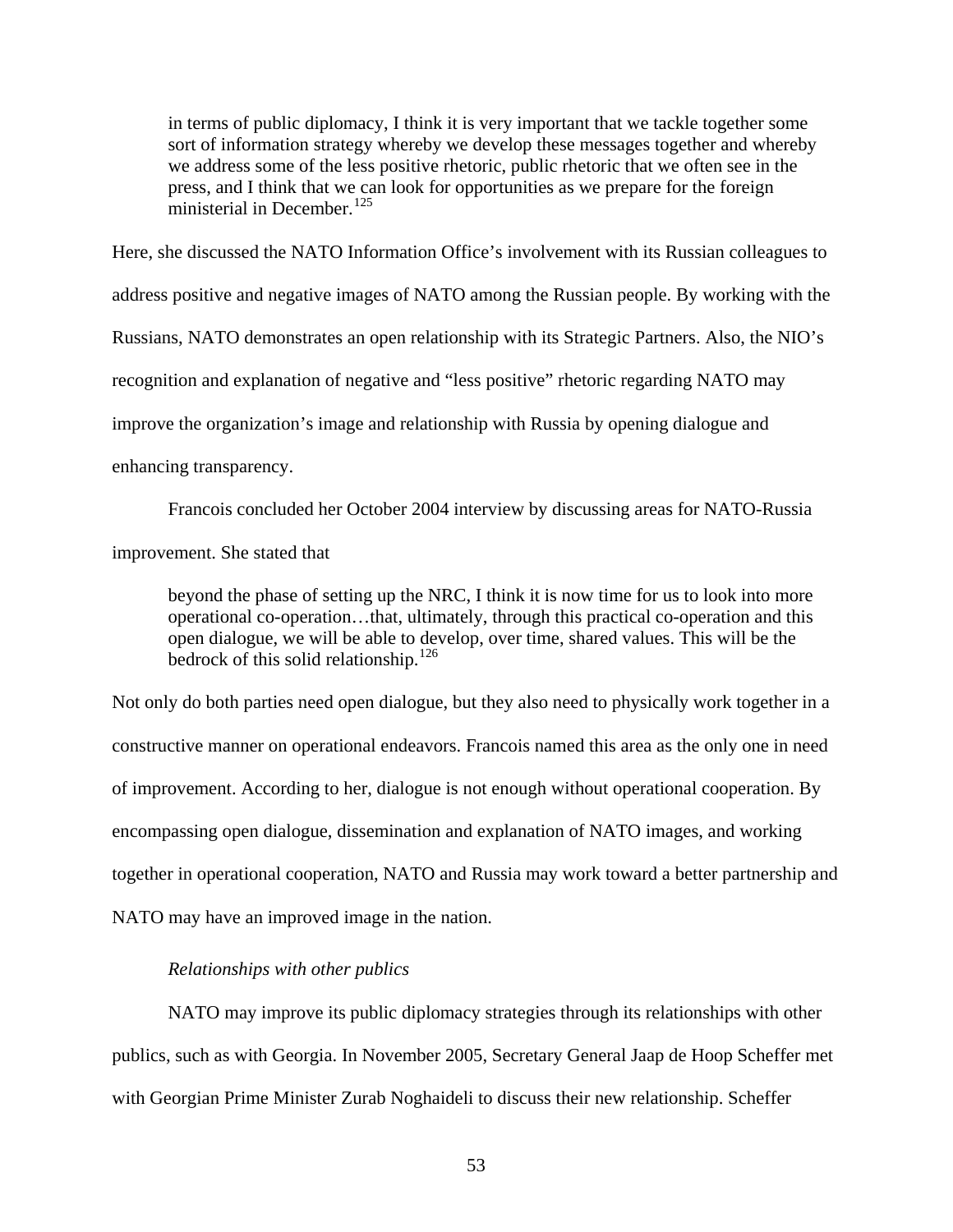in terms of public diplomacy, I think it is very important that we tackle together some sort of information strategy whereby we develop these messages together and whereby we address some of the less positive rhetoric, public rhetoric that we often see in the press, and I think that we can look for opportunities as we prepare for the foreign ministerial in December.<sup>[125](#page-117-20)</sup>

Here, she discussed the NATO Information Office's involvement with its Russian colleagues to address positive and negative images of NATO among the Russian people. By working with the Russians, NATO demonstrates an open relationship with its Strategic Partners. Also, the NIO's recognition and explanation of negative and "less positive" rhetoric regarding NATO may improve the organization's image and relationship with Russia by opening dialogue and enhancing transparency.

 Francois concluded her October 2004 interview by discussing areas for NATO-Russia improvement. She stated that

beyond the phase of setting up the NRC, I think it is now time for us to look into more operational co-operation…that, ultimately, through this practical co-operation and this open dialogue, we will be able to develop, over time, shared values. This will be the bedrock of this solid relationship.<sup>[126](#page-117-21)</sup>

Not only do both parties need open dialogue, but they also need to physically work together in a constructive manner on operational endeavors. Francois named this area as the only one in need of improvement. According to her, dialogue is not enough without operational cooperation. By encompassing open dialogue, dissemination and explanation of NATO images, and working together in operational cooperation, NATO and Russia may work toward a better partnership and NATO may have an improved image in the nation.

# *Relationships with other publics*

NATO may improve its public diplomacy strategies through its relationships with other publics, such as with Georgia. In November 2005, Secretary General Jaap de Hoop Scheffer met with Georgian Prime Minister Zurab Noghaideli to discuss their new relationship. Scheffer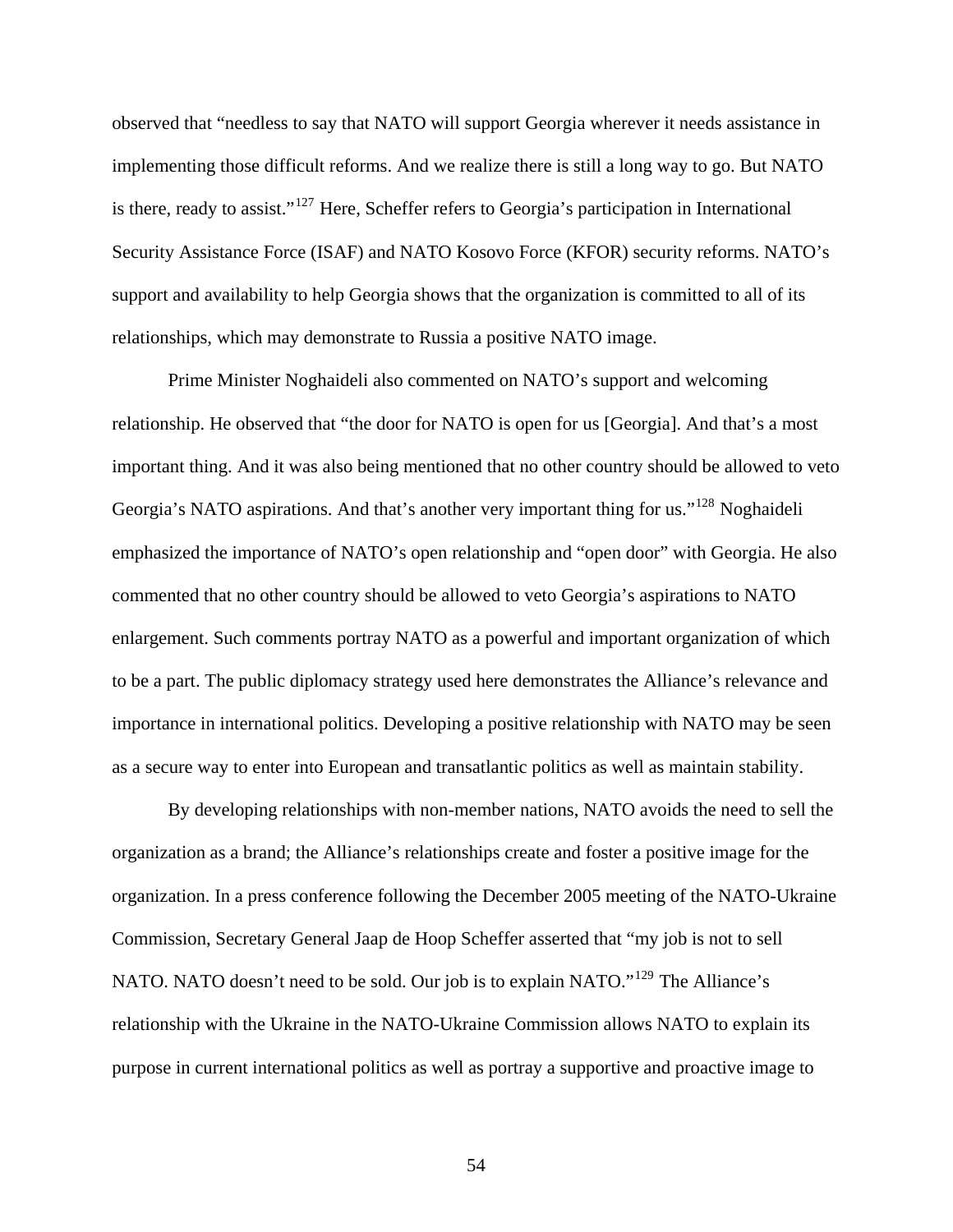observed that "needless to say that NATO will support Georgia wherever it needs assistance in implementing those difficult reforms. And we realize there is still a long way to go. But NATO is there, ready to assist." $127$  Here, Scheffer refers to Georgia's participation in International Security Assistance Force (ISAF) and NATO Kosovo Force (KFOR) security reforms. NATO's support and availability to help Georgia shows that the organization is committed to all of its relationships, which may demonstrate to Russia a positive NATO image.

 Prime Minister Noghaideli also commented on NATO's support and welcoming relationship. He observed that "the door for NATO is open for us [Georgia]. And that's a most important thing. And it was also being mentioned that no other country should be allowed to veto Georgia's NATO aspirations. And that's another very important thing for us."<sup>[128](#page-117-23)</sup> Noghaideli emphasized the importance of NATO's open relationship and "open door" with Georgia. He also commented that no other country should be allowed to veto Georgia's aspirations to NATO enlargement. Such comments portray NATO as a powerful and important organization of which to be a part. The public diplomacy strategy used here demonstrates the Alliance's relevance and importance in international politics. Developing a positive relationship with NATO may be seen as a secure way to enter into European and transatlantic politics as well as maintain stability.

 By developing relationships with non-member nations, NATO avoids the need to sell the organization as a brand; the Alliance's relationships create and foster a positive image for the organization. In a press conference following the December 2005 meeting of the NATO-Ukraine Commission, Secretary General Jaap de Hoop Scheffer asserted that "my job is not to sell NATO. NATO doesn't need to be sold. Our job is to explain NATO."<sup>[129](#page-117-24)</sup> The Alliance's relationship with the Ukraine in the NATO-Ukraine Commission allows NATO to explain its purpose in current international politics as well as portray a supportive and proactive image to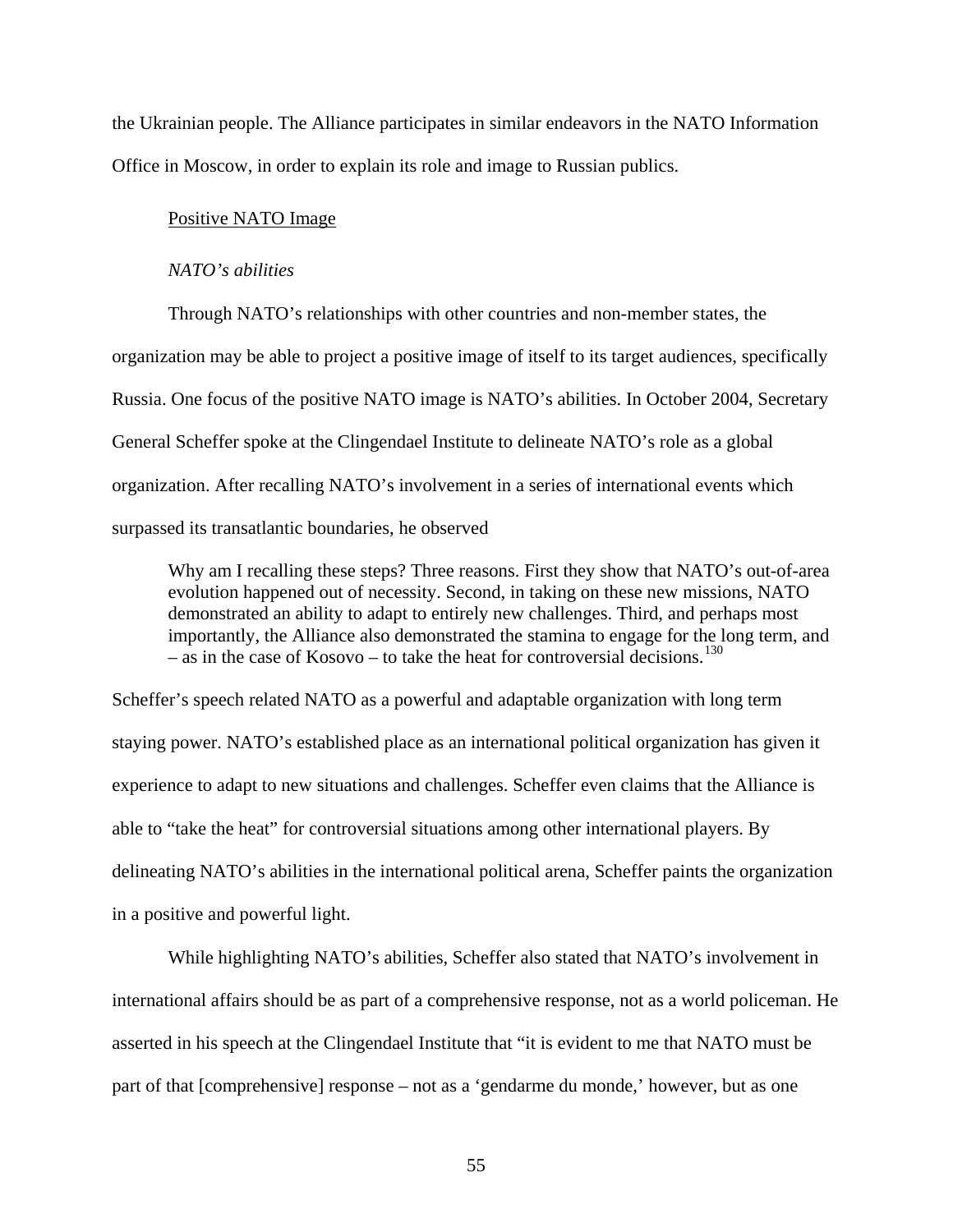the Ukrainian people. The Alliance participates in similar endeavors in the NATO Information Office in Moscow, in order to explain its role and image to Russian publics.

#### Positive NATO Image

#### *NATO's abilities*

Through NATO's relationships with other countries and non-member states, the organization may be able to project a positive image of itself to its target audiences, specifically Russia. One focus of the positive NATO image is NATO's abilities. In October 2004, Secretary General Scheffer spoke at the Clingendael Institute to delineate NATO's role as a global organization. After recalling NATO's involvement in a series of international events which surpassed its transatlantic boundaries, he observed

Why am I recalling these steps? Three reasons. First they show that NATO's out-of-area evolution happened out of necessity. Second, in taking on these new missions, NATO demonstrated an ability to adapt to entirely new challenges. Third, and perhaps most importantly, the Alliance also demonstrated the stamina to engage for the long term, and – as in the case of Kosovo – to take the heat for controversial decisions.<sup>[130](#page-117-25)</sup>

Scheffer's speech related NATO as a powerful and adaptable organization with long term staying power. NATO's established place as an international political organization has given it experience to adapt to new situations and challenges. Scheffer even claims that the Alliance is able to "take the heat" for controversial situations among other international players. By delineating NATO's abilities in the international political arena, Scheffer paints the organization in a positive and powerful light.

 While highlighting NATO's abilities, Scheffer also stated that NATO's involvement in international affairs should be as part of a comprehensive response, not as a world policeman. He asserted in his speech at the Clingendael Institute that "it is evident to me that NATO must be part of that [comprehensive] response – not as a 'gendarme du monde,' however, but as one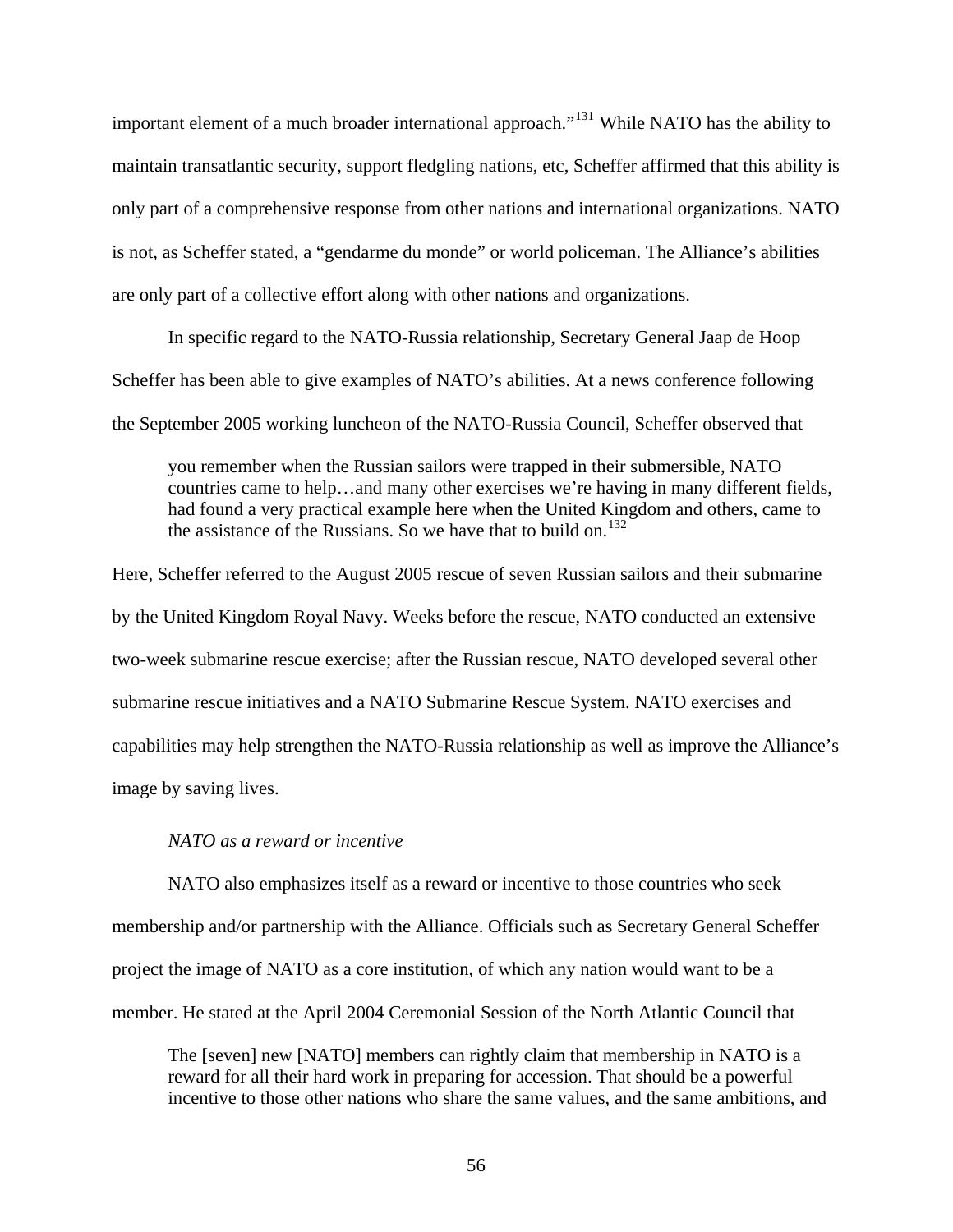important element of a much broader international approach."[131](#page-117-26) While NATO has the ability to maintain transatlantic security, support fledgling nations, etc, Scheffer affirmed that this ability is only part of a comprehensive response from other nations and international organizations. NATO is not, as Scheffer stated, a "gendarme du monde" or world policeman. The Alliance's abilities are only part of a collective effort along with other nations and organizations.

 In specific regard to the NATO-Russia relationship, Secretary General Jaap de Hoop Scheffer has been able to give examples of NATO's abilities. At a news conference following the September 2005 working luncheon of the NATO-Russia Council, Scheffer observed that

you remember when the Russian sailors were trapped in their submersible, NATO countries came to help…and many other exercises we're having in many different fields, had found a very practical example here when the United Kingdom and others, came to the assistance of the Russians. So we have that to build on.<sup>[132](#page-117-27)</sup>

Here, Scheffer referred to the August 2005 rescue of seven Russian sailors and their submarine by the United Kingdom Royal Navy. Weeks before the rescue, NATO conducted an extensive two-week submarine rescue exercise; after the Russian rescue, NATO developed several other submarine rescue initiatives and a NATO Submarine Rescue System. NATO exercises and capabilities may help strengthen the NATO-Russia relationship as well as improve the Alliance's image by saving lives.

# *NATO as a reward or incentive*

NATO also emphasizes itself as a reward or incentive to those countries who seek membership and/or partnership with the Alliance. Officials such as Secretary General Scheffer project the image of NATO as a core institution, of which any nation would want to be a member. He stated at the April 2004 Ceremonial Session of the North Atlantic Council that

The [seven] new [NATO] members can rightly claim that membership in NATO is a reward for all their hard work in preparing for accession. That should be a powerful incentive to those other nations who share the same values, and the same ambitions, and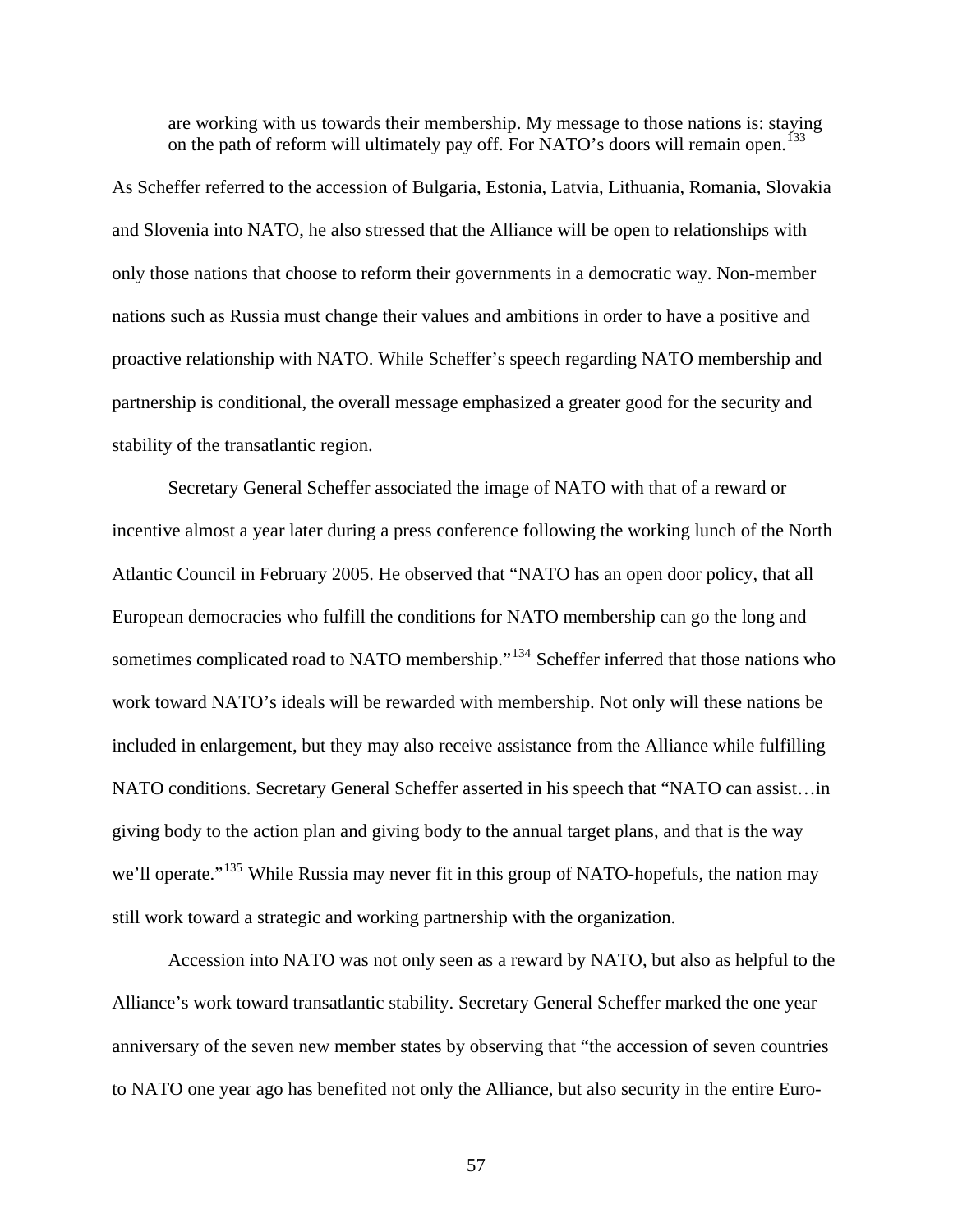are working with us towards their membership. My message to those nations is: staying on the path of reform will ultimately pay off. For NATO's doors will remain open.<sup>[133](#page-117-28)</sup>

As Scheffer referred to the accession of Bulgaria, Estonia, Latvia, Lithuania, Romania, Slovakia and Slovenia into NATO, he also stressed that the Alliance will be open to relationships with only those nations that choose to reform their governments in a democratic way. Non-member nations such as Russia must change their values and ambitions in order to have a positive and proactive relationship with NATO. While Scheffer's speech regarding NATO membership and partnership is conditional, the overall message emphasized a greater good for the security and stability of the transatlantic region.

 Secretary General Scheffer associated the image of NATO with that of a reward or incentive almost a year later during a press conference following the working lunch of the North Atlantic Council in February 2005. He observed that "NATO has an open door policy, that all European democracies who fulfill the conditions for NATO membership can go the long and sometimes complicated road to NATO membership."<sup>[134](#page-117-29)</sup> Scheffer inferred that those nations who work toward NATO's ideals will be rewarded with membership. Not only will these nations be included in enlargement, but they may also receive assistance from the Alliance while fulfilling NATO conditions. Secretary General Scheffer asserted in his speech that "NATO can assist…in giving body to the action plan and giving body to the annual target plans, and that is the way we'll operate."<sup>[135](#page-118-0)</sup> While Russia may never fit in this group of NATO-hopefuls, the nation may still work toward a strategic and working partnership with the organization.

 Accession into NATO was not only seen as a reward by NATO, but also as helpful to the Alliance's work toward transatlantic stability. Secretary General Scheffer marked the one year anniversary of the seven new member states by observing that "the accession of seven countries to NATO one year ago has benefited not only the Alliance, but also security in the entire Euro-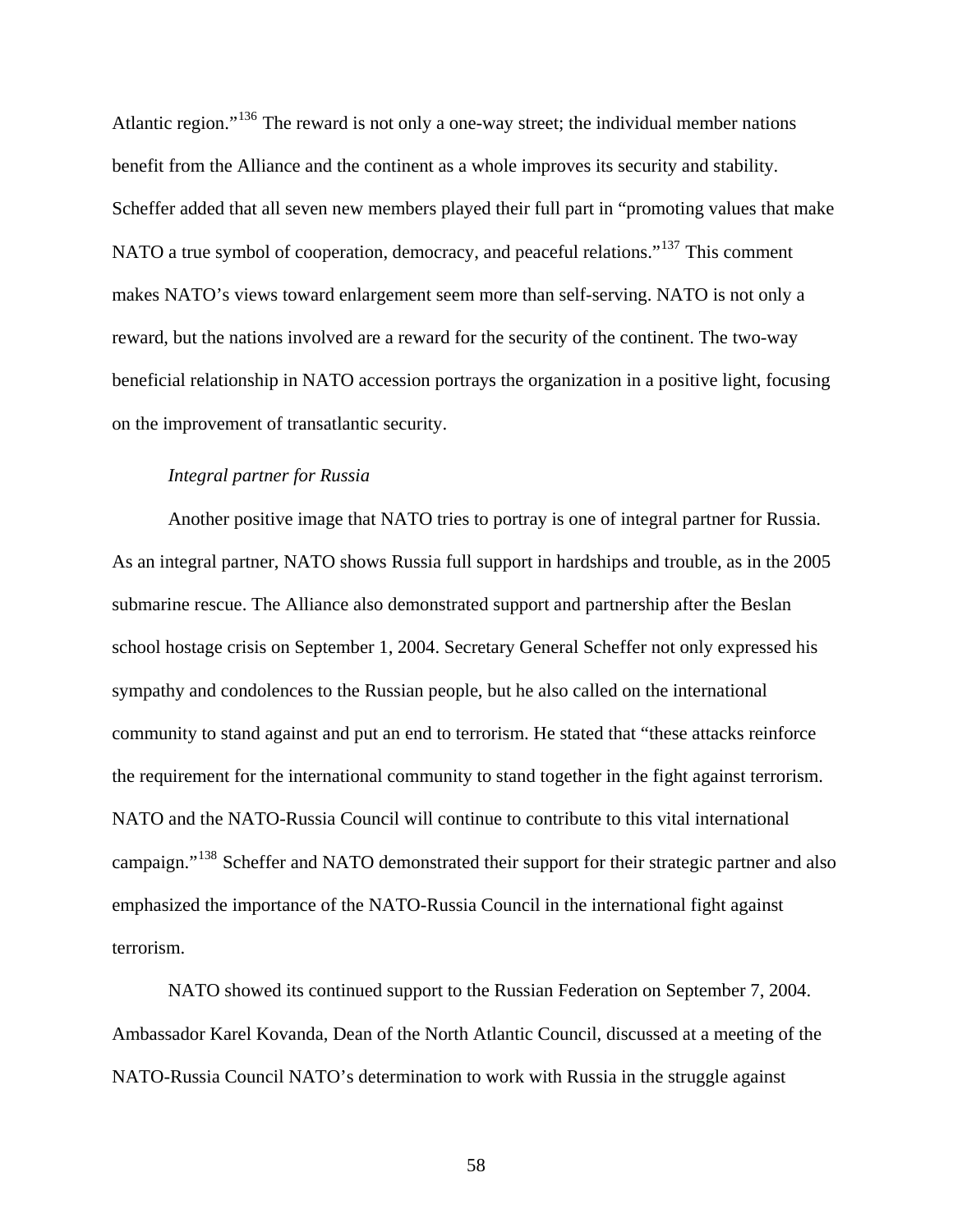Atlantic region."<sup>[136](#page-118-1)</sup> The reward is not only a one-way street; the individual member nations benefit from the Alliance and the continent as a whole improves its security and stability. Scheffer added that all seven new members played their full part in "promoting values that make NATO a true symbol of cooperation, democracy, and peaceful relations."<sup>[137](#page-118-2)</sup> This comment makes NATO's views toward enlargement seem more than self-serving. NATO is not only a reward, but the nations involved are a reward for the security of the continent. The two-way beneficial relationship in NATO accession portrays the organization in a positive light, focusing on the improvement of transatlantic security.

# *Integral partner for Russia*

Another positive image that NATO tries to portray is one of integral partner for Russia. As an integral partner, NATO shows Russia full support in hardships and trouble, as in the 2005 submarine rescue. The Alliance also demonstrated support and partnership after the Beslan school hostage crisis on September 1, 2004. Secretary General Scheffer not only expressed his sympathy and condolences to the Russian people, but he also called on the international community to stand against and put an end to terrorism. He stated that "these attacks reinforce the requirement for the international community to stand together in the fight against terrorism. NATO and the NATO-Russia Council will continue to contribute to this vital international campaign."<sup>[138](#page-118-3)</sup> Scheffer and NATO demonstrated their support for their strategic partner and also emphasized the importance of the NATO-Russia Council in the international fight against terrorism.

 NATO showed its continued support to the Russian Federation on September 7, 2004. Ambassador Karel Kovanda, Dean of the North Atlantic Council, discussed at a meeting of the NATO-Russia Council NATO's determination to work with Russia in the struggle against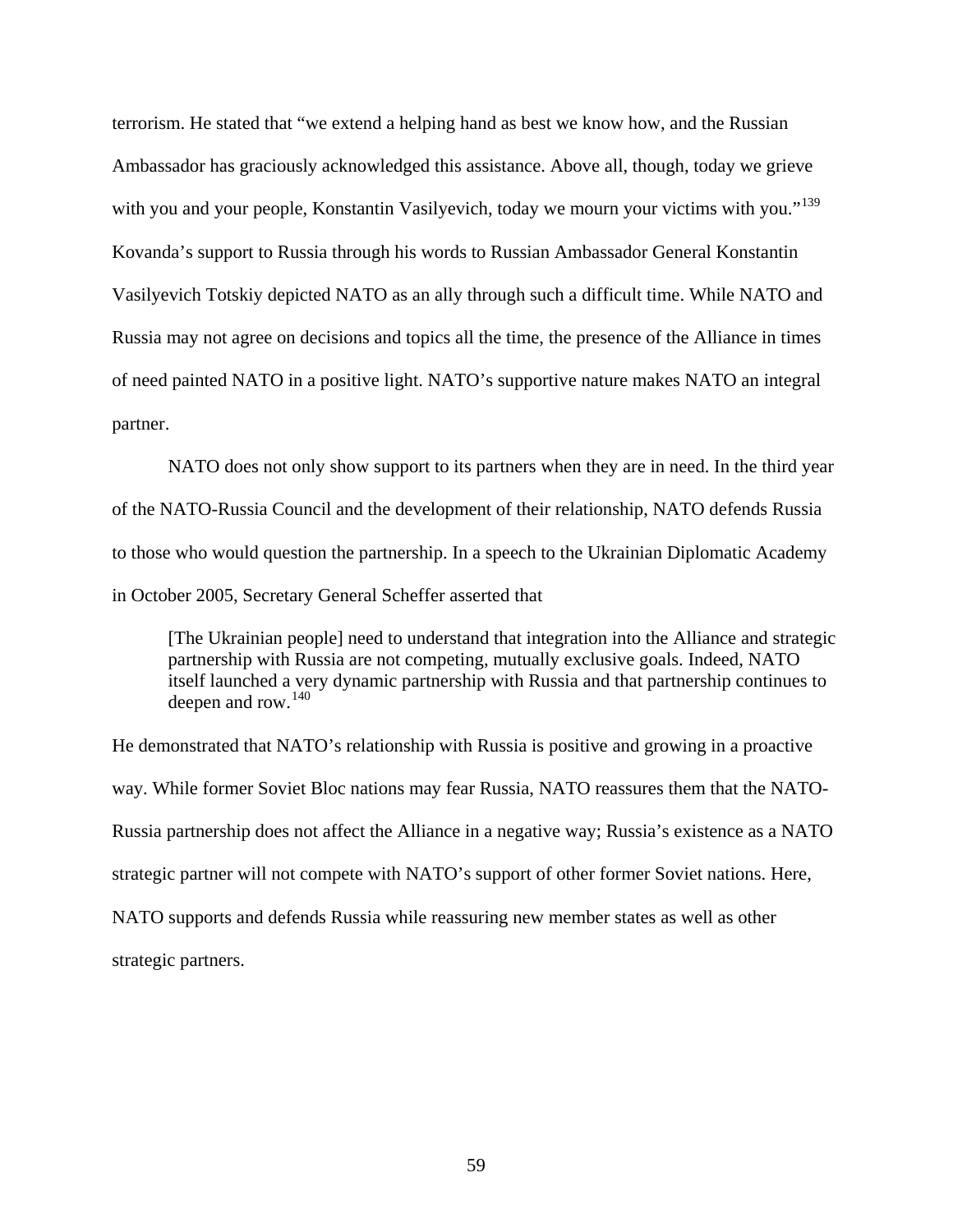terrorism. He stated that "we extend a helping hand as best we know how, and the Russian Ambassador has graciously acknowledged this assistance. Above all, though, today we grieve with you and your people, Konstantin Vasilyevich, today we mourn your victims with you."<sup>[139](#page-118-4)</sup> Kovanda's support to Russia through his words to Russian Ambassador General Konstantin Vasilyevich Totskiy depicted NATO as an ally through such a difficult time. While NATO and Russia may not agree on decisions and topics all the time, the presence of the Alliance in times of need painted NATO in a positive light. NATO's supportive nature makes NATO an integral partner.

 NATO does not only show support to its partners when they are in need. In the third year of the NATO-Russia Council and the development of their relationship, NATO defends Russia to those who would question the partnership. In a speech to the Ukrainian Diplomatic Academy in October 2005, Secretary General Scheffer asserted that

[The Ukrainian people] need to understand that integration into the Alliance and strategic partnership with Russia are not competing, mutually exclusive goals. Indeed, NATO itself launched a very dynamic partnership with Russia and that partnership continues to deepen and row.  $140$ 

He demonstrated that NATO's relationship with Russia is positive and growing in a proactive way. While former Soviet Bloc nations may fear Russia, NATO reassures them that the NATO-Russia partnership does not affect the Alliance in a negative way; Russia's existence as a NATO strategic partner will not compete with NATO's support of other former Soviet nations. Here, NATO supports and defends Russia while reassuring new member states as well as other strategic partners.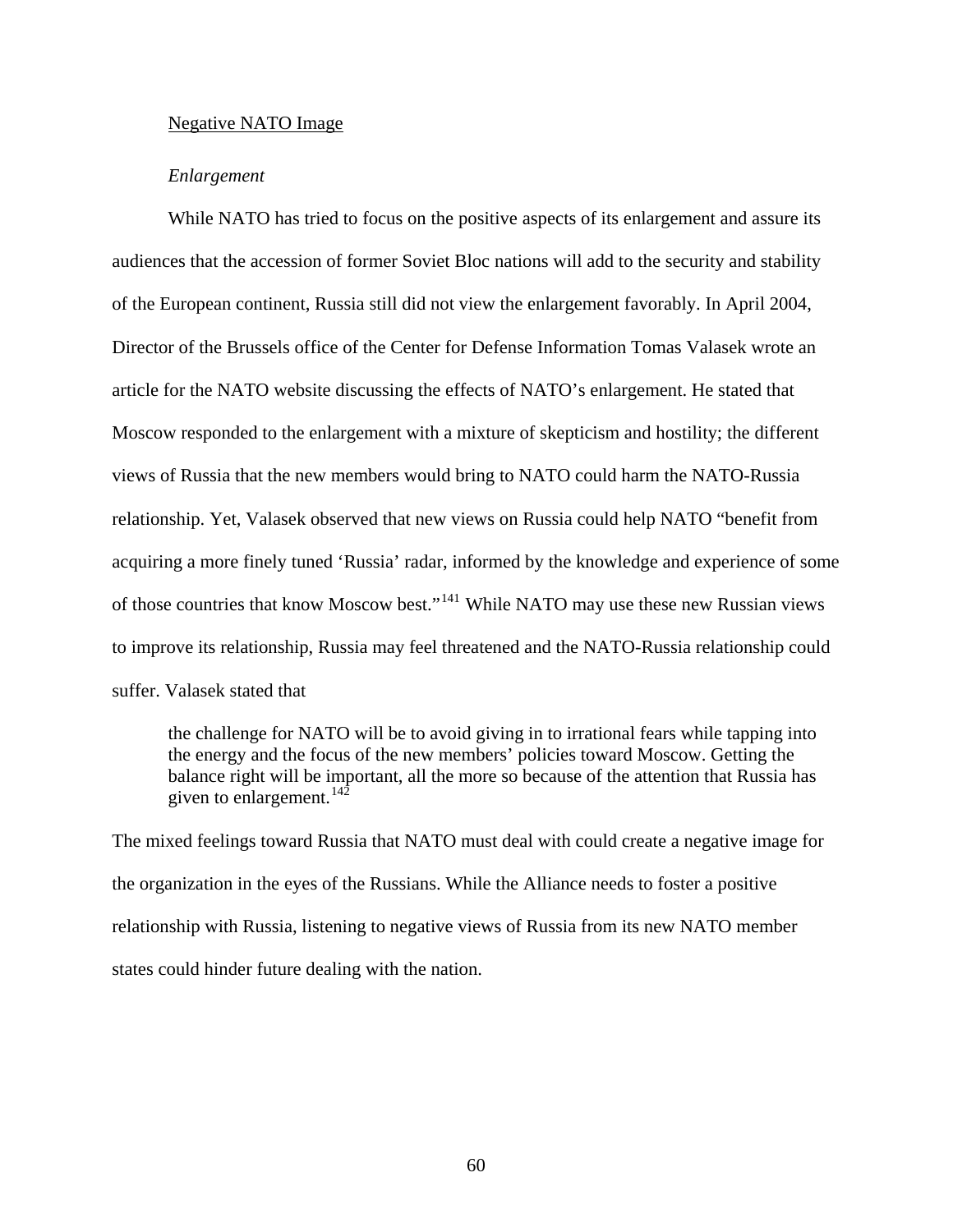#### Negative NATO Image

#### *Enlargement*

While NATO has tried to focus on the positive aspects of its enlargement and assure its audiences that the accession of former Soviet Bloc nations will add to the security and stability of the European continent, Russia still did not view the enlargement favorably. In April 2004, Director of the Brussels office of the Center for Defense Information Tomas Valasek wrote an article for the NATO website discussing the effects of NATO's enlargement. He stated that Moscow responded to the enlargement with a mixture of skepticism and hostility; the different views of Russia that the new members would bring to NATO could harm the NATO-Russia relationship. Yet, Valasek observed that new views on Russia could help NATO "benefit from acquiring a more finely tuned 'Russia' radar, informed by the knowledge and experience of some of those countries that know Moscow best."[141](#page-118-6) While NATO may use these new Russian views to improve its relationship, Russia may feel threatened and the NATO-Russia relationship could suffer. Valasek stated that

the challenge for NATO will be to avoid giving in to irrational fears while tapping into the energy and the focus of the new members' policies toward Moscow. Getting the balance right will be important, all the more so because of the attention that Russia has given to enlargement.  $142$ 

The mixed feelings toward Russia that NATO must deal with could create a negative image for the organization in the eyes of the Russians. While the Alliance needs to foster a positive relationship with Russia, listening to negative views of Russia from its new NATO member states could hinder future dealing with the nation.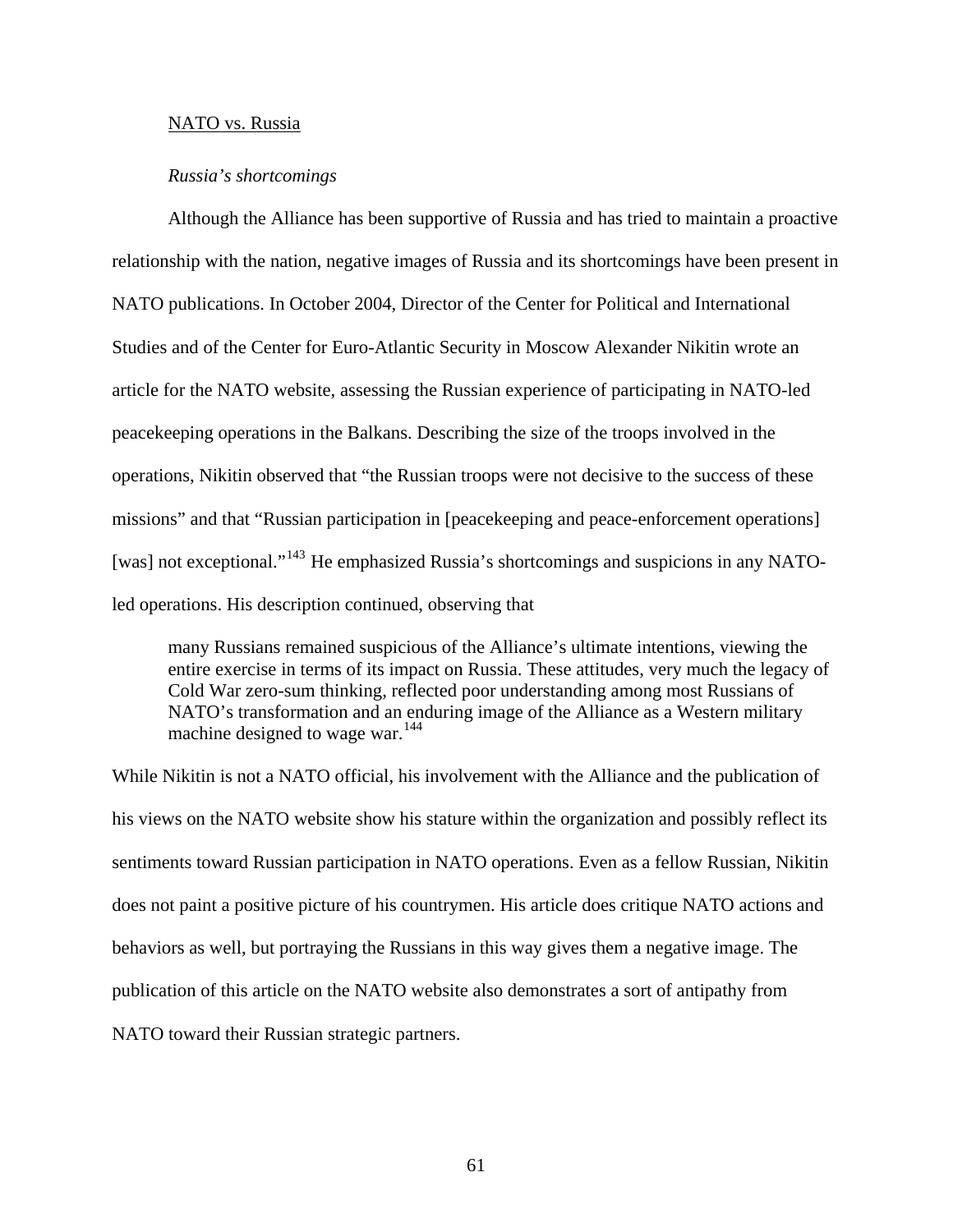## NATO vs. Russia

#### *Russia's shortcomings*

Although the Alliance has been supportive of Russia and has tried to maintain a proactive relationship with the nation, negative images of Russia and its shortcomings have been present in NATO publications. In October 2004, Director of the Center for Political and International Studies and of the Center for Euro-Atlantic Security in Moscow Alexander Nikitin wrote an article for the NATO website, assessing the Russian experience of participating in NATO-led peacekeeping operations in the Balkans. Describing the size of the troops involved in the operations, Nikitin observed that "the Russian troops were not decisive to the success of these missions" and that "Russian participation in [peacekeeping and peace-enforcement operations] [was] not exceptional."<sup>[143](#page-118-8)</sup> He emphasized Russia's shortcomings and suspicions in any NATOled operations. His description continued, observing that

many Russians remained suspicious of the Alliance's ultimate intentions, viewing the entire exercise in terms of its impact on Russia. These attitudes, very much the legacy of Cold War zero-sum thinking, reflected poor understanding among most Russians of NATO's transformation and an enduring image of the Alliance as a Western military machine designed to wage war.<sup>[144](#page-118-9)</sup>

While Nikitin is not a NATO official, his involvement with the Alliance and the publication of his views on the NATO website show his stature within the organization and possibly reflect its sentiments toward Russian participation in NATO operations. Even as a fellow Russian, Nikitin does not paint a positive picture of his countrymen. His article does critique NATO actions and behaviors as well, but portraying the Russians in this way gives them a negative image. The publication of this article on the NATO website also demonstrates a sort of antipathy from NATO toward their Russian strategic partners.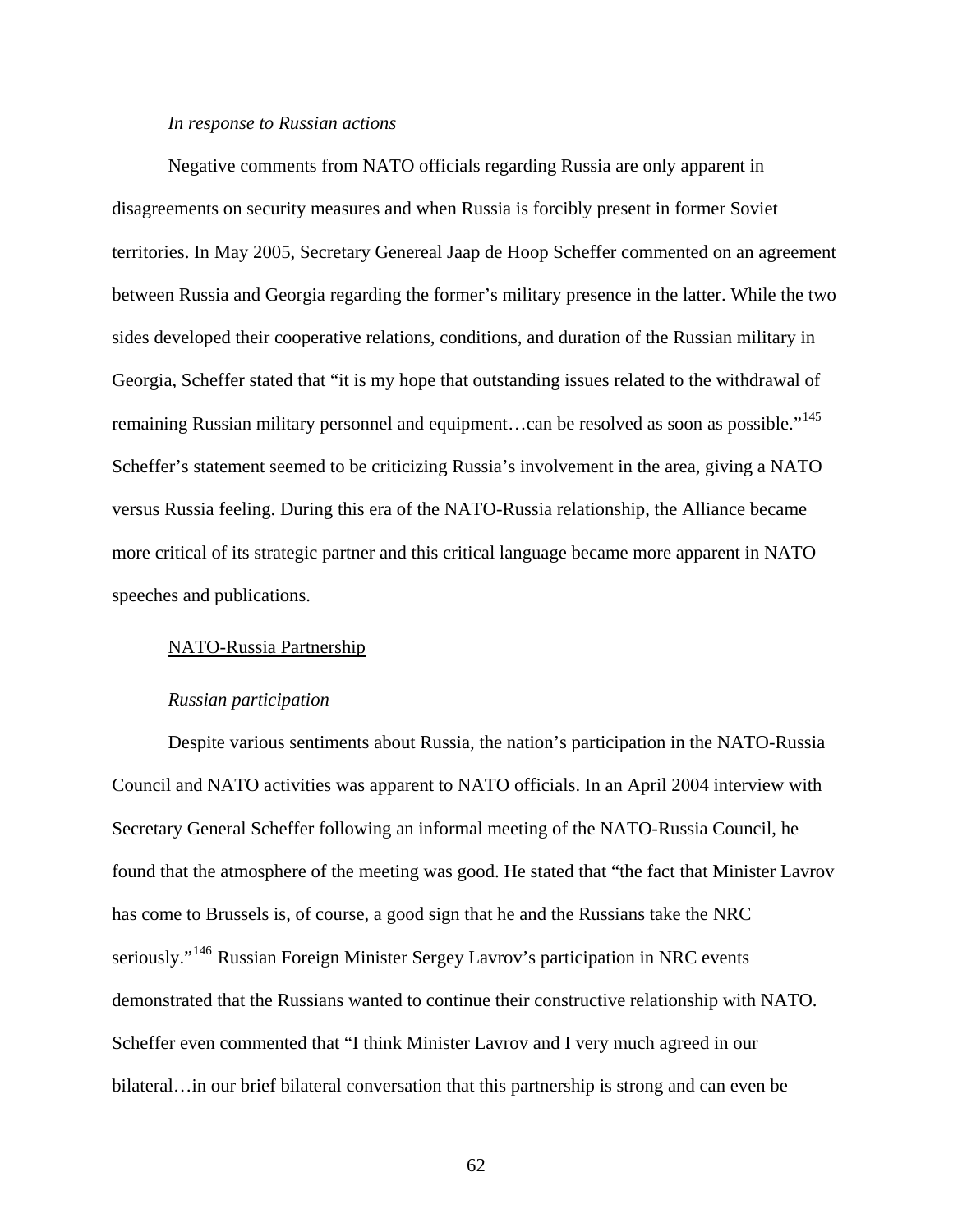#### *In response to Russian actions*

 Negative comments from NATO officials regarding Russia are only apparent in disagreements on security measures and when Russia is forcibly present in former Soviet territories. In May 2005, Secretary Genereal Jaap de Hoop Scheffer commented on an agreement between Russia and Georgia regarding the former's military presence in the latter. While the two sides developed their cooperative relations, conditions, and duration of the Russian military in Georgia, Scheffer stated that "it is my hope that outstanding issues related to the withdrawal of remaining Russian military personnel and equipment...can be resolved as soon as possible."<sup>[145](#page-118-10)</sup> Scheffer's statement seemed to be criticizing Russia's involvement in the area, giving a NATO versus Russia feeling. During this era of the NATO-Russia relationship, the Alliance became more critical of its strategic partner and this critical language became more apparent in NATO speeches and publications.

#### NATO-Russia Partnership

#### *Russian participation*

Despite various sentiments about Russia, the nation's participation in the NATO-Russia Council and NATO activities was apparent to NATO officials. In an April 2004 interview with Secretary General Scheffer following an informal meeting of the NATO-Russia Council, he found that the atmosphere of the meeting was good. He stated that "the fact that Minister Lavrov has come to Brussels is, of course, a good sign that he and the Russians take the NRC seriously."<sup>[146](#page-118-11)</sup> Russian Foreign Minister Sergey Lavrov's participation in NRC events demonstrated that the Russians wanted to continue their constructive relationship with NATO. Scheffer even commented that "I think Minister Lavrov and I very much agreed in our bilateral…in our brief bilateral conversation that this partnership is strong and can even be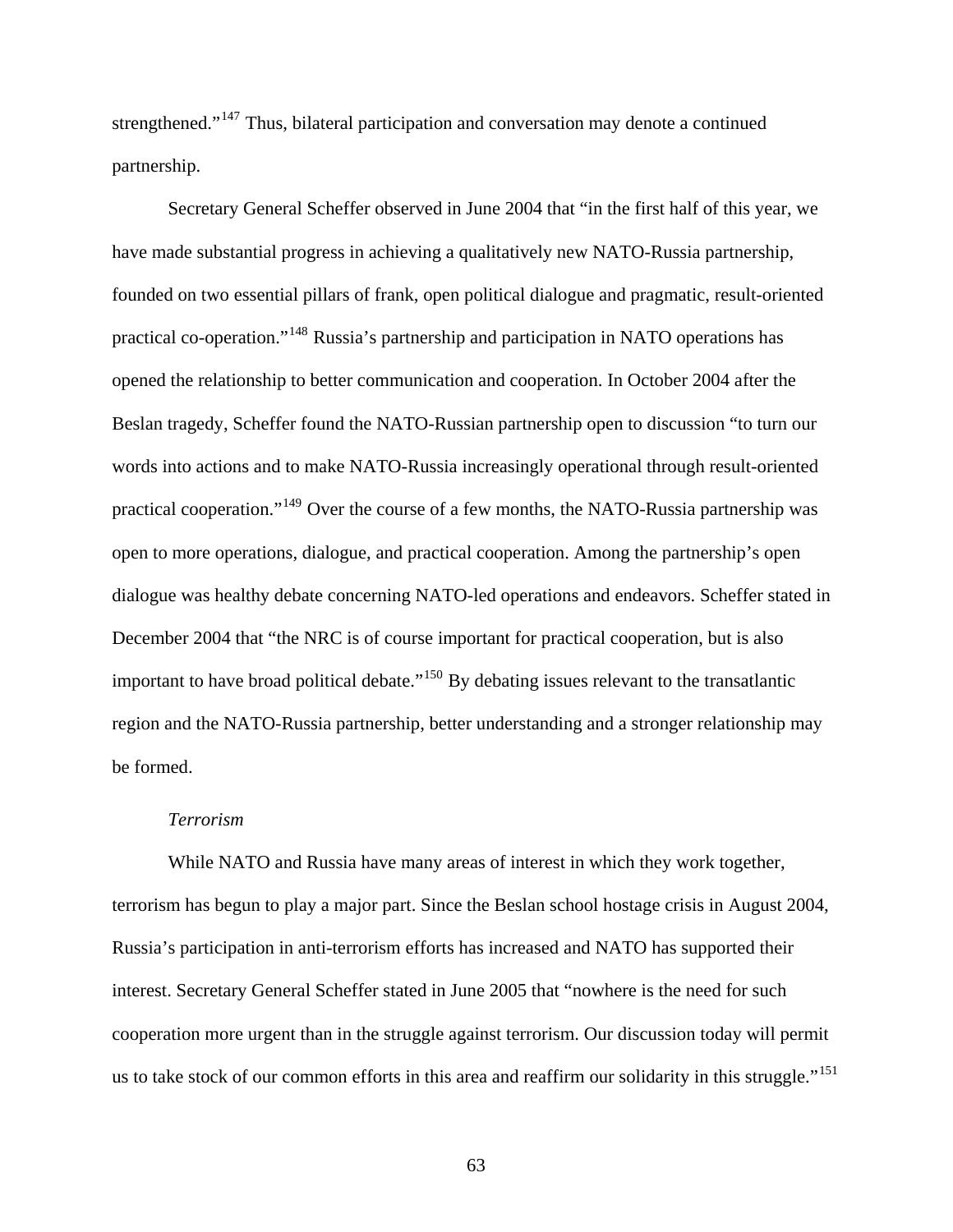strengthened."<sup>[147](#page-118-12)</sup> Thus, bilateral participation and conversation may denote a continued partnership.

 Secretary General Scheffer observed in June 2004 that "in the first half of this year, we have made substantial progress in achieving a qualitatively new NATO-Russia partnership, founded on two essential pillars of frank, open political dialogue and pragmatic, result-oriented practical co-operation."[148](#page-118-13) Russia's partnership and participation in NATO operations has opened the relationship to better communication and cooperation. In October 2004 after the Beslan tragedy, Scheffer found the NATO-Russian partnership open to discussion "to turn our words into actions and to make NATO-Russia increasingly operational through result-oriented practical cooperation."[149](#page-118-14) Over the course of a few months, the NATO-Russia partnership was open to more operations, dialogue, and practical cooperation. Among the partnership's open dialogue was healthy debate concerning NATO-led operations and endeavors. Scheffer stated in December 2004 that "the NRC is of course important for practical cooperation, but is also important to have broad political debate."<sup>[150](#page-118-15)</sup> By debating issues relevant to the transatlantic region and the NATO-Russia partnership, better understanding and a stronger relationship may be formed.

# *Terrorism*

While NATO and Russia have many areas of interest in which they work together, terrorism has begun to play a major part. Since the Beslan school hostage crisis in August 2004, Russia's participation in anti-terrorism efforts has increased and NATO has supported their interest. Secretary General Scheffer stated in June 2005 that "nowhere is the need for such cooperation more urgent than in the struggle against terrorism. Our discussion today will permit us to take stock of our common efforts in this area and reaffirm our solidarity in this struggle."<sup>[151](#page-118-16)</sup>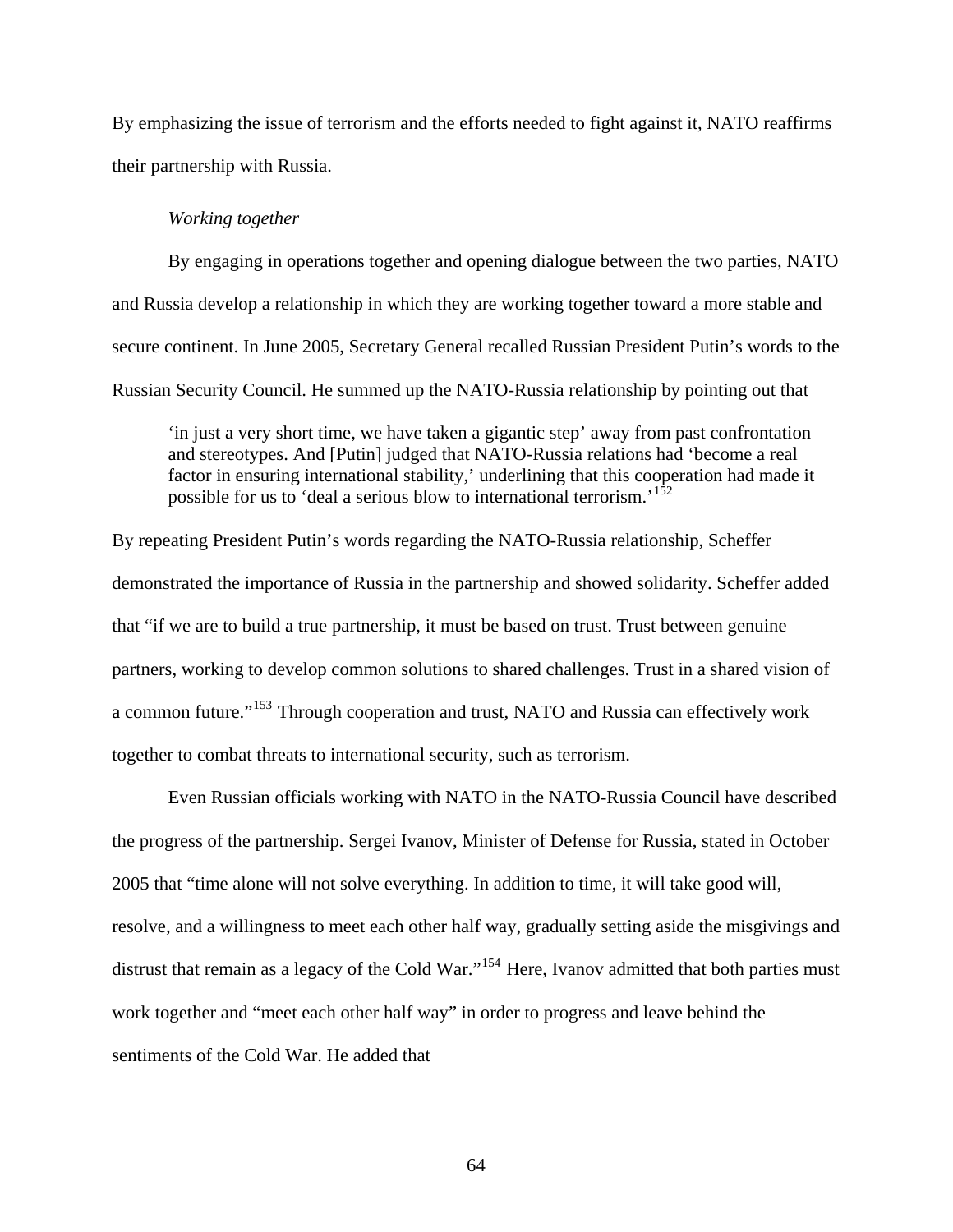By emphasizing the issue of terrorism and the efforts needed to fight against it, NATO reaffirms their partnership with Russia.

# *Working together*

By engaging in operations together and opening dialogue between the two parties, NATO and Russia develop a relationship in which they are working together toward a more stable and secure continent. In June 2005, Secretary General recalled Russian President Putin's words to the Russian Security Council. He summed up the NATO-Russia relationship by pointing out that

'in just a very short time, we have taken a gigantic step' away from past confrontation and stereotypes. And [Putin] judged that NATO-Russia relations had 'become a real factor in ensuring international stability,' underlining that this cooperation had made it possible for us to 'deal a serious blow to international terrorism.'<sup>[152](#page-118-17)</sup>

By repeating President Putin's words regarding the NATO-Russia relationship, Scheffer demonstrated the importance of Russia in the partnership and showed solidarity. Scheffer added that "if we are to build a true partnership, it must be based on trust. Trust between genuine partners, working to develop common solutions to shared challenges. Trust in a shared vision of a common future."<sup>[153](#page-118-18)</sup> Through cooperation and trust, NATO and Russia can effectively work together to combat threats to international security, such as terrorism.

 Even Russian officials working with NATO in the NATO-Russia Council have described the progress of the partnership. Sergei Ivanov, Minister of Defense for Russia, stated in October 2005 that "time alone will not solve everything. In addition to time, it will take good will, resolve, and a willingness to meet each other half way, gradually setting aside the misgivings and distrust that remain as a legacy of the Cold War."<sup>[154](#page-118-19)</sup> Here, Ivanov admitted that both parties must work together and "meet each other half way" in order to progress and leave behind the sentiments of the Cold War. He added that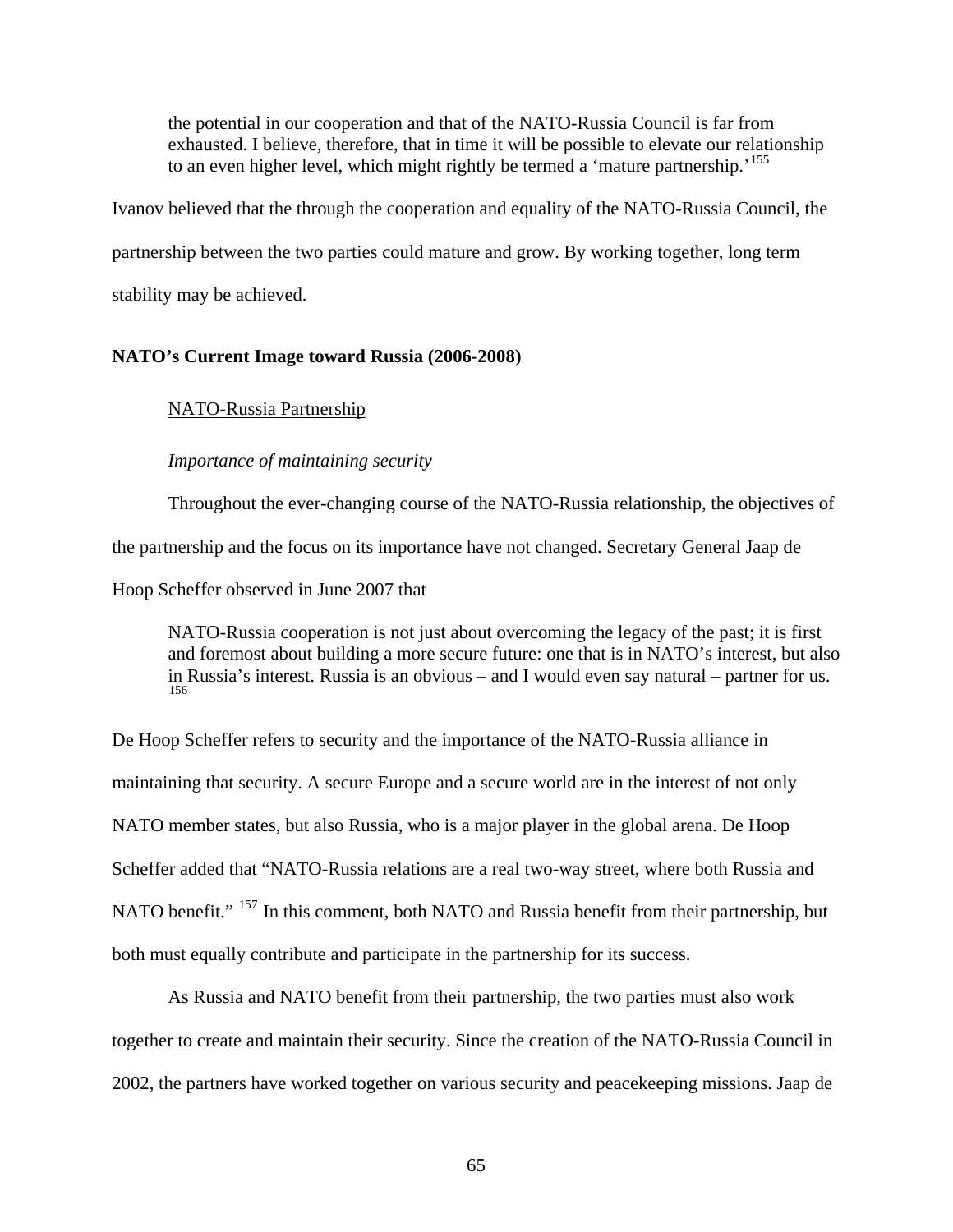the potential in our cooperation and that of the NATO-Russia Council is far from exhausted. I believe, therefore, that in time it will be possible to elevate our relationship to an even higher level, which might rightly be termed a 'mature partnership.'<sup>[155](#page-118-0)</sup>

Ivanov believed that the through the cooperation and equality of the NATO-Russia Council, the

partnership between the two parties could mature and grow. By working together, long term

stability may be achieved.

### **NATO's Current Image toward Russia (2006-2008)**

NATO-Russia Partnership

*Importance of maintaining security* 

Throughout the ever-changing course of the NATO-Russia relationship, the objectives of the partnership and the focus on its importance have not changed. Secretary General Jaap de Hoop Scheffer observed in June 2007 that

NATO-Russia cooperation is not just about overcoming the legacy of the past; it is first and foremost about building a more secure future: one that is in NATO's interest, but also in Russia's interest. Russia is an obvious – and I would even say natural – partner for us. [156](#page-118-1)

De Hoop Scheffer refers to security and the importance of the NATO-Russia alliance in maintaining that security. A secure Europe and a secure world are in the interest of not only NATO member states, but also Russia, who is a major player in the global arena. De Hoop Scheffer added that "NATO-Russia relations are a real two-way street, where both Russia and NATO benefit." <sup>[157](#page-118-2)</sup> In this comment, both NATO and Russia benefit from their partnership, but both must equally contribute and participate in the partnership for its success.

 As Russia and NATO benefit from their partnership, the two parties must also work together to create and maintain their security. Since the creation of the NATO-Russia Council in 2002, the partners have worked together on various security and peacekeeping missions. Jaap de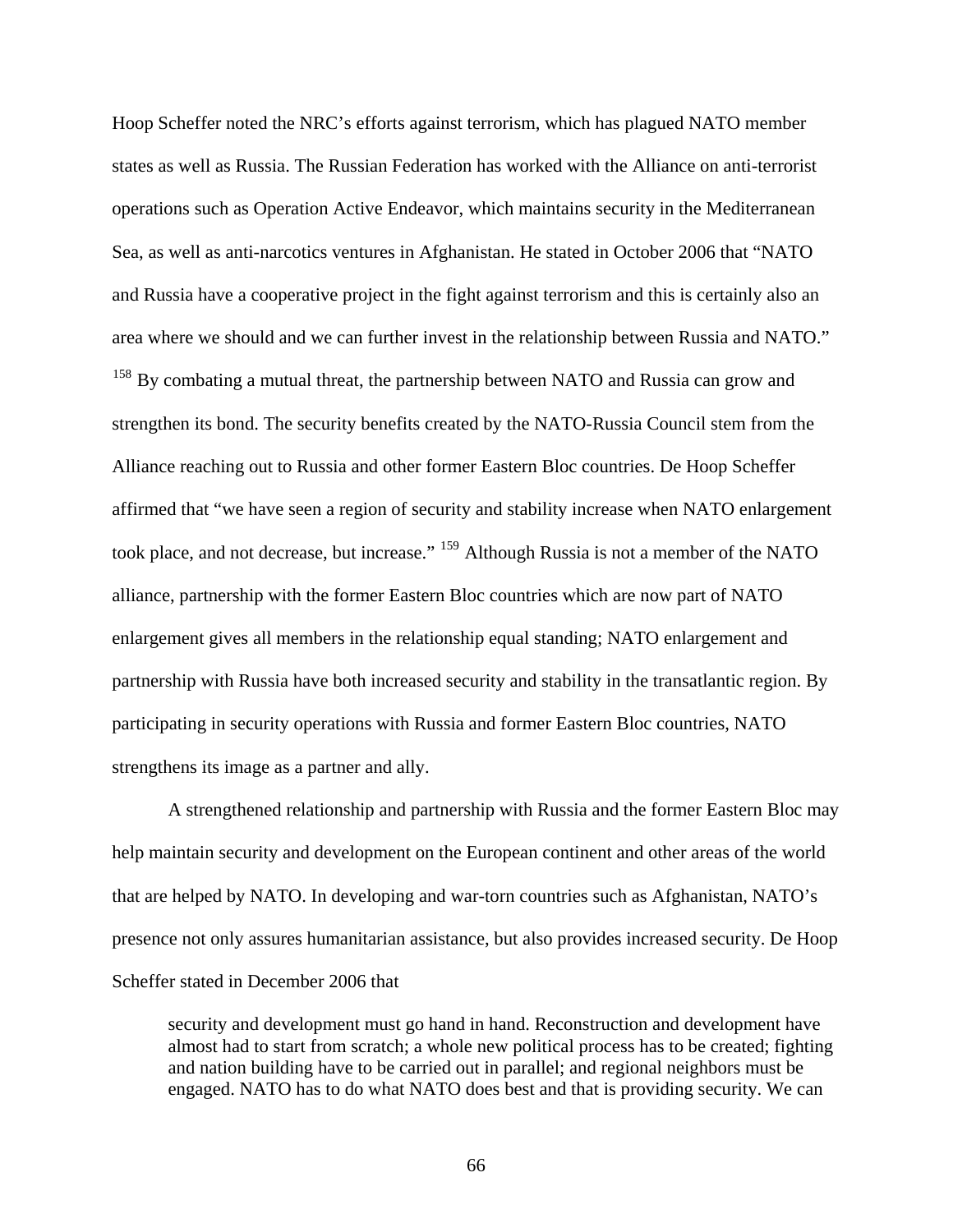Hoop Scheffer noted the NRC's efforts against terrorism, which has plagued NATO member states as well as Russia. The Russian Federation has worked with the Alliance on anti-terrorist operations such as Operation Active Endeavor, which maintains security in the Mediterranean Sea, as well as anti-narcotics ventures in Afghanistan. He stated in October 2006 that "NATO and Russia have a cooperative project in the fight against terrorism and this is certainly also an area where we should and we can further invest in the relationship between Russia and NATO." <sup>[158](#page-118-3)</sup> By combating a mutual threat, the partnership between NATO and Russia can grow and strengthen its bond. The security benefits created by the NATO-Russia Council stem from the Alliance reaching out to Russia and other former Eastern Bloc countries. De Hoop Scheffer affirmed that "we have seen a region of security and stability increase when NATO enlargement took place, and not decrease, but increase." [159](#page-118-4) Although Russia is not a member of the NATO alliance, partnership with the former Eastern Bloc countries which are now part of NATO enlargement gives all members in the relationship equal standing; NATO enlargement and partnership with Russia have both increased security and stability in the transatlantic region. By participating in security operations with Russia and former Eastern Bloc countries, NATO strengthens its image as a partner and ally.

 A strengthened relationship and partnership with Russia and the former Eastern Bloc may help maintain security and development on the European continent and other areas of the world that are helped by NATO. In developing and war-torn countries such as Afghanistan, NATO's presence not only assures humanitarian assistance, but also provides increased security. De Hoop Scheffer stated in December 2006 that

security and development must go hand in hand. Reconstruction and development have almost had to start from scratch; a whole new political process has to be created; fighting and nation building have to be carried out in parallel; and regional neighbors must be engaged. NATO has to do what NATO does best and that is providing security. We can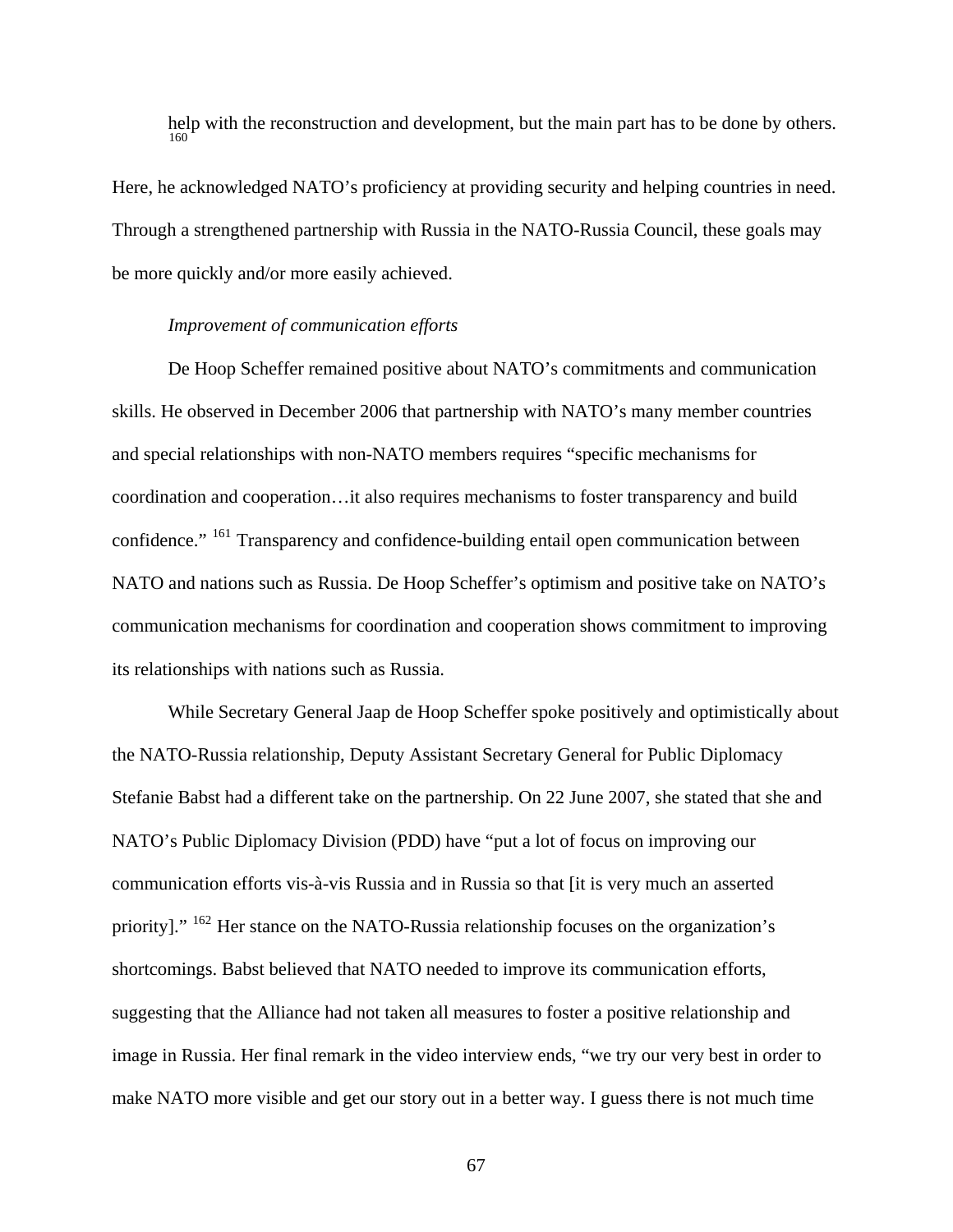help with the reconstruction and development, but the main part has to be done by others. [160](#page-118-5)

Here, he acknowledged NATO's proficiency at providing security and helping countries in need. Through a strengthened partnership with Russia in the NATO-Russia Council, these goals may be more quickly and/or more easily achieved.

## *Improvement of communication efforts*

De Hoop Scheffer remained positive about NATO's commitments and communication skills. He observed in December 2006 that partnership with NATO's many member countries and special relationships with non-NATO members requires "specific mechanisms for coordination and cooperation…it also requires mechanisms to foster transparency and build confidence." [161](#page-119-0) Transparency and confidence-building entail open communication between NATO and nations such as Russia. De Hoop Scheffer's optimism and positive take on NATO's communication mechanisms for coordination and cooperation shows commitment to improving its relationships with nations such as Russia.

 While Secretary General Jaap de Hoop Scheffer spoke positively and optimistically about the NATO-Russia relationship, Deputy Assistant Secretary General for Public Diplomacy Stefanie Babst had a different take on the partnership. On 22 June 2007, she stated that she and NATO's Public Diplomacy Division (PDD) have "put a lot of focus on improving our communication efforts vis-à-vis Russia and in Russia so that [it is very much an asserted priority]." <sup>[162](#page-119-1)</sup> Her stance on the NATO-Russia relationship focuses on the organization's shortcomings. Babst believed that NATO needed to improve its communication efforts, suggesting that the Alliance had not taken all measures to foster a positive relationship and image in Russia. Her final remark in the video interview ends, "we try our very best in order to make NATO more visible and get our story out in a better way. I guess there is not much time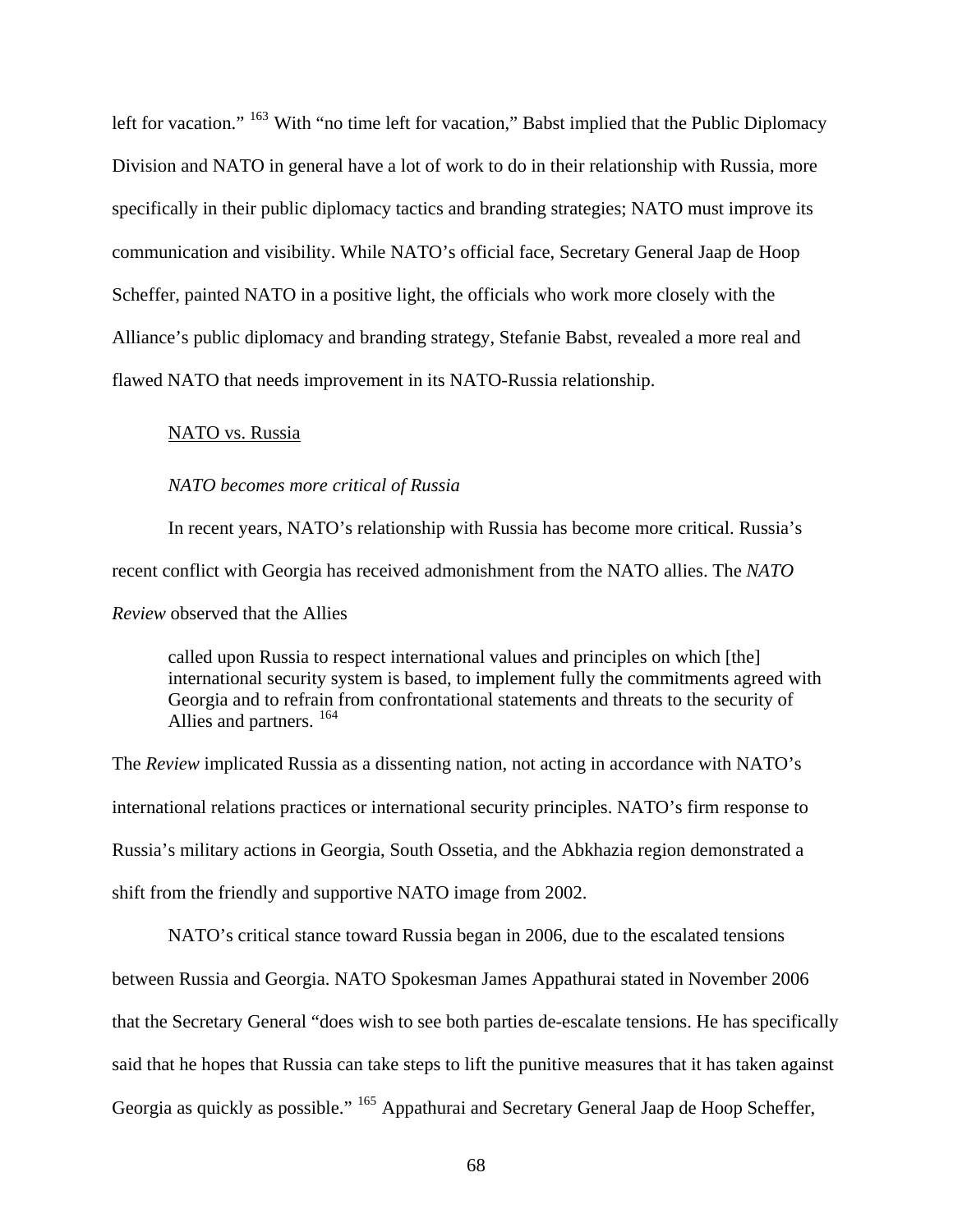left for vacation." <sup>[163](#page-119-2)</sup> With "no time left for vacation," Babst implied that the Public Diplomacy Division and NATO in general have a lot of work to do in their relationship with Russia, more specifically in their public diplomacy tactics and branding strategies; NATO must improve its communication and visibility. While NATO's official face, Secretary General Jaap de Hoop Scheffer, painted NATO in a positive light, the officials who work more closely with the Alliance's public diplomacy and branding strategy, Stefanie Babst, revealed a more real and flawed NATO that needs improvement in its NATO-Russia relationship.

# NATO vs. Russia

#### *NATO becomes more critical of Russia*

In recent years, NATO's relationship with Russia has become more critical. Russia's recent conflict with Georgia has received admonishment from the NATO allies. The *NATO Review* observed that the Allies

called upon Russia to respect international values and principles on which [the] international security system is based, to implement fully the commitments agreed with Georgia and to refrain from confrontational statements and threats to the security of Allies and partners. [164](#page-119-3)

The *Review* implicated Russia as a dissenting nation, not acting in accordance with NATO's international relations practices or international security principles. NATO's firm response to Russia's military actions in Georgia, South Ossetia, and the Abkhazia region demonstrated a shift from the friendly and supportive NATO image from 2002.

 NATO's critical stance toward Russia began in 2006, due to the escalated tensions between Russia and Georgia. NATO Spokesman James Appathurai stated in November 2006 that the Secretary General "does wish to see both parties de-escalate tensions. He has specifically said that he hopes that Russia can take steps to lift the punitive measures that it has taken against Georgia as quickly as possible." <sup>[165](#page-119-4)</sup> Appathurai and Secretary General Jaap de Hoop Scheffer,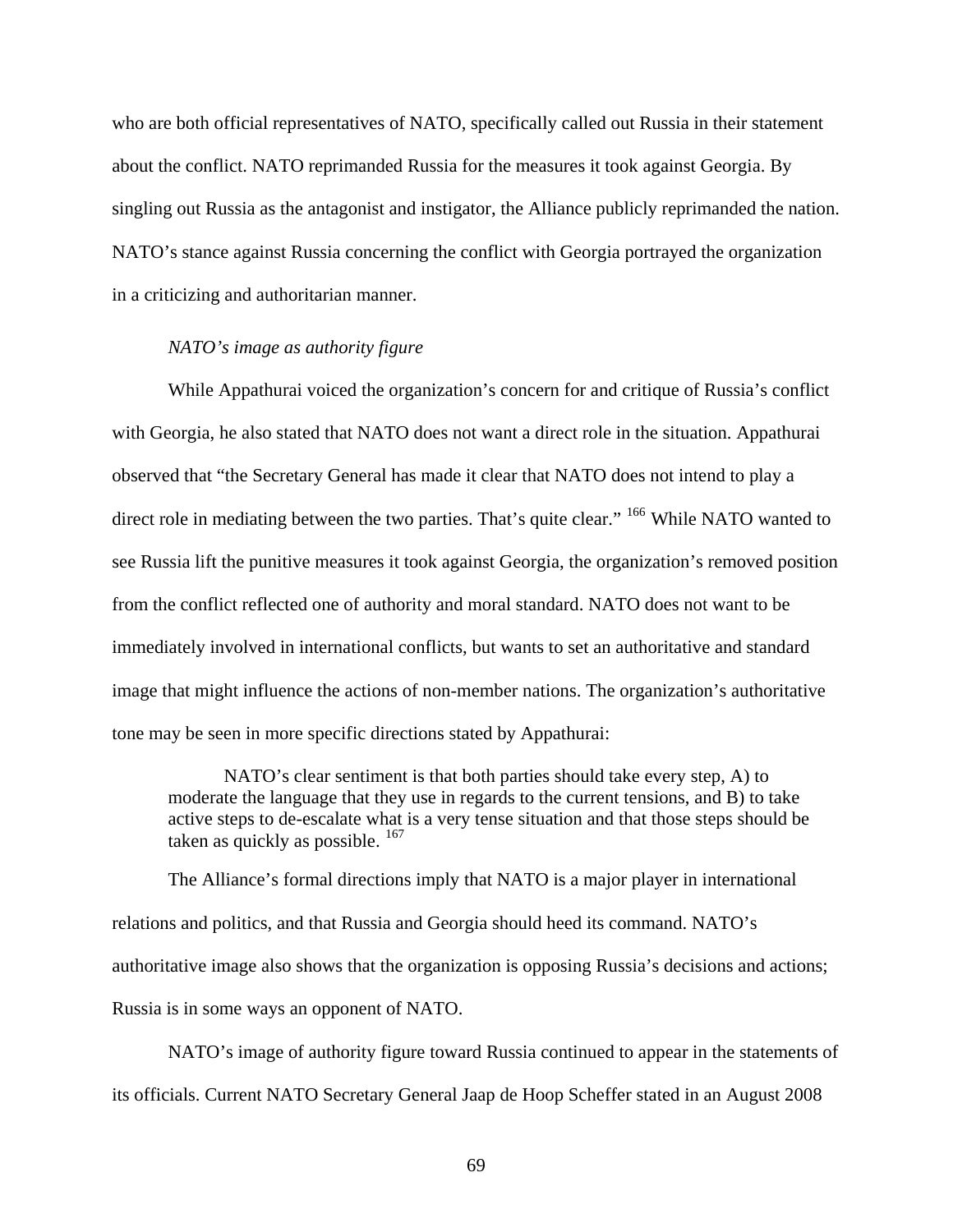who are both official representatives of NATO, specifically called out Russia in their statement about the conflict. NATO reprimanded Russia for the measures it took against Georgia. By singling out Russia as the antagonist and instigator, the Alliance publicly reprimanded the nation. NATO's stance against Russia concerning the conflict with Georgia portrayed the organization in a criticizing and authoritarian manner.

# *NATO's image as authority figure*

While Appathurai voiced the organization's concern for and critique of Russia's conflict with Georgia, he also stated that NATO does not want a direct role in the situation. Appathurai observed that "the Secretary General has made it clear that NATO does not intend to play a direct role in mediating between the two parties. That's quite clear." <sup>[166](#page-119-5)</sup> While NATO wanted to see Russia lift the punitive measures it took against Georgia, the organization's removed position from the conflict reflected one of authority and moral standard. NATO does not want to be immediately involved in international conflicts, but wants to set an authoritative and standard image that might influence the actions of non-member nations. The organization's authoritative tone may be seen in more specific directions stated by Appathurai:

NATO's clear sentiment is that both parties should take every step, A) to moderate the language that they use in regards to the current tensions, and B) to take active steps to de-escalate what is a very tense situation and that those steps should be taken as quickly as possible.  $167$ 

The Alliance's formal directions imply that NATO is a major player in international relations and politics, and that Russia and Georgia should heed its command. NATO's authoritative image also shows that the organization is opposing Russia's decisions and actions; Russia is in some ways an opponent of NATO.

NATO's image of authority figure toward Russia continued to appear in the statements of its officials. Current NATO Secretary General Jaap de Hoop Scheffer stated in an August 2008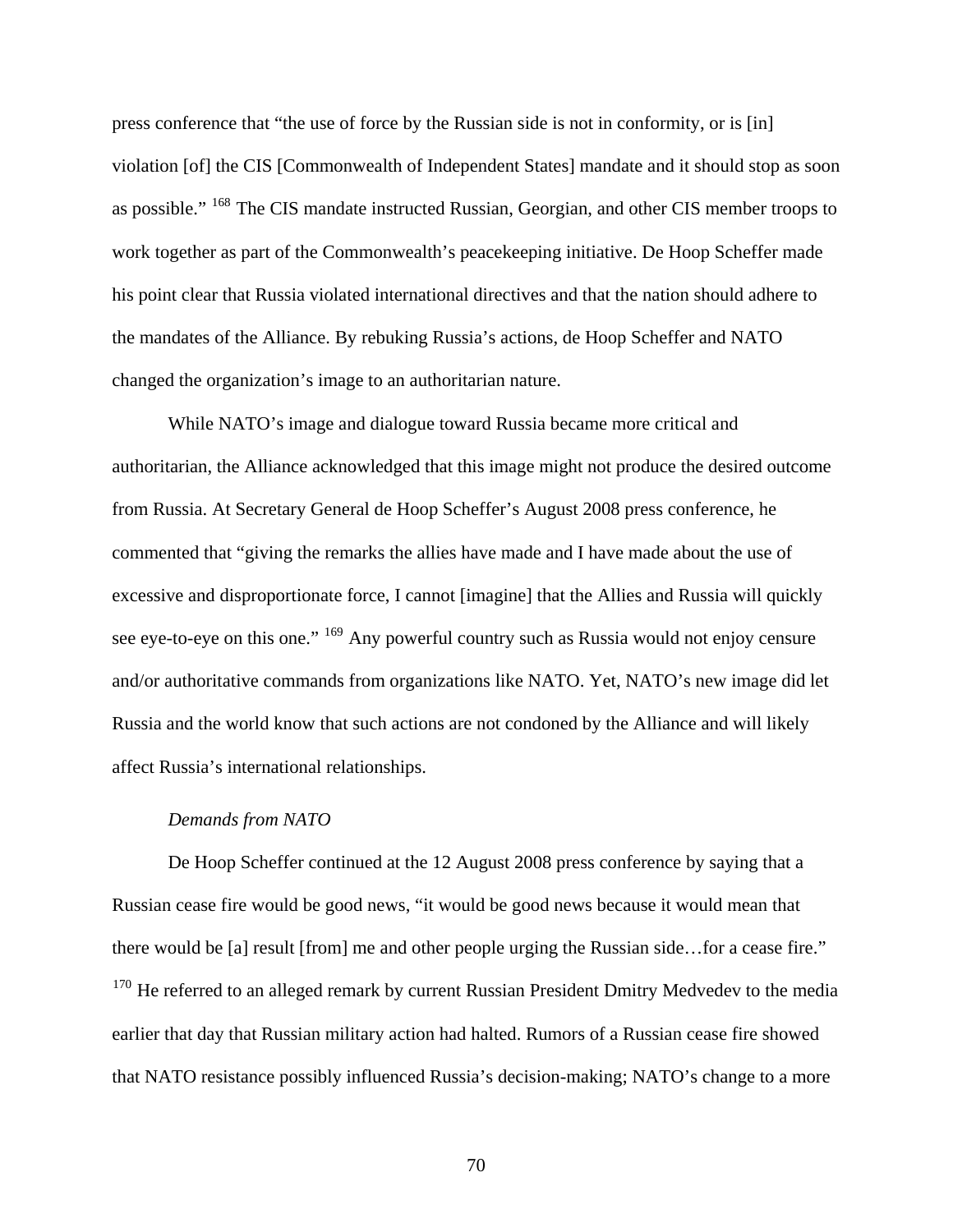press conference that "the use of force by the Russian side is not in conformity, or is [in] violation [of] the CIS [Commonwealth of Independent States] mandate and it should stop as soon as possible." [168](#page-119-7) The CIS mandate instructed Russian, Georgian, and other CIS member troops to work together as part of the Commonwealth's peacekeeping initiative. De Hoop Scheffer made his point clear that Russia violated international directives and that the nation should adhere to the mandates of the Alliance. By rebuking Russia's actions, de Hoop Scheffer and NATO changed the organization's image to an authoritarian nature.

 While NATO's image and dialogue toward Russia became more critical and authoritarian, the Alliance acknowledged that this image might not produce the desired outcome from Russia. At Secretary General de Hoop Scheffer's August 2008 press conference, he commented that "giving the remarks the allies have made and I have made about the use of excessive and disproportionate force, I cannot [imagine] that the Allies and Russia will quickly see eye-to-eye on this one." <sup>[169](#page-119-8)</sup> Any powerful country such as Russia would not enjoy censure and/or authoritative commands from organizations like NATO. Yet, NATO's new image did let Russia and the world know that such actions are not condoned by the Alliance and will likely affect Russia's international relationships.

## *Demands from NATO*

De Hoop Scheffer continued at the 12 August 2008 press conference by saying that a Russian cease fire would be good news, "it would be good news because it would mean that there would be [a] result [from] me and other people urging the Russian side…for a cease fire." <sup>[170](#page-119-9)</sup> He referred to an alleged remark by current Russian President Dmitry Medvedev to the media earlier that day that Russian military action had halted. Rumors of a Russian cease fire showed that NATO resistance possibly influenced Russia's decision-making; NATO's change to a more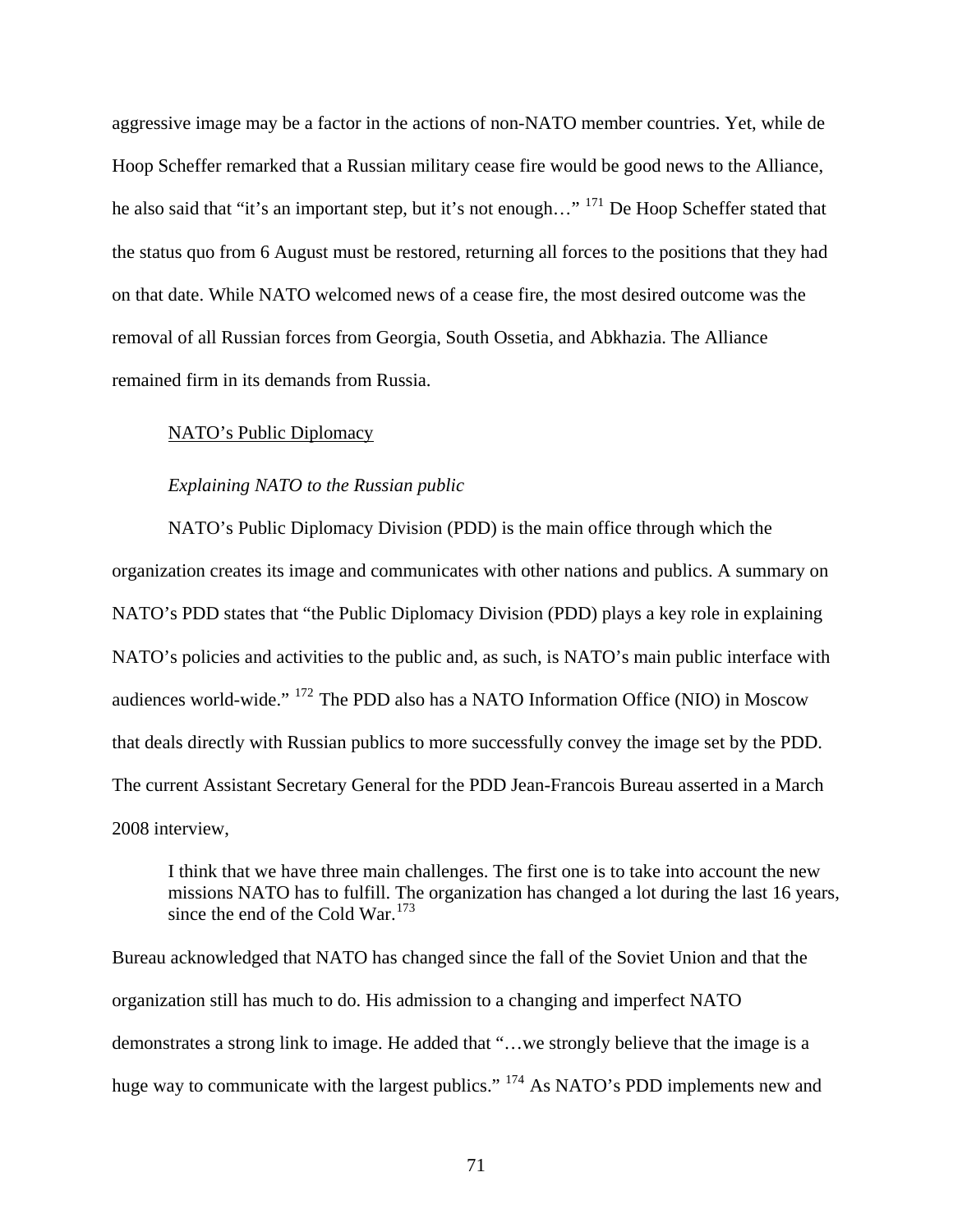aggressive image may be a factor in the actions of non-NATO member countries. Yet, while de Hoop Scheffer remarked that a Russian military cease fire would be good news to the Alliance, he also said that "it's an important step, but it's not enough..." <sup>[171](#page-119-10)</sup> De Hoop Scheffer stated that the status quo from 6 August must be restored, returning all forces to the positions that they had on that date. While NATO welcomed news of a cease fire, the most desired outcome was the removal of all Russian forces from Georgia, South Ossetia, and Abkhazia. The Alliance remained firm in its demands from Russia.

# NATO's Public Diplomacy

#### *Explaining NATO to the Russian public*

NATO's Public Diplomacy Division (PDD) is the main office through which the organization creates its image and communicates with other nations and publics. A summary on NATO's PDD states that "the Public Diplomacy Division (PDD) plays a key role in explaining NATO's policies and activities to the public and, as such, is NATO's main public interface with audiences world-wide." [172](#page-119-11) The PDD also has a NATO Information Office (NIO) in Moscow that deals directly with Russian publics to more successfully convey the image set by the PDD. The current Assistant Secretary General for the PDD Jean-Francois Bureau asserted in a March 2008 interview,

I think that we have three main challenges. The first one is to take into account the new missions NATO has to fulfill. The organization has changed a lot during the last 16 years, since the end of the Cold War. $173$ 

Bureau acknowledged that NATO has changed since the fall of the Soviet Union and that the organization still has much to do. His admission to a changing and imperfect NATO demonstrates a strong link to image. He added that "…we strongly believe that the image is a huge way to communicate with the largest publics." <sup>[174](#page-119-13)</sup> As NATO's PDD implements new and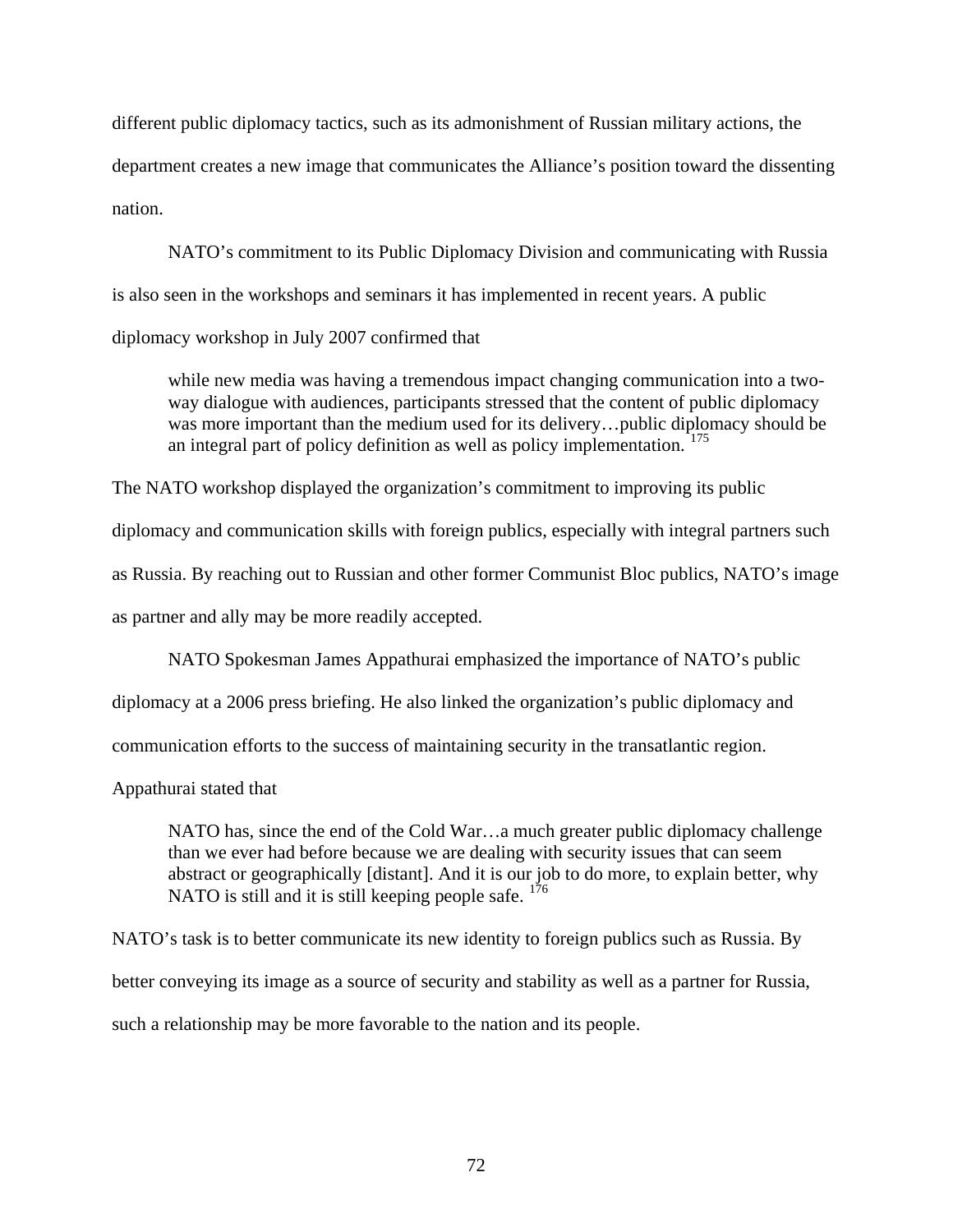different public diplomacy tactics, such as its admonishment of Russian military actions, the department creates a new image that communicates the Alliance's position toward the dissenting nation.

 NATO's commitment to its Public Diplomacy Division and communicating with Russia is also seen in the workshops and seminars it has implemented in recent years. A public diplomacy workshop in July 2007 confirmed that

while new media was having a tremendous impact changing communication into a twoway dialogue with audiences, participants stressed that the content of public diplomacy was more important than the medium used for its delivery...public diplomacy should be an integral part of policy definition as well as policy implementation.<sup>[175](#page-119-14)</sup>

The NATO workshop displayed the organization's commitment to improving its public diplomacy and communication skills with foreign publics, especially with integral partners such as Russia. By reaching out to Russian and other former Communist Bloc publics, NATO's image as partner and ally may be more readily accepted.

NATO Spokesman James Appathurai emphasized the importance of NATO's public

diplomacy at a 2006 press briefing. He also linked the organization's public diplomacy and

communication efforts to the success of maintaining security in the transatlantic region.

Appathurai stated that

NATO has, since the end of the Cold War…a much greater public diplomacy challenge than we ever had before because we are dealing with security issues that can seem abstract or geographically [distant]. And it is our job to do more, to explain better, why NATO is still and it is still keeping people safe.  $176$ 

NATO's task is to better communicate its new identity to foreign publics such as Russia. By better conveying its image as a source of security and stability as well as a partner for Russia, such a relationship may be more favorable to the nation and its people.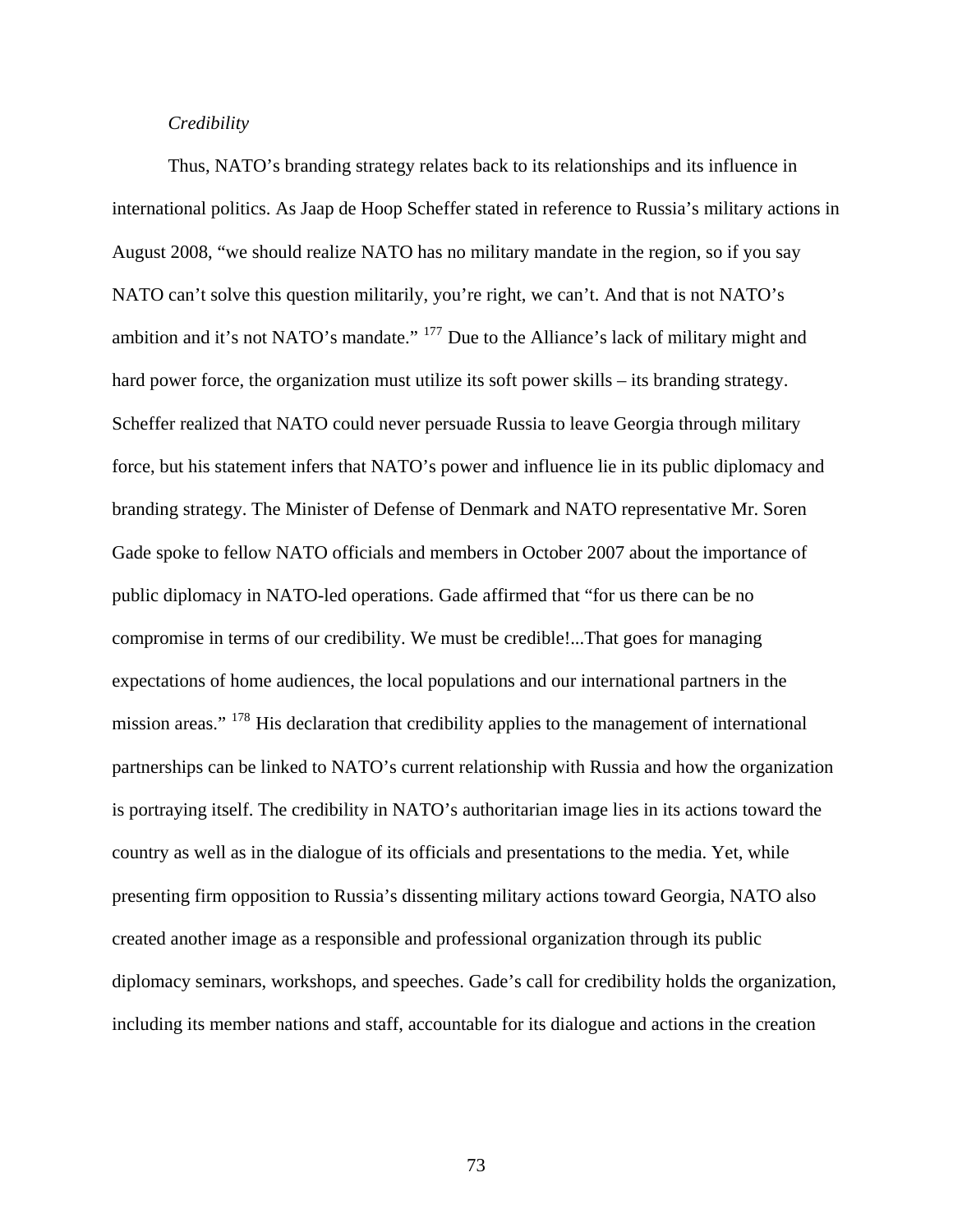# *Credibility*

 Thus, NATO's branding strategy relates back to its relationships and its influence in international politics. As Jaap de Hoop Scheffer stated in reference to Russia's military actions in August 2008, "we should realize NATO has no military mandate in the region, so if you say NATO can't solve this question militarily, you're right, we can't. And that is not NATO's ambition and it's not NATO's mandate." [177](#page-119-16) Due to the Alliance's lack of military might and hard power force, the organization must utilize its soft power skills – its branding strategy. Scheffer realized that NATO could never persuade Russia to leave Georgia through military force, but his statement infers that NATO's power and influence lie in its public diplomacy and branding strategy. The Minister of Defense of Denmark and NATO representative Mr. Soren Gade spoke to fellow NATO officials and members in October 2007 about the importance of public diplomacy in NATO-led operations. Gade affirmed that "for us there can be no compromise in terms of our credibility. We must be credible!...That goes for managing expectations of home audiences, the local populations and our international partners in the mission areas." <sup>[178](#page-119-17)</sup> His declaration that credibility applies to the management of international partnerships can be linked to NATO's current relationship with Russia and how the organization is portraying itself. The credibility in NATO's authoritarian image lies in its actions toward the country as well as in the dialogue of its officials and presentations to the media. Yet, while presenting firm opposition to Russia's dissenting military actions toward Georgia, NATO also created another image as a responsible and professional organization through its public diplomacy seminars, workshops, and speeches. Gade's call for credibility holds the organization, including its member nations and staff, accountable for its dialogue and actions in the creation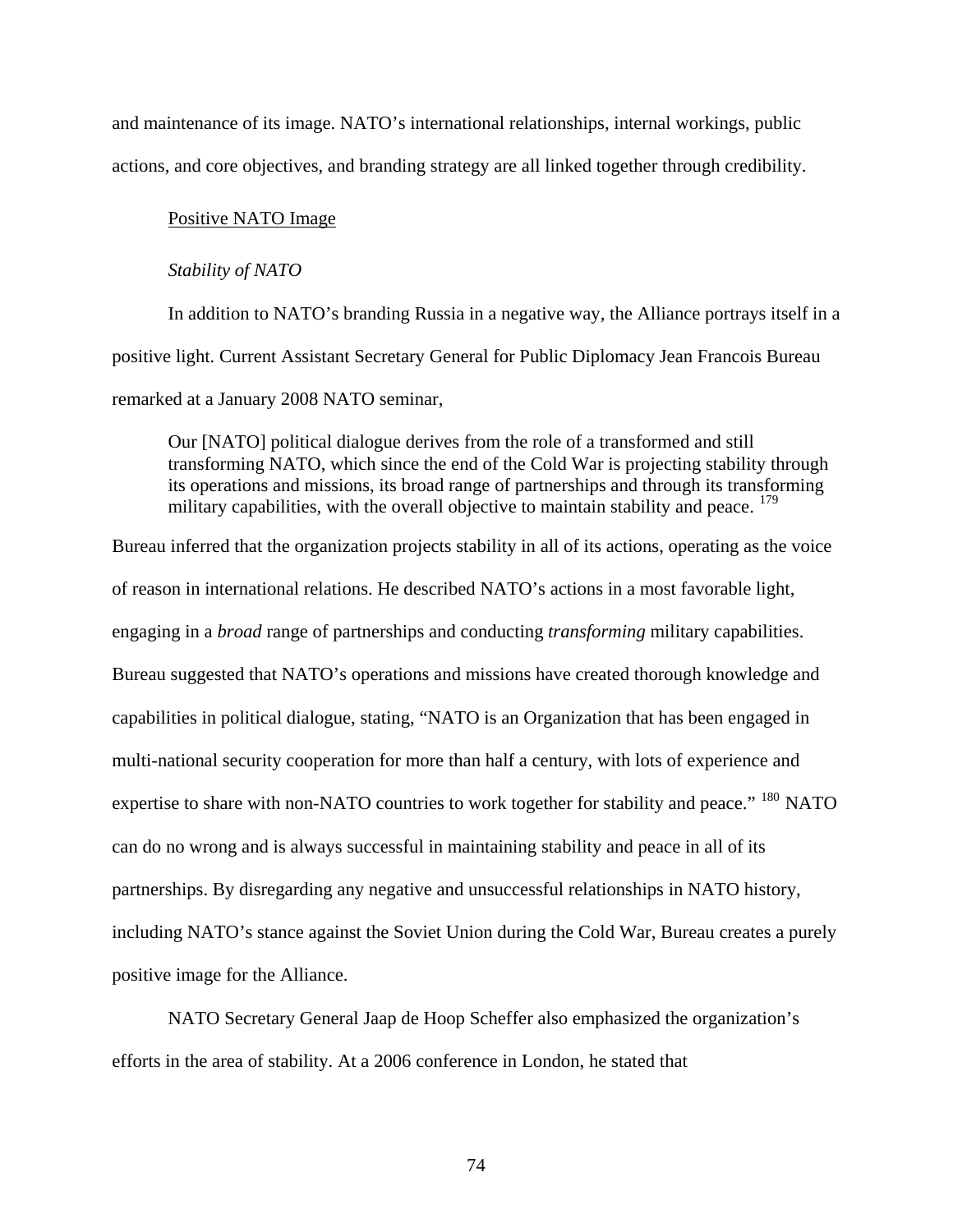and maintenance of its image. NATO's international relationships, internal workings, public actions, and core objectives, and branding strategy are all linked together through credibility.

## Positive NATO Image

#### *Stability of NATO*

In addition to NATO's branding Russia in a negative way, the Alliance portrays itself in a positive light. Current Assistant Secretary General for Public Diplomacy Jean Francois Bureau remarked at a January 2008 NATO seminar,

Our [NATO] political dialogue derives from the role of a transformed and still transforming NATO, which since the end of the Cold War is projecting stability through its operations and missions, its broad range of partnerships and through its transforming military capabilities, with the overall objective to maintain stability and peace. <sup>[179](#page-119-18)</sup>

Bureau inferred that the organization projects stability in all of its actions, operating as the voice of reason in international relations. He described NATO's actions in a most favorable light, engaging in a *broad* range of partnerships and conducting *transforming* military capabilities. Bureau suggested that NATO's operations and missions have created thorough knowledge and capabilities in political dialogue, stating, "NATO is an Organization that has been engaged in multi-national security cooperation for more than half a century, with lots of experience and expertise to share with non-NATO countries to work together for stability and peace." <sup>[180](#page-119-19)</sup> NATO can do no wrong and is always successful in maintaining stability and peace in all of its partnerships. By disregarding any negative and unsuccessful relationships in NATO history, including NATO's stance against the Soviet Union during the Cold War, Bureau creates a purely positive image for the Alliance.

 NATO Secretary General Jaap de Hoop Scheffer also emphasized the organization's efforts in the area of stability. At a 2006 conference in London, he stated that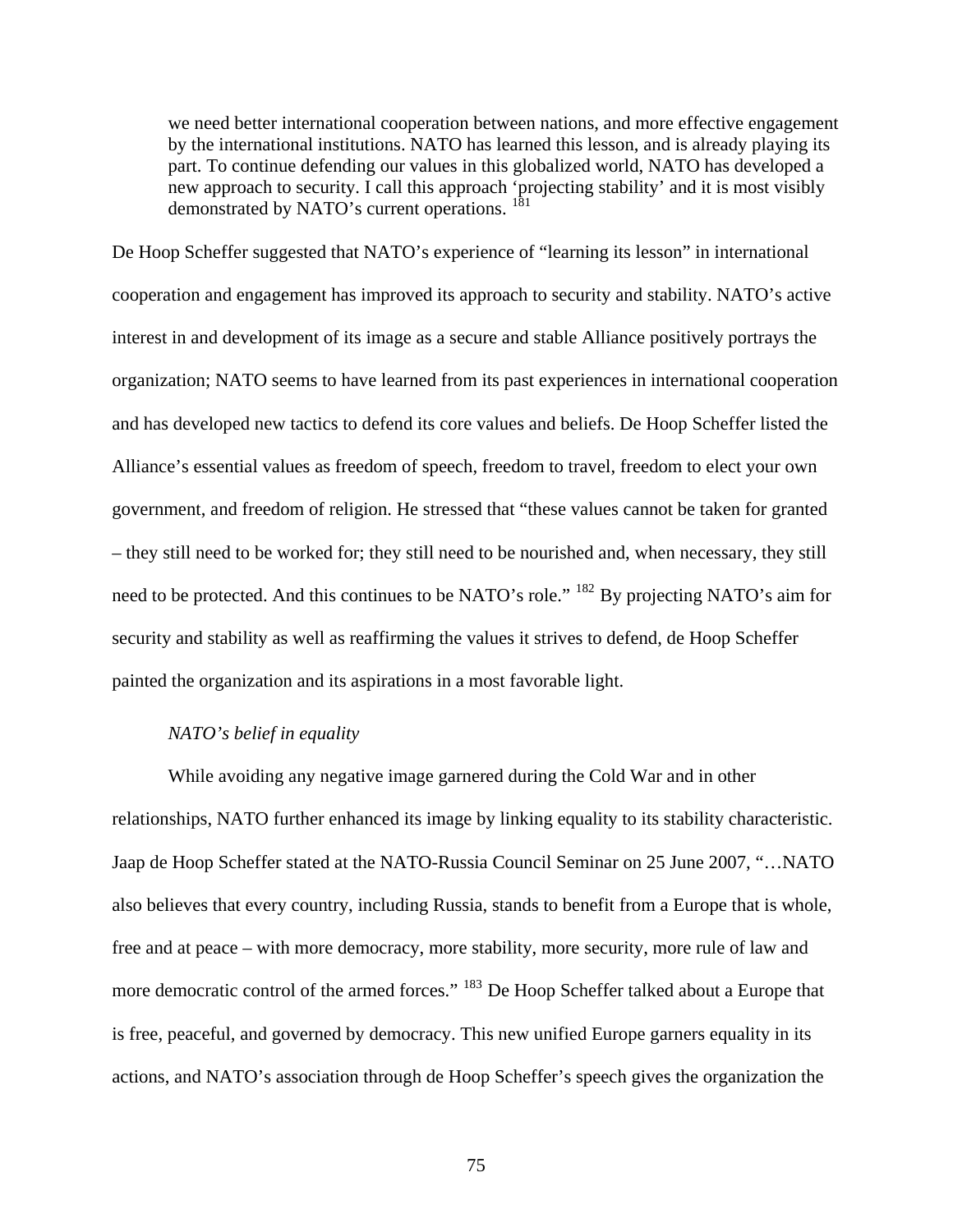we need better international cooperation between nations, and more effective engagement by the international institutions. NATO has learned this lesson, and is already playing its part. To continue defending our values in this globalized world, NATO has developed a new approach to security. I call this approach 'projecting stability' and it is most visibly demonstrated by NATO's current operations.<sup>[181](#page-119-20)</sup>

De Hoop Scheffer suggested that NATO's experience of "learning its lesson" in international cooperation and engagement has improved its approach to security and stability. NATO's active interest in and development of its image as a secure and stable Alliance positively portrays the organization; NATO seems to have learned from its past experiences in international cooperation and has developed new tactics to defend its core values and beliefs. De Hoop Scheffer listed the Alliance's essential values as freedom of speech, freedom to travel, freedom to elect your own government, and freedom of religion. He stressed that "these values cannot be taken for granted – they still need to be worked for; they still need to be nourished and, when necessary, they still need to be protected. And this continues to be NATO's role." [182](#page-119-21) By projecting NATO's aim for security and stability as well as reaffirming the values it strives to defend, de Hoop Scheffer painted the organization and its aspirations in a most favorable light.

## *NATO's belief in equality*

While avoiding any negative image garnered during the Cold War and in other relationships, NATO further enhanced its image by linking equality to its stability characteristic. Jaap de Hoop Scheffer stated at the NATO-Russia Council Seminar on 25 June 2007, "…NATO also believes that every country, including Russia, stands to benefit from a Europe that is whole, free and at peace – with more democracy, more stability, more security, more rule of law and more democratic control of the armed forces." <sup>[183](#page-119-22)</sup> De Hoop Scheffer talked about a Europe that is free, peaceful, and governed by democracy. This new unified Europe garners equality in it s actions, and NATO's association through de Hoop Scheffer's speech gives the organization the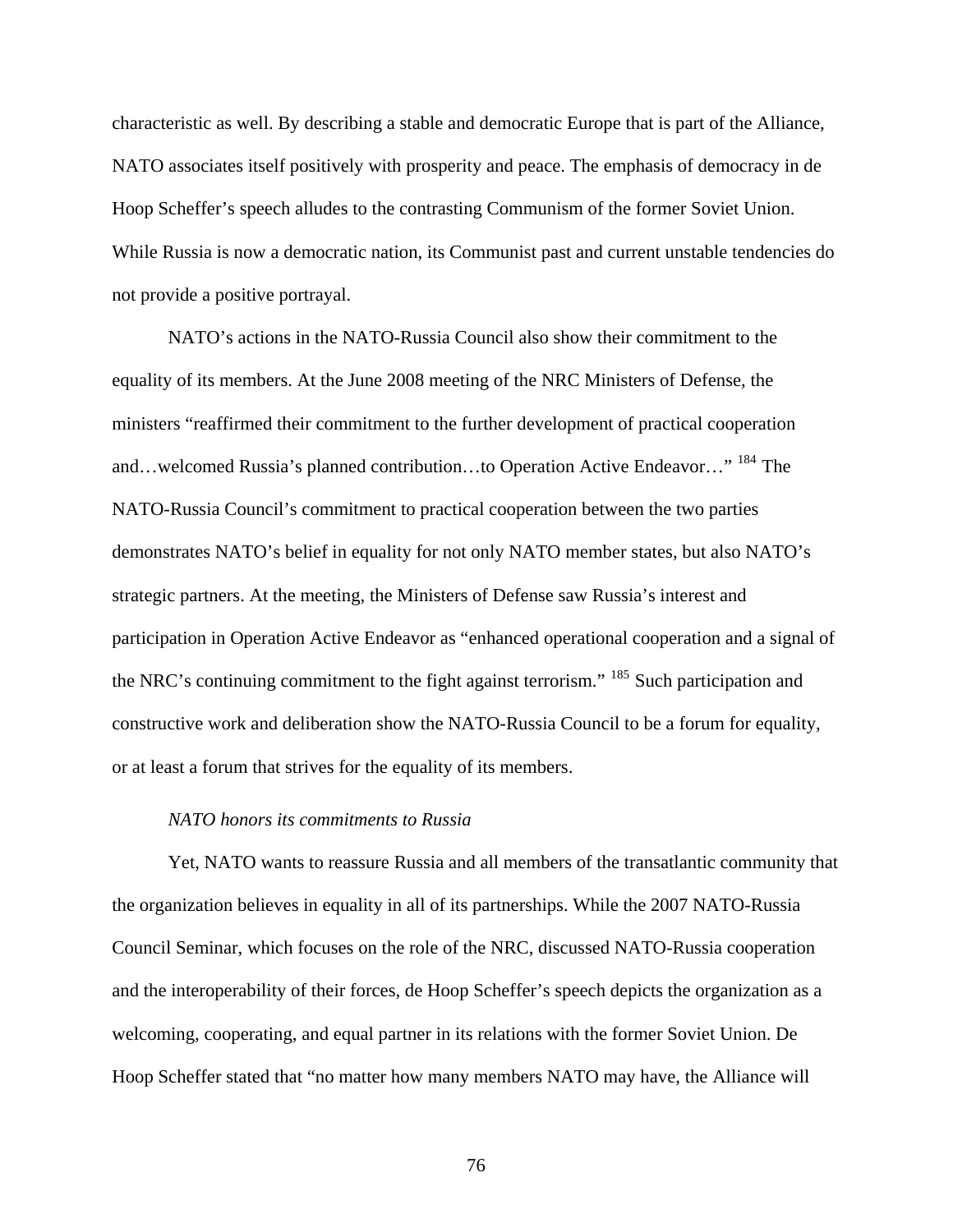characteristic as well. By describing a stable and democratic Europe that is part of the Alliance, NATO associates itself positively with prosperity and peace. The emphasis of democracy in de Hoop Scheffer's speech alludes to the contrasting Communism of the former Soviet Union. While Russia is now a democratic nation, its Communist past and current unstable tendencies do not provide a positive portrayal.

 NATO's actions in the NATO-Russia Council also show their commitment to the equality of its members. At the June 2008 meeting of the NRC Ministers of Defense, the ministers "reaffirmed their commitment to the further development of practical cooperation and…welcomed Russia's planned contribution…to Operation Active Endeavor…" [184](#page-119-23) The NATO-Russia Council's commitment to practical cooperation between the two parties demonstrates NATO's belief in equality for not only NATO member states, but also NATO's strategic partners. At the meeting, the Ministers of Defense saw Russia's interest and participation in Operation Active Endeavor as "enhanced operational cooperation and a signal of the NRC's continuing commitment to the fight against terrorism." <sup>[185](#page-119-24)</sup> Such participation and constructive work and deliberation show the NATO-Russia Council to be a forum for equality, or at least a forum that strives for the equality of its members.

## *NATO honors its commitments to Russia*

Yet, NATO wants to reassure Russia and all members of the transatlantic community that the organization believes in equality in all of its partnerships. While the 2007 NATO-Russia Council Seminar, which focuses on the role of the NRC, discussed NATO-Russia cooperation and the interoperability of their forces, de Hoop Scheffer's speech depicts the organization as a welcoming, cooperating, and equal partner in its relations with the former Soviet Union. De Hoop Scheffer stated that "no matter how many members NATO may have, the Alliance will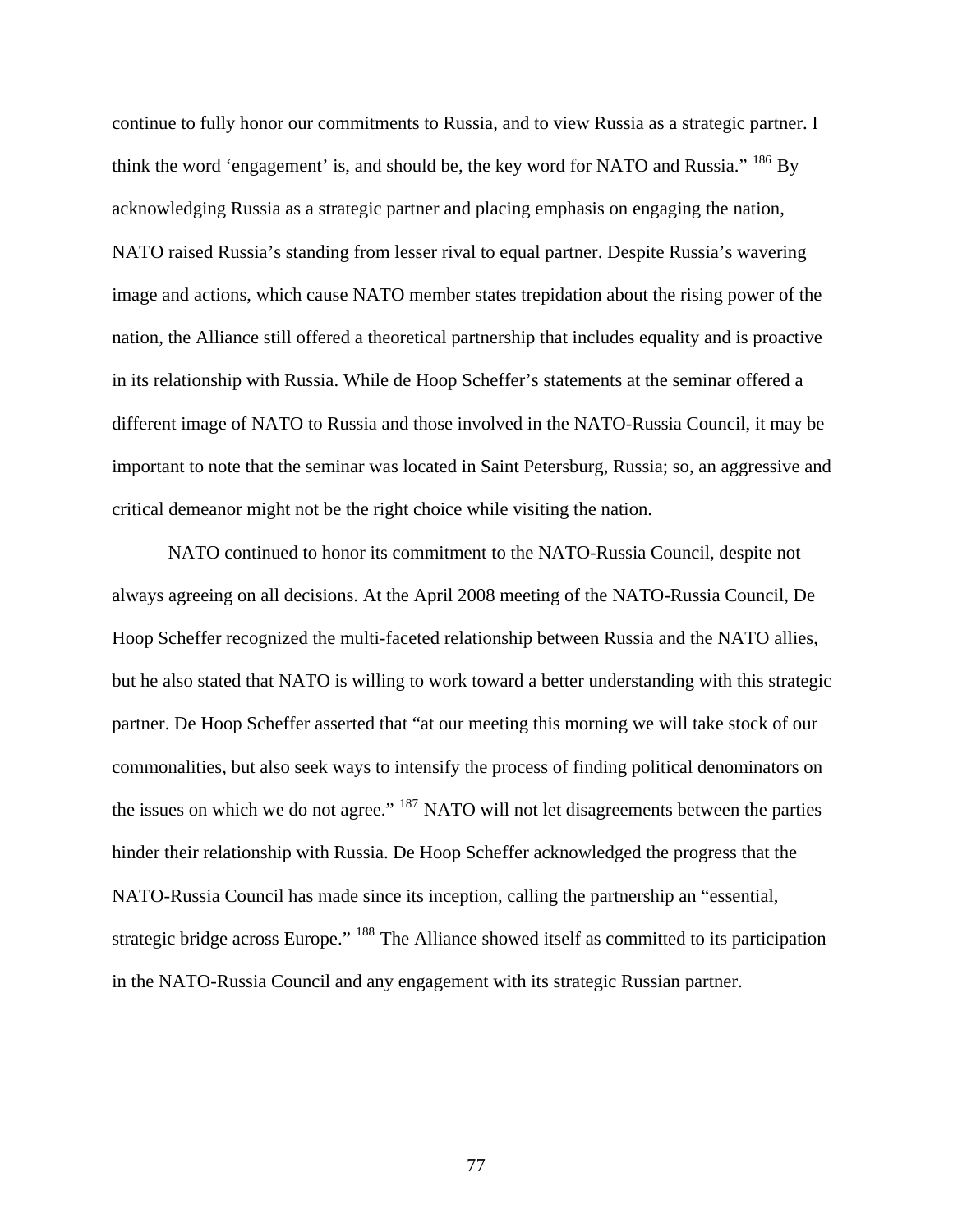continue to fully honor our commitments to Russia, and to view Russia as a strategic partner. I think the word 'engagement' is, and should be, the key word for NATO and Russia."  $^{186}$  $^{186}$  $^{186}$  By acknowledging Russia as a strategic partner and placing emphasis on engaging the nation, NATO raised Russia's standing from lesser rival to equal partner. Despite Russia's wavering image and actions, which cause NATO member states trepidation about the rising power of the nation, the Alliance still offered a theoretical partnership that includes equality and is proactive in its relationship with Russia. While de Hoop Scheffer's statements at the seminar offered a different image of NATO to Russia and those involved in the NATO-Russia Council, it may be important to note that the seminar was located in Saint Petersburg, Russia; so, an aggressive and critical demeanor might not be the right choice while visiting the nation.

 NATO continued to honor its commitment to the NATO-Russia Council, despite not always agreeing on all decisions. At the April 2008 meeting of the NATO-Russia Council, De Hoop Scheffer recognized the multi-faceted relationship between Russia and the NATO allies, but he also stated that NATO is willing to work toward a better understanding with this strategic partner. De Hoop Scheffer asserted that "at our meeting this morning we will take stock of our commonalities, but also seek ways to intensify the process of finding political denominators on the issues on which we do not agree." <sup>[187](#page-119-26)</sup> NATO will not let disagreements between the parties hinder their relationship with Russia. De Hoop Scheffer acknowledged the progress that the NATO-Russia Council has made since its inception, calling the partnership an "essential, strategic bridge across Europe." <sup>[188](#page-119-27)</sup> The Alliance showed itself as committed to its participation in the NATO-Russia Council and any engagement with its strategic Russian partner.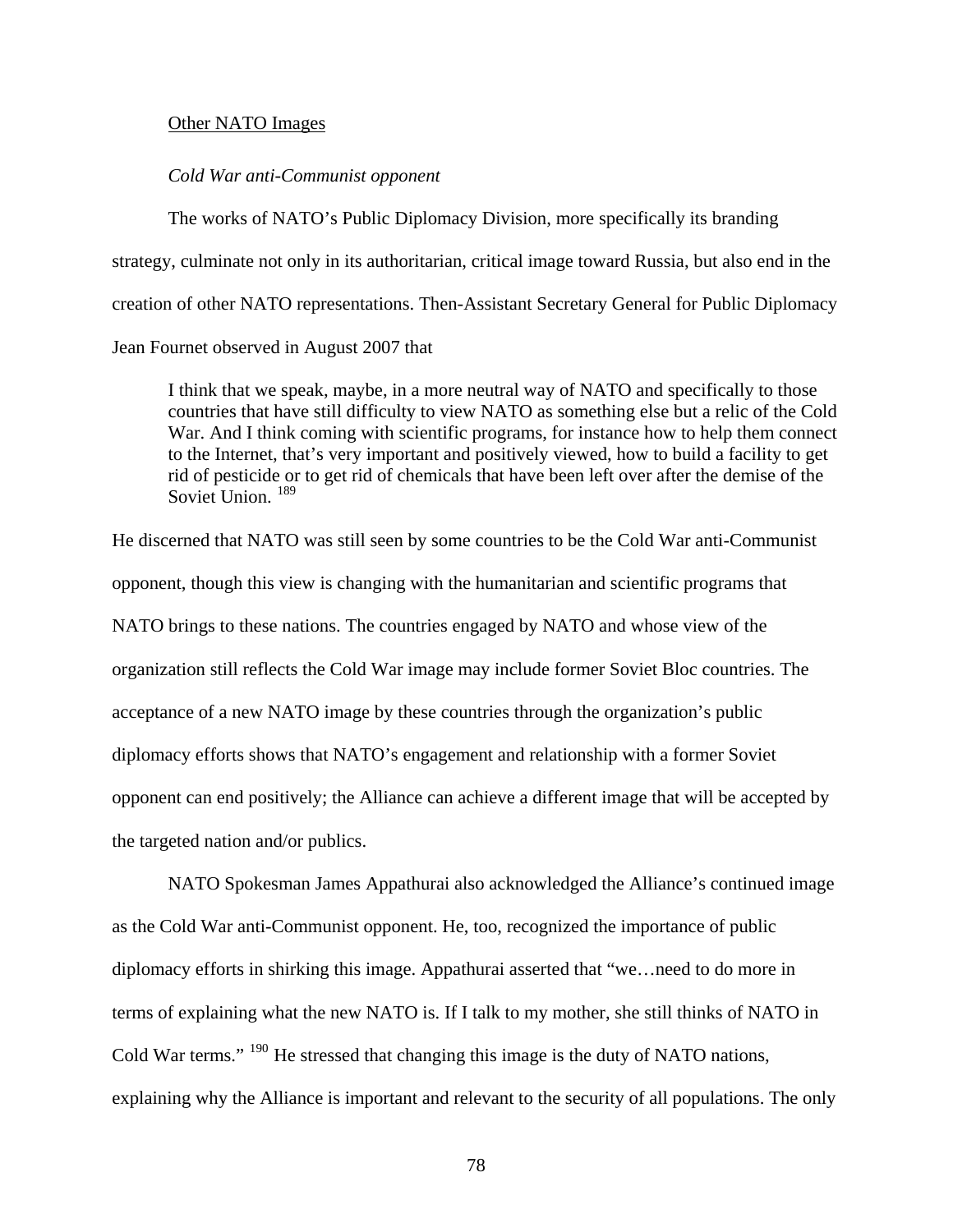#### Other NATO Images

### *Cold War anti-Communist opponent*

The works of NATO's Public Diplomacy Division, more specifically its branding strategy, culminate not only in its authoritarian, critical image toward Russia, but also end in the creation of other NATO representations. Then-Assistant Secretary General for Public Diplomacy Jean Fournet observed in August 2007 that

I think that we speak, maybe, in a more neutral way of NATO and specifically to those countries that have still difficulty to view NATO as something else but a relic of the Cold War. And I think coming with scientific programs, for instance how to help them connect to the Internet, that's very important and positively viewed, how to build a facility to get rid of pesticide or to get rid of chemicals that have been left over after the demise of the Soviet Union.<sup>[189](#page-119-28)</sup>

He discerned that NATO was still seen by some countries to be the Cold War anti-Communist opponent, though this view is changing with the humanitarian and scientific programs that NATO brings to these nations. The countries engaged by NATO and whose view of the organization still reflects the Cold War image may include former Soviet Bloc countries. The acceptance of a new NATO image by these countries through the organization's public diplomacy efforts shows that NATO's engagement and relationship with a former Soviet opponent can end positively; the Alliance can achieve a different image that will be accepted by the targeted nation and/or publics.

 NATO Spokesman James Appathurai also acknowledged the Alliance's continued image as the Cold War anti-Communist opponent. He, too, recognized the importance of public diplomacy efforts in shirking this image. Appathurai asserted that "we…need to do more in terms of explaining what the new NATO is. If I talk to my mother, she still thinks of NATO in Cold War terms." [190](#page-119-29) He stressed that changing this image is the duty of NATO nations, explaining why the Alliance is important and relevant to the security of all populations. The only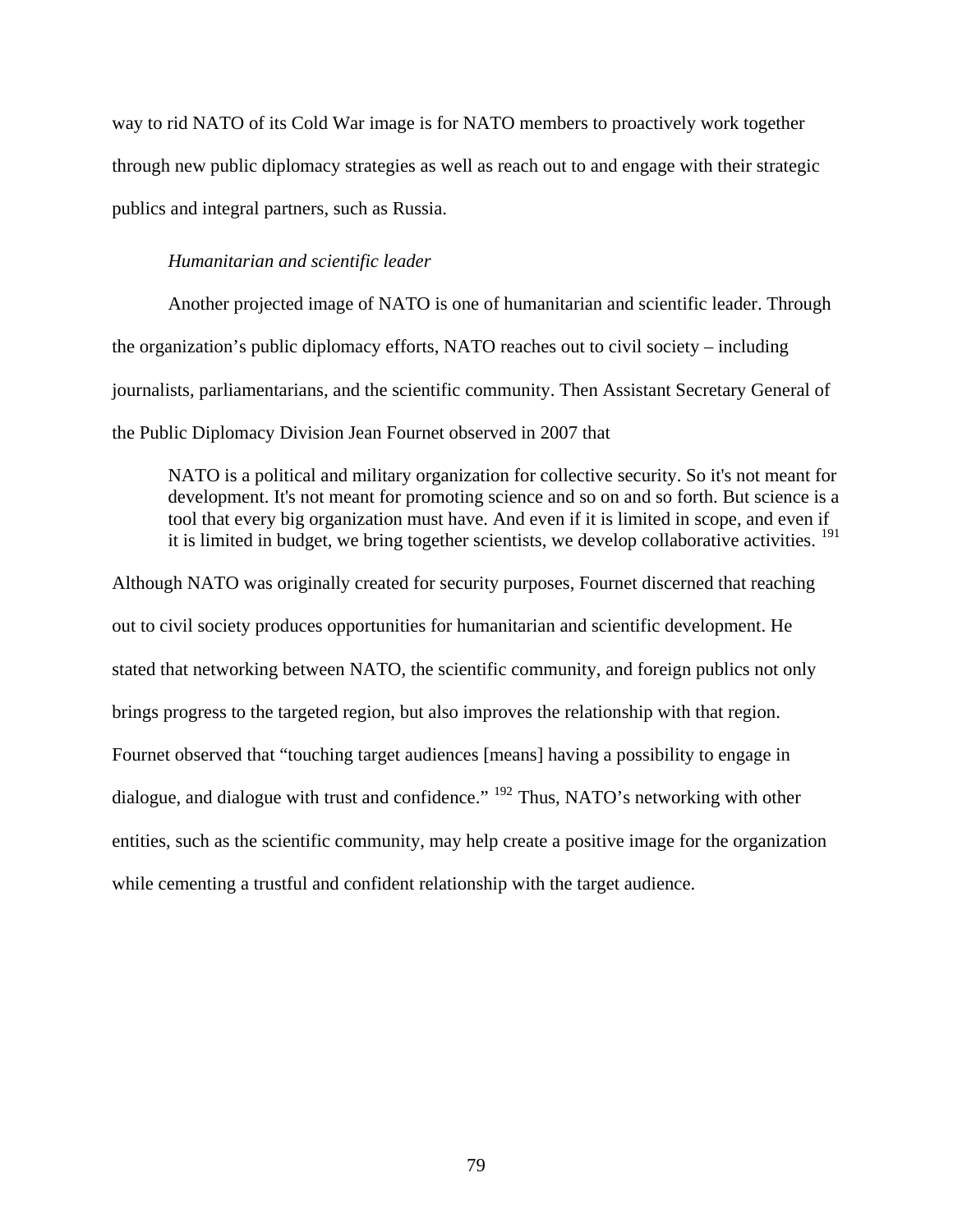way to rid NATO of its Cold War image is for NATO members to proactively work together through new public diplomacy strategies as well as reach out to and engage with their strategic publics and integral partners, such as Russia.

## *Humanitarian and scientific leader*

Another projected image of NATO is one of humanitarian and scientific leader. Through the organization's public diplomacy efforts, NATO reaches out to civil society – including journalists, parliamentarians, and the scientific community. Then Assistant Secretary General of the Public Diplomacy Division Jean Fournet observed in 2007 that

NATO is a political and military organization for collective security. So it's not meant for development. It's not meant for promoting science and so on and so forth. But science is a tool that every big organization must have. And even if it is limited in scope, and even if it is limited in budget, we bring together scientists, we develop collaborative activities. <sup>[191](#page-119-30)</sup>

Although NATO was originally created for security purposes, Fournet discerned that reaching out to civil society produces opportunities for humanitarian and scientific development. He stated that networking between NATO, the scientific community, and foreign publics not only brings progress to the targeted region, but also improves the relationship with that region. Fournet observed that "touching target audiences [means] having a possibility to engage in dialogue, and dialogue with trust and confidence." [192](#page-120-0) Thus, NATO's networking with other entities, such as the scientific community, may help create a positive image for the organization while cementing a trustful and confident relationship with the target audience.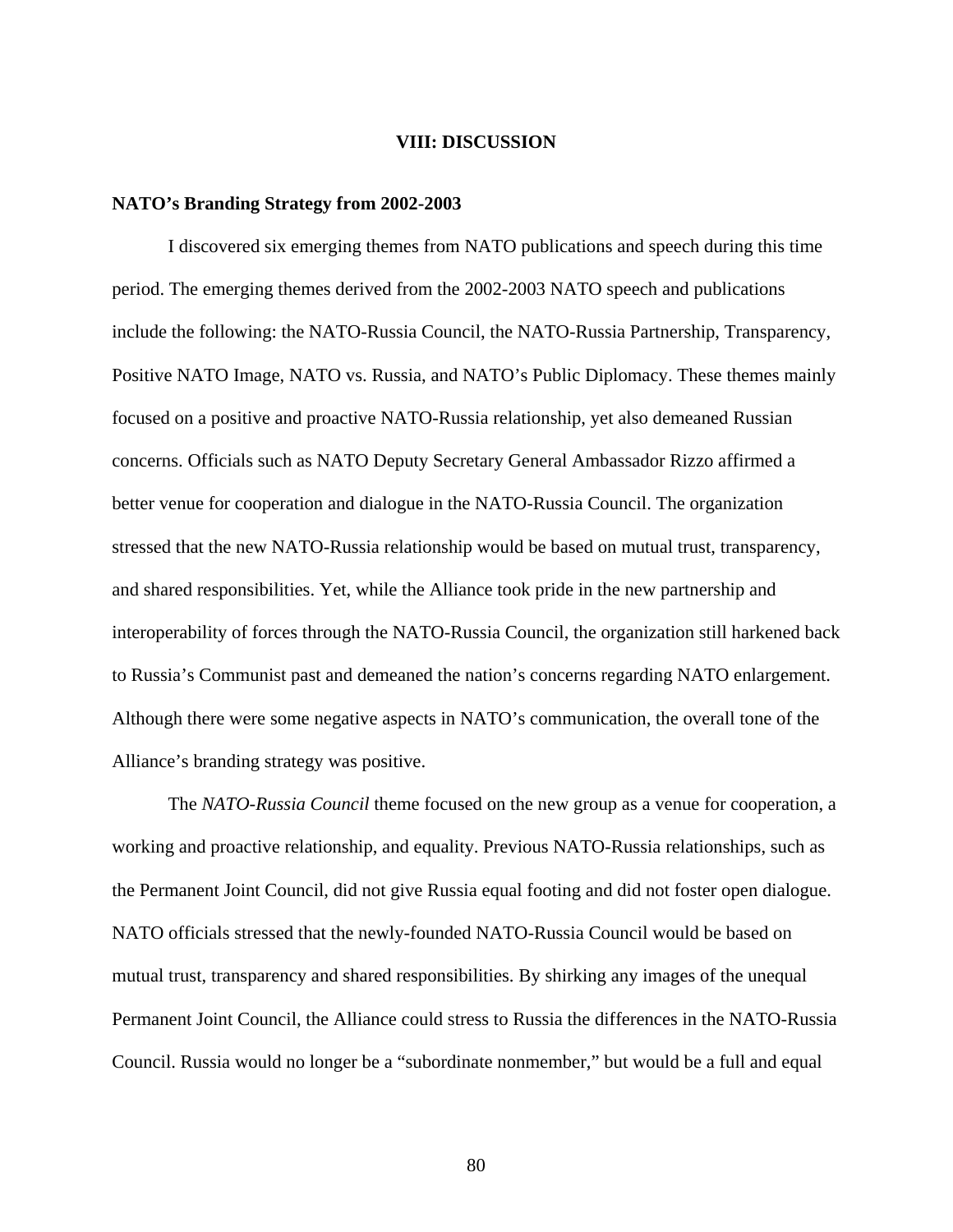#### **VIII: DISCUSSION**

#### **NATO's Branding Strategy from 2002-2003**

I discovered six emerging themes from NATO publications and speech during this time period. The emerging themes derived from the 2002-2003 NATO speech and publications include the following: the NATO-Russia Council, the NATO-Russia Partnership, Transparency, Positive NATO Image, NATO vs. Russia, and NATO's Public Diplomacy. These themes mainly focused on a positive and proactive NATO-Russia relationship, yet also demeaned Russian concerns. Officials such as NATO Deputy Secretary General Ambassador Rizzo affirmed a better venue for cooperation and dialogue in the NATO-Russia Council. The organization stressed that the new NATO-Russia relationship would be based on mutual trust, transparency, and shared responsibilities. Yet, while the Alliance took pride in the new partnership and interoperability of forces through the NATO-Russia Council, the organization still harkened back to Russia's Communist past and demeaned the nation's concerns regarding NATO enlargement. Although there were some negative aspects in NATO's communication, the overall tone of the Alliance's branding strategy was positive.

 The *NATO-Russia Council* theme focused on the new group as a venue for cooperation, a working and proactive relationship, and equality. Previous NATO-Russia relationships, such as the Permanent Joint Council, did not give Russia equal footing and did not foster open dialogue. NATO officials stressed that the newly-founded NATO-Russia Council would be based on mutual trust, transparency and shared responsibilities. By shirking any images of the unequal Permanent Joint Council, the Alliance could stress to Russia the differences in the NATO-Russia Council. Russia would no longer be a "subordinate nonmember," but would be a full and equal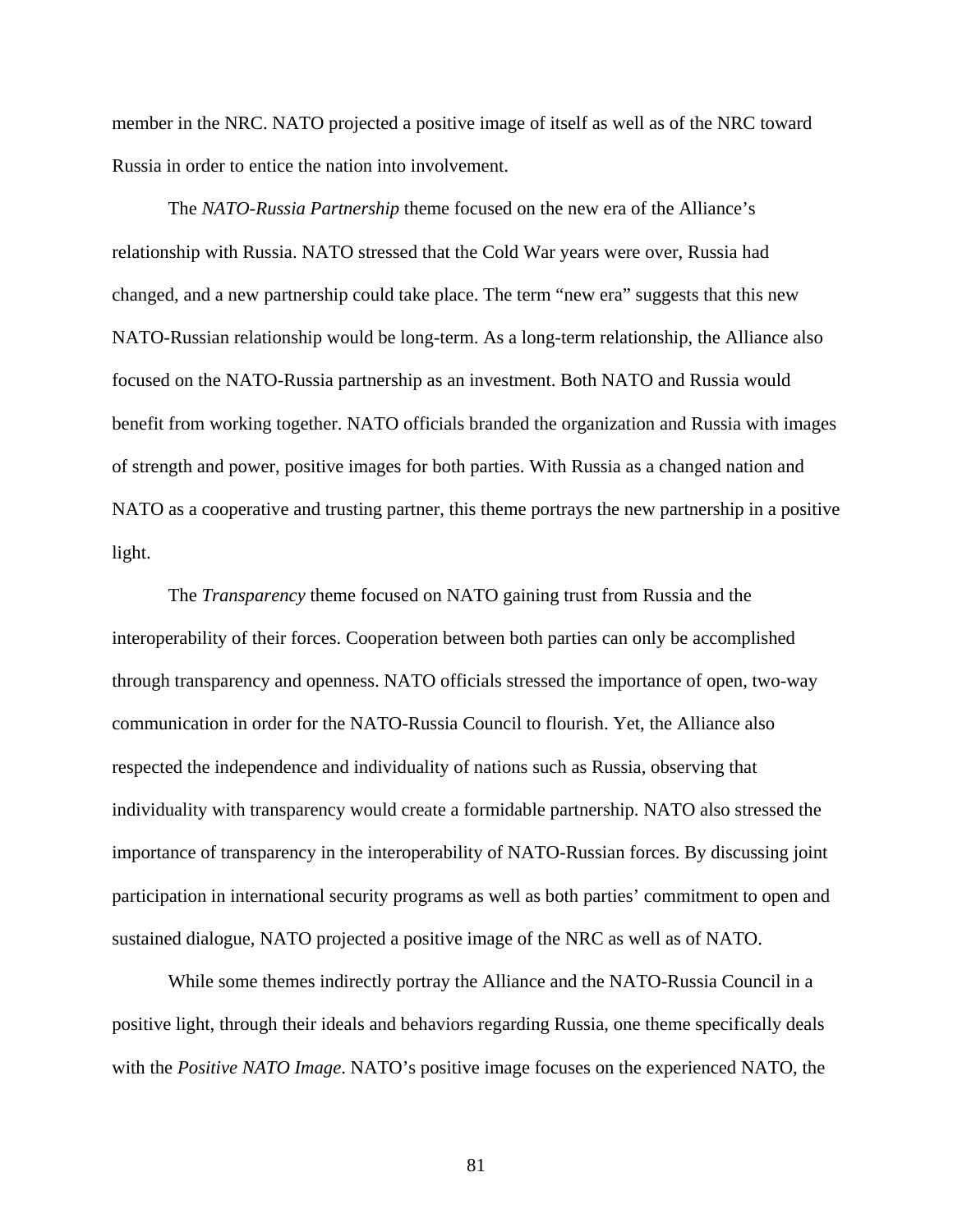member in the NRC. NATO projected a positive image of itself as well as of the NRC toward Russia in order to entice the nation into involvement.

 The *NATO-Russia Partnership* theme focused on the new era of the Alliance's relationship with Russia. NATO stressed that the Cold War years were over, Russia had changed, and a new partnership could take place. The term "new era" suggests that this new NATO-Russian relationship would be long-term. As a long-term relationship, the Alliance also focused on the NATO-Russia partnership as an investment. Both NATO and Russia would benefit from working together. NATO officials branded the organization and Russia with images of strength and power, positive images for both parties. With Russia as a changed nation and NATO as a cooperative and trusting partner, this theme portrays the new partnership in a positive light.

 The *Transparency* theme focused on NATO gaining trust from Russia and the interoperability of their forces. Cooperation between both parties can only be accomplished through transparency and openness. NATO officials stressed the importance of open, two-way communication in order for the NATO-Russia Council to flourish. Yet, the Alliance also respected the independence and individuality of nations such as Russia, observing that individuality with transparency would create a formidable partnership. NATO also stressed the importance of transparency in the interoperability of NATO-Russian forces. By discussing joint participation in international security programs as well as both parties' commitment to open and sustained dialogue, NATO projected a positive image of the NRC as well as of NATO.

 While some themes indirectly portray the Alliance and the NATO-Russia Council in a positive light, through their ideals and behaviors regarding Russia, one theme specifically deals with the *Positive NATO Image*. NATO's positive image focuses on the experienced NATO, the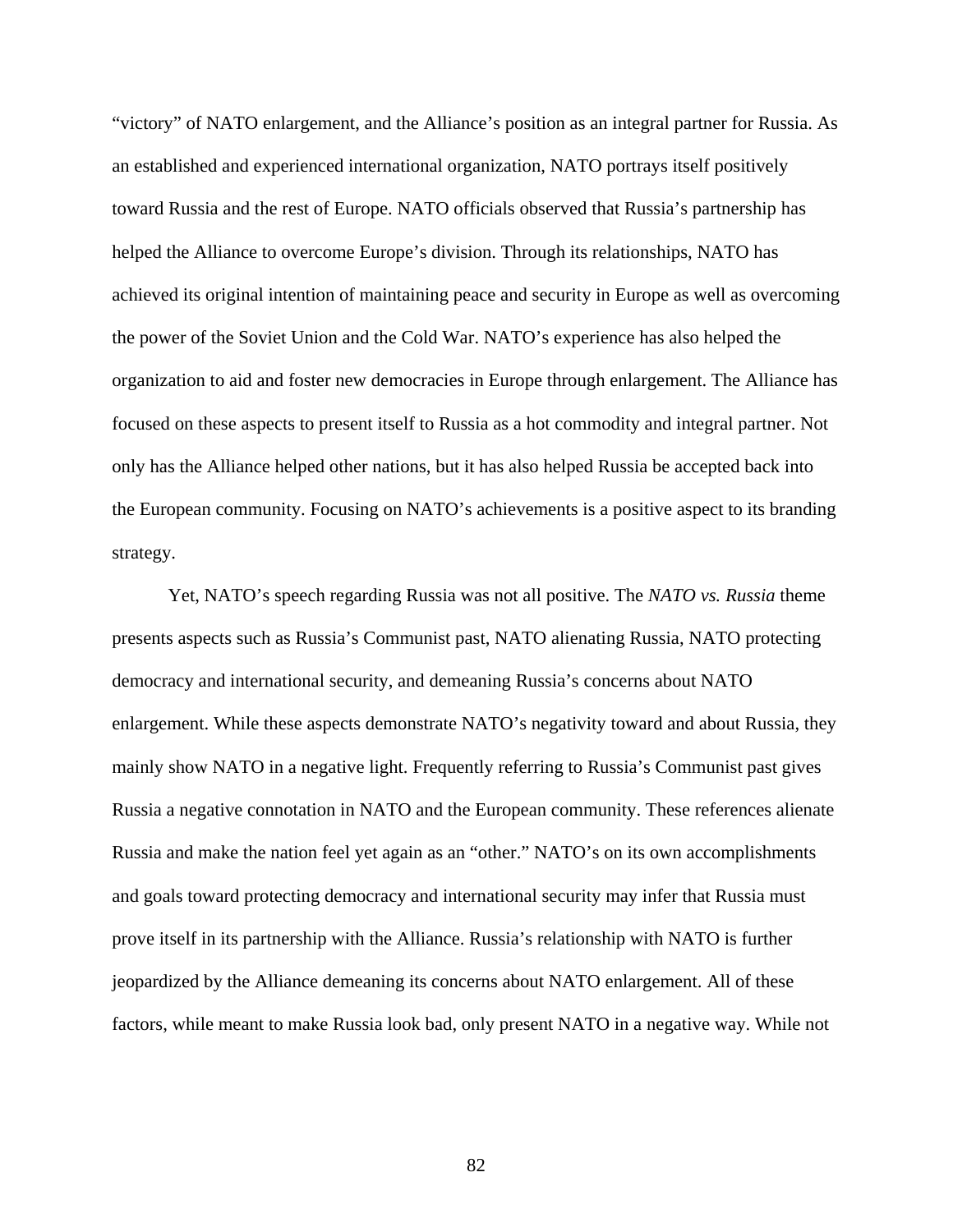"victory" of NATO enlargement, and the Alliance's position as an integral partner for Russia. As an established and experienced international organization, NATO portrays itself positively toward Russia and the rest of Europe. NATO officials observed that Russia's partnership has helped the Alliance to overcome Europe's division. Through its relationships, NATO has achieved its original intention of maintaining peace and security in Europe as well as overcoming the power of the Soviet Union and the Cold War. NATO's experience has also helped the organization to aid and foster new democracies in Europe through enlargement. The Alliance has focused on these aspects to present itself to Russia as a hot commodity and integral partner. Not only has the Alliance helped other nations, but it has also helped Russia be accepted back into the European community. Focusing on NATO's achievements is a positive aspect to its branding strategy.

 Yet, NATO's speech regarding Russia was not all positive. The *NATO vs. Russia* theme presents aspects such as Russia's Communist past, NATO alienating Russia, NATO protecting democracy and international security, and demeaning Russia's concerns about NATO enlargement. While these aspects demonstrate NATO's negativity toward and about Russia, they mainly show NATO in a negative light. Frequently referring to Russia's Communist past gives Russia a negative connotation in NATO and the European community. These references alienate Russia and make the nation feel yet again as an "other." NATO's on its own accomplishments and goals toward protecting democracy and international security may infer that Russia must prove itself in its partnership with the Alliance. Russia's relationship with NATO is further jeopardized by the Alliance demeaning its concerns about NATO enlargement. All of these factors, while meant to make Russia look bad, only present NATO in a negative way. While not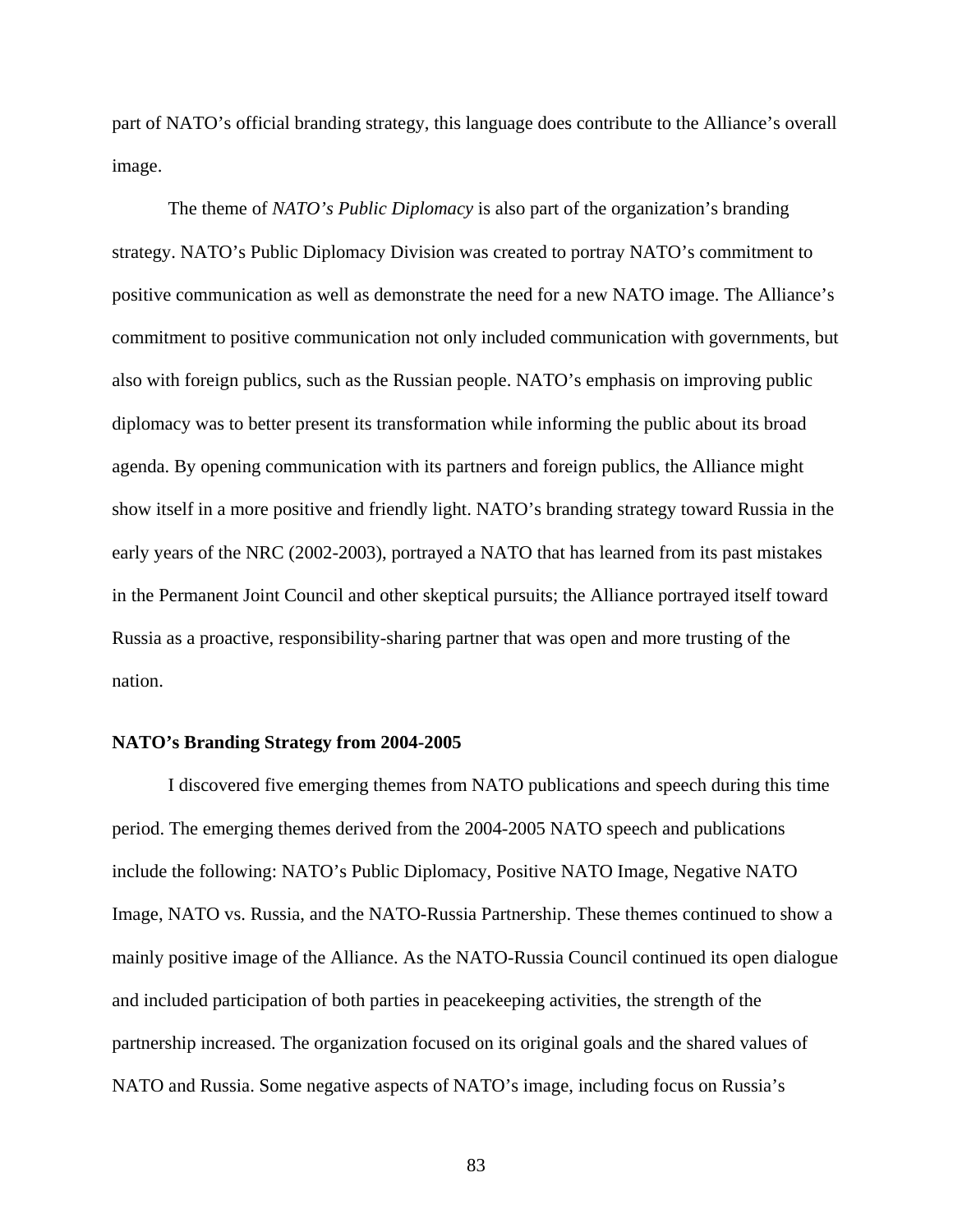part of NATO's official branding strategy, this language does contribute to the Alliance's overall image.

 The theme of *NATO's Public Diplomacy* is also part of the organization's branding strategy. NATO's Public Diplomacy Division was created to portray NATO's commitment to positive communication as well as demonstrate the need for a new NATO image. The Alliance's commitment to positive communication not only included communication with governments, but also with foreign publics, such as the Russian people. NATO's emphasis on improving public diplomacy was to better present its transformation while informing the public about its broad agenda. By opening communication with its partners and foreign publics, the Alliance might show itself in a more positive and friendly light. NATO's branding strategy toward Russia in the early years of the NRC (2002-2003), portrayed a NATO that has learned from its past mistakes in the Permanent Joint Council and other skeptical pursuits; the Alliance portrayed itself toward Russia as a proactive, responsibility-sharing partner that was open and more trusting of the nation.

#### **NATO's Branding Strategy from 2004-2005**

 I discovered five emerging themes from NATO publications and speech during this time period. The emerging themes derived from the 2004-2005 NATO speech and publications include the following: NATO's Public Diplomacy, Positive NATO Image, Negative NATO Image, NATO vs. Russia, and the NATO-Russia Partnership. These themes continued to show a mainly positive image of the Alliance. As the NATO-Russia Council continued its open dialogue and included participation of both parties in peacekeeping activities, the strength of the partnership increased. The organization focused on its original goals and the shared values of NATO and Russia. Some negative aspects of NATO's image, including focus on Russia's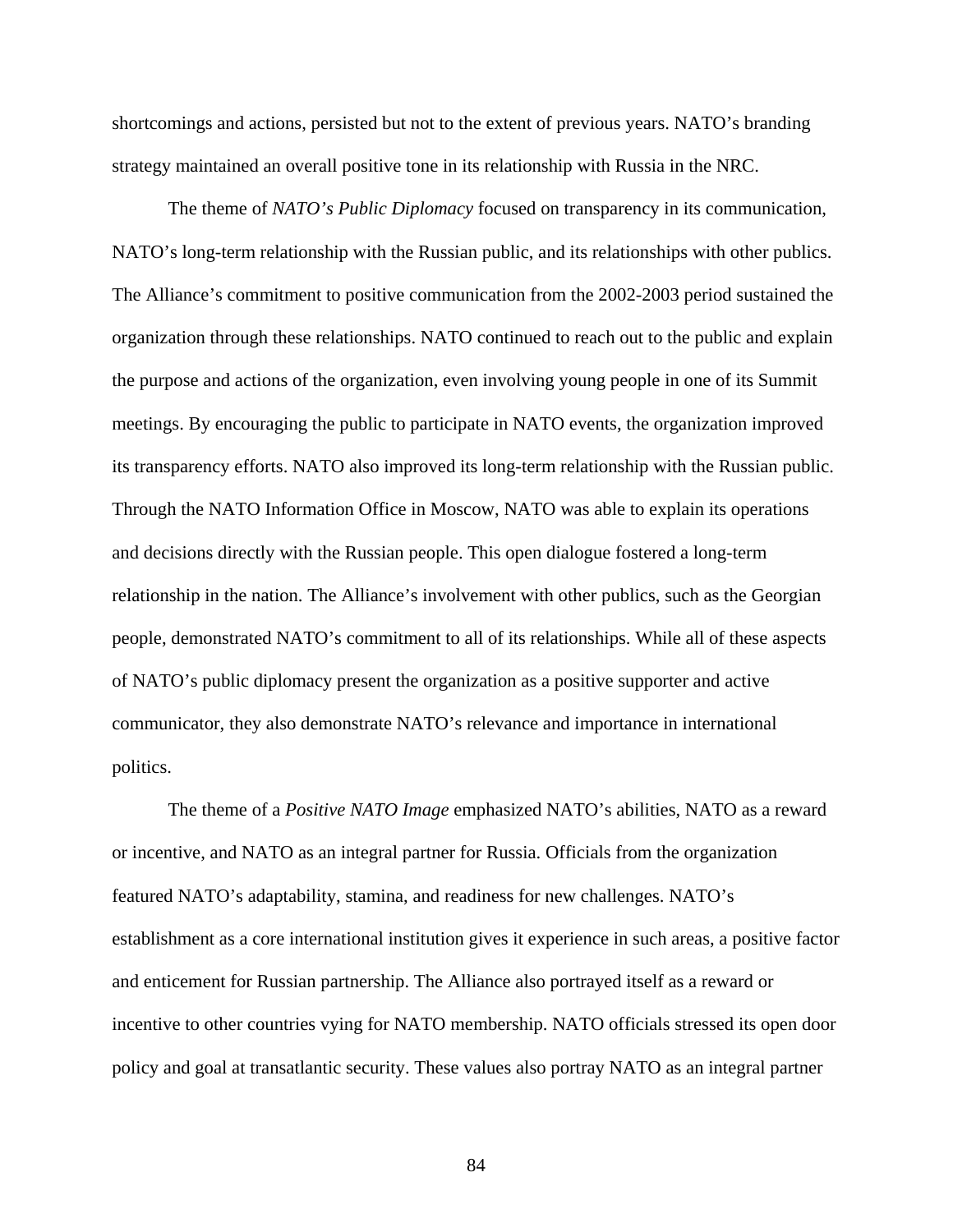shortcomings and actions, persisted but not to the extent of previous years. NATO's branding strategy maintained an overall positive tone in its relationship with Russia in the NRC.

 The theme of *NATO's Public Diplomacy* focused on transparency in its communication, NATO's long-term relationship with the Russian public, and its relationships with other publics. The Alliance's commitment to positive communication from the 2002-2003 period sustained the organization through these relationships. NATO continued to reach out to the public and explain the purpose and actions of the organization, even involving young people in one of its Summit meetings. By encouraging the public to participate in NATO events, the organization improved its transparency efforts. NATO also improved its long-term relationship with the Russian public. Through the NATO Information Office in Moscow, NATO was able to explain its operations and decisions directly with the Russian people. This open dialogue fostered a long-term relationship in the nation. The Alliance's involvement with other publics, such as the Georgian people, demonstrated NATO's commitment to all of its relationships. While all of these aspects of NATO's public diplomacy present the organization as a positive supporter and active communicator, they also demonstrate NATO's relevance and importance in international politics.

 The theme of a *Positive NATO Image* emphasized NATO's abilities, NATO as a reward or incentive, and NATO as an integral partner for Russia. Officials from the organization featured NATO's adaptability, stamina, and readiness for new challenges. NATO's establishment as a core international institution gives it experience in such areas, a positive factor and enticement for Russian partnership. The Alliance also portrayed itself as a reward or incentive to other countries vying for NATO membership. NATO officials stressed its open door policy and goal at transatlantic security. These values also portray NATO as an integral partner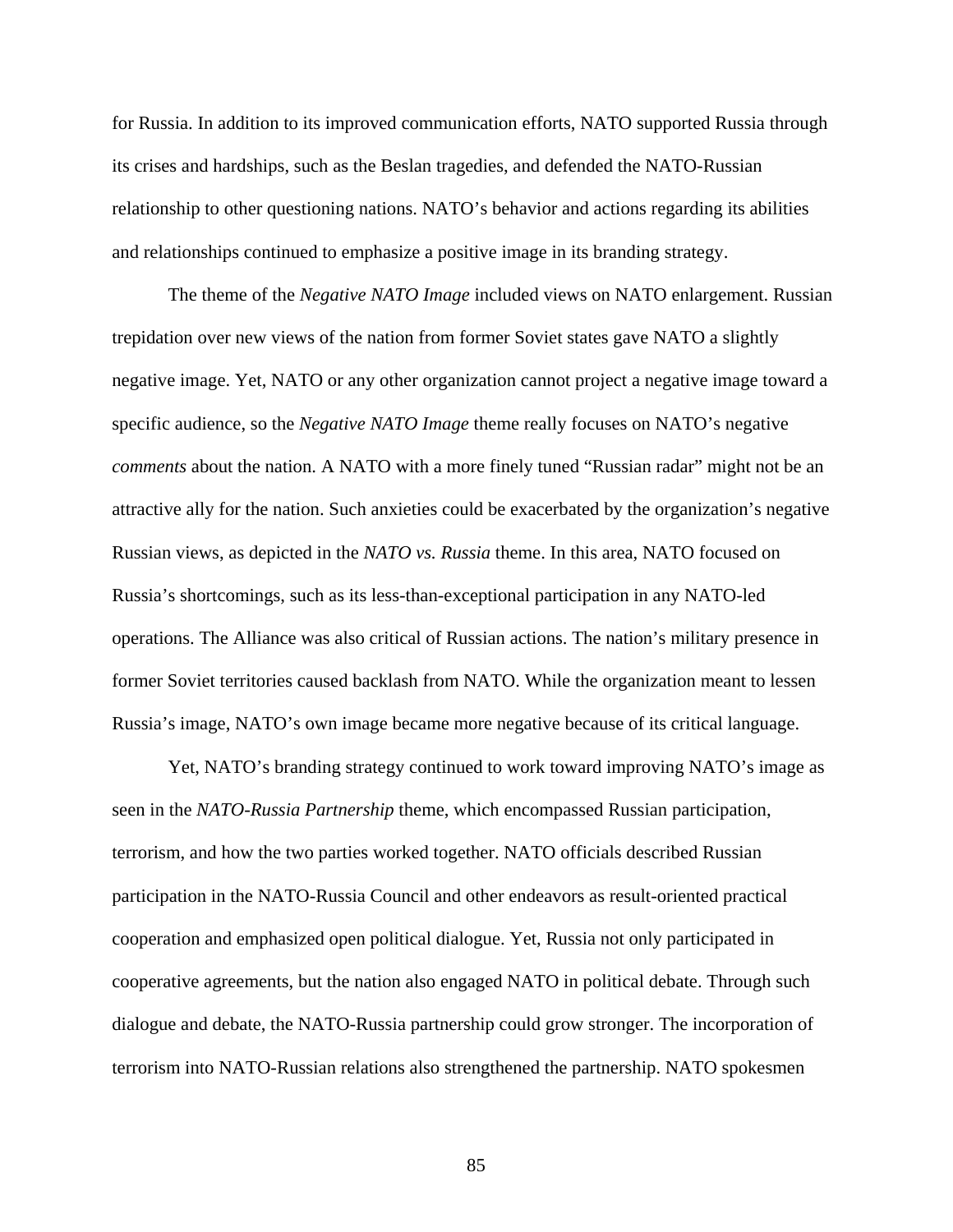for Russia. In addition to its improved communication efforts, NATO supported Russia through its crises and hardships, such as the Beslan tragedies, and defended the NATO-Russian relationship to other questioning nations. NATO's behavior and actions regarding its abilities and relationships continued to emphasize a positive image in its branding strategy.

 The theme of the *Negative NATO Image* included views on NATO enlargement. Russian trepidation over new views of the nation from former Soviet states gave NATO a slightly negative image. Yet, NATO or any other organization cannot project a negative image toward a specific audience, so the *Negative NATO Image* theme really focuses on NATO's negative *comments* about the nation. A NATO with a more finely tuned "Russian radar" might not be an attractive ally for the nation. Such anxieties could be exacerbated by the organization's negative Russian views, as depicted in the *NATO vs. Russia* theme. In this area, NATO focused on Russia's shortcomings, such as its less-than-exceptional participation in any NATO-led operations. The Alliance was also critical of Russian actions. The nation's military presence in former Soviet territories caused backlash from NATO. While the organization meant to lessen Russia's image, NATO's own image became more negative because of its critical language.

 Yet, NATO's branding strategy continued to work toward improving NATO's image as seen in the *NATO-Russia Partnership* theme, which encompassed Russian participation, terrorism, and how the two parties worked together. NATO officials described Russian participation in the NATO-Russia Council and other endeavors as result-oriented practical cooperation and emphasized open political dialogue. Yet, Russia not only participated in cooperative agreements, but the nation also engaged NATO in political debate. Through such dialogue and debate, the NATO-Russia partnership could grow stronger. The incorporation of terrorism into NATO-Russian relations also strengthened the partnership. NATO spokesmen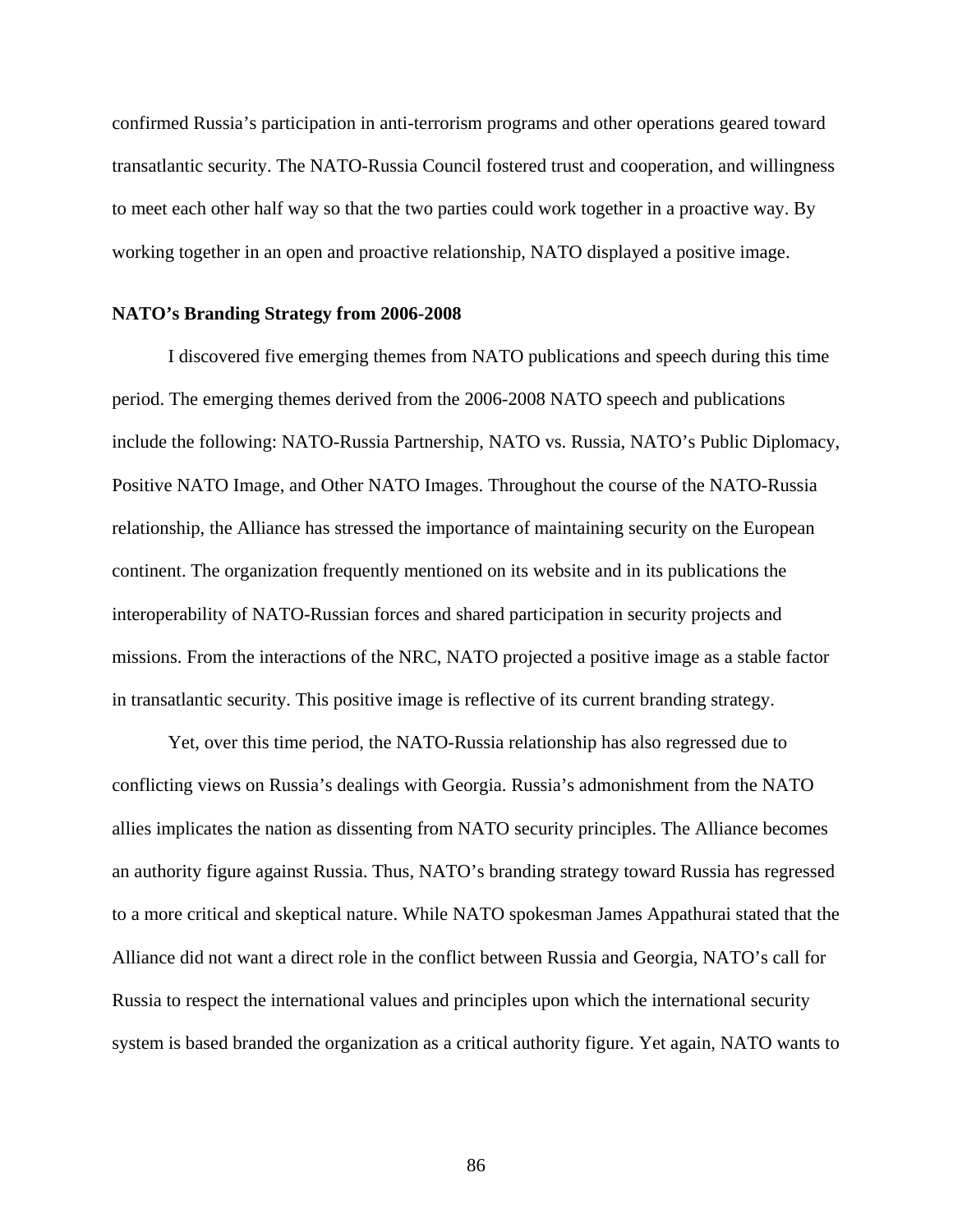confirmed Russia's participation in anti-terrorism programs and other operations geared toward transatlantic security. The NATO-Russia Council fostered trust and cooperation, and willingness to meet each other half way so that the two parties could work together in a proactive way. By working together in an open and proactive relationship, NATO displayed a positive image.

#### **NATO's Branding Strategy from 2006-2008**

I discovered five emerging themes from NATO publications and speech during this time period. The emerging themes derived from the 2006-2008 NATO speech and publications include the following: NATO-Russia Partnership, NATO vs. Russia, NATO's Public Diplomacy, Positive NATO Image, and Other NATO Images. Throughout the course of the NATO-Russia relationship, the Alliance has stressed the importance of maintaining security on the European continent. The organization frequently mentioned on its website and in its publications the interoperability of NATO-Russian forces and shared participation in security projects and missions. From the interactions of the NRC, NATO projected a positive image as a stable factor in transatlantic security. This positive image is reflective of its current branding strategy.

 Yet, over this time period, the NATO-Russia relationship has also regressed due to conflicting views on Russia's dealings with Georgia. Russia's admonishment from the NATO allies implicates the nation as dissenting from NATO security principles. The Alliance becomes an authority figure against Russia. Thus, NATO's branding strategy toward Russia has regressed to a more critical and skeptical nature. While NATO spokesman James Appathurai stated that the Alliance did not want a direct role in the conflict between Russia and Georgia, NATO's call for Russia to respect the international values and principles upon which the international security system is based branded the organization as a critical authority figure. Yet again, NATO wants to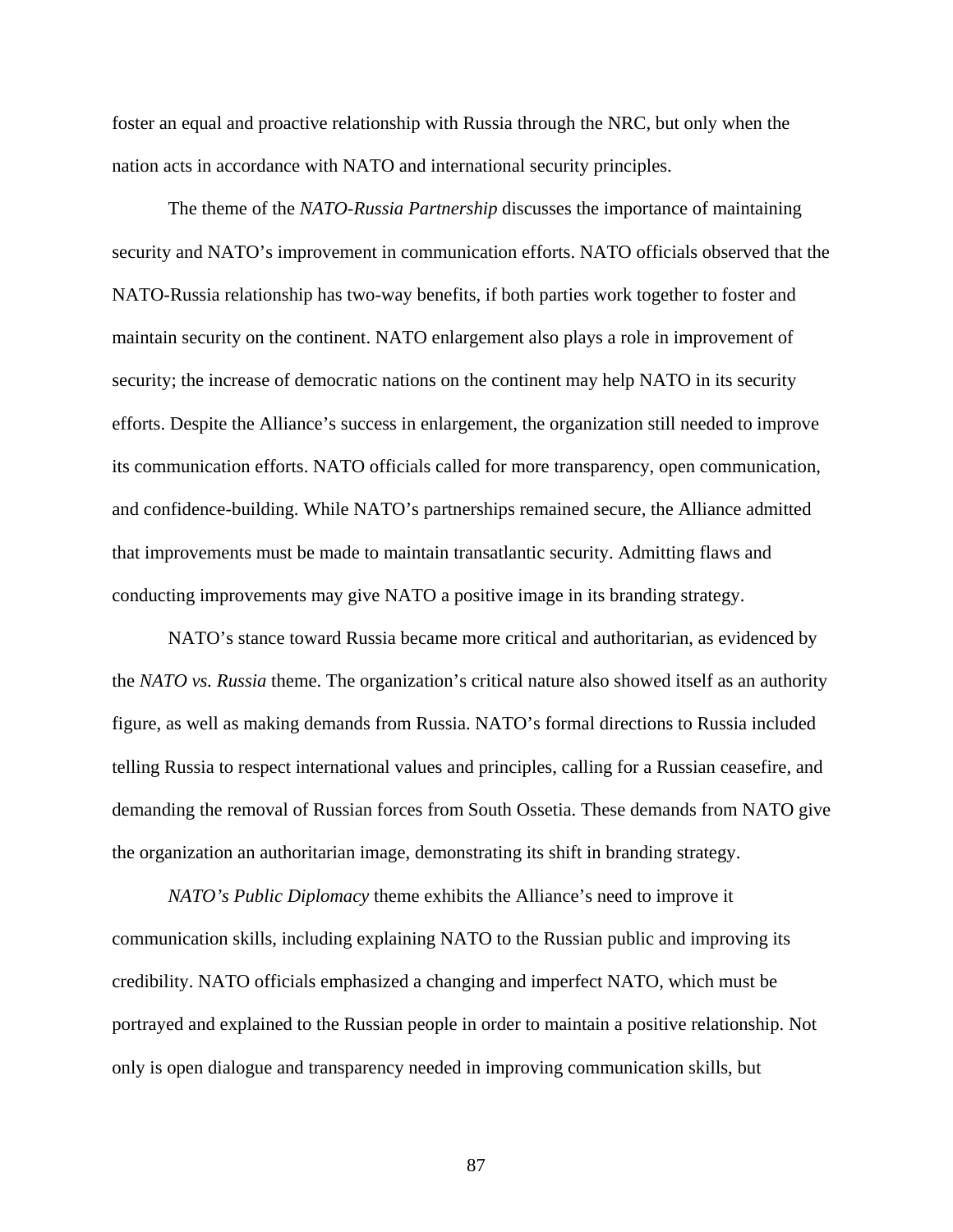foster an equal and proactive relationship with Russia through the NRC, but only when the nation acts in accordance with NATO and international security principles.

 The theme of the *NATO-Russia Partnership* discusses the importance of maintaining security and NATO's improvement in communication efforts. NATO officials observed that the NATO-Russia relationship has two-way benefits, if both parties work together to foster and maintain security on the continent. NATO enlargement also plays a role in improvement of security; the increase of democratic nations on the continent may help NATO in its security efforts. Despite the Alliance's success in enlargement, the organization still needed to improve its communication efforts. NATO officials called for more transparency, open communication, and confidence-building. While NATO's partnerships remained secure, the Alliance admitted that improvements must be made to maintain transatlantic security. Admitting flaws and conducting improvements may give NATO a positive image in its branding strategy.

 NATO's stance toward Russia became more critical and authoritarian, as evidenced by the *NATO vs. Russia* theme. The organization's critical nature also showed itself as an authority figure, as well as making demands from Russia. NATO's formal directions to Russia included telling Russia to respect international values and principles, calling for a Russian ceasefire, and demanding the removal of Russian forces from South Ossetia. These demands from NATO give the organization an authoritarian image, demonstrating its shift in branding strategy.

*NATO's Public Diplomacy* theme exhibits the Alliance's need to improve it communication skills, including explaining NATO to the Russian public and improving its credibility. NATO officials emphasized a changing and imperfect NATO, which must be portrayed and explained to the Russian people in order to maintain a positive relationship. Not only is open dialogue and transparency needed in improving communication skills, but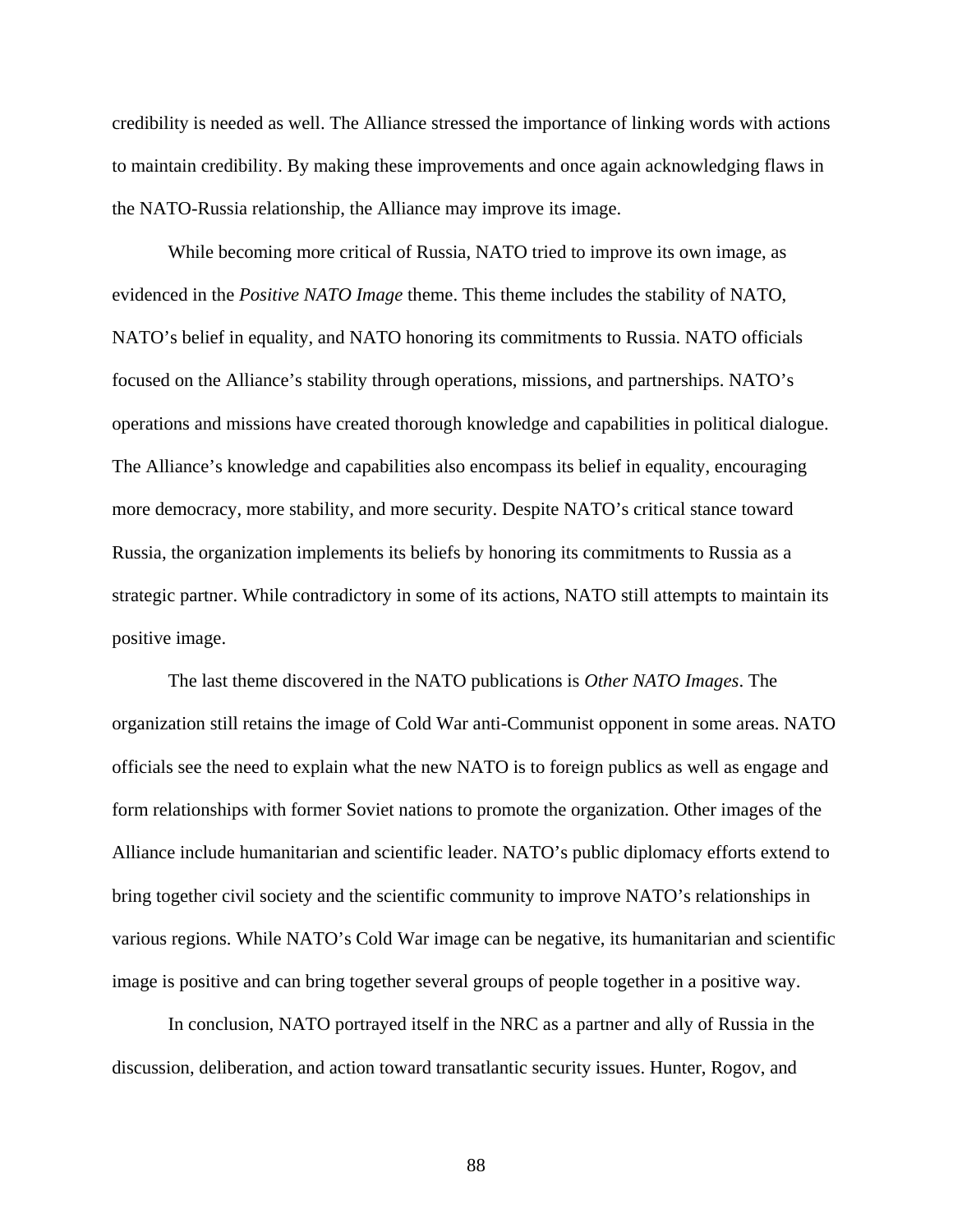credibility is needed as well. The Alliance stressed the importance of linking words with actions to maintain credibility. By making these improvements and once again acknowledging flaws in the NATO-Russia relationship, the Alliance may improve its image.

 While becoming more critical of Russia, NATO tried to improve its own image, as evidenced in the *Positive NATO Image* theme. This theme includes the stability of NATO, NATO's belief in equality, and NATO honoring its commitments to Russia. NATO officials focused on the Alliance's stability through operations, missions, and partnerships. NATO's operations and missions have created thorough knowledge and capabilities in political dialogue. The Alliance's knowledge and capabilities also encompass its belief in equality, encouraging more democracy, more stability, and more security. Despite NATO's critical stance toward Russia, the organization implements its beliefs by honoring its commitments to Russia as a strategic partner. While contradictory in some of its actions, NATO still attempts to maintain its positive image.

 The last theme discovered in the NATO publications is *Other NATO Images*. The organization still retains the image of Cold War anti-Communist opponent in some areas. NATO officials see the need to explain what the new NATO is to foreign publics as well as engage and form relationships with former Soviet nations to promote the organization. Other images of the Alliance include humanitarian and scientific leader. NATO's public diplomacy efforts extend to bring together civil society and the scientific community to improve NATO's relationships in various regions. While NATO's Cold War image can be negative, its humanitarian and scientific image is positive and can bring together several groups of people together in a positive way.

 In conclusion, NATO portrayed itself in the NRC as a partner and ally of Russia in the discussion, deliberation, and action toward transatlantic security issues. Hunter, Rogov, and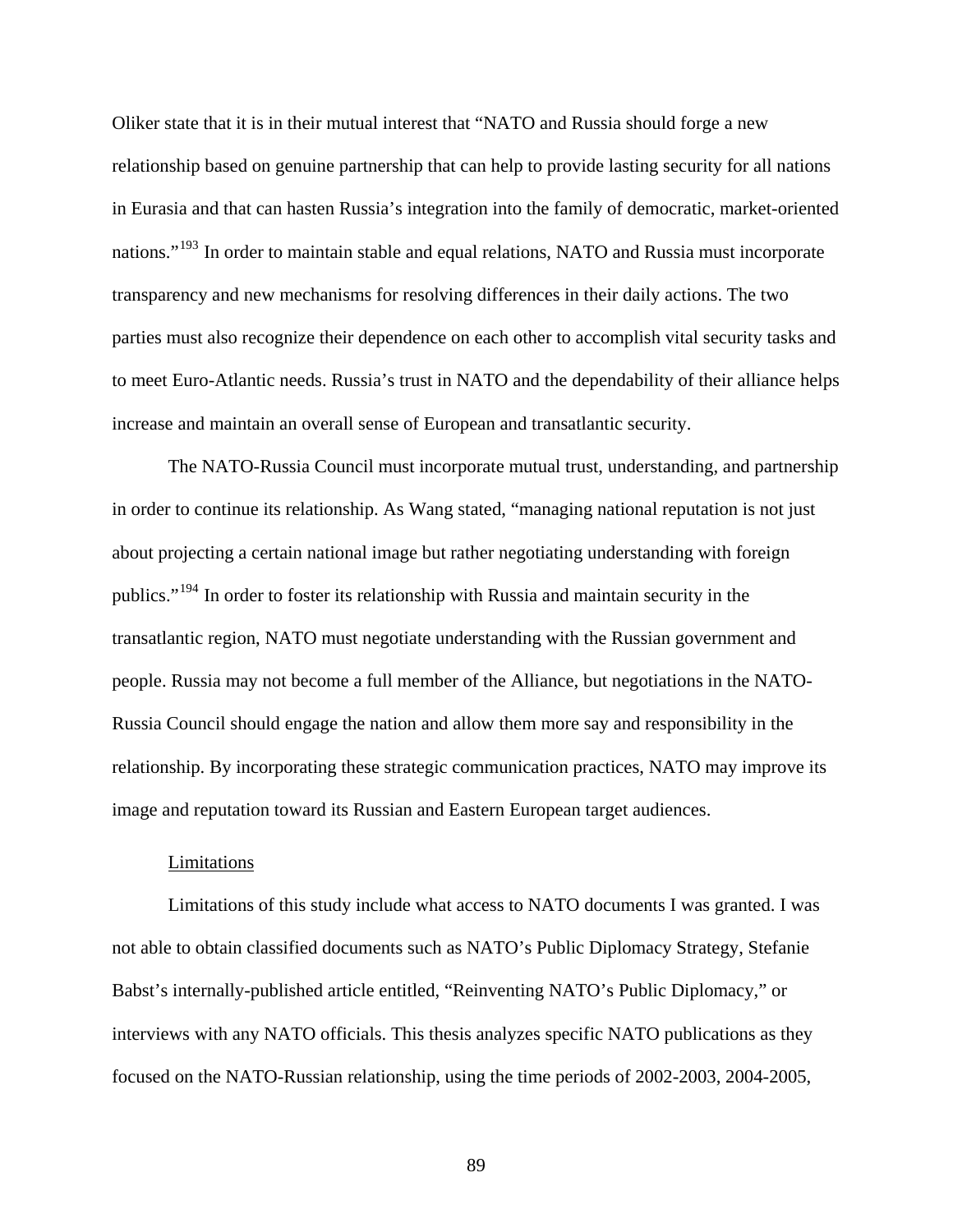Oliker state that it is in their mutual interest that "NATO and Russia should forge a new relationship based on genuine partnership that can help to provide lasting security for all nations in Eurasia and that can hasten Russia's integration into the family of democratic, market-oriented nations."<sup>[193](#page-120-1)</sup> In order to maintain stable and equal relations, NATO and Russia must incorporate transparency and new mechanisms for resolving differences in their daily actions. The two parties must also recognize their dependence on each other to accomplish vital security tasks and to meet Euro-Atlantic needs. Russia's trust in NATO and the dependability of their alliance helps increase and maintain an overall sense of European and transatlantic security.

 The NATO-Russia Council must incorporate mutual trust, understanding, and partnership in order to continue its relationship. As Wang stated, "managing national reputation is not just about projecting a certain national image but rather negotiating understanding with foreign publics."[194](#page-120-2) In order to foster its relationship with Russia and maintain security in the transatlantic region, NATO must negotiate understanding with the Russian government and people. Russia may not become a full member of the Alliance, but negotiations in the NATO-Russia Council should engage the nation and allow them more say and responsibility in the relationship. By incorporating these strategic communication practices, NATO may improve its image and reputation toward its Russian and Eastern European target audiences.

#### Limitations

 Limitations of this study include what access to NATO documents I was granted. I was not able to obtain classified documents such as NATO's Public Diplomacy Strategy, Stefanie Babst's internally-published article entitled, "Reinventing NATO's Public Diplomacy," or interviews with any NATO officials. This thesis analyzes specific NATO publications as they focused on the NATO-Russian relationship, using the time periods of 2002-2003, 2004-2005,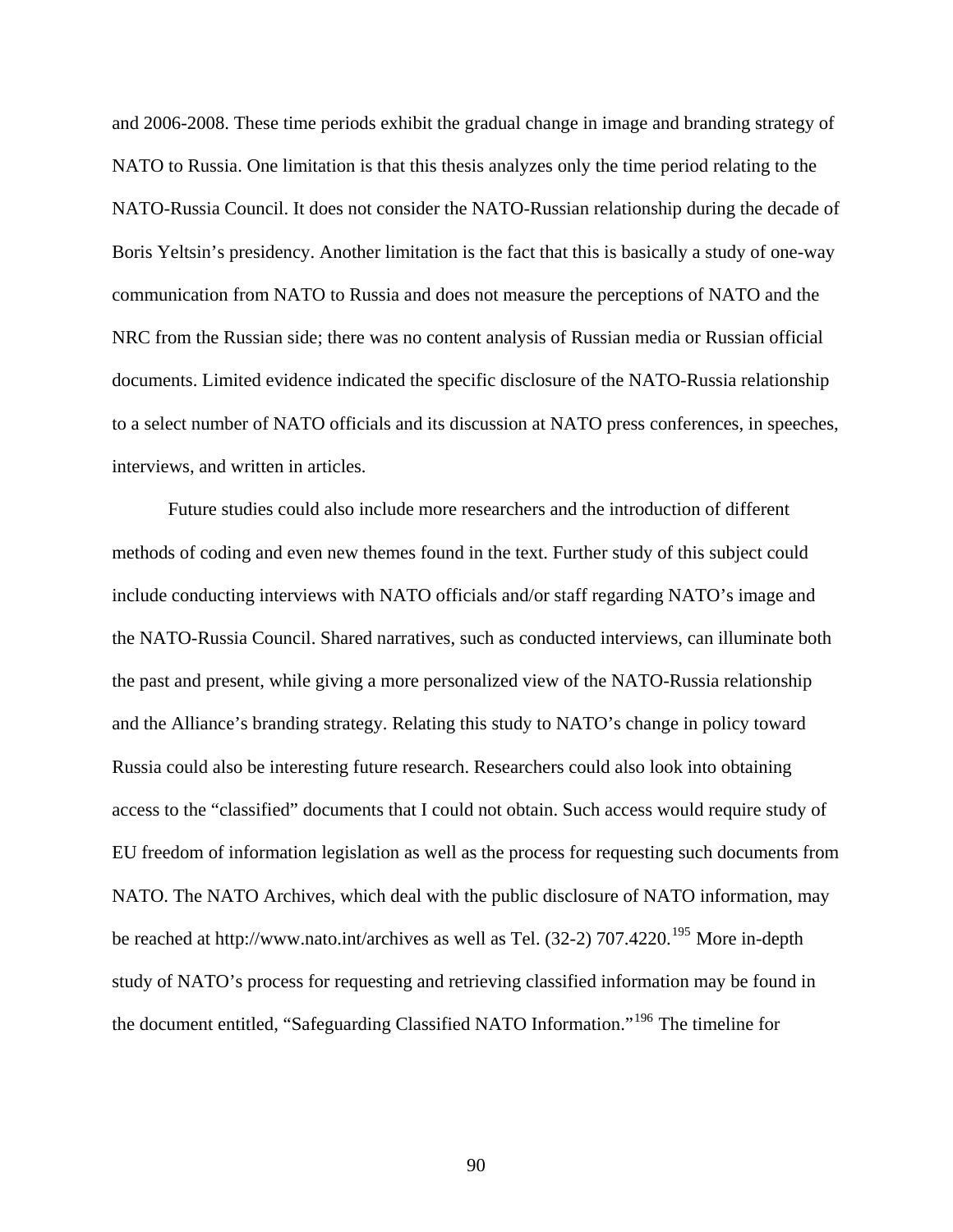and 2006-2008. These time periods exhibit the gradual change in image and branding strategy of NATO to Russia. One limitation is that this thesis analyzes only the time period relating to the NATO-Russia Council. It does not consider the NATO-Russian relationship during the decade of Boris Yeltsin's presidency. Another limitation is the fact that this is basically a study of one-way communication from NATO to Russia and does not measure the perceptions of NATO and the NRC from the Russian side; there was no content analysis of Russian media or Russian official documents. Limited evidence indicated the specific disclosure of the NATO-Russia relationship to a select number of NATO officials and its discussion at NATO press conferences, in speeches, interviews, and written in articles.

 Future studies could also include more researchers and the introduction of different methods of coding and even new themes found in the text. Further study of this subject could include conducting interviews with NATO officials and/or staff regarding NATO's image and the NATO-Russia Council. Shared narratives, such as conducted interviews, can illuminate both the past and present, while giving a more personalized view of the NATO-Russia relationship and the Alliance's branding strategy. Relating this study to NATO's change in policy toward Russia could also be interesting future research. Researchers could also look into obtaining access to the "classified" documents that I could not obtain. Such access would require study of EU freedom of information legislation as well as the process for requesting such documents from NATO. The NATO Archives, which deal with the public disclosure of NATO information, may be reached at http://www.nato.int/archives as well as Tel. (32-2) 707.4220.<sup>[195](#page-120-3)</sup> More in-depth study of NATO's process for requesting and retrieving classified information may be found in the document entitled, "Safeguarding Classified NATO Information."[196](#page-120-4) The timeline for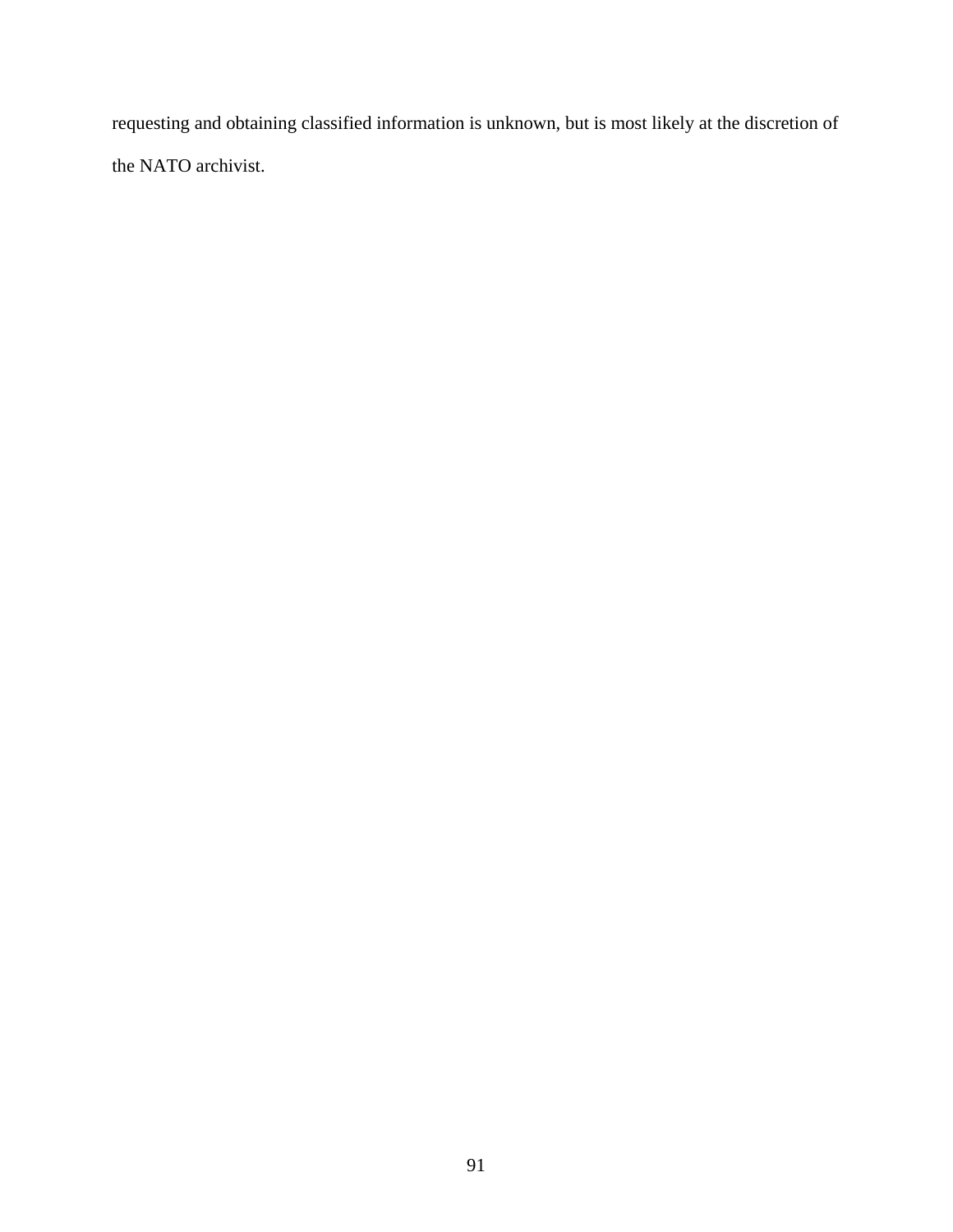requesting and obtaining classified information is unknown, but is most likely at the discretion of the NATO archivist.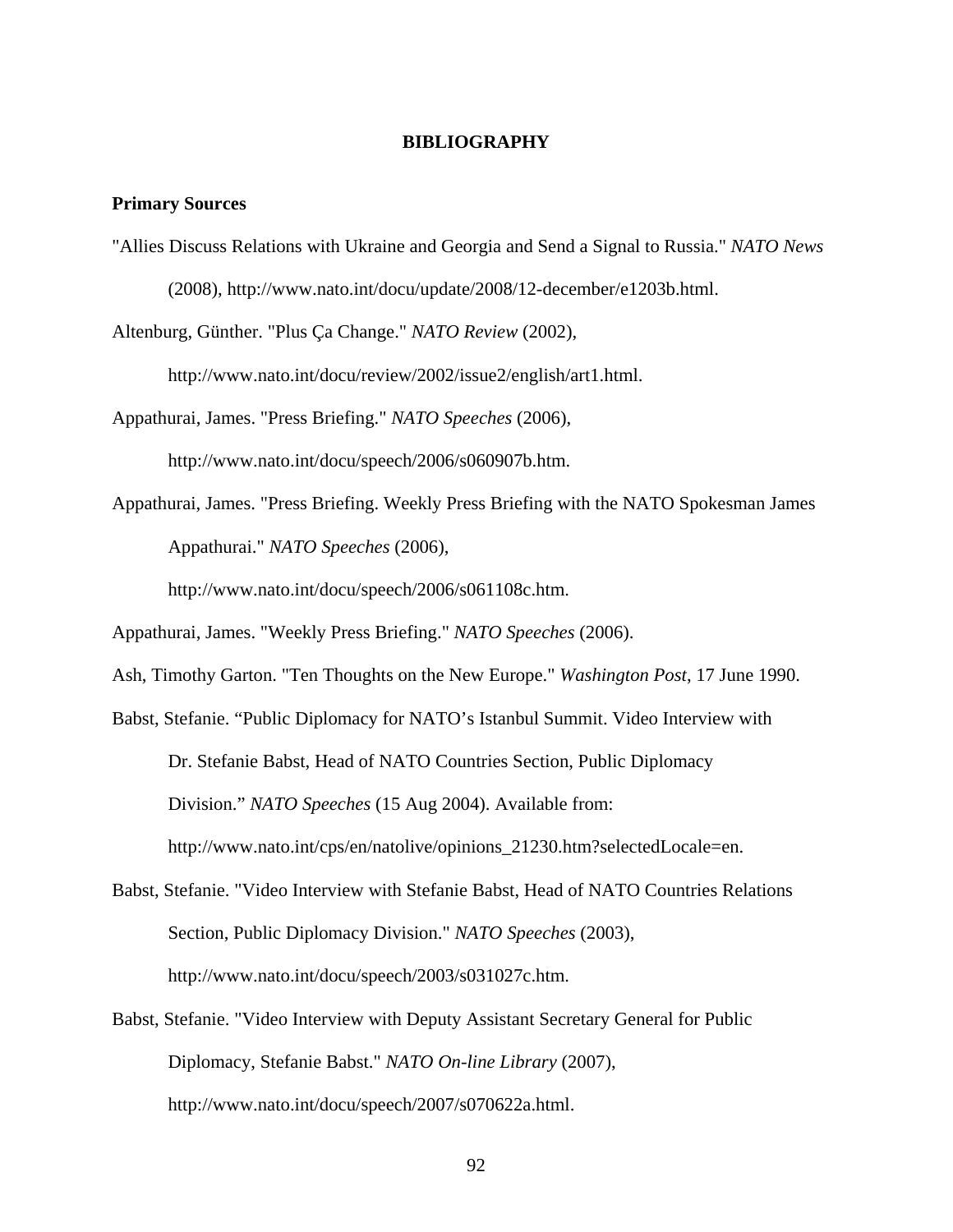### **BIBLIOGRAPHY**

### **Primary Sources**

"Allies Discuss Relations with Ukraine and Georgia and Send a Signal to Russia." *NATO News*  (2008), http://www.nato.int/docu/update/2008/12-december/e1203b.html.

Altenburg, Günther. "Plus Ça Change." *NATO Review* (2002),

http://www.nato.int/docu/review/2002/issue2/english/art1.html.

Appathurai, James. "Press Briefing." *NATO Speeches* (2006),

http://www.nato.int/docu/speech/2006/s060907b.htm.

Appathurai, James. "Press Briefing. Weekly Press Briefing with the NATO Spokesman James Appathurai." *NATO Speeches* (2006),

http://www.nato.int/docu/speech/2006/s061108c.htm.

Appathurai, James. "Weekly Press Briefing." *NATO Speeches* (2006).

Ash, Timothy Garton. "Ten Thoughts on the New Europe." *Washington Post*, 17 June 1990.

Babst, Stefanie. "Public Diplomacy for NATO's Istanbul Summit. Video Interview with

Dr. Stefanie Babst, Head of NATO Countries Section, Public Diplomacy

Division." *NATO Speeches* (15 Aug 2004). Available from:

http://www.nato.int/cps/en/natolive/opinions\_21230.htm?selectedLocale=en.

- Babst, Stefanie. "Video Interview with Stefanie Babst, Head of NATO Countries Relations Section, Public Diplomacy Division." *NATO Speeches* (2003), http://www.nato.int/docu/speech/2003/s031027c.htm.
- Babst, Stefanie. "Video Interview with Deputy Assistant Secretary General for Public Diplomacy, Stefanie Babst." *NATO On-line Library* (2007), http://www.nato.int/docu/speech/2007/s070622a.html.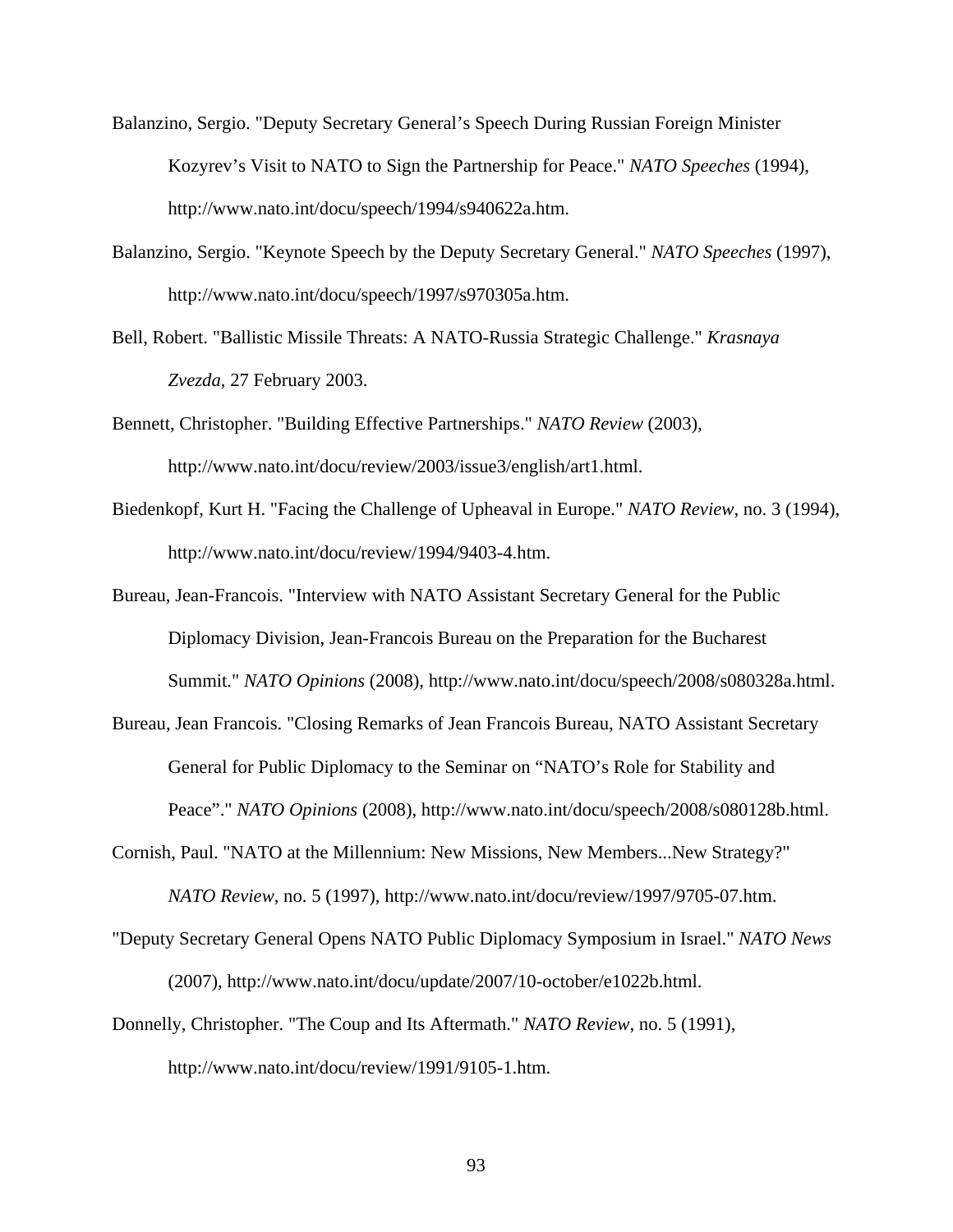- Balanzino, Sergio. "Deputy Secretary General's Speech During Russian Foreign Minister Kozyrev's Visit to NATO to Sign the Partnership for Peace." *NATO Speeches* (1994), http://www.nato.int/docu/speech/1994/s940622a.htm.
- Balanzino, Sergio. "Keynote Speech by the Deputy Secretary General." *NATO Speeches* (1997), http://www.nato.int/docu/speech/1997/s970305a.htm.
- Bell, Robert. "Ballistic Missile Threats: A NATO-Russia Strategic Challenge." *Krasnaya Zvezda*, 27 February 2003.
- Bennett, Christopher. "Building Effective Partnerships." *NATO Review* (2003), http://www.nato.int/docu/review/2003/issue3/english/art1.html.
- Biedenkopf, Kurt H. "Facing the Challenge of Upheaval in Europe." *NATO Review*, no. 3 (1994), http://www.nato.int/docu/review/1994/9403-4.htm.
- Bureau, Jean-Francois. "Interview with NATO Assistant Secretary General for the Public Diplomacy Division, Jean-Francois Bureau on the Preparation for the Bucharest Summit." *NATO Opinions* (2008), http://www.nato.int/docu/speech/2008/s080328a.html.
- Bureau, Jean Francois. "Closing Remarks of Jean Francois Bureau, NATO Assistant Secretary General for Public Diplomacy to the Seminar on "NATO's Role for Stability and Peace"." *NATO Opinions* (2008), http://www.nato.int/docu/speech/2008/s080128b.html.
- Cornish, Paul. "NATO at the Millennium: New Missions, New Members...New Strategy?" *NATO Review*, no. 5 (1997), http://www.nato.int/docu/review/1997/9705-07.htm.
- "Deputy Secretary General Opens NATO Public Diplomacy Symposium in Israel." *NATO News* (2007), http://www.nato.int/docu/update/2007/10-october/e1022b.html.
- Donnelly, Christopher. "The Coup and Its Aftermath." *NATO Review*, no. 5 (1991), http://www.nato.int/docu/review/1991/9105-1.htm.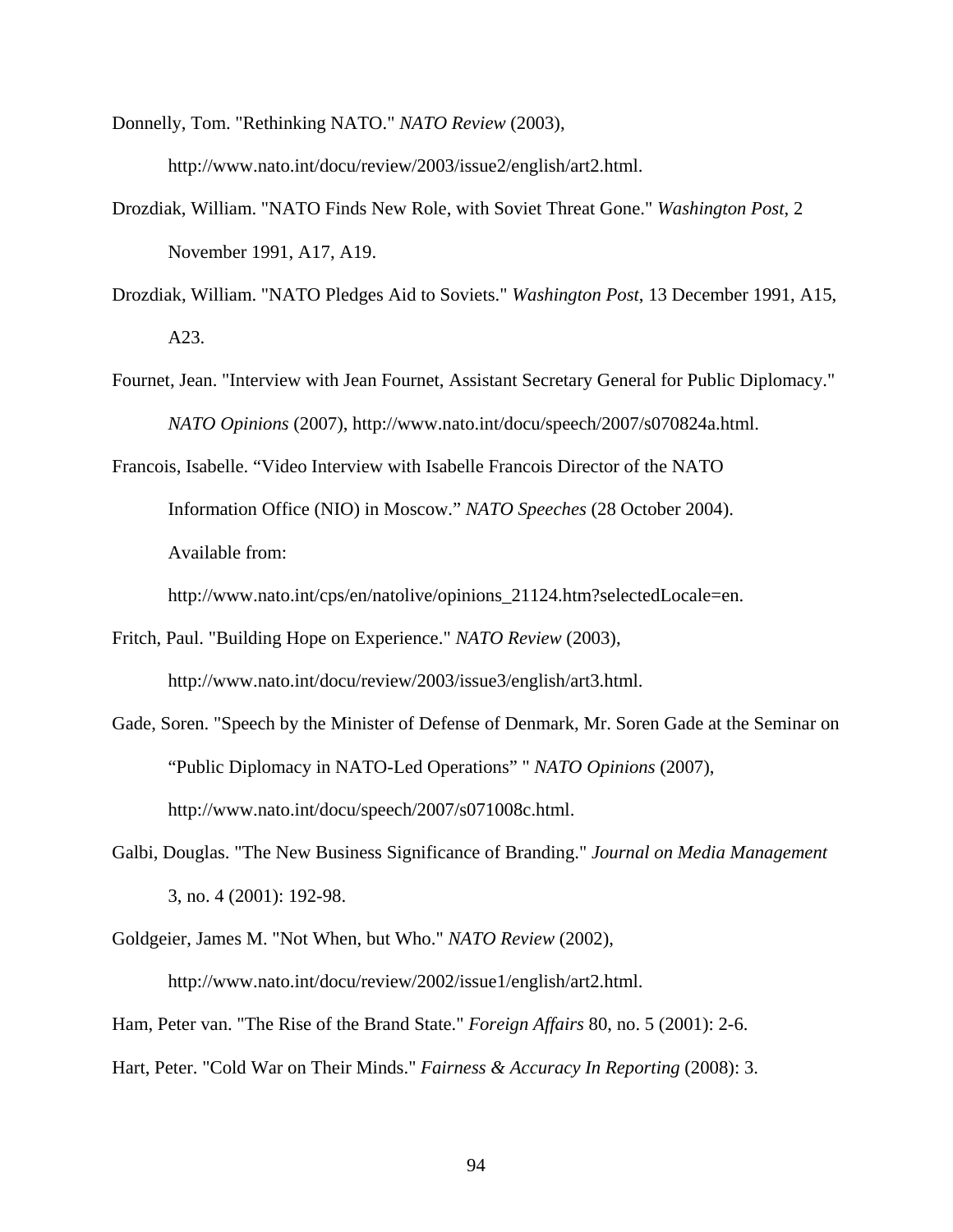Donnelly, Tom. "Rethinking NATO." *NATO Review* (2003), http://www.nato.int/docu/review/2003/issue2/english/art2.html.

- Drozdiak, William. "NATO Finds New Role, with Soviet Threat Gone." *Washington Post*, 2 November 1991, A17, A19.
- Drozdiak, William. "NATO Pledges Aid to Soviets." *Washington Post*, 13 December 1991, A15, A23.
- Fournet, Jean. "Interview with Jean Fournet, Assistant Secretary General for Public Diplomacy." *NATO Opinions* (2007), http://www.nato.int/docu/speech/2007/s070824a.html.

Francois, Isabelle. "Video Interview with Isabelle Francois Director of the NATO Information Office (NIO) in Moscow." *NATO Speeches* (28 October 2004). Available from:

http://www.nato.int/cps/en/natolive/opinions\_21124.htm?selectedLocale=en.

- Fritch, Paul. "Building Hope on Experience." *NATO Review* (2003), http://www.nato.int/docu/review/2003/issue3/english/art3.html.
- Gade, Soren. "Speech by the Minister of Defense of Denmark, Mr. Soren Gade at the Seminar on "Public Diplomacy in NATO-Led Operations" " *NATO Opinions* (2007), http://www.nato.int/docu/speech/2007/s071008c.html.
- Galbi, Douglas. "The New Business Significance of Branding." *Journal on Media Management*  3, no. 4 (2001): 192-98.
- Goldgeier, James M. "Not When, but Who." *NATO Review* (2002), http://www.nato.int/docu/review/2002/issue1/english/art2.html.

Ham, Peter van. "The Rise of the Brand State." *Foreign Affairs* 80, no. 5 (2001): 2-6.

Hart, Peter. "Cold War on Their Minds." *Fairness & Accuracy In Reporting* (2008): 3.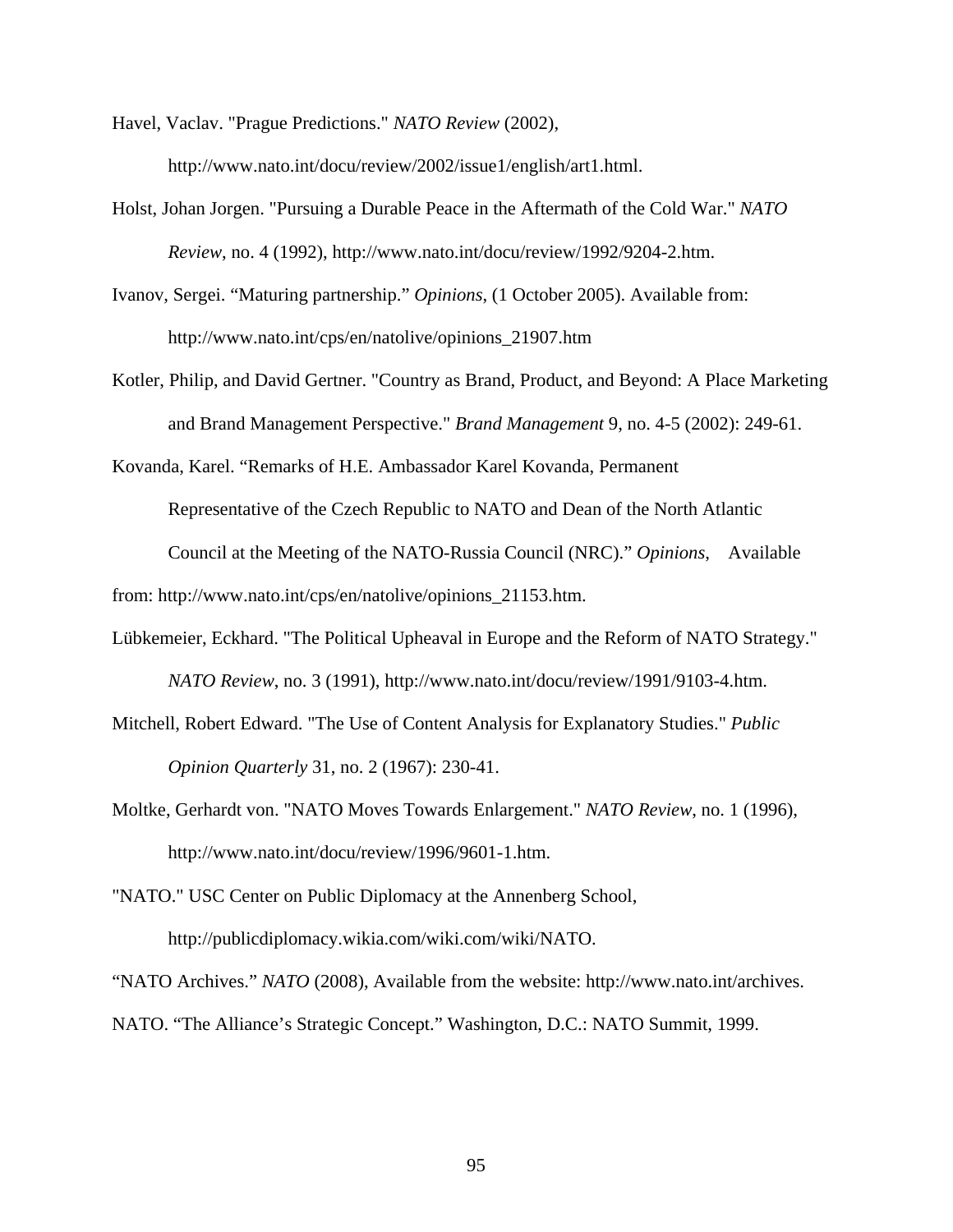Havel, Vaclav. "Prague Predictions." *NATO Review* (2002), http://www.nato.int/docu/review/2002/issue1/english/art1.html.

- Holst, Johan Jorgen. "Pursuing a Durable Peace in the Aftermath of the Cold War." *NATO Review*, no. 4 (1992), http://www.nato.int/docu/review/1992/9204-2.htm.
- Ivanov, Sergei. "Maturing partnership." *Opinions*, (1 October 2005). Available from: http://www.nato.int/cps/en/natolive/opinions\_21907.htm
- Kotler, Philip, and David Gertner. "Country as Brand, Product, and Beyond: A Place Marketing and Brand Management Perspective." *Brand Management* 9, no. 4-5 (2002): 249-61.

Kovanda, Karel. "Remarks of H.E. Ambassador Karel Kovanda, Permanent Representative of the Czech Republic to NATO and Dean of the North Atlantic Council at the Meeting of the NATO-Russia Council (NRC)." *Opinions*, Available

from: http://www.nato.int/cps/en/natolive/opinions\_21153.htm.

- Lübkemeier, Eckhard. "The Political Upheaval in Europe and the Reform of NATO Strategy." *NATO Review*, no. 3 (1991), http://www.nato.int/docu/review/1991/9103-4.htm.
- Mitchell, Robert Edward. "The Use of Content Analysis for Explanatory Studies." *Public Opinion Quarterly* 31, no. 2 (1967): 230-41.
- Moltke, Gerhardt von. "NATO Moves Towards Enlargement." *NATO Review*, no. 1 (1996), http://www.nato.int/docu/review/1996/9601-1.htm.

"NATO." USC Center on Public Diplomacy at the Annenberg School, http://publicdiplomacy.wikia.com/wiki.com/wiki/NATO.

"NATO Archives." *NATO* (2008), Available from the website: http://www.nato.int/archives. NATO. "The Alliance's Strategic Concept." Washington, D.C.: NATO Summit, 1999.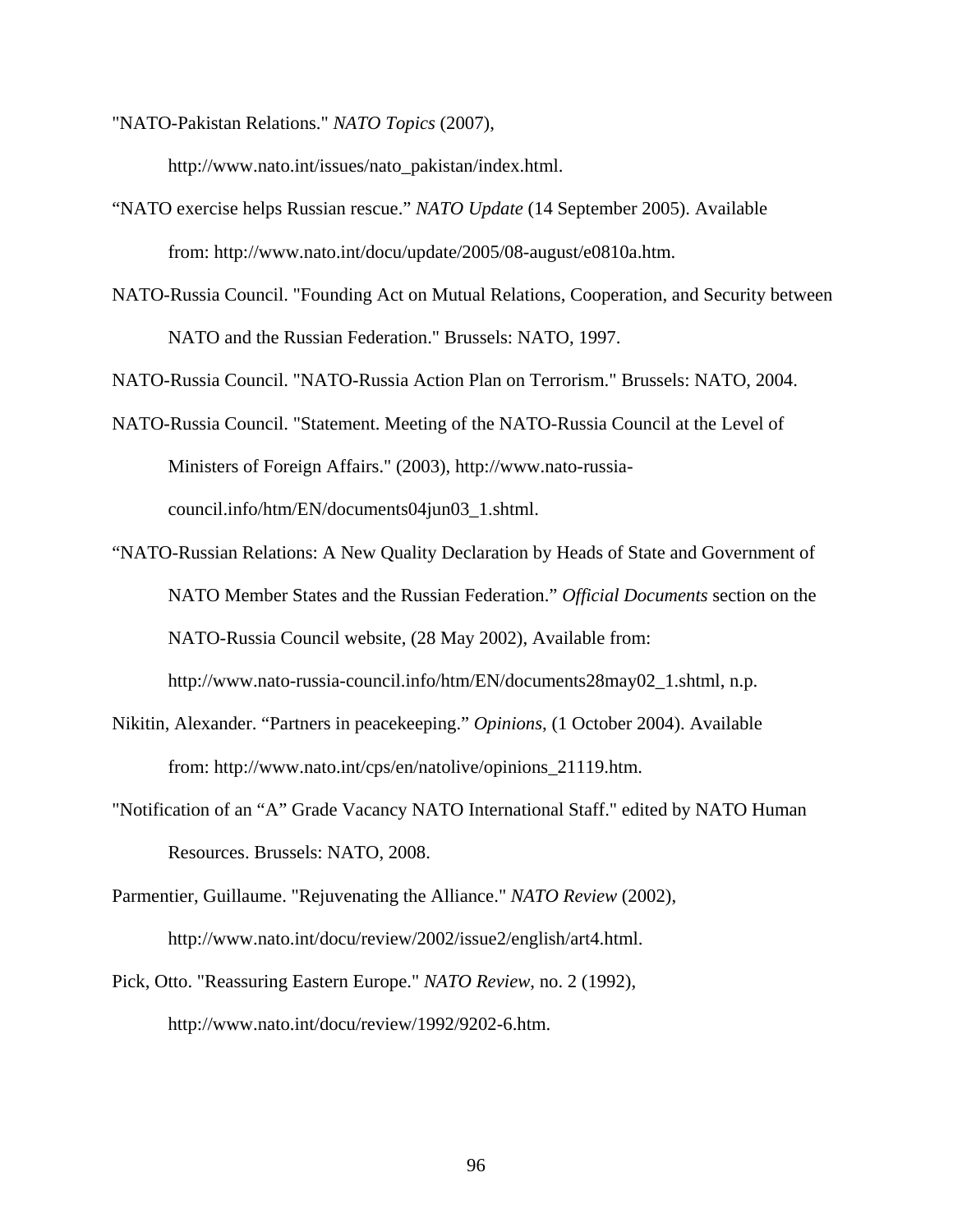"NATO-Pakistan Relations." *NATO Topics* (2007),

http://www.nato.int/issues/nato\_pakistan/index.html.

- "NATO exercise helps Russian rescue." *NATO Update* (14 September 2005). Available from: http://www.nato.int/docu/update/2005/08-august/e0810a.htm.
- NATO-Russia Council. "Founding Act on Mutual Relations, Cooperation, and Security between NATO and the Russian Federation." Brussels: NATO, 1997.

NATO-Russia Council. "NATO-Russia Action Plan on Terrorism." Brussels: NATO, 2004.

- NATO-Russia Council. "Statement. Meeting of the NATO-Russia Council at the Level of Ministers of Foreign Affairs." (2003), http://www.nato-russiacouncil.info/htm/EN/documents04jun03\_1.shtml.
- "NATO-Russian Relations: A New Quality Declaration by Heads of State and Government of NATO Member States and the Russian Federation." *Official Documents* section on the NATO-Russia Council website, (28 May 2002), Available from:

http://www.nato-russia-council.info/htm/EN/documents28may02\_1.shtml, n.p.

- Nikitin, Alexander. "Partners in peacekeeping." *Opinions*, (1 October 2004). Available from: http://www.nato.int/cps/en/natolive/opinions\_21119.htm.
- "Notification of an "A" Grade Vacancy NATO International Staff." edited by NATO Human Resources. Brussels: NATO, 2008.

Parmentier, Guillaume. "Rejuvenating the Alliance." *NATO Review* (2002), http://www.nato.int/docu/review/2002/issue2/english/art4.html.

Pick, Otto. "Reassuring Eastern Europe." *NATO Review*, no. 2 (1992), http://www.nato.int/docu/review/1992/9202-6.htm.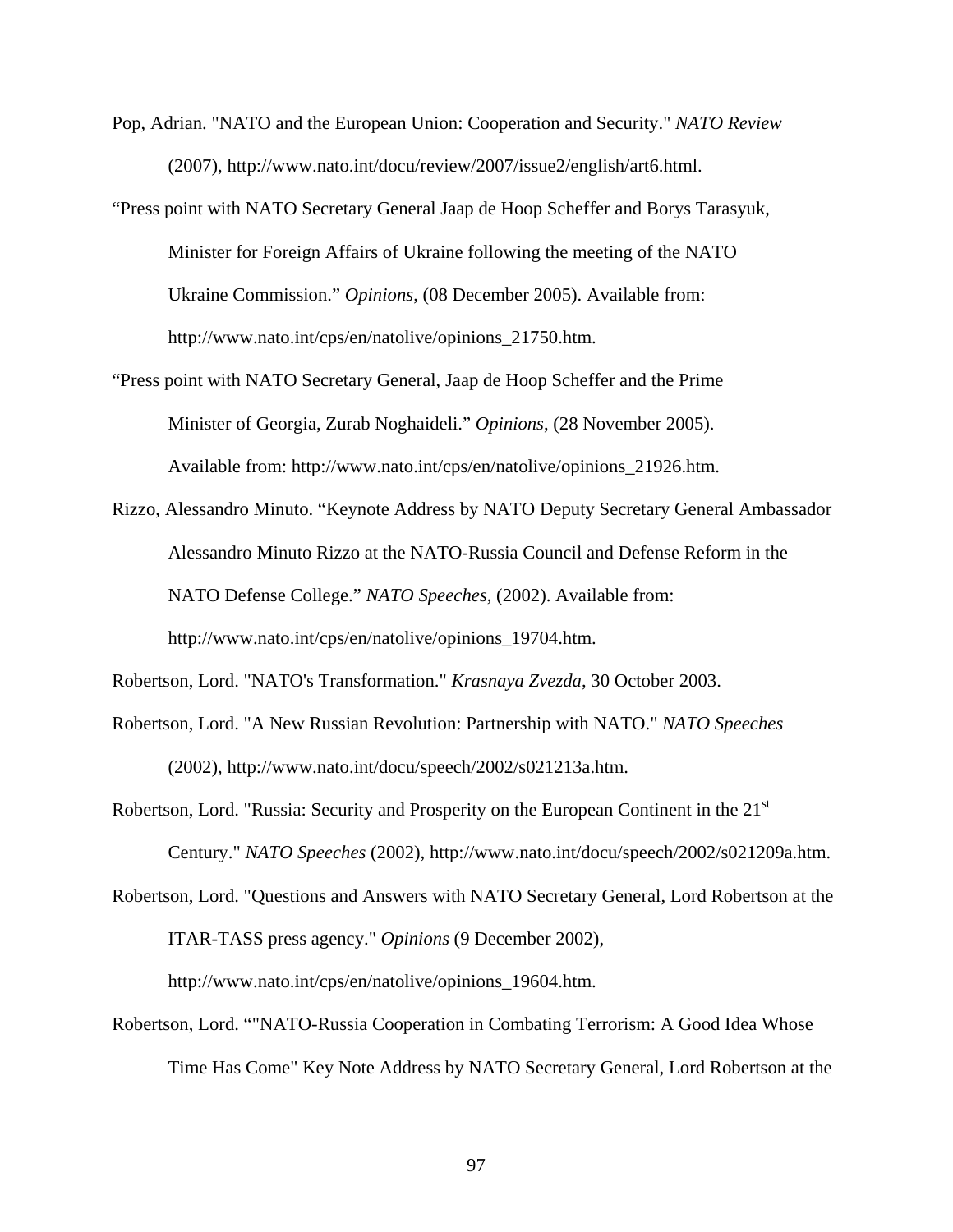- Pop, Adrian. "NATO and the European Union: Cooperation and Security." *NATO Review* (2007), http://www.nato.int/docu/review/2007/issue2/english/art6.html.
- "Press point with NATO Secretary General Jaap de Hoop Scheffer and Borys Tarasyuk, Minister for Foreign Affairs of Ukraine following the meeting of the NATO Ukraine Commission." *Opinions*, (08 December 2005). Available from: http://www.nato.int/cps/en/natolive/opinions\_21750.htm.
- "Press point with NATO Secretary General, Jaap de Hoop Scheffer and the Prime Minister of Georgia, Zurab Noghaideli." *Opinions*, (28 November 2005). Available from: http://www.nato.int/cps/en/natolive/opinions\_21926.htm.
- Rizzo, Alessandro Minuto. "Keynote Address by NATO Deputy Secretary General Ambassador Alessandro Minuto Rizzo at the NATO-Russia Council and Defense Reform in the NATO Defense College." *NATO Speeches*, (2002). Available from: http://www.nato.int/cps/en/natolive/opinions\_19704.htm.

Robertson, Lord. "NATO's Transformation." *Krasnaya Zvezda*, 30 October 2003.

- Robertson, Lord. "A New Russian Revolution: Partnership with NATO." *NATO Speeches* (2002), http://www.nato.int/docu/speech/2002/s021213a.htm.
- Robertson, Lord. "Russia: Security and Prosperity on the European Continent in the 21<sup>st</sup> Century." *NATO Speeches* (2002), http://www.nato.int/docu/speech/2002/s021209a.htm.
- Robertson, Lord. "Questions and Answers with NATO Secretary General, Lord Robertson at the ITAR-TASS press agency." *Opinions* (9 December 2002),

http://www.nato.int/cps/en/natolive/opinions\_19604.htm.

Robertson, Lord. ""NATO-Russia Cooperation in Combating Terrorism: A Good Idea Whose Time Has Come" Key Note Address by NATO Secretary General, Lord Robertson at the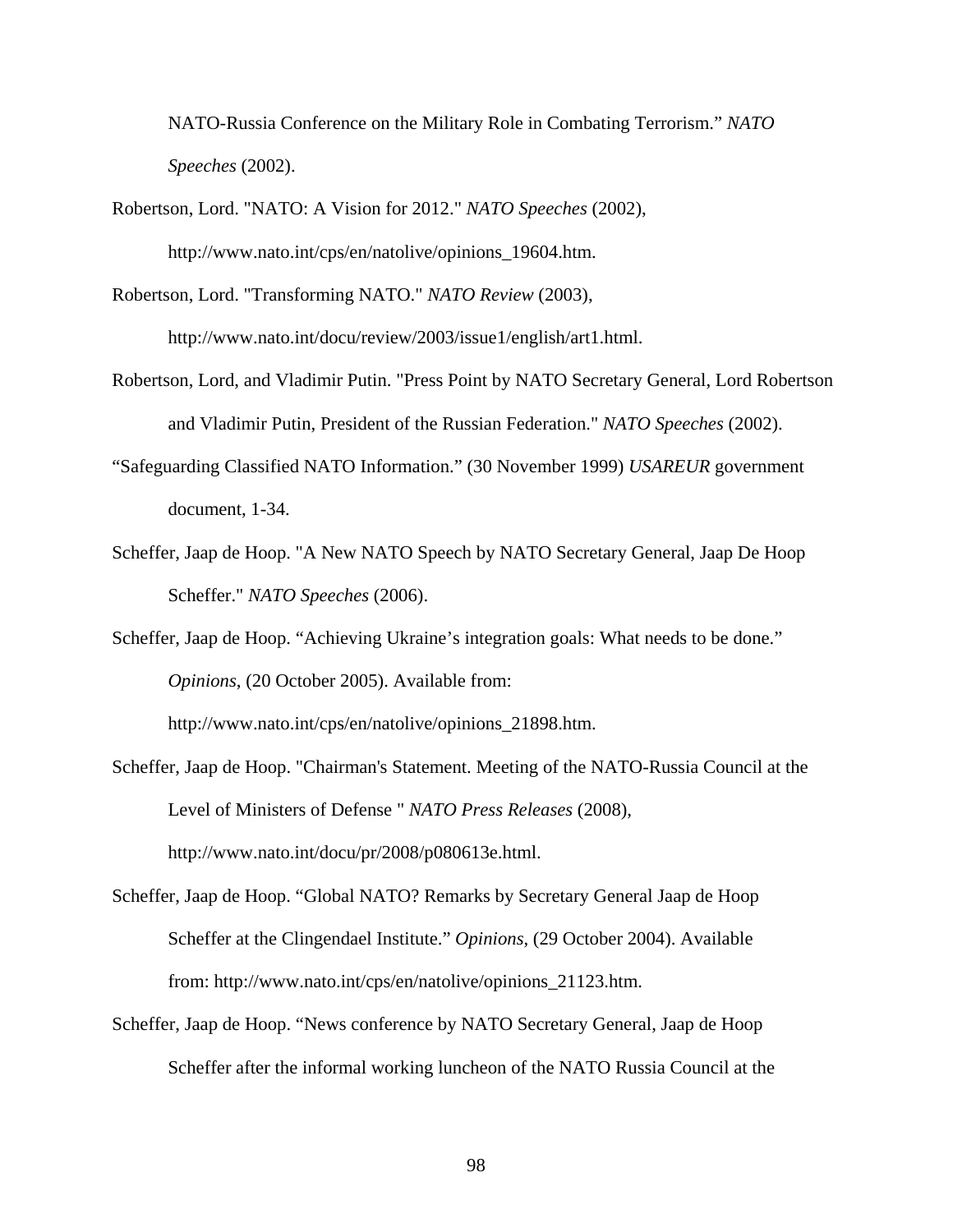NATO-Russia Conference on the Military Role in Combating Terrorism." *NATO Speeches* (2002).

- Robertson, Lord. "NATO: A Vision for 2012." *NATO Speeches* (2002), http://www.nato.int/cps/en/natolive/opinions\_19604.htm.
- Robertson, Lord. "Transforming NATO." *NATO Review* (2003), http://www.nato.int/docu/review/2003/issue1/english/art1.html.
- Robertson, Lord, and Vladimir Putin. "Press Point by NATO Secretary General, Lord Robertson and Vladimir Putin, President of the Russian Federation." *NATO Speeches* (2002).
- "Safeguarding Classified NATO Information." (30 November 1999) *USAREUR* government document, 1-34.
- Scheffer, Jaap de Hoop. "A New NATO Speech by NATO Secretary General, Jaap De Hoop Scheffer." *NATO Speeches* (2006).
- Scheffer, Jaap de Hoop. "Achieving Ukraine's integration goals: What needs to be done." *Opinions*, (20 October 2005). Available from:

http://www.nato.int/cps/en/natolive/opinions\_21898.htm.

- Scheffer, Jaap de Hoop. "Chairman's Statement. Meeting of the NATO-Russia Council at the Level of Ministers of Defense " *NATO Press Releases* (2008), http://www.nato.int/docu/pr/2008/p080613e.html.
- Scheffer, Jaap de Hoop. "Global NATO? Remarks by Secretary General Jaap de Hoop Scheffer at the Clingendael Institute." *Opinions*, (29 October 2004). Available from: http://www.nato.int/cps/en/natolive/opinions\_21123.htm.
- Scheffer, Jaap de Hoop. "News conference by NATO Secretary General, Jaap de Hoop Scheffer after the informal working luncheon of the NATO Russia Council at the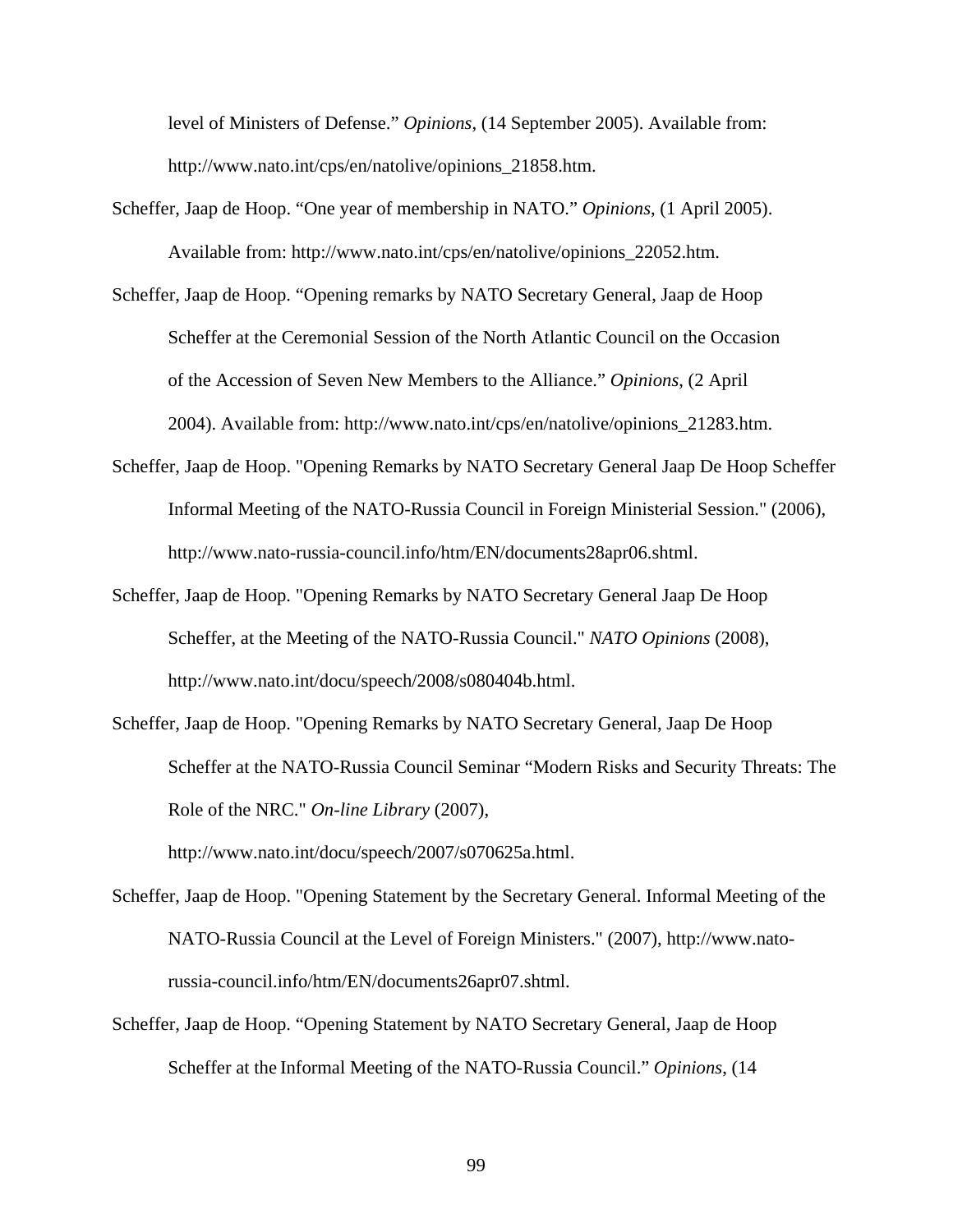level of Ministers of Defense." *Opinions*, (14 September 2005). Available from: http://www.nato.int/cps/en/natolive/opinions\_21858.htm.

- Scheffer, Jaap de Hoop. "One year of membership in NATO." *Opinions*, (1 April 2005). Available from: http://www.nato.int/cps/en/natolive/opinions\_22052.htm.
- Scheffer, Jaap de Hoop. "Opening remarks by NATO Secretary General, Jaap de Hoop Scheffer at the Ceremonial Session of the North Atlantic Council on the Occasion of the Accession of Seven New Members to the Alliance." *Opinions*, (2 April 2004). Available from: http://www.nato.int/cps/en/natolive/opinions\_21283.htm.
- Scheffer, Jaap de Hoop. "Opening Remarks by NATO Secretary General Jaap De Hoop Scheffer Informal Meeting of the NATO-Russia Council in Foreign Ministerial Session." (2006), http://www.nato-russia-council.info/htm/EN/documents28apr06.shtml.
- Scheffer, Jaap de Hoop. "Opening Remarks by NATO Secretary General Jaap De Hoop Scheffer, at the Meeting of the NATO-Russia Council." *NATO Opinions* (2008), http://www.nato.int/docu/speech/2008/s080404b.html.
- Scheffer, Jaap de Hoop. "Opening Remarks by NATO Secretary General, Jaap De Hoop Scheffer at the NATO-Russia Council Seminar "Modern Risks and Security Threats: The Role of the NRC." *On-line Library* (2007),

http://www.nato.int/docu/speech/2007/s070625a.html.

- Scheffer, Jaap de Hoop. "Opening Statement by the Secretary General. Informal Meeting of the NATO-Russia Council at the Level of Foreign Ministers." (2007), http://www.natorussia-council.info/htm/EN/documents26apr07.shtml.
- Scheffer, Jaap de Hoop. "Opening Statement by NATO Secretary General, Jaap de Hoop Scheffer at the Informal Meeting of the NATO-Russia Council." *Opinions*, (14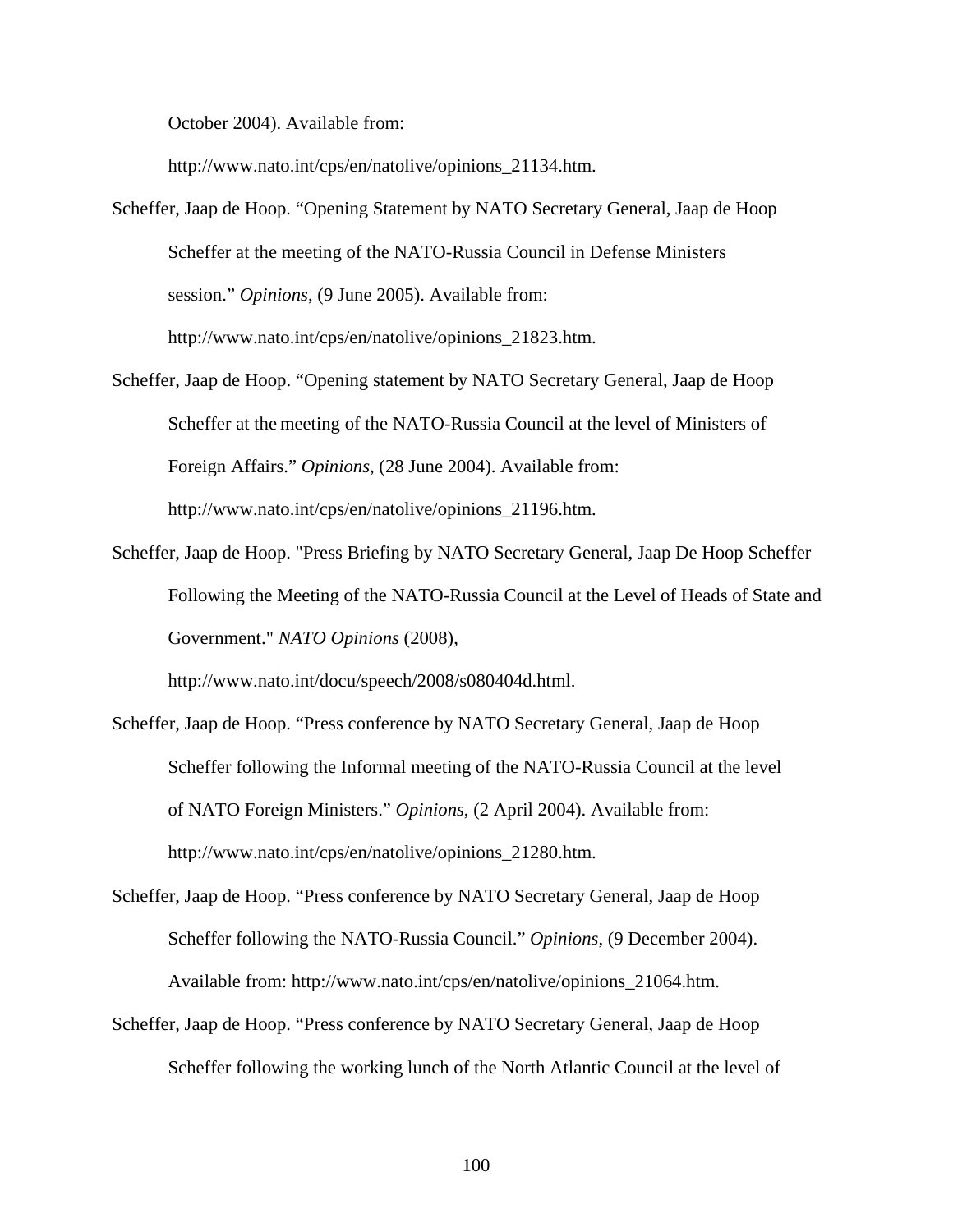October 2004). Available from:

http://www.nato.int/cps/en/natolive/opinions\_21134.htm.

- Scheffer, Jaap de Hoop. "Opening Statement by NATO Secretary General, Jaap de Hoop Scheffer at the meeting of the NATO-Russia Council in Defense Ministers session." *Opinions*, (9 June 2005). Available from: http://www.nato.int/cps/en/natolive/opinions\_21823.htm.
- Scheffer, Jaap de Hoop. "Opening statement by NATO Secretary General, Jaap de Hoop Scheffer at the meeting of the NATO-Russia Council at the level of Ministers of Foreign Affairs." *Opinions*, (28 June 2004). Available from: http://www.nato.int/cps/en/natolive/opinions\_21196.htm.
- Scheffer, Jaap de Hoop. "Press Briefing by NATO Secretary General, Jaap De Hoop Scheffer Following the Meeting of the NATO-Russia Council at the Level of Heads of State and Government." *NATO Opinions* (2008),

http://www.nato.int/docu/speech/2008/s080404d.html.

- Scheffer, Jaap de Hoop. "Press conference by NATO Secretary General, Jaap de Hoop Scheffer following the Informal meeting of the NATO-Russia Council at the level of NATO Foreign Ministers." *Opinions*, (2 April 2004). Available from: http://www.nato.int/cps/en/natolive/opinions\_21280.htm.
- Scheffer, Jaap de Hoop. "Press conference by NATO Secretary General, Jaap de Hoop Scheffer following the NATO-Russia Council." *Opinions*, (9 December 2004). Available from: http://www.nato.int/cps/en/natolive/opinions\_21064.htm.
- Scheffer, Jaap de Hoop. "Press conference by NATO Secretary General, Jaap de Hoop Scheffer following the working lunch of the North Atlantic Council at the level of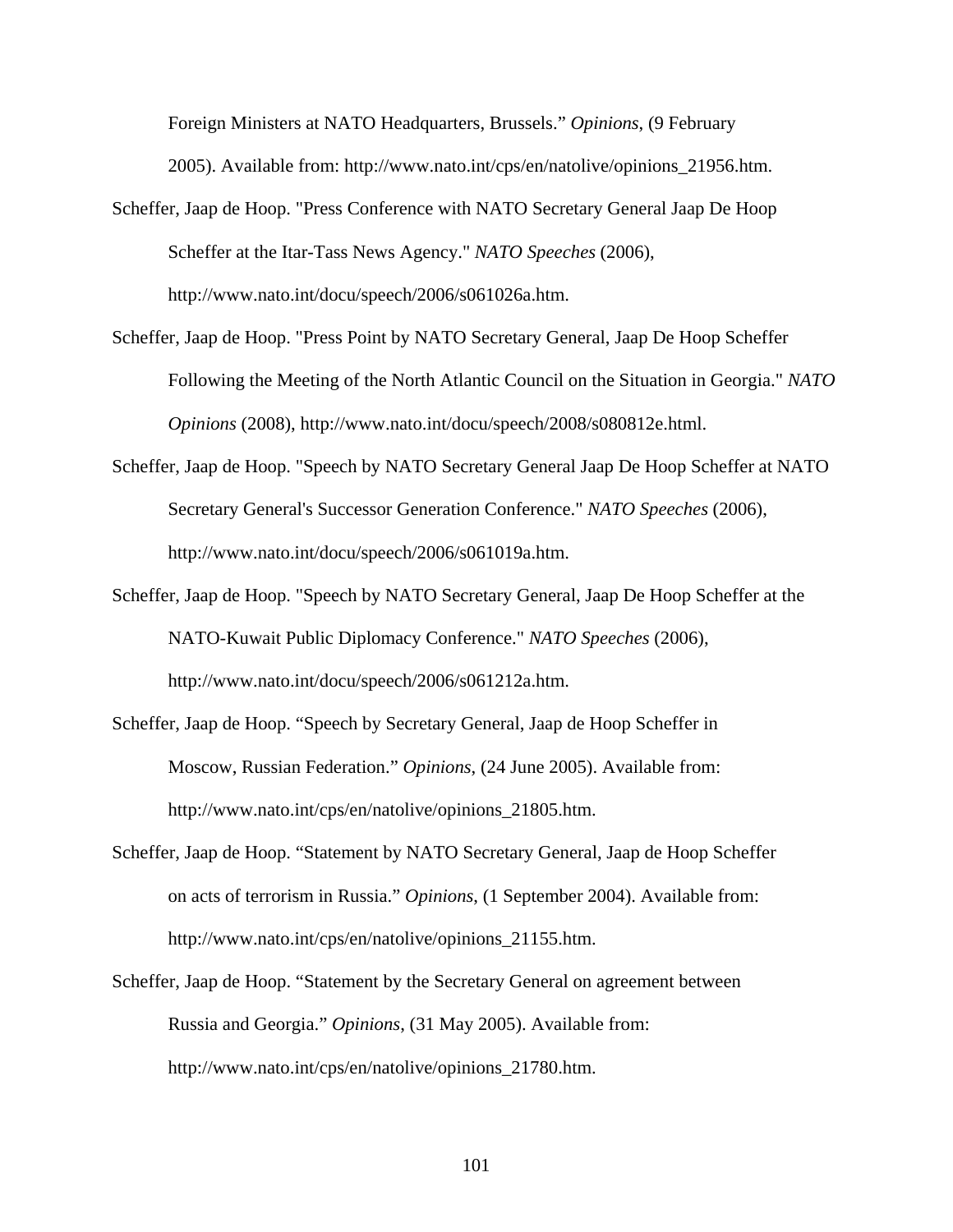Foreign Ministers at NATO Headquarters, Brussels." *Opinions*, (9 February 2005). Available from: http://www.nato.int/cps/en/natolive/opinions\_21956.htm.

- Scheffer, Jaap de Hoop. "Press Conference with NATO Secretary General Jaap De Hoop Scheffer at the Itar-Tass News Agency." *NATO Speeches* (2006), http://www.nato.int/docu/speech/2006/s061026a.htm.
- Scheffer, Jaap de Hoop. "Press Point by NATO Secretary General, Jaap De Hoop Scheffer Following the Meeting of the North Atlantic Council on the Situation in Georgia." *NATO Opinions* (2008), http://www.nato.int/docu/speech/2008/s080812e.html.
- Scheffer, Jaap de Hoop. "Speech by NATO Secretary General Jaap De Hoop Scheffer at NATO Secretary General's Successor Generation Conference." *NATO Speeches* (2006), http://www.nato.int/docu/speech/2006/s061019a.htm.
- Scheffer, Jaap de Hoop. "Speech by NATO Secretary General, Jaap De Hoop Scheffer at the NATO-Kuwait Public Diplomacy Conference." *NATO Speeches* (2006), http://www.nato.int/docu/speech/2006/s061212a.htm.
- Scheffer, Jaap de Hoop. "Speech by Secretary General, Jaap de Hoop Scheffer in Moscow, Russian Federation." *Opinions*, (24 June 2005). Available from: http://www.nato.int/cps/en/natolive/opinions\_21805.htm.
- Scheffer, Jaap de Hoop. "Statement by NATO Secretary General, Jaap de Hoop Scheffer on acts of terrorism in Russia." *Opinions*, (1 September 2004). Available from: http://www.nato.int/cps/en/natolive/opinions\_21155.htm.
- Scheffer, Jaap de Hoop. "Statement by the Secretary General on agreement between Russia and Georgia." *Opinions*, (31 May 2005). Available from: http://www.nato.int/cps/en/natolive/opinions\_21780.htm.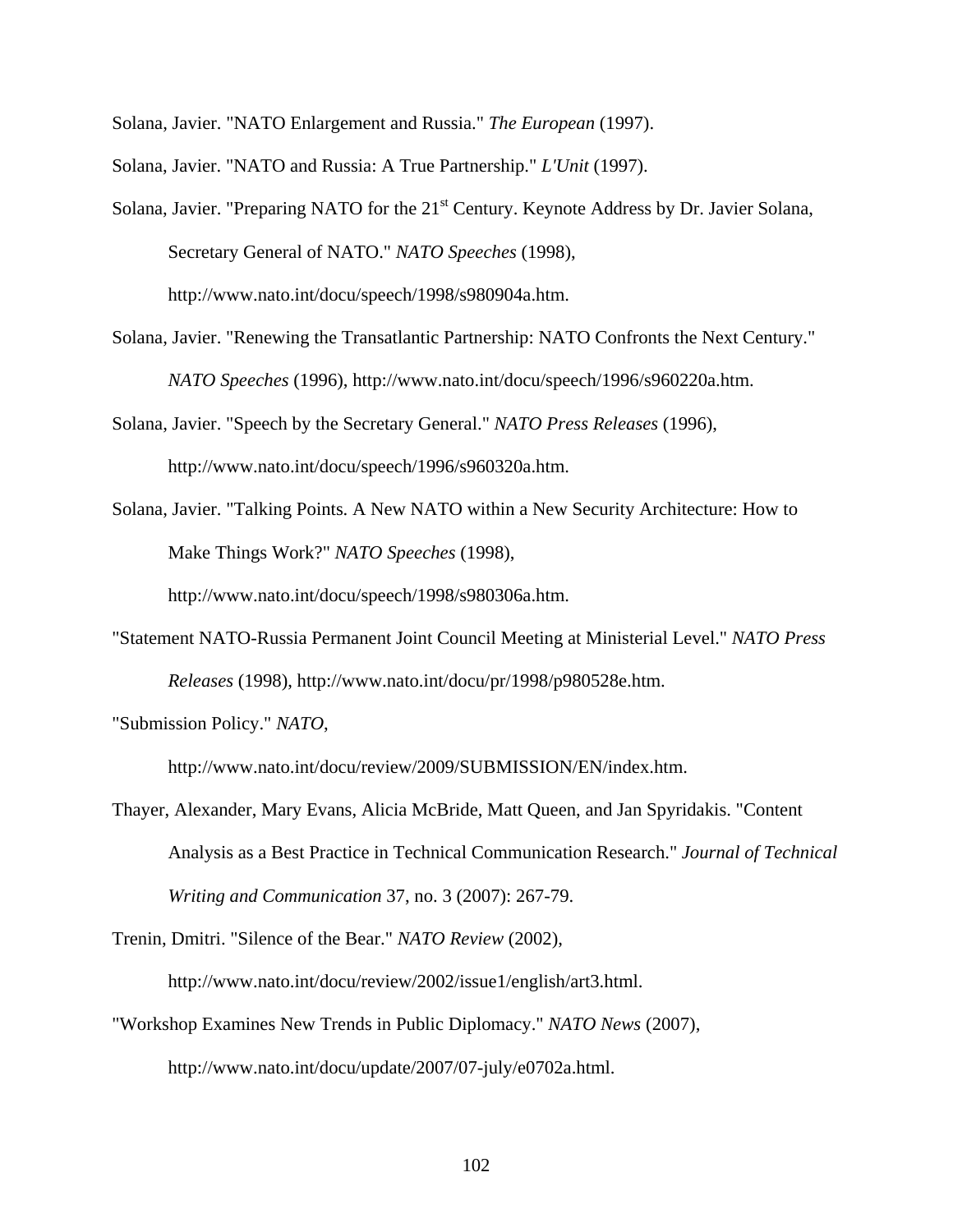Solana, Javier. "NATO Enlargement and Russia." *The European* (1997).

- Solana, Javier. "NATO and Russia: A True Partnership." *L'Unit* (1997).
- Solana, Javier. "Preparing NATO for the 21<sup>st</sup> Century. Keynote Address by Dr. Javier Solana, Secretary General of NATO." *NATO Speeches* (1998), http://www.nato.int/docu/speech/1998/s980904a.htm.
- Solana, Javier. "Renewing the Transatlantic Partnership: NATO Confronts the Next Century." *NATO Speeches* (1996), http://www.nato.int/docu/speech/1996/s960220a.htm.
- Solana, Javier. "Speech by the Secretary General." *NATO Press Releases* (1996), http://www.nato.int/docu/speech/1996/s960320a.htm.
- Solana, Javier. "Talking Points. A New NATO within a New Security Architecture: How to Make Things Work?" *NATO Speeches* (1998),

http://www.nato.int/docu/speech/1998/s980306a.htm.

"Statement NATO-Russia Permanent Joint Council Meeting at Ministerial Level." *NATO Press Releases* (1998), http://www.nato.int/docu/pr/1998/p980528e.htm.

"Submission Policy." *NATO*,

http://www.nato.int/docu/review/2009/SUBMISSION/EN/index.htm.

Thayer, Alexander, Mary Evans, Alicia McBride, Matt Queen, and Jan Spyridakis. "Content Analysis as a Best Practice in Technical Communication Research." *Journal of Technical Writing and Communication* 37, no. 3 (2007): 267-79.

Trenin, Dmitri. "Silence of the Bear." *NATO Review* (2002),

http://www.nato.int/docu/review/2002/issue1/english/art3.html.

"Workshop Examines New Trends in Public Diplomacy." *NATO News* (2007), http://www.nato.int/docu/update/2007/07-july/e0702a.html.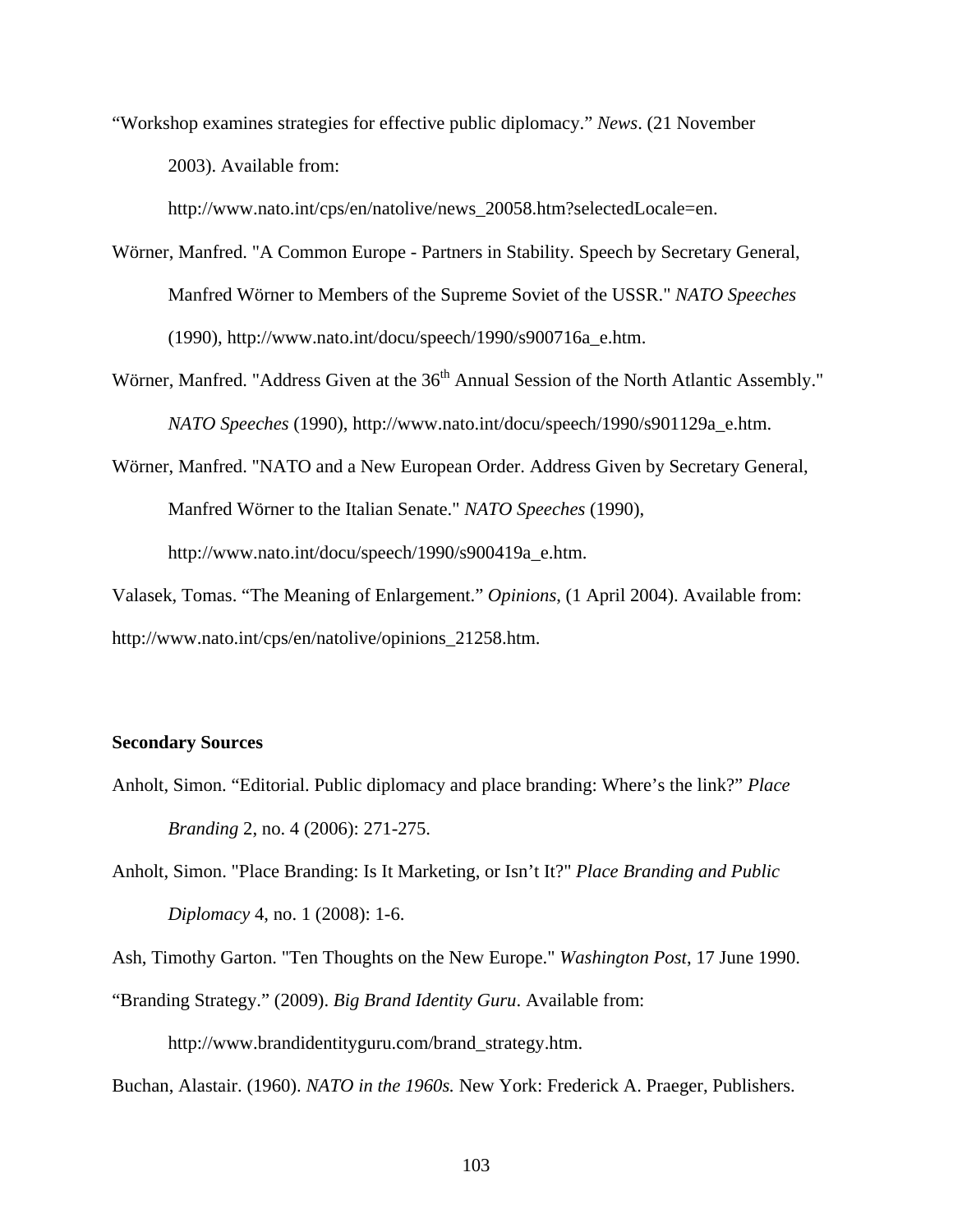"Workshop examines strategies for effective public diplomacy." *News*. (21 November 2003). Available from:

http://www.nato.int/cps/en/natolive/news\_20058.htm?selectedLocale=en.

- Wörner, Manfred. "A Common Europe Partners in Stability. Speech by Secretary General, Manfred Wörner to Members of the Supreme Soviet of the USSR." *NATO Speeches* (1990), http://www.nato.int/docu/speech/1990/s900716a\_e.htm.
- Wörner, Manfred. "Address Given at the 36<sup>th</sup> Annual Session of the North Atlantic Assembly." *NATO Speeches* (1990), http://www.nato.int/docu/speech/1990/s901129a\_e.htm.
- Wörner, Manfred. "NATO and a New European Order. Address Given by Secretary General, Manfred Wörner to the Italian Senate." *NATO Speeches* (1990), http://www.nato.int/docu/speech/1990/s900419a\_e.htm.

Valasek, Tomas. "The Meaning of Enlargement." *Opinions*, (1 April 2004). Available from: http://www.nato.int/cps/en/natolive/opinions\_21258.htm.

## **Secondary Sources**

- Anholt, Simon. "Editorial. Public diplomacy and place branding: Where's the link?" *Place Branding* 2, no. 4 (2006): 271-275.
- Anholt, Simon. "Place Branding: Is It Marketing, or Isn't It?" *Place Branding and Public Diplomacy* 4, no. 1 (2008): 1-6.

Ash, Timothy Garton. "Ten Thoughts on the New Europe." *Washington Post*, 17 June 1990.

"Branding Strategy." (2009). *Big Brand Identity Guru*. Available from:

http://www.brandidentityguru.com/brand\_strategy.htm.

Buchan, Alastair. (1960). *NATO in the 1960s.* New York: Frederick A. Praeger, Publishers.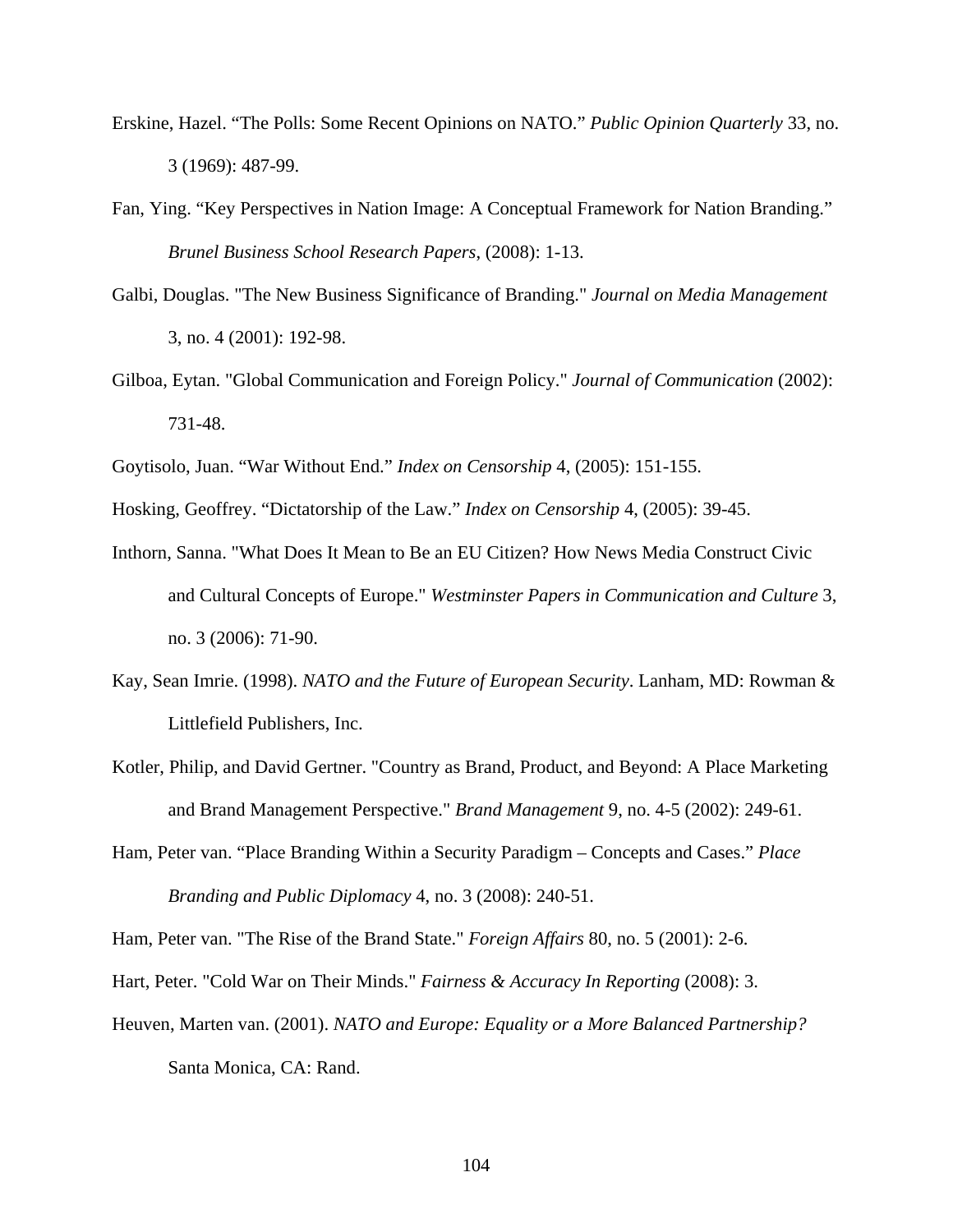- Erskine, Hazel. "The Polls: Some Recent Opinions on NATO." *Public Opinion Quarterly* 33, no. 3 (1969): 487-99.
- Fan, Ying. "Key Perspectives in Nation Image: A Conceptual Framework for Nation Branding." *Brunel Business School Research Papers*, (2008): 1-13.
- Galbi, Douglas. "The New Business Significance of Branding." *Journal on Media Management*  3, no. 4 (2001): 192-98.
- Gilboa, Eytan. "Global Communication and Foreign Policy." *Journal of Communication* (2002): 731-48.
- Goytisolo, Juan. "War Without End." *Index on Censorship* 4, (2005): 151-155.
- Hosking, Geoffrey. "Dictatorship of the Law." *Index on Censorship* 4, (2005): 39-45.
- Inthorn, Sanna. "What Does It Mean to Be an EU Citizen? How News Media Construct Civic and Cultural Concepts of Europe." *Westminster Papers in Communication and Culture* 3, no. 3 (2006): 71-90.
- Kay, Sean Imrie. (1998). *NATO and the Future of European Security*. Lanham, MD: Rowman & Littlefield Publishers, Inc.
- Kotler, Philip, and David Gertner. "Country as Brand, Product, and Beyond: A Place Marketing and Brand Management Perspective." *Brand Management* 9, no. 4-5 (2002): 249-61.
- Ham, Peter van. "Place Branding Within a Security Paradigm Concepts and Cases." *Place Branding and Public Diplomacy* 4, no. 3 (2008): 240-51.

Ham, Peter van. "The Rise of the Brand State." *Foreign Affairs* 80, no. 5 (2001): 2-6.

- Hart, Peter. "Cold War on Their Minds." *Fairness & Accuracy In Reporting* (2008): 3.
- Heuven, Marten van. (2001). *NATO and Europe: Equality or a More Balanced Partnership?* Santa Monica, CA: Rand.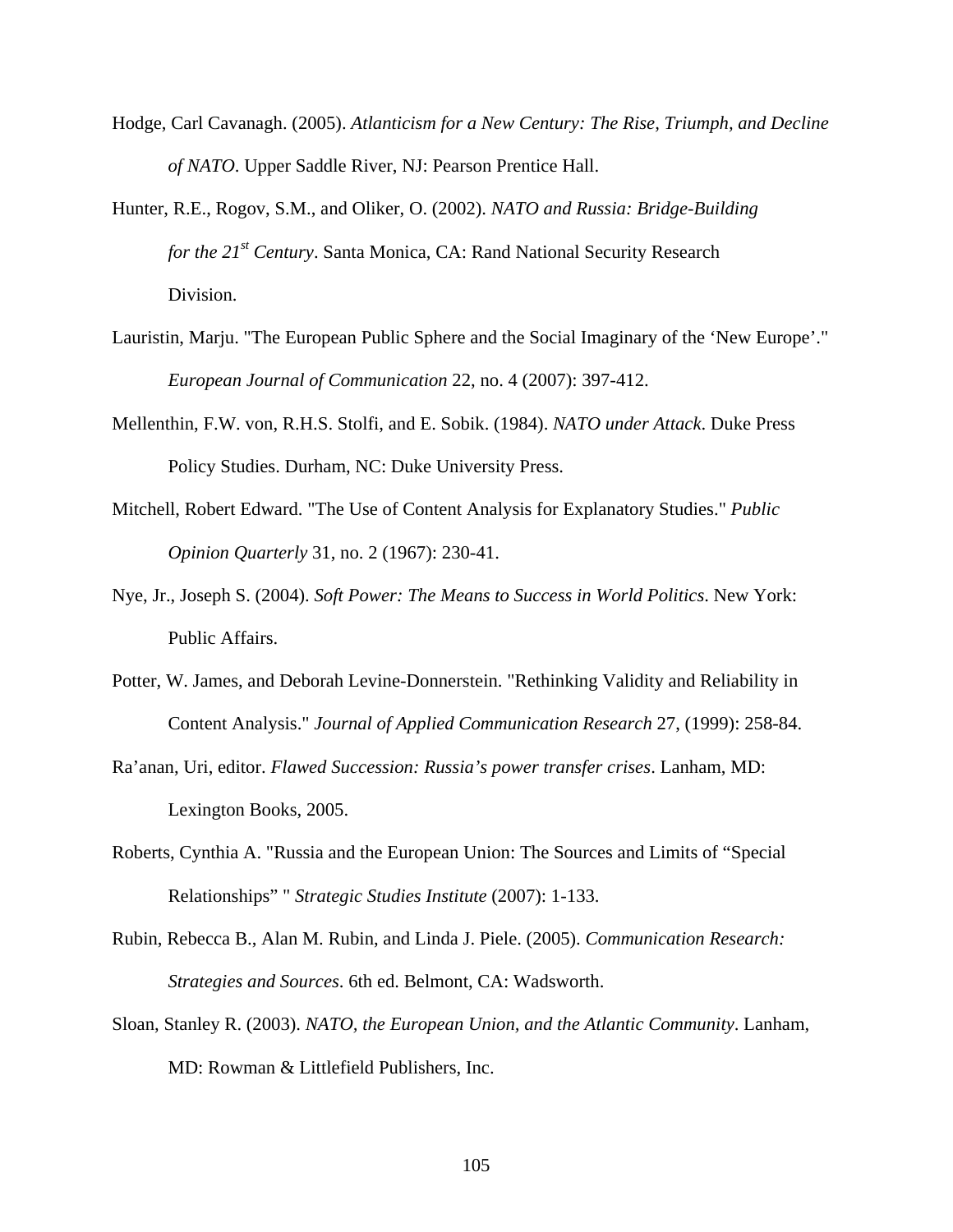- Hodge, Carl Cavanagh. (2005). *Atlanticism for a New Century: The Rise, Triumph, and Decline of NATO*. Upper Saddle River, NJ: Pearson Prentice Hall.
- Hunter, R.E., Rogov, S.M., and Oliker, O. (2002). *NATO and Russia: Bridge-Building for the 21st Century*. Santa Monica, CA: Rand National Security Research Division.
- Lauristin, Marju. "The European Public Sphere and the Social Imaginary of the 'New Europe'." *European Journal of Communication* 22, no. 4 (2007): 397-412.
- Mellenthin, F.W. von, R.H.S. Stolfi, and E. Sobik. (1984). *NATO under Attack*. Duke Press Policy Studies. Durham, NC: Duke University Press.
- Mitchell, Robert Edward. "The Use of Content Analysis for Explanatory Studies." *Public Opinion Quarterly* 31, no. 2 (1967): 230-41.
- Nye, Jr., Joseph S. (2004). *Soft Power: The Means to Success in World Politics*. New York: Public Affairs.
- Potter, W. James, and Deborah Levine-Donnerstein. "Rethinking Validity and Reliability in Content Analysis." *Journal of Applied Communication Research* 27, (1999): 258-84.
- Ra'anan, Uri, editor. *Flawed Succession: Russia's power transfer crises*. Lanham, MD: Lexington Books, 2005.
- Roberts, Cynthia A. "Russia and the European Union: The Sources and Limits of "Special Relationships" " *Strategic Studies Institute* (2007): 1-133.
- Rubin, Rebecca B., Alan M. Rubin, and Linda J. Piele. (2005). *Communication Research: Strategies and Sources*. 6th ed. Belmont, CA: Wadsworth.
- Sloan, Stanley R. (2003). *NATO, the European Union, and the Atlantic Community*. Lanham, MD: Rowman & Littlefield Publishers, Inc.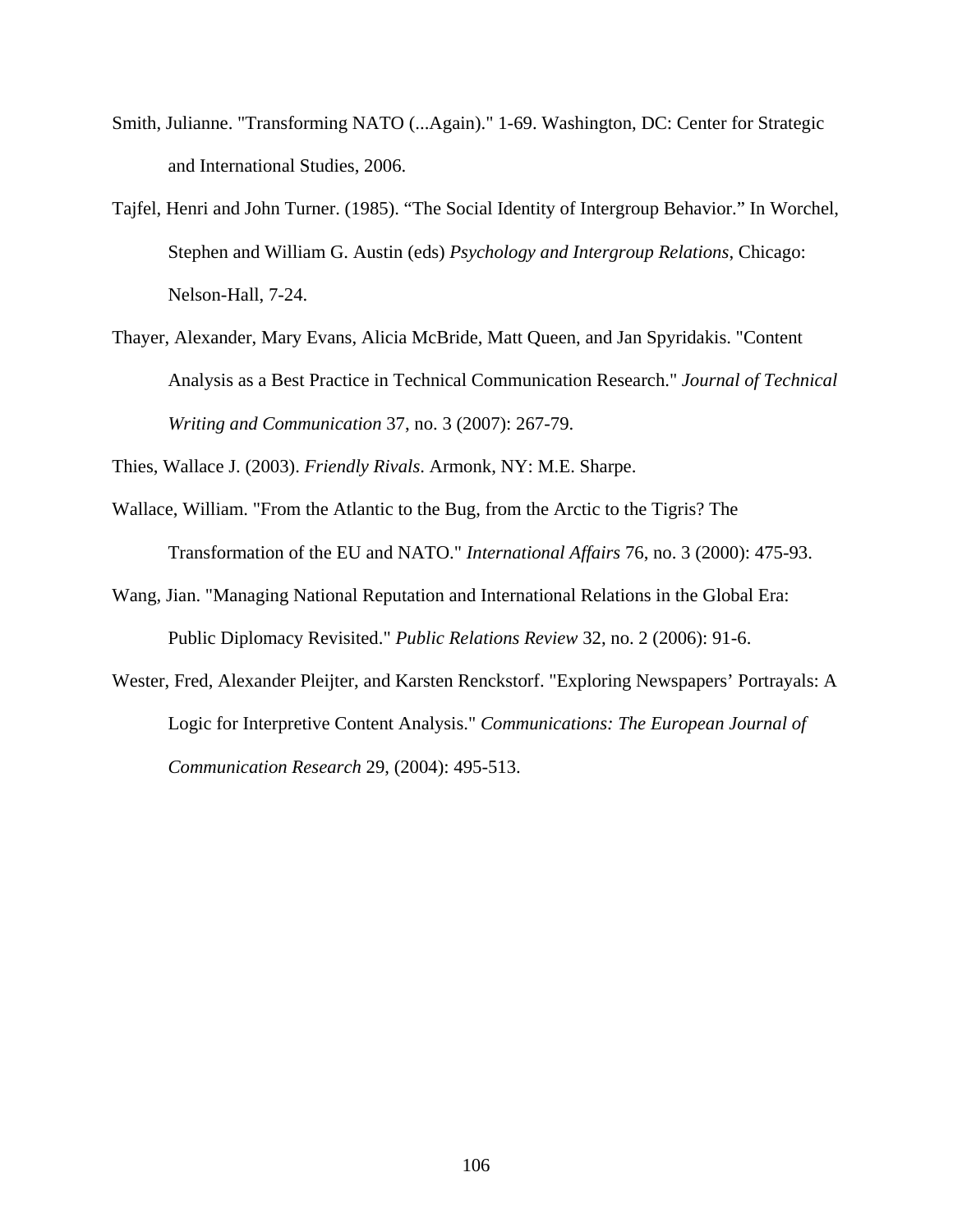- Smith, Julianne. "Transforming NATO (...Again)." 1-69. Washington, DC: Center for Strategic and International Studies, 2006.
- Tajfel, Henri and John Turner. (1985). "The Social Identity of Intergroup Behavior." In Worchel, Stephen and William G. Austin (eds) *Psychology and Intergroup Relations*, Chicago: Nelson-Hall, 7-24.
- Thayer, Alexander, Mary Evans, Alicia McBride, Matt Queen, and Jan Spyridakis. "Content Analysis as a Best Practice in Technical Communication Research." *Journal of Technical Writing and Communication* 37, no. 3 (2007): 267-79.

Thies, Wallace J. (2003). *Friendly Rivals*. Armonk, NY: M.E. Sharpe.

- Wallace, William. "From the Atlantic to the Bug, from the Arctic to the Tigris? The Transformation of the EU and NATO." *International Affairs* 76, no. 3 (2000): 475-93.
- Wang, Jian. "Managing National Reputation and International Relations in the Global Era: Public Diplomacy Revisited." *Public Relations Review* 32, no. 2 (2006): 91-6.
- Wester, Fred, Alexander Pleijter, and Karsten Renckstorf. "Exploring Newspapers' Portrayals: A Logic for Interpretive Content Analysis." *Communications: The European Journal of Communication Research* 29, (2004): 495-513.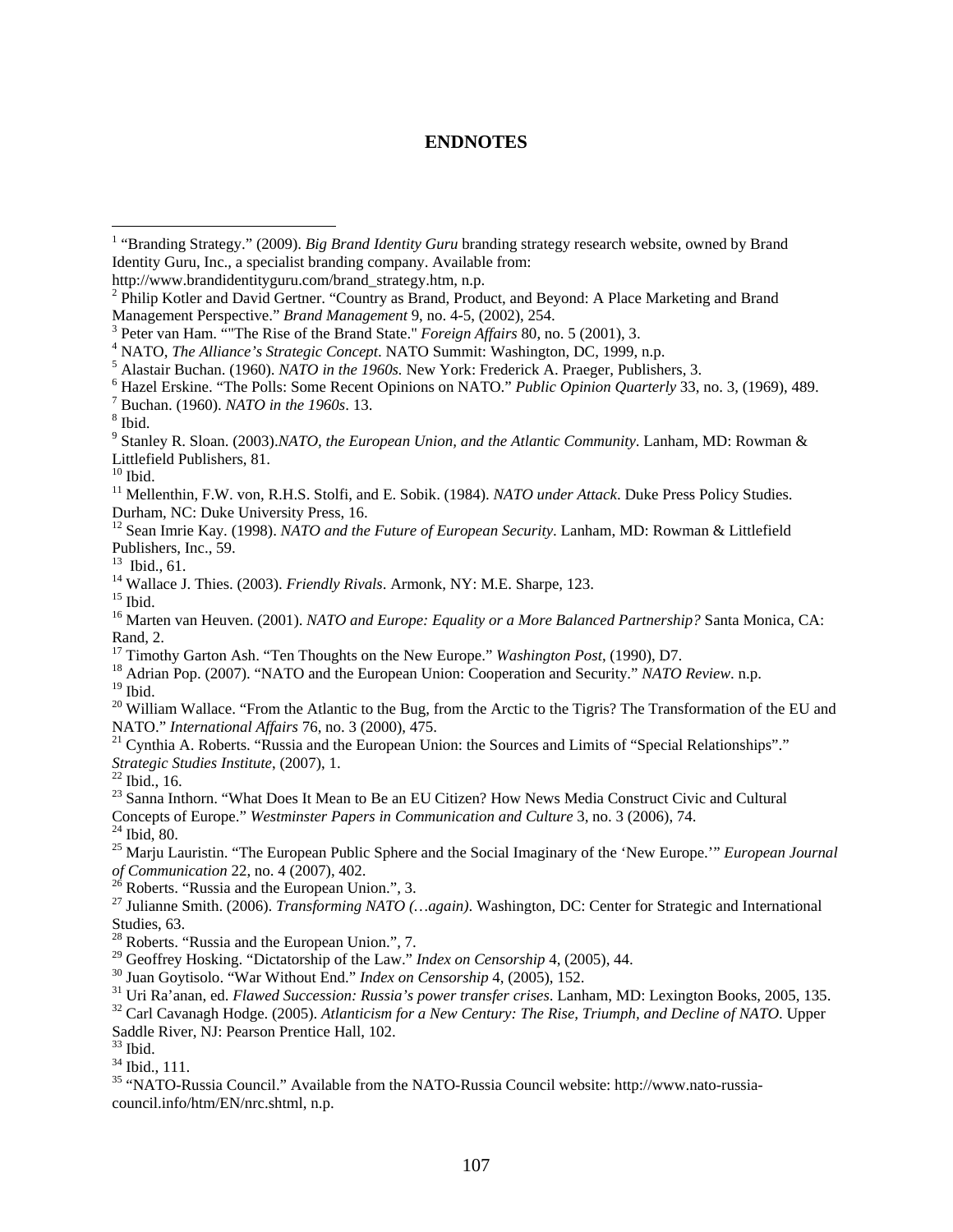## **ENDNOTES**

http://www.brandidentityguru.com/brand\_strategy.htm, n.p.

 $10$  Ibid.

 $19$  Ibid.

Concepts of Europe." *Westminster Papers in Communication and Culture* 3, no. 3 (2006), 74.<br><sup>24</sup> Ibid. 80.

<sup>28</sup> Roberts. "Russia and the European Union.", 7.

<sup>29</sup> Geoffrey Hosking. "Dictatorship of the Law." *Index on Censorship* 4, (2005), 44.<br><sup>30</sup> Juan Goytisolo. "War Without End." *Index on Censorship* 4, (2005), 152.<br><sup>31</sup> Uri Ra'anan, ed. *Flawed Succession: Russia's power* 

Saddle River, NJ: Pearson Prentice Hall, 102.

 $33$  Ibid.

34 Ibid., 111.

35 "NATO-Russia Council." Available from the NATO-Russia Council website: http://www.nato-russiacouncil.info/htm/EN/nrc.shtml, n.p.

 1 "Branding Strategy." (2009). *Big Brand Identity Guru* branding strategy research website, owned by Brand Identity Guru, Inc., a specialist branding company. Available from:

<sup>&</sup>lt;sup>2</sup> Philip Kotler and David Gertner. "Country as Brand, Product, and Beyond: A Place Marketing and Brand Management Perspective." *Brand Management* 9, no. 4-5, (2002), 254.

<sup>&</sup>lt;sup>3</sup> Peter van Ham. "The Rise of the Brand State." *Foreign Affairs* 80, no. 5 (2001), 3.

<sup>&</sup>lt;sup>4</sup> NATO, *The Alliance's Strategic Concept*. NATO Summit: Washington, DC, 1999, n.p.

 $^5$  Alastair Buchan. (1960). *NATO in the 1960s*. New York: Frederick A. Praeger, Publishers, 3.

<sup>&</sup>lt;sup>6</sup> Hazel Erskine. "The Polls: Some Recent Opinions on NATO." *Public Opinion Quarterly* 33, no. 3, (1969), 489.

<sup>&</sup>lt;sup>7</sup> Buchan. (1960). *NATO in the 1960s*. 13.

 $8$  Ibid.

<sup>9</sup> Stanley R. Sloan. (2003).*NATO, the European Union, and the Atlantic Community*. Lanham, MD: Rowman & Littlefield Publishers, 81.

<sup>&</sup>lt;sup>11</sup> Mellenthin, F.W. von, R.H.S. Stolfi, and E. Sobik. (1984). *NATO under Attack*. Duke Press Policy Studies. Durham, NC: Duke University Press, 16.

<sup>12</sup> Sean Imrie Kay. (1998). *NATO and the Future of European Security*. Lanham, MD: Rowman & Littlefield Publishers, Inc., 59.

<sup>13</sup> Ibid., 61.

<sup>&</sup>lt;sup>14</sup> Wallace J. Thies. (2003). *Friendly Rivals*. Armonk, NY: M.E. Sharpe, 123.<br><sup>15</sup> Ibid.

<sup>&</sup>lt;sup>16</sup> Marten van Heuven. (2001). *NATO and Europe: Equality or a More Balanced Partnership?* Santa Monica, CA: Rand, 2.<br><sup>17</sup> Timothy Garton Ash. "Ten Thoughts on the New Europe." *Washington Post*, (1990), D7.

<sup>&</sup>lt;sup>18</sup> Adrian Pop. (2007). "NATO and the European Union: Cooperation and Security." *NATO Review*. n.p.

<sup>&</sup>lt;sup>20</sup> William Wallace. "From the Atlantic to the Bug, from the Arctic to the Tigris? The Transformation of the EU and NATO." *International Affairs* 76, no. 3 (2000), 475.

<sup>&</sup>lt;sup>21</sup> Cynthia A. Roberts. "Russia and the European Union: the Sources and Limits of "Special Relationships"." *Strategic Studies Institute*, (2007), 1. 22 Ibid., 16.

<sup>&</sup>lt;sup>23</sup> Sanna Inthorn. "What Does It Mean to Be an EU Citizen? How News Media Construct Civic and Cultural

<sup>25</sup> Marju Lauristin. "The European Public Sphere and the Social Imaginary of the 'New Europe.'" *European Journal of Communication* 22, no. 4 (2007), 402.<br><sup>26</sup> Roberts. "Russia and the European Union.", 3.

<sup>27</sup> Julianne Smith. (2006). *Transforming NATO (…again)*. Washington, DC: Center for Strategic and International Studies, 63.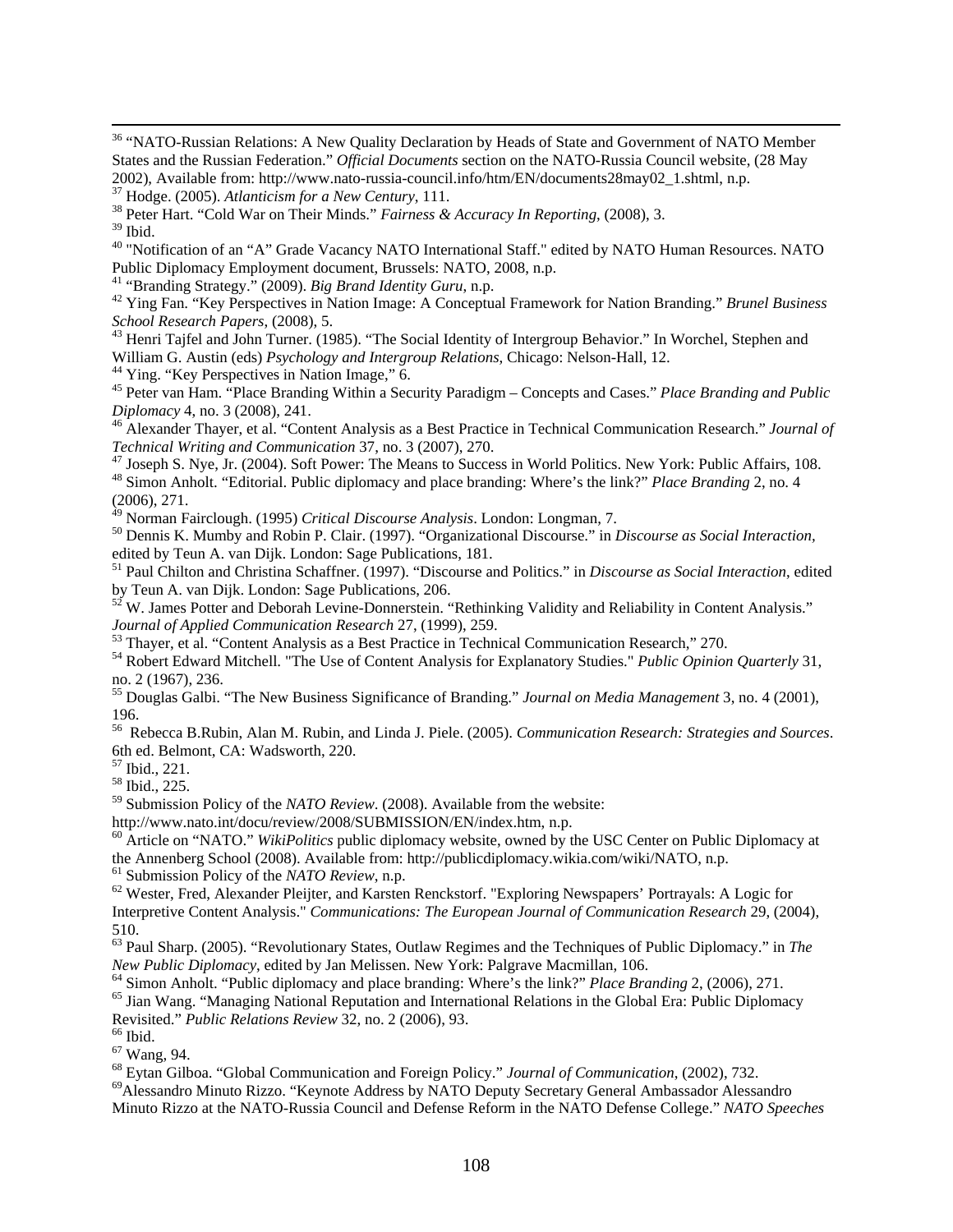<sup>36</sup> "NATO-Russian Relations: A New Quality Declaration by Heads of State and Government of NATO Member States and the Russian Federation." *Official Documents* section on the NATO-Russia Council website, (28 May 2002), Available from: http://www.nato-russia-council.info/htm/EN/documents28may02\_1.shtml, n.p. <sup>37</sup> Hodge. (2005). *Atlanticism for a New Century*, 111.

<sup>40</sup> "Notification of an "A" Grade Vacancy NATO International Staff." edited by NATO Human Resources. NATO Public Diplomacy Employment document, Brussels: NATO, 2008, n.p.<br><sup>41</sup> "Branding Strategy." (2009). *Big Brand Identity Guru*, n.p.

<sup>42</sup> Ying Fan. "Key Perspectives in Nation Image: A Conceptual Framework for Nation Branding." *Brunel Business School Research Papers*, (2008), 5. 43 Henri Tajfel and John Turner. (1985). "The Social Identity of Intergroup Behavior." In Worchel, Stephen and

William G. Austin (eds) *Psychology and Intergroup Relations*, Chicago: Nelson-Hall, 12. 44 Ying. "Key Perspectives in Nation Image," 6.

45 Peter van Ham. "Place Branding Within a Security Paradigm – Concepts and Cases." *Place Branding and Public* 

*Diplomacy* 4, no. 3 (2008), 241.<br><sup>46</sup> Alexander Thayer, et al. "Content Analysis as a Best Practice in Technical Communication Research." *Journal of Technical Writing and Communication* 37, no. 3 (2007), 270.

<sup>47</sup> Joseph S. Nye, Jr. (2004). Soft Power: The Means to Success in World Politics. New York: Public Affairs, 108.<br><sup>48</sup> Simon Anholt. "Editorial. Public diplomacy and place branding: Where's the link?" *Place Branding* 2,

(2006), 271.

<sup>49</sup> Norman Fairclough. (1995) *Critical Discourse Analysis*. London: Longman, 7.<br><sup>50</sup> Dennis K. Mumby and Robin P. Clair. (1997). "Organizational Discourse." in *Discourse as Social Interaction,* edited by Teun A. van Dijk. London: Sage Publications, 181.

51 Paul Chilton and Christina Schaffner. (1997). "Discourse and Politics." in *Discourse as Social Interaction*, edited by Teun A. van Dijk. London: Sage Publications, 206.

 $52$  W. James Potter and Deborah Levine-Donnerstein. "Rethinking Validity and Reliability in Content Analysis."<br>Journal of Applied Communication Research 27, (1999), 259.

<sup>53</sup> Thayer, et al. "Content Analysis as a Best Practice in Technical Communication Research," 270.

54 Robert Edward Mitchell. "The Use of Content Analysis for Explanatory Studies." *Public Opinion Quarterly* 31, no. 2 (1967), 236.

55 Douglas Galbi. "The New Business Significance of Branding." *Journal on Media Management* 3, no. 4 (2001), 196.

56 Rebecca B.Rubin, Alan M. Rubin, and Linda J. Piele. (2005). *Communication Research: Strategies and Sources*. 6th ed. Belmont, CA: Wadsworth, 220.

57 Ibid., 221.

58 Ibid., 225.

<sup>59</sup> Submission Policy of the *NATO Review*. (2008). Available from the website:<br>http://www.nato.int/docu/review/2008/SUBMISSION/EN/index.htm, n.p.

<sup>60</sup> Article on "NATO." *WikiPolitics* public diplomacy website, owned by the USC Center on Public Diplomacy at the Annenberg School (2008). Available from: http://publicdiplomacy.wikia.com/wiki/NATO, n.p. <sup>61</sup> Submission Policy of the *NATO Review*, n.p.

<sup>62</sup> Wester, Fred, Alexander Pleijter, and Karsten Renckstorf. "Exploring Newspapers' Portrayals: A Logic for Interpretive Content Analysis." *Communications: The European Journal of Communication Research* 29, (2004), 510.

63 Paul Sharp. (2005). "Revolutionary States, Outlaw Regimes and the Techniques of Public Diplomacy." in *The*  New Public Diplomacy, edited by Jan Melissen. New York: Palgrave Macmillan, 106.<br><sup>64</sup> Simon Anholt. "Public diplomacy and place branding: Where's the link?" Place Branding 2, (2006), 271.<br><sup>65</sup> Jian Wang. "Managing National

Revisited." *Public Relations Review* 32, no. 2 (2006), 93. 66 Ibid.

<sup>67</sup> Wang, 94.<br><sup>68</sup> Eytan Gilboa. "Global Communication and Foreign Policy." *Journal of Communication*, (2002), 732.

<sup>69</sup> Alessandro Minuto Rizzo. "Keynote Address by NATO Deputy Secretary General Ambassador Alessandro Minuto Rizzo at the NATO-Russia Council and Defense Reform in the NATO Defense College." *NATO Speeches*

<sup>&</sup>lt;sup>38</sup> Peter Hart. "Cold War on Their Minds." *Fairness & Accuracy In Reporting*, (2008), 3.

 $39$  Ibid.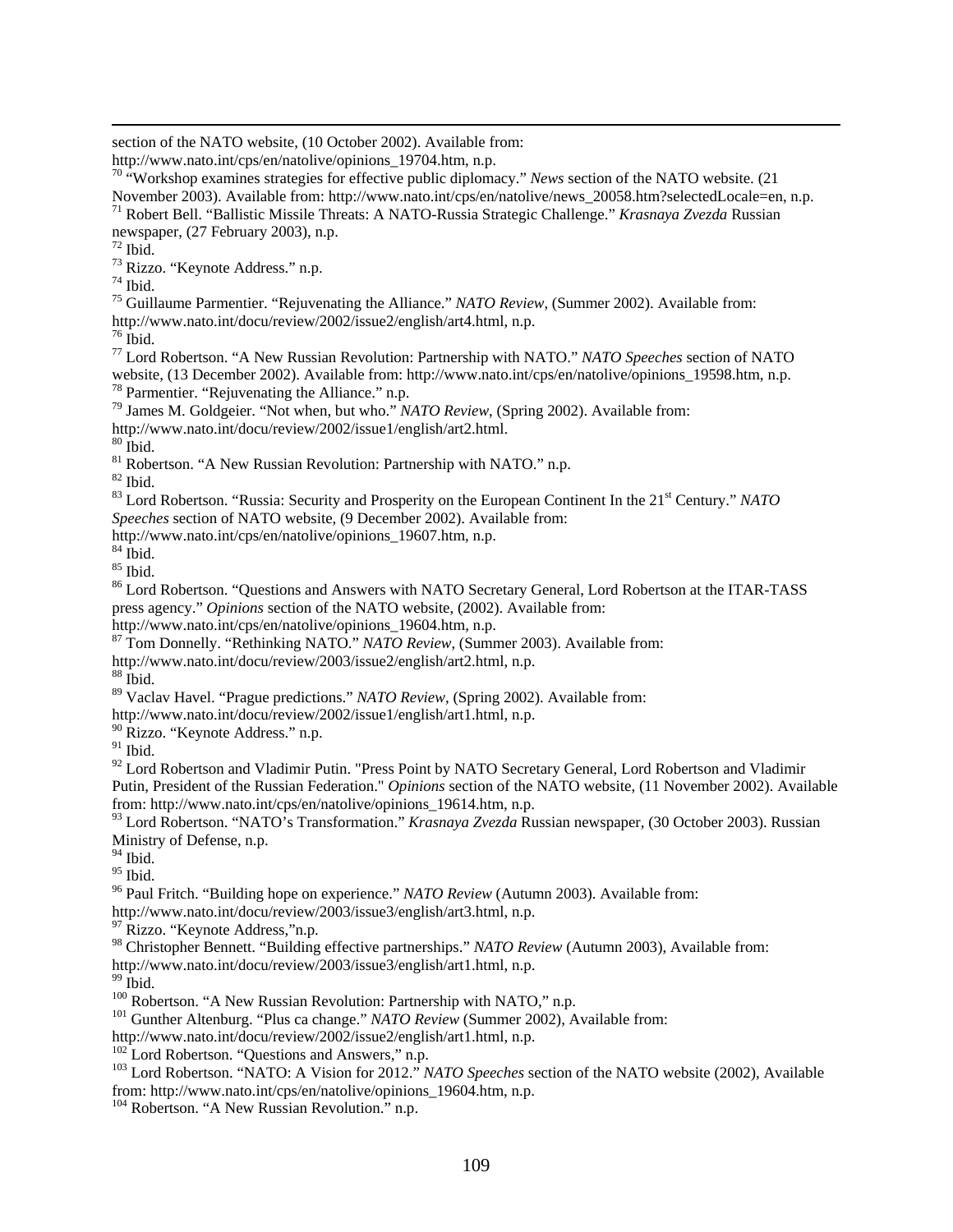section of the NATO website, (10 October 2002). Available from:

70 "Workshop examines strategies for effective public diplomacy." *News* section of the NATO website. (21

November 2003). Available from: http://www.nato.int/cps/en/natolive/news\_20058.htm?selectedLocale=en, n.p. 71 Robert Bell. "Ballistic Missile Threats: A NATO-Russia Strategic Challenge." *Krasnaya Zvezda* Russian newspaper, (27 February 2003), n.p.

 $72$  Ibid.

73 Rizzo. "Keynote Address." n.p.

74 Ibid.

75 Guillaume Parmentier. "Rejuvenating the Alliance." *NATO Review*, (Summer 2002). Available from: http://www.nato.int/docu/review/2002/issue2/english/art4.html, n.p. 76 Ibid.

77 Lord Robertson. "A New Russian Revolution: Partnership with NATO." *NATO Speeches* section of NATO website, (13 December 2002). Available from: http://www.nato.int/cps/en/natolive/opinions\_19598.htm, n.p. <sup>78</sup> Parmentier. "Rejuvenating the Alliance." n.p.

79 James M. Goldgeier. "Not when, but who." *NATO Review*, (Spring 2002). Available from:

http://www.nato.int/docu/review/2002/issue1/english/art2.html. 80 Ibid.

 $81$  Robertson. "A New Russian Revolution: Partnership with NATO." n.p.

82 Ibid.

<sup>83</sup> Lord Robertson. "Russia: Security and Prosperity on the European Continent In the 21<sup>st</sup> Century." *NATO Speeches* section of NATO website, (9 December 2002). Available from:

http://www.nato.int/cps/en/natolive/opinions\_19607.htm, n.p.

 $84$  Ibid.

 $85$  Ibid.

<sup>86</sup> Lord Robertson. "Questions and Answers with NATO Secretary General, Lord Robertson at the ITAR-TASS press agency." *Opinions* section of the NATO website, (2002). Available from:

http://www.nato.int/cps/en/natolive/opinions\_19604.htm, n.p.

87 Tom Donnelly. "Rethinking NATO." *NATO Review*, (Summer 2003). Available from:

http://www.nato.int/docu/review/2003/issue2/english/art2.html, n.p. 88 Ibid.

89 Vaclav Havel. "Prague predictions." *NATO Review*, (Spring 2002). Available from:

http://www.nato.int/docu/review/2002/issue1/english/art1.html, n.p.

<sup>90</sup> Rizzo. "Keynote Address." n.p.

 $91$  Ibid.

 $92$  Lord Robertson and Vladimir Putin. "Press Point by NATO Secretary General, Lord Robertson and Vladimir Putin, President of the Russian Federation." *Opinions* section of the NATO website, (11 November 2002). Available from: http://www.nato.int/cps/en/natolive/opinions\_19614.htm, n.p.

93 Lord Robertson. "NATO's Transformation." *Krasnaya Zvezda* Russian newspaper, (30 October 2003). Russian Ministry of Defense, n.p.

 $^{94}$  Ibid.

 $95$  Ibid.

96 Paul Fritch. "Building hope on experience." *NATO Review* (Autumn 2003). Available from:

http://www.nato.int/docu/review/2003/issue3/english/art3.html, n.p. 97 Rizzo. "Keynote Address,"n.p.

98 Christopher Bennett. "Building effective partnerships." *NATO Review* (Autumn 2003), Available from:

http://www.nato.int/docu/review/2003/issue3/english/art1.html, n.p.<br><sup>99</sup> Ibid.<br><sup>100</sup> Robertson. "A New Russian Revolution: Partnership with NATO," n.p.

<sup>101</sup> Gunther Altenburg. "Plus ca change." *NATO Review* (Summer 2002), Available from:<br>http://www.nato.int/docu/review/2002/issue2/english/art1.html, n.p.

 $^{102}$  Lord Robertson. "Questions and Answers," n.p.<br> $^{103}$  Lord Robertson. "NATO: A Vision for 2012." *NATO Speeches* section of the NATO website (2002), Available from: http://www.nato.int/cps/en/natolive/opinions\_19604.htm, n.p.

<sup>104</sup> Robertson. "A New Russian Revolution." n.p.

http://www.nato.int/cps/en/natolive/opinions\_19704.htm, n.p.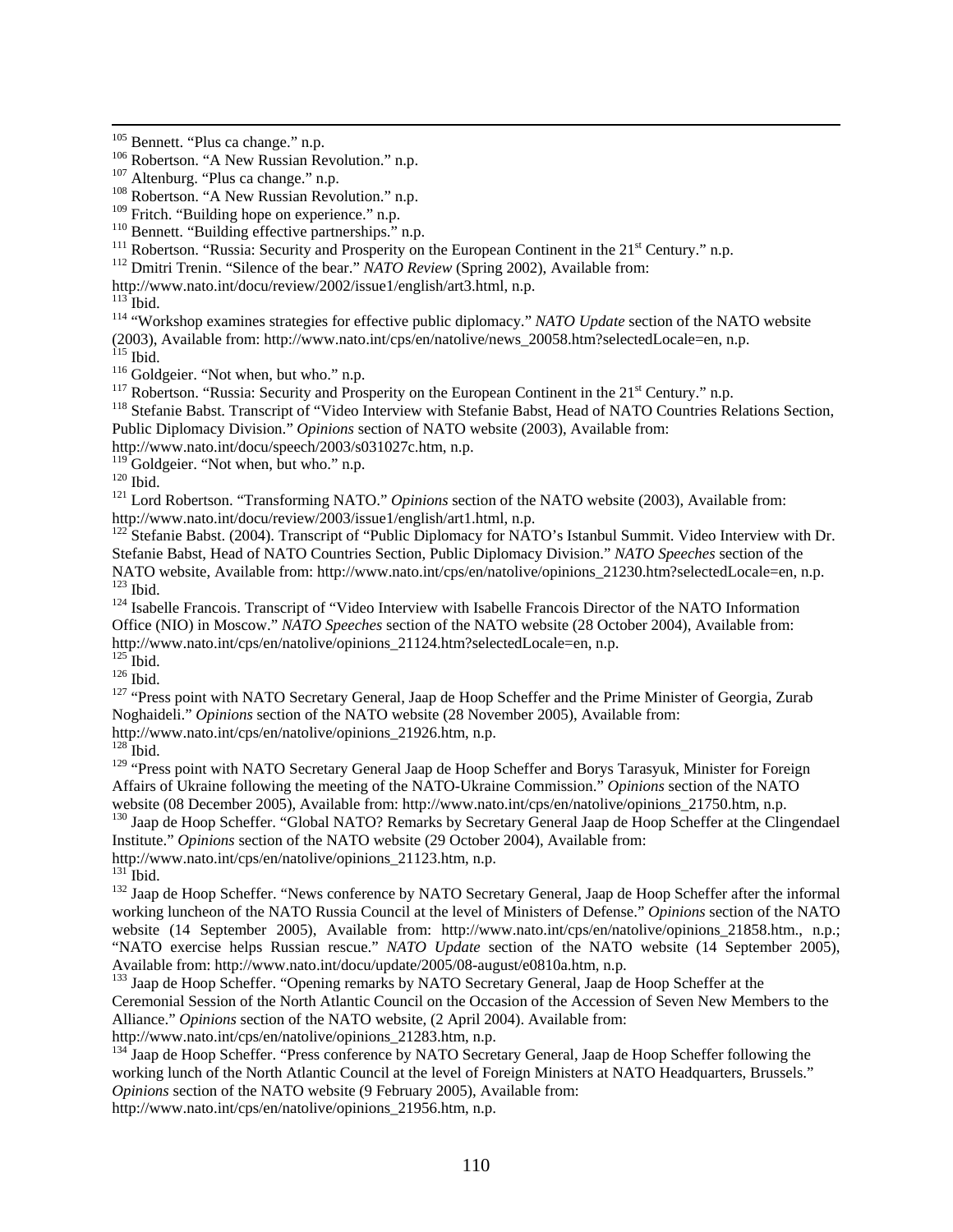<sup>110</sup> Bennett. "Building effective partnerships." n.p.<br><sup>111</sup> Robertson. "Russia: Security and Prosperity on the European Continent in the 21<sup>st</sup> Century." n.p.<br><sup>112</sup> Dmitri Trenin. "Silence of the bear." *NATO Review* (Sp

<sup>113</sup> Ibid.<br><sup>114</sup> "Workshop examines strategies for effective public diplomacy." *NATO Update* section of the NATO website (2003), Available from: http://www.nato.int/cps/en/natolive/news\_20058.htm?selectedLocale=en, n.p.<br>
<sup>115</sup> Ibid.<br>
<sup>116</sup> Goldgeier. "Not when, but who." n.p.<br>
<sup>116</sup> Robertson. "Russia: Security and Prosperity on the European

Public Diplomacy Division." *Opinions* section of NATO website (2003), Available from:

http://www.nato.int/docu/speech/2003/s031027c.htm, n.p. <sup>119</sup> Goldgeier. "Not when, but who." n.p.

120 Goldgeier. The whole care when the transforming NATO." *Opinions* section of the NATO website (2003), Available from:<br>
1<sup>121</sup> Lord Robertson. "Transforming NATO." *Opinions* section of the NATO website (2003), Availabl

<sup>122</sup> Stefanie Babst. (2004). Transcript of "Public Diplomacy for NATO's Istanbul Summit. Video Interview with Dr. Stefanie Babst, Head of NATO Countries Section, Public Diplomacy Division." *NATO Speeches* section of the NATO website, Available from: http://www.nato.int/cps/en/natolive/opinions\_21230.htm?selectedLocale=en, n.p.<br><sup>123</sup> Ibid.<br><sup>124</sup> Isabelle Francois. Transcript of "Video Interview with Isabelle Francois Director of the NATO I

Office (NIO) in Moscow." *NATO Speeches* section of the NATO website (28 October 2004), Available from: http://www.nato.int/cps/en/natolive/opinions\_21124.htm?selectedLocale=en, n.p. <sup>125</sup> Ibid.

<sup>126</sup> Ibid.<br><sup>126</sup> Thid. 127 "Press point with NATO Secretary General, Jaap de Hoop Scheffer and the Prime Minister of Georgia, Zurab Noghaideli." *Opinions* section of the NATO website (28 November 2005), Available from: http://www.nato.int/cps/en/natolive/opinions\_21926.htm, n.p.

 $128$  Ibid.

<sup>129</sup> "Press point with NATO Secretary General Jaap de Hoop Scheffer and Borys Tarasyuk, Minister for Foreign Affairs of Ukraine following the meeting of the NATO-Ukraine Commission." *Opinions* section of the NATO

<sup>130</sup> Jaap de Hoop Scheffer. "Global NATO? Remarks by Secretary General Jaap de Hoop Scheffer at the Clingendael Institute." *Opinions* section of the NATO website (29 October 2004), Available from: http://www.nato.int/cps/en/natolive/opinions\_21123.htm, n.p.

<sup>132</sup> Jaap de Hoop Scheffer. "News conference by NATO Secretary General, Jaap de Hoop Scheffer after the informal working luncheon of the NATO Russia Council at the level of Ministers of Defense." *Opinions* section of the NATO website (14 September 2005), Available from: http://www.nato.int/cps/en/natolive/opinions\_21858.htm., n.p.; "NATO exercise helps Russian rescue." *NATO Update* section of the NATO website (14 September 2005), Available from: http://www.nato.int/docu/update/2005/08-august/e0810a.htm, n.p.

<sup>133</sup> Jaap de Hoop Scheffer. "Opening remarks by NATO Secretary General, Jaap de Hoop Scheffer at the Ceremonial Session of the North Atlantic Council on the Occasion of the Accession of Seven New Members to the Alliance." *Opinions* section of the NATO website, (2 April 2004). Available from:

http://www.nato.int/cps/en/natolive/opinions\_21283.htm, n.p.

<sup>134</sup> Jaap de Hoop Scheffer. "Press conference by NATO Secretary General, Jaap de Hoop Scheffer following the working lunch of the North Atlantic Council at the level of Foreign Ministers at NATO Headquarters, Brussels." *Opinions* section of the NATO website (9 February 2005), Available from:

http://www.nato.int/cps/en/natolive/opinions\_21956.htm, n.p.

<sup>&</sup>lt;sup>105</sup> Bennett. "Plus ca change." n.p.<br><sup>106</sup> Robertson. "A New Russian Revolution." n.p.<br><sup>107</sup> Altenburg. "Plus ca change." n.p.<br><sup>108</sup> Robertson. "A New Russian Revolution." n.p.<br><sup>109</sup> Fritch. "Building hope on experience.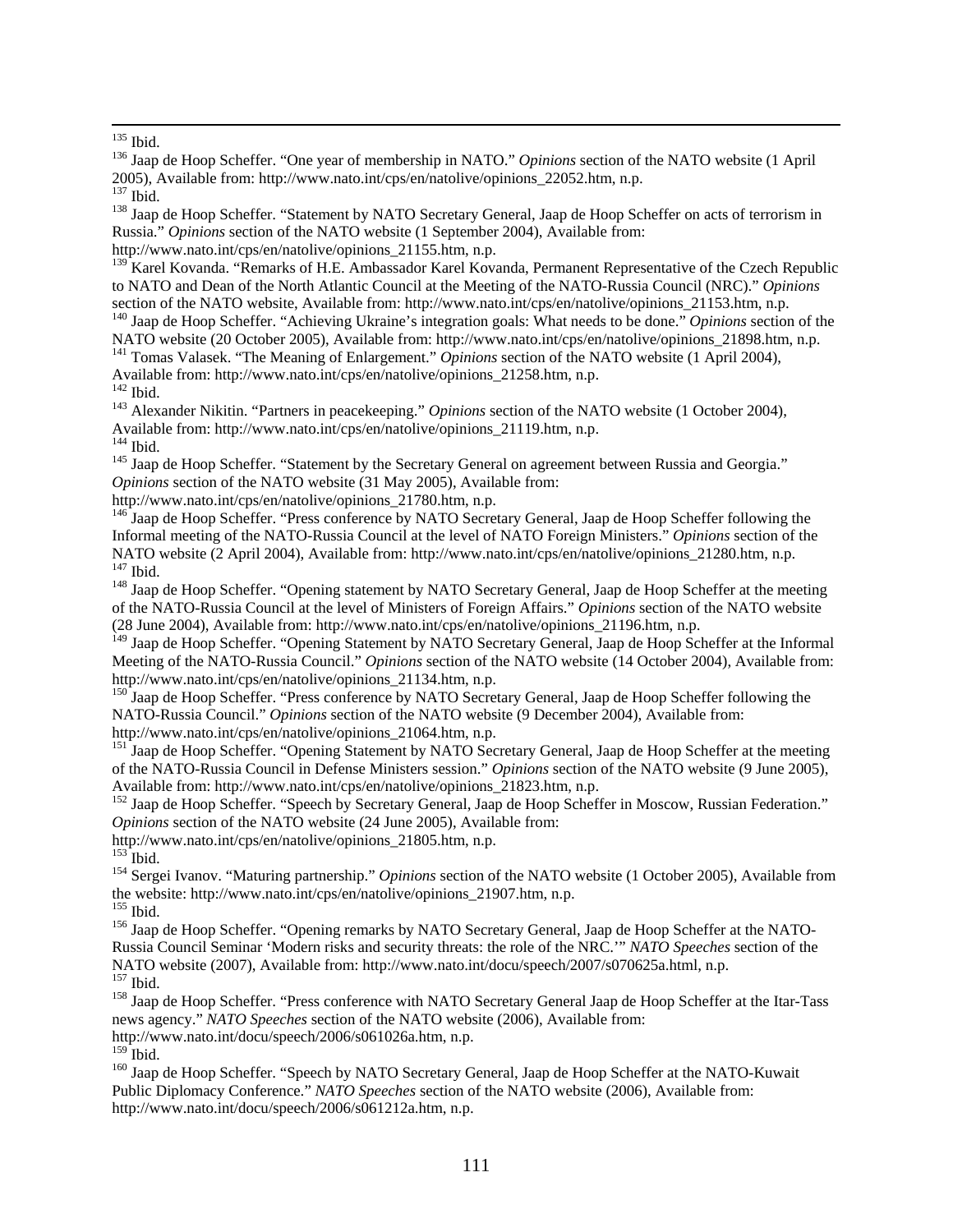<sup>138</sup> Jaap de Hoop Scheffer. "Statement by NATO Secretary General, Jaap de Hoop Scheffer on acts of terrorism in Russia." *Opinions* section of the NATO website (1 September 2004), Available from:

http://www.nato.int/cps/en/natolive/opinions\_21155.htm, n.p.

<sup>139</sup> Karel Kovanda. "Remarks of H.E. Ambassador Karel Kovanda, Permanent Representative of the Czech Republic to NATO and Dean of the North Atlantic Council at the Meeting of the NATO-Russia Council (NRC)." *Opinions*

section of the NATO website, Available from: http://www.nato.int/cps/en/natolive/opinions\_21153.htm, n.p.<br><sup>140</sup> Jaap de Hoop Scheffer. "Achieving Ukraine's integration goals: What needs to be done." *Opinions* section of t NATO website (20 October 2005), Available from: http://www.nato.int/cps/en/natolive/opinions\_21898.htm, n.p.

<sup>141</sup> Tomas Valasek. "The Meaning of Enlargement." *Opinions* section of the NATO website (1 April 2004), Available from: http://www.nato.int/cps/en/natolive/opinions\_21258.htm, n.p. <sup>142</sup> Ibid.

<sup>143</sup> Alexander Nikitin. "Partners in peacekeeping." *Opinions* section of the NATO website (1 October 2004), Available from: http://www.nato.int/cps/en/natolive/opinions\_21119.htm, n.p.

<sup>145</sup> Jaap de Hoop Scheffer. "Statement by the Secretary General on agreement between Russia and Georgia." *Opinions* section of the NATO website (31 May 2005), Available from:

http://www.nato.int/cps/en/natolive/opinions\_21780.htm, n.p.

<sup>146</sup> Jaap de Hoop Scheffer. "Press conference by NATO Secretary General, Jaap de Hoop Scheffer following the Informal meeting of the NATO-Russia Council at the level of NATO Foreign Ministers." *Opinions* section of the NATO website (2 April 2004), Available from: http://www.nato.int/cps/en/natolive/opinions\_21280.htm, n.p.

<sup>148</sup> Jaap de Hoop Scheffer. "Opening statement by NATO Secretary General, Jaap de Hoop Scheffer at the meeting of the NATO-Russia Council at the level of Ministers of Foreign Affairs." *Opinions* section of the NATO website (28 June 2004), Available from: http://www.nato.int/cps/en/natolive/opinions\_21196.htm, n.p.

<sup>149</sup> Jaap de Hoop Scheffer. "Opening Statement by NATO Secretary General, Jaap de Hoop Scheffer at the Informal Meeting of the NATO-Russia Council." *Opinions* section of the NATO website (14 October 2004), Available from: http://www.nato.int/cps/en/natolive/opinions\_21134.htm, n.p.

<sup>150</sup> Jaap de Hoop Scheffer. "Press conference by NATO Secretary General, Jaap de Hoop Scheffer following the NATO-Russia Council." *Opinions* section of the NATO website (9 December 2004), Available from:

http://www.nato.int/cps/en/natolive/opinions\_21064.htm, n.p.

<sup>151</sup> Jaap de Hoop Scheffer. "Opening Statement by NATO Secretary General, Jaap de Hoop Scheffer at the meeting of the NATO-Russia Council in Defense Ministers session." *Opinions* section of the NATO website (9 June 2005), Available from: http://www.nato.int/cps/en/natolive/opinions\_21823.htm, n.p.

<sup>152</sup> Jaap de Hoop Scheffer. "Speech by Secretary General, Jaap de Hoop Scheffer in Moscow, Russian Federation." *Opinions* section of the NATO website (24 June 2005), Available from:

http://www.nato.int/cps/en/natolive/opinions\_21805.htm, n.p.

<sup>154</sup> Sergei Ivanov. "Maturing partnership." *Opinions* section of the NATO website (1 October 2005), Available from the website: http://www.nato.int/cps/en/natolive/opinions\_21907.htm, n.p. 155 Ibid.

<sup>156</sup> Jaap de Hoop Scheffer. "Opening remarks by NATO Secretary General, Jaap de Hoop Scheffer at the NATO-Russia Council Seminar 'Modern risks and security threats: the role of the NRC.'" *NATO Speeches* section of the NATO website (2007), Available from: http://www.nato.int/docu/speech/2007/s070625a.html, n.p. 157 Ibid. 158 Jaap de Hoop Scheffer. "Press conference with NATO Secretary General Jaap de Hoop Scheffer at the Itar-Tass

news agency." *NATO Speeches* section of the NATO website (2006), Available from:

http://www.nato.int/docu/speech/2006/s061026a.htm, n.p.

<sup>160</sup> Jaap de Hoop Scheffer. "Speech by NATO Secretary General, Jaap de Hoop Scheffer at the NATO-Kuwait Public Diplomacy Conference." *NATO Speeches* section of the NATO website (2006), Available from: http://www.nato.int/docu/speech/2006/s061212a.htm, n.p.

<sup>&</sup>lt;sup>135</sup> Ibid.<br><sup>136</sup> Jaap de Hoop Scheffer. "One year of membership in NATO." *Opinions* section of the NATO website (1 April 2005), Available from: http://www.nato.int/cps/en/natolive/opinions\_22052.htm, n.p.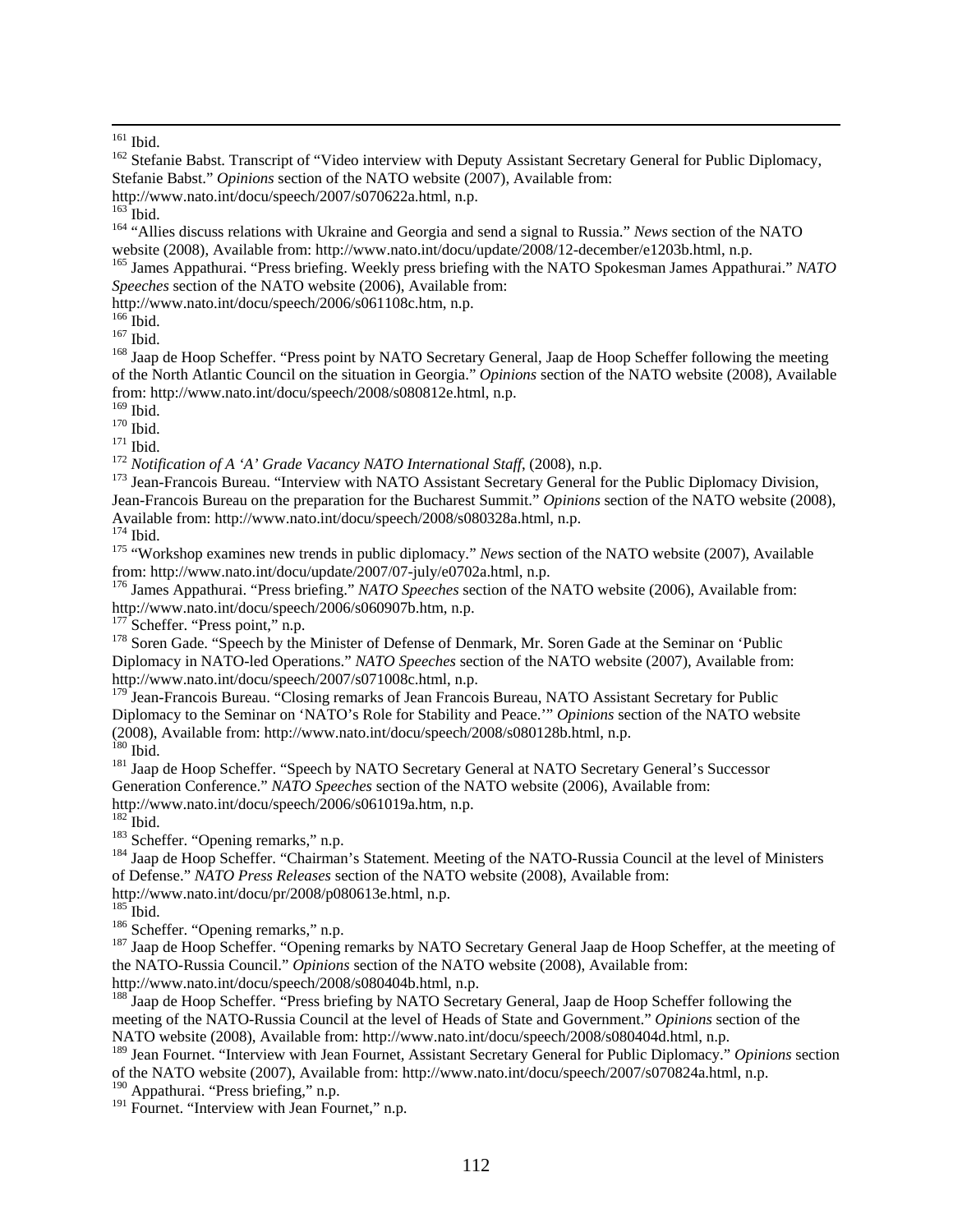<sup>161</sup> Ibid.<br><sup>162</sup> Stefanie Babst. Transcript of "Video interview with Deputy Assistant Secretary General for Public Diplomacy, Stefanie Babst." *Opinions* section of the NATO website (2007), Available from:

http://www.nato.int/docu/speech/2007/s070622a.html, n.p.

<sup>164</sup> "Allies discuss relations with Ukraine and Georgia and send a signal to Russia." *News* section of the NATO

website (2008), Available from: http://www.nato.int/docu/update/2008/12-december/e1203b.html, n.p. 165 James Appathurai. "Press briefing. Weekly press briefing with the NATO Spokesman James Appathurai." *NATO Speeches* section of the NATO website (2006), Available from:

http://www.nato.int/docu/speech/2006/s061108c.htm, n.p.

167 Ibid.<br><sup>167</sup> Ibid.<br><sup>168</sup> Jaap de Hoop Scheffer. "Press point by NATO Secretary General, Jaap de Hoop Scheffer following the meeting of the North Atlantic Council on the situation in Georgia." *Opinions* section of the NATO website (2008), Available from: http://www.nato.int/docu/speech/2008/s080812e.html, n.p.

<sup>170</sup> Ibid.<br><sup>171</sup> Ibid.<br><sup>171</sup> Notification of A 'A' Grade Vacancy NATO International Staff, (2008), n.p.<br><sup>173</sup> Jean-Francois Bureau. "Interview with NATO Assistant Secretary General for the Public Diplomacy Division, Jean-Francois Bureau on the preparation for the Bucharest Summit." *Opinions* section of the NATO website (2008), Available from: http://www.nato.int/docu/speech/2008/s080328a.html, n.p. 174<br>
<sup>174</sup> Ibid. <sup>175</sup> "Workshop examines new trends in public diplomacy." *News* section of the NATO website (2007), Available

from: http://www.nato.int/docu/update/2007/07-july/e0702a.html, n.p.

176 James Appathurai. "Press briefing." *NATO Speeches* section of the NATO website (2006), Available from: http://www.nato.int/docu/speech/2006/s060907b.htm, n.p. 177 Scheffer. "Press point," n.p.

<sup>178</sup> Soren Gade. "Speech by the Minister of Defense of Denmark, Mr. Soren Gade at the Seminar on 'Public Diplomacy in NATO-led Operations." *NATO Speeches* section of the NATO website (2007), Available from: http://www.nato.int/docu/speech/2007/s071008c.html, n.p.

<sup>179</sup> Jean-Francois Bureau. "Closing remarks of Jean Francois Bureau, NATO Assistant Secretary for Public Diplomacy to the Seminar on 'NATO's Role for Stability and Peace.'" *Opinions* section of the NATO website (2008), Available from: http://www.nato.int/docu/speech/2008/s080128b.html, n.p. 180 Ibid. 181 Jaap de Hoop Scheffer. "Speech by NATO Secretary General at NATO Secretary General's Successor

Generation Conference." *NATO Speeches* section of the NATO website (2006), Available from: http://www.nato.int/docu/speech/2006/s061019a.htm, n.p.

<sup>183</sup> Scheffer. "Opening remarks," n.p.<br><sup>184</sup> Jaap de Hoop Scheffer. "Chairman's Statement. Meeting of the NATO-Russia Council at the level of Ministers of Defense." *NATO Press Releases* section of the NATO website (2008), Available from:

http://www.nato.int/docu/pr/2008/p080613e.html, n.p.

<sup>186</sup> Scheffer. "Opening remarks," n.p.<br><sup>187</sup> Jaap de Hoop Scheffer. "Opening remarks by NATO Secretary General Jaap de Hoop Scheffer, at the meeting of the NATO-Russia Council." *Opinions* section of the NATO website (2008), Available from: http://www.nato.int/docu/speech/2008/s080404b.html, n.p.

<sup>188</sup> Jaap de Hoop Scheffer. "Press briefing by NATO Secretary General, Jaap de Hoop Scheffer following the meeting of the NATO-Russia Council at the level of Heads of State and Government." *Opinions* section of the NATO website (2008), Available from: http://www.nato.int/docu/speech/2008/s080404d.html, n.p.

189 Jean Fournet. "Interview with Jean Fournet, Assistant Secretary General for Public Diplomacy." *Opinions* section of the NATO website (2007), Available from: http://www.nato.int/docu/speech/2007/s070824a.html, n.p.

<sup>190</sup> Appathurai. "Press briefing," n.p.

<sup>191</sup> Fournet. "Interview with Jean Fournet," n.p.